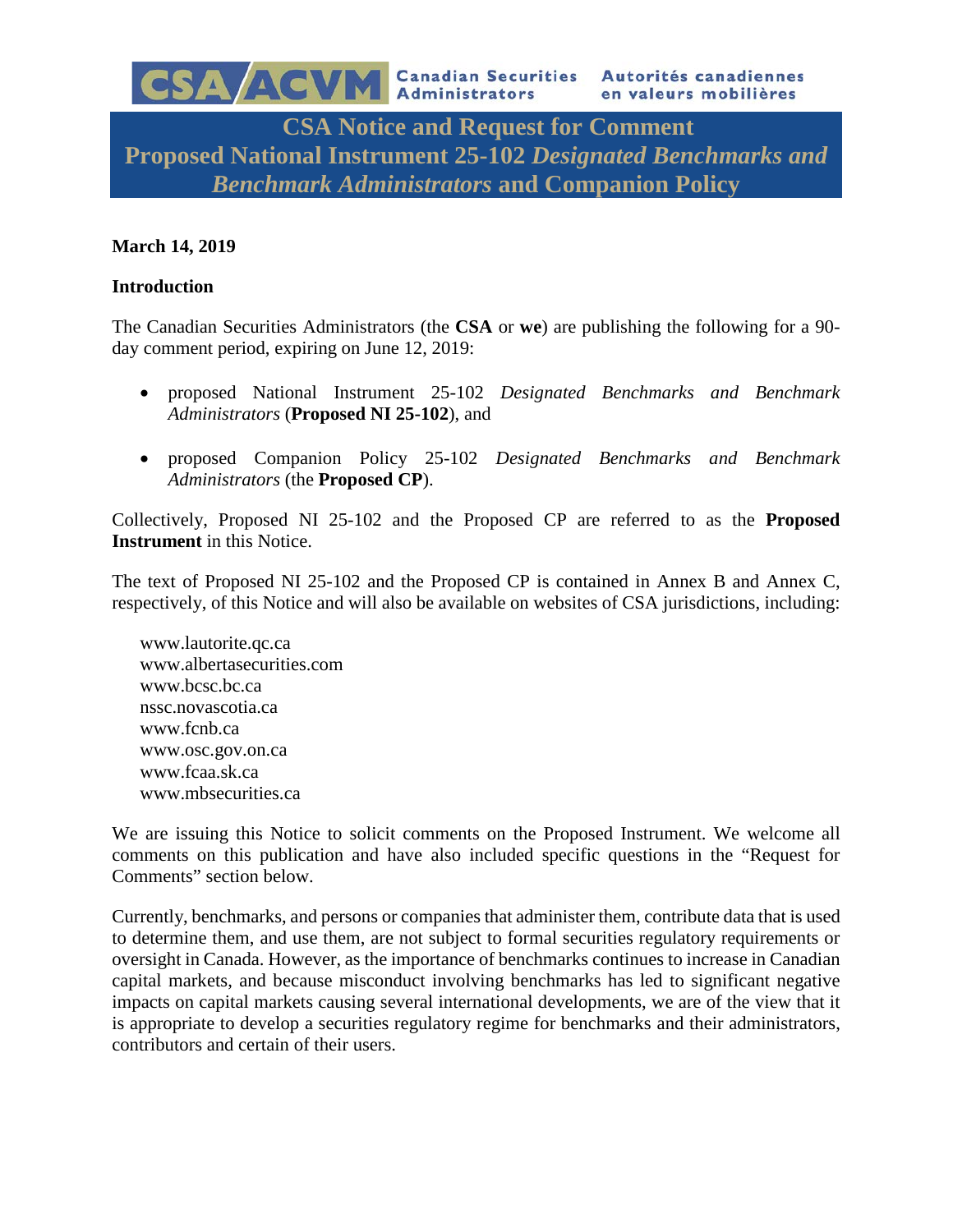**CSA Notice and Request for Comment Proposed National Instrument 25-102** *Designated Benchmarks and Benchmark Administrators* **and Companion Policy**

# **March 14, 2019**

### **Introduction**

The Canadian Securities Administrators (the **CSA** or **we**) are publishing the following for a 90 day comment period, expiring on June 12, 2019:

- proposed National Instrument 25-102 *Designated Benchmarks and Benchmark Administrators* (**Proposed NI 25-102**), and
- proposed Companion Policy 25-102 *Designated Benchmarks and Benchmark Administrators* (the **Proposed CP**).

Collectively, Proposed NI 25-102 and the Proposed CP are referred to as the **Proposed Instrument** in this Notice.

The text of Proposed NI 25-102 and the Proposed CP is contained in Annex B and Annex C, respectively, of this Notice and will also be available on websites of CSA jurisdictions, including:

www.lautorite.qc.ca www.albertasecurities.com www.bcsc.bc.ca nssc.novascotia.ca www.fcnb.ca www.osc.gov.on.ca www.fcaa.sk.ca www.mbsecurities.ca

We are issuing this Notice to solicit comments on the Proposed Instrument. We welcome all comments on this publication and have also included specific questions in the "Request for Comments" section below.

Currently, benchmarks, and persons or companies that administer them, contribute data that is used to determine them, and use them, are not subject to formal securities regulatory requirements or oversight in Canada. However, as the importance of benchmarks continues to increase in Canadian capital markets, and because misconduct involving benchmarks has led to significant negative impacts on capital markets causing several international developments, we are of the view that it is appropriate to develop a securities regulatory regime for benchmarks and their administrators, contributors and certain of their users.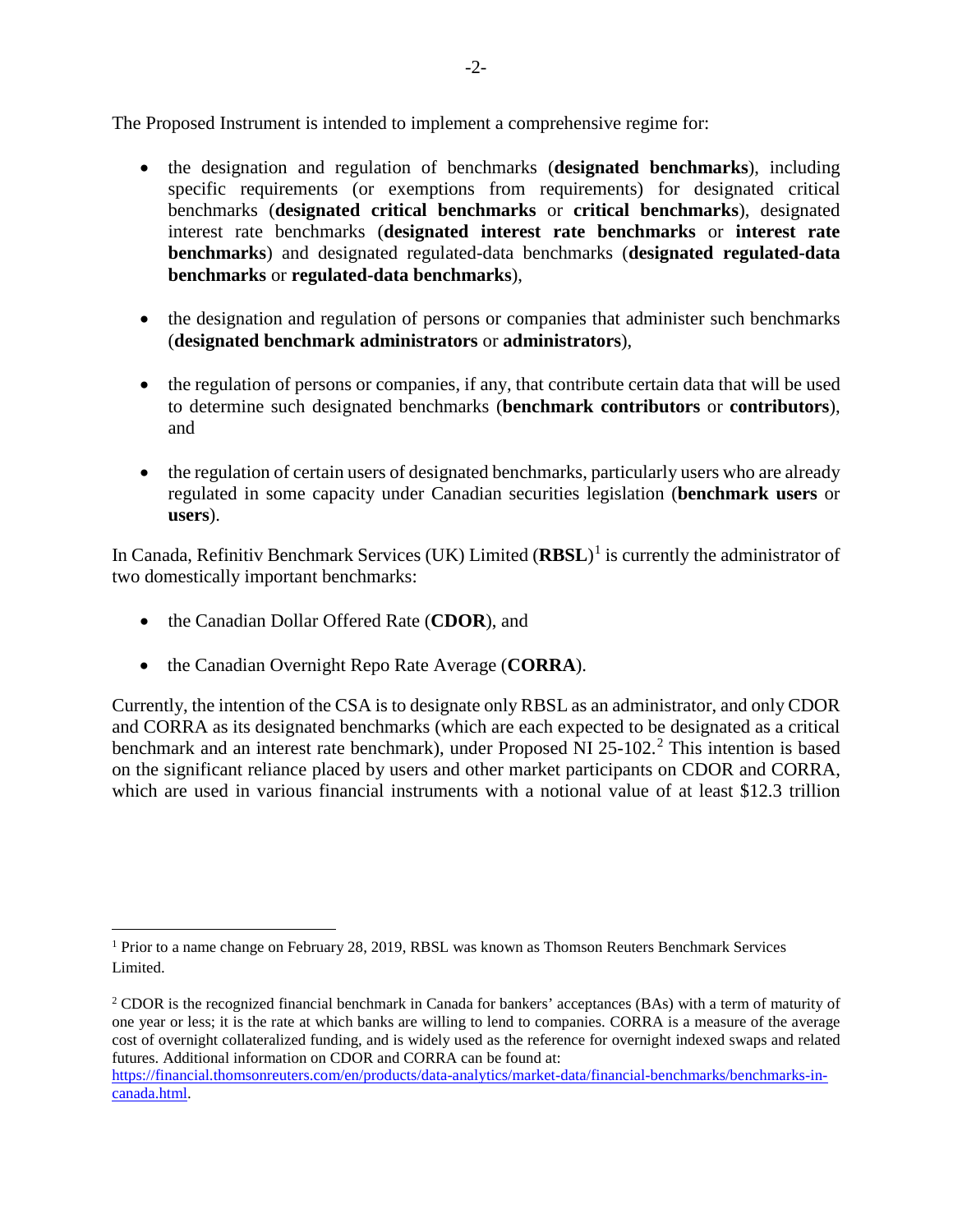The Proposed Instrument is intended to implement a comprehensive regime for:

- the designation and regulation of benchmarks (**designated benchmarks**), including specific requirements (or exemptions from requirements) for designated critical benchmarks (**designated critical benchmarks** or **critical benchmarks**), designated interest rate benchmarks (**designated interest rate benchmarks** or **interest rate benchmarks**) and designated regulated-data benchmarks (**designated regulated-data benchmarks** or **regulated-data benchmarks**),
- the designation and regulation of persons or companies that administer such benchmarks (**designated benchmark administrators** or **administrators**),
- the regulation of persons or companies, if any, that contribute certain data that will be used to determine such designated benchmarks (**benchmark contributors** or **contributors**), and
- the regulation of certain users of designated benchmarks, particularly users who are already regulated in some capacity under Canadian securities legislation (**benchmark users** or **users**).

In Canada, Refinitiv Benchmark Services (UK) Limited (**RBSL**) [1](#page-1-0) is currently the administrator of two domestically important benchmarks:

- the Canadian Dollar Offered Rate (**CDOR**), and
- the Canadian Overnight Repo Rate Average (**CORRA**).

Currently, the intention of the CSA is to designate only RBSL as an administrator, and only CDOR and CORRA as its designated benchmarks (which are each expected to be designated as a critical benchmark and an interest rate benchmark), under Proposed NI 25-102. [2](#page-1-1) This intention is based on the significant reliance placed by users and other market participants on CDOR and CORRA, which are used in various financial instruments with a notional value of at least \$12.3 trillion

<span id="page-1-0"></span> <sup>1</sup> Prior to a name change on February 28, 2019, RBSL was known as Thomson Reuters Benchmark Services Limited.

<span id="page-1-1"></span><sup>&</sup>lt;sup>2</sup> CDOR is the recognized financial benchmark in Canada for bankers' acceptances (BAs) with a term of maturity of one year or less; it is the rate at which banks are willing to lend to companies. CORRA is a measure of the average cost of overnight collateralized funding, and is widely used as the reference for overnight indexed swaps and related futures. Additional information on CDOR and CORRA can be found at:

[https://financial.thomsonreuters.com/en/products/data-analytics/market-data/financial-benchmarks/benchmarks-in](https://financial.thomsonreuters.com/en/products/data-analytics/market-data/financial-benchmarks/benchmarks-in-canada.html)[canada.html.](https://financial.thomsonreuters.com/en/products/data-analytics/market-data/financial-benchmarks/benchmarks-in-canada.html)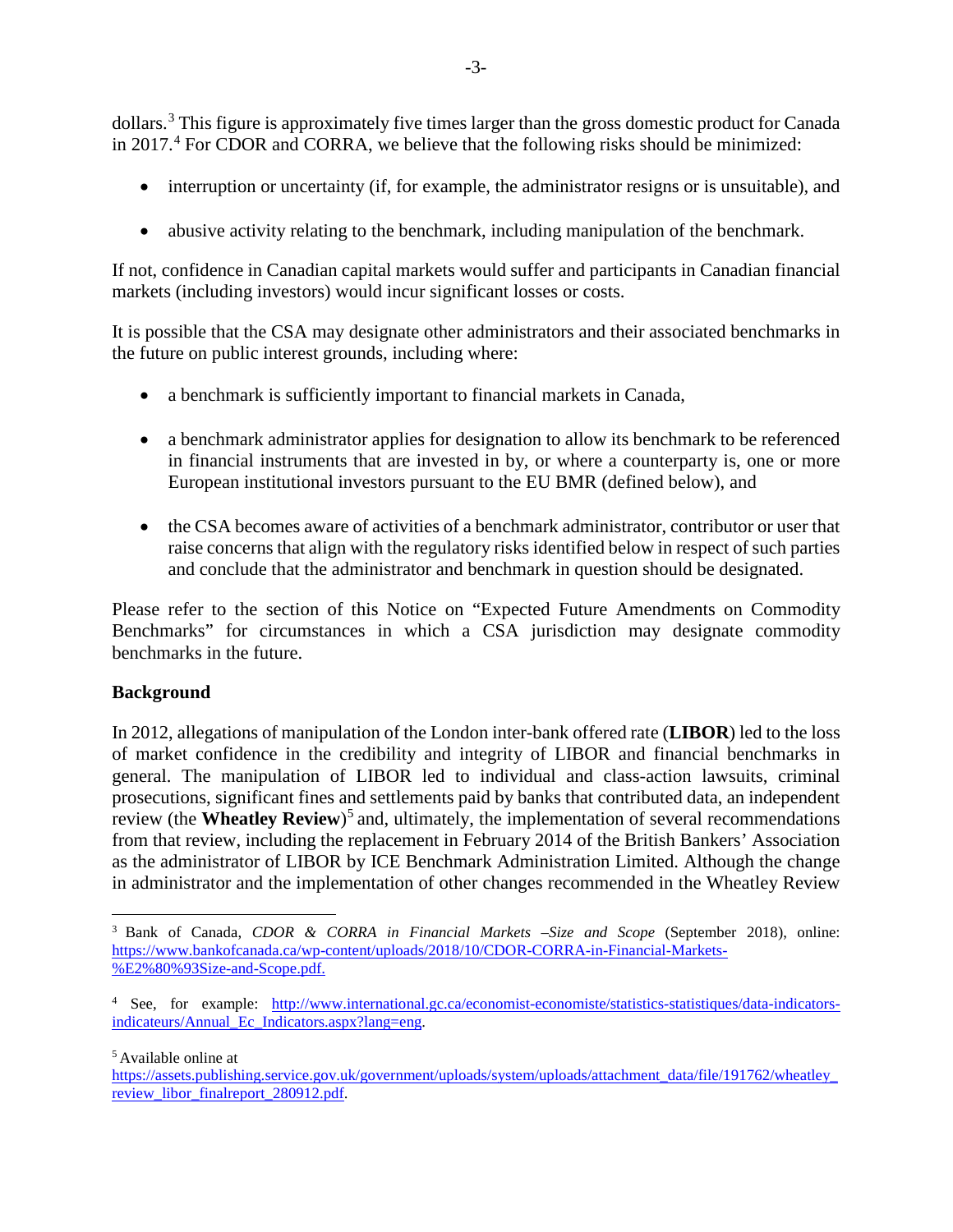dollars.<sup>[3](#page-2-0)</sup> This figure is approximately five times larger than the gross domestic product for Canada in  $2017<sup>4</sup>$  $2017<sup>4</sup>$  $2017<sup>4</sup>$  For CDOR and CORRA, we believe that the following risks should be minimized:

- interruption or uncertainty (if, for example, the administrator resigns or is unsuitable), and
- abusive activity relating to the benchmark, including manipulation of the benchmark.

If not, confidence in Canadian capital markets would suffer and participants in Canadian financial markets (including investors) would incur significant losses or costs.

It is possible that the CSA may designate other administrators and their associated benchmarks in the future on public interest grounds, including where:

- a benchmark is sufficiently important to financial markets in Canada,
- a benchmark administrator applies for designation to allow its benchmark to be referenced in financial instruments that are invested in by, or where a counterparty is, one or more European institutional investors pursuant to the EU BMR (defined below), and
- the CSA becomes aware of activities of a benchmark administrator, contributor or user that raise concerns that align with the regulatory risks identified below in respect of such parties and conclude that the administrator and benchmark in question should be designated.

Please refer to the section of this Notice on "Expected Future Amendments on Commodity Benchmarks" for circumstances in which a CSA jurisdiction may designate commodity benchmarks in the future.

## **Background**

In 2012, allegations of manipulation of the London inter-bank offered rate (**LIBOR**) led to the loss of market confidence in the credibility and integrity of LIBOR and financial benchmarks in general. The manipulation of LIBOR led to individual and class-action lawsuits, criminal prosecutions, significant fines and settlements paid by banks that contributed data, an independent review (the **Wheatley Review**) [5](#page-2-2) and, ultimately, the implementation of several recommendations from that review, including the replacement in February 2014 of the British Bankers' Association as the administrator of LIBOR by ICE Benchmark Administration Limited. Although the change in administrator and the implementation of other changes recommended in the Wheatley Review

<span id="page-2-2"></span><sup>5</sup> Available online at

<span id="page-2-0"></span> <sup>3</sup> Bank of Canada, *CDOR & CORRA in Financial Markets –Size and Scope* (September 2018), online: [https://www.bankofcanada.ca/wp-content/uploads/2018/10/CDOR-CORRA-in-Financial-Markets-](https://www.bankofcanada.ca/wp-content/uploads/2018/10/CDOR-CORRA-in-Financial-Markets-%E2%80%93Size-and-Scope.pdf) [%E2%80%93Size-and-Scope.pdf.](https://www.bankofcanada.ca/wp-content/uploads/2018/10/CDOR-CORRA-in-Financial-Markets-%E2%80%93Size-and-Scope.pdf)

<span id="page-2-1"></span><sup>4</sup> See, for example: [http://www.international.gc.ca/economist-economiste/statistics-statistiques/data-indicators](http://www.international.gc.ca/economist-economiste/statistics-statistiques/data-indicators-indicateurs/Annual_Ec_Indicators.aspx?lang=eng)[indicateurs/Annual\\_Ec\\_Indicators.aspx?lang=eng.](http://www.international.gc.ca/economist-economiste/statistics-statistiques/data-indicators-indicateurs/Annual_Ec_Indicators.aspx?lang=eng)

https://assets.publishing.service.gov.uk/government/uploads/system/uploads/attachment\_data/file/191762/wheatley [review\\_libor\\_finalreport\\_280912.pdf.](https://assets.publishing.service.gov.uk/government/uploads/system/uploads/attachment_data/file/191762/wheatley_review_libor_finalreport_280912.pdf)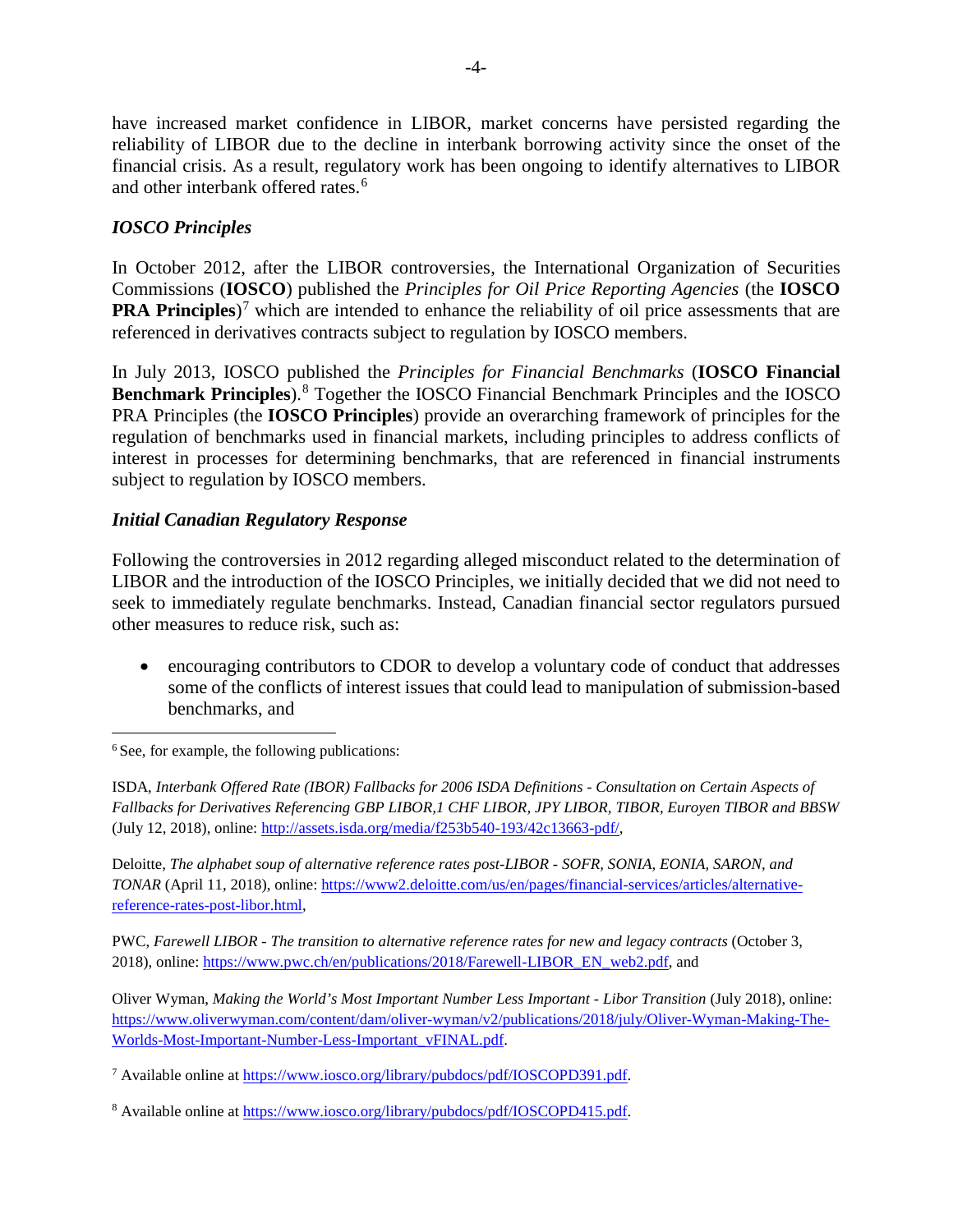have increased market confidence in LIBOR, market concerns have persisted regarding the reliability of LIBOR due to the decline in interbank borrowing activity since the onset of the financial crisis. As a result, regulatory work has been ongoing to identify alternatives to LIBOR and other interbank offered rates. [6](#page-3-0)

# *IOSCO Principles*

In October 2012, after the LIBOR controversies, the International Organization of Securities Commissions (**IOSCO**) published the *Principles for Oil Price Reporting Agencies* (the **IOSCO PRA Principles**)<sup>[7](#page-3-1)</sup> which are intended to enhance the reliability of oil price assessments that are referenced in derivatives contracts subject to regulation by IOSCO members.

In July 2013, IOSCO published the *Principles for Financial Benchmarks* (**IOSCO Financial Benchmark Principles**). [8](#page-3-2) Together the IOSCO Financial Benchmark Principles and the IOSCO PRA Principles (the **IOSCO Principles**) provide an overarching framework of principles for the regulation of benchmarks used in financial markets, including principles to address conflicts of interest in processes for determining benchmarks, that are referenced in financial instruments subject to regulation by IOSCO members.

## *Initial Canadian Regulatory Response*

Following the controversies in 2012 regarding alleged misconduct related to the determination of LIBOR and the introduction of the IOSCO Principles, we initially decided that we did not need to seek to immediately regulate benchmarks. Instead, Canadian financial sector regulators pursued other measures to reduce risk, such as:

• encouraging contributors to CDOR to develop a voluntary code of conduct that addresses some of the conflicts of interest issues that could lead to manipulation of submission-based benchmarks, and

<span id="page-3-0"></span><sup>6</sup> See, for example, the following publications:

ISDA, *Interbank Offered Rate (IBOR) Fallbacks for 2006 ISDA Definitions - Consultation on Certain Aspects of Fallbacks for Derivatives Referencing GBP LIBOR,1 CHF LIBOR, JPY LIBOR, TIBOR, Euroyen TIBOR and BBSW* (July 12, 2018), online: [http://assets.isda.org/media/f253b540-193/42c13663-pdf/,](http://assets.isda.org/media/f253b540-193/42c13663-pdf/)

Deloitte, *The alphabet soup of alternative reference rates post-LIBOR - SOFR, SONIA, EONIA, SARON, and TONAR* (April 11, 2018), online[: https://www2.deloitte.com/us/en/pages/financial-services/articles/alternative](https://www2.deloitte.com/us/en/pages/financial-services/articles/alternative-reference-rates-post-libor.html)[reference-rates-post-libor.html,](https://www2.deloitte.com/us/en/pages/financial-services/articles/alternative-reference-rates-post-libor.html)

PWC, *Farewell LIBOR - The transition to alternative reference rates for new and legacy contracts* (October 3, 2018), online[: https://www.pwc.ch/en/publications/2018/Farewell-LIBOR\\_EN\\_web2.pdf,](https://www.pwc.ch/en/publications/2018/Farewell-LIBOR_EN_web2.pdf) and

Oliver Wyman, *Making the World's Most Important Number Less Important - Libor Transition* (July 2018), online: [https://www.oliverwyman.com/content/dam/oliver-wyman/v2/publications/2018/july/Oliver-Wyman-Making-The-](https://www.oliverwyman.com/content/dam/oliver-wyman/v2/publications/2018/july/Oliver-Wyman-Making-The-Worlds-Most-Important-Number-Less-Important_vFINAL.pdf)[Worlds-Most-Important-Number-Less-Important\\_vFINAL.pdf.](https://www.oliverwyman.com/content/dam/oliver-wyman/v2/publications/2018/july/Oliver-Wyman-Making-The-Worlds-Most-Important-Number-Less-Important_vFINAL.pdf)

<span id="page-3-1"></span><sup>7</sup> Available online at [https://www.iosco.org/library/pubdocs/pdf/IOSCOPD391.pdf.](https://www.iosco.org/library/pubdocs/pdf/IOSCOPD391.pdf) 

<span id="page-3-2"></span><sup>8</sup> Available online at [https://www.iosco.org/library/pubdocs/pdf/IOSCOPD415.pdf.](https://www.iosco.org/library/pubdocs/pdf/IOSCOPD415.pdf)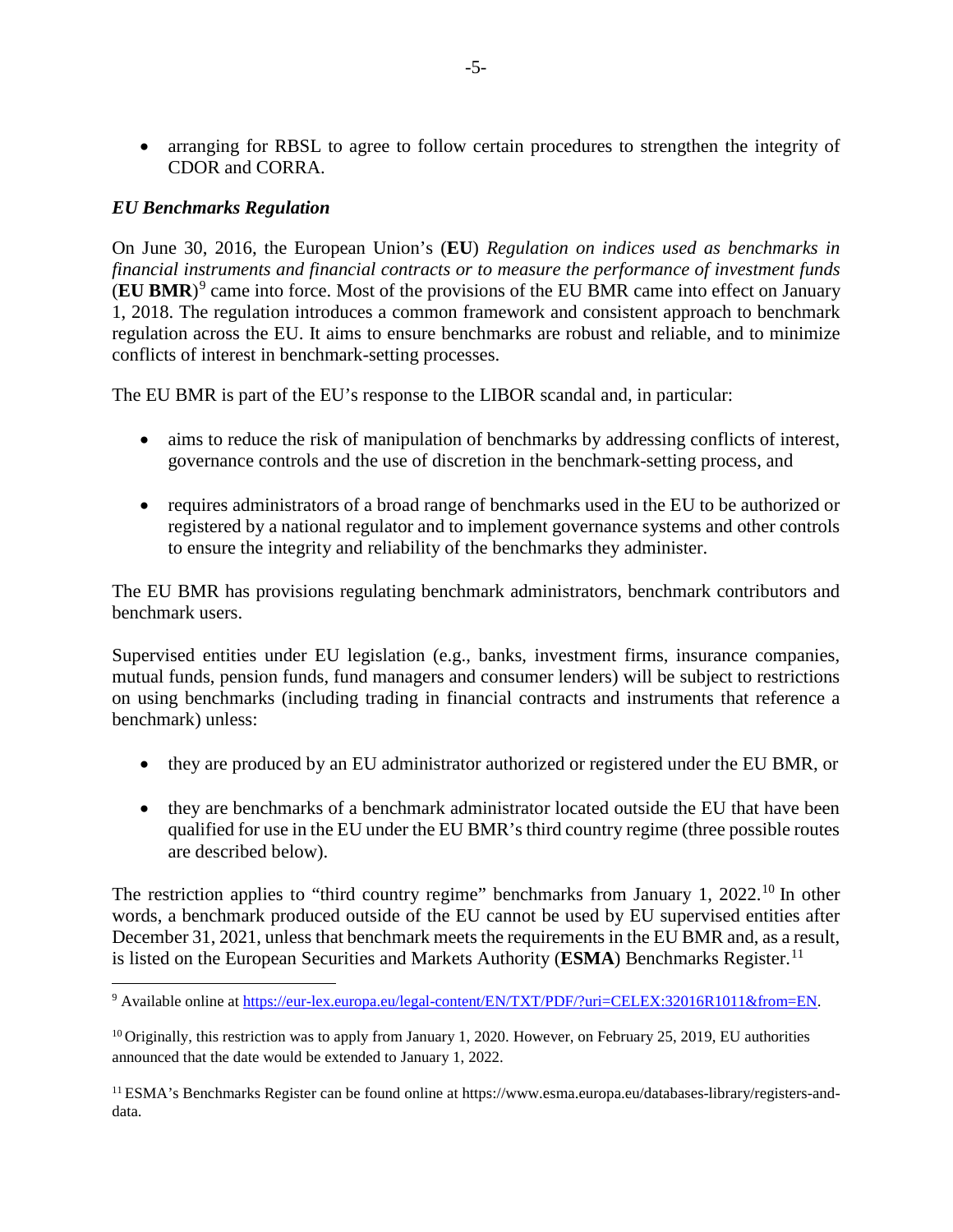• arranging for RBSL to agree to follow certain procedures to strengthen the integrity of CDOR and CORRA.

### *EU Benchmarks Regulation*

On June 30, 2016, the European Union's (**EU**) *Regulation on indices used as benchmarks in financial instruments and financial contracts or to measure the performance of investment funds* (**EU BMR**)[9](#page-4-0) came into force. Most of the provisions of the EU BMR came into effect on January 1, 2018. The regulation introduces a common framework and consistent approach to benchmark regulation across the EU. It aims to ensure benchmarks are robust and reliable, and to minimize conflicts of interest in benchmark-setting processes.

The EU BMR is part of the EU's response to the LIBOR scandal and, in particular:

- aims to reduce the risk of manipulation of benchmarks by addressing conflicts of interest, governance controls and the use of discretion in the benchmark-setting process, and
- requires administrators of a broad range of benchmarks used in the EU to be authorized or registered by a national regulator and to implement governance systems and other controls to ensure the integrity and reliability of the benchmarks they administer.

The EU BMR has provisions regulating benchmark administrators, benchmark contributors and benchmark users.

Supervised entities under EU legislation (e.g., banks, investment firms, insurance companies, mutual funds, pension funds, fund managers and consumer lenders) will be subject to restrictions on using benchmarks (including trading in financial contracts and instruments that reference a benchmark) unless:

- they are produced by an EU administrator authorized or registered under the EU BMR, or
- they are benchmarks of a benchmark administrator located outside the EU that have been qualified for use in the EU under the EU BMR's third country regime (three possible routes are described below).

The restriction applies to "third country regime" benchmarks from January 1, 2022.<sup>[10](#page-4-1)</sup> In other words, a benchmark produced outside of the EU cannot be used by EU supervised entities after December 31, 2021, unless that benchmark meets the requirements in the EU BMR and, as a result, is listed on the European Securities and Markets Authority (**ESMA**) Benchmarks Register.<sup>[11](#page-4-2)</sup>

<span id="page-4-0"></span><sup>&</sup>lt;sup>9</sup> Available online at https://eur-lex.europa.eu/legal-content/EN/TXT/PDF/?uri=CELEX:32016R1011&from=EN.

<span id="page-4-1"></span> $10$  Originally, this restriction was to apply from January 1, 2020. However, on February 25, 2019, EU authorities announced that the date would be extended to January 1, 2022.

<span id="page-4-2"></span><sup>11</sup> ESMA's Benchmarks Register can be found online at https://www.esma.europa.eu/databases-library/registers-anddata.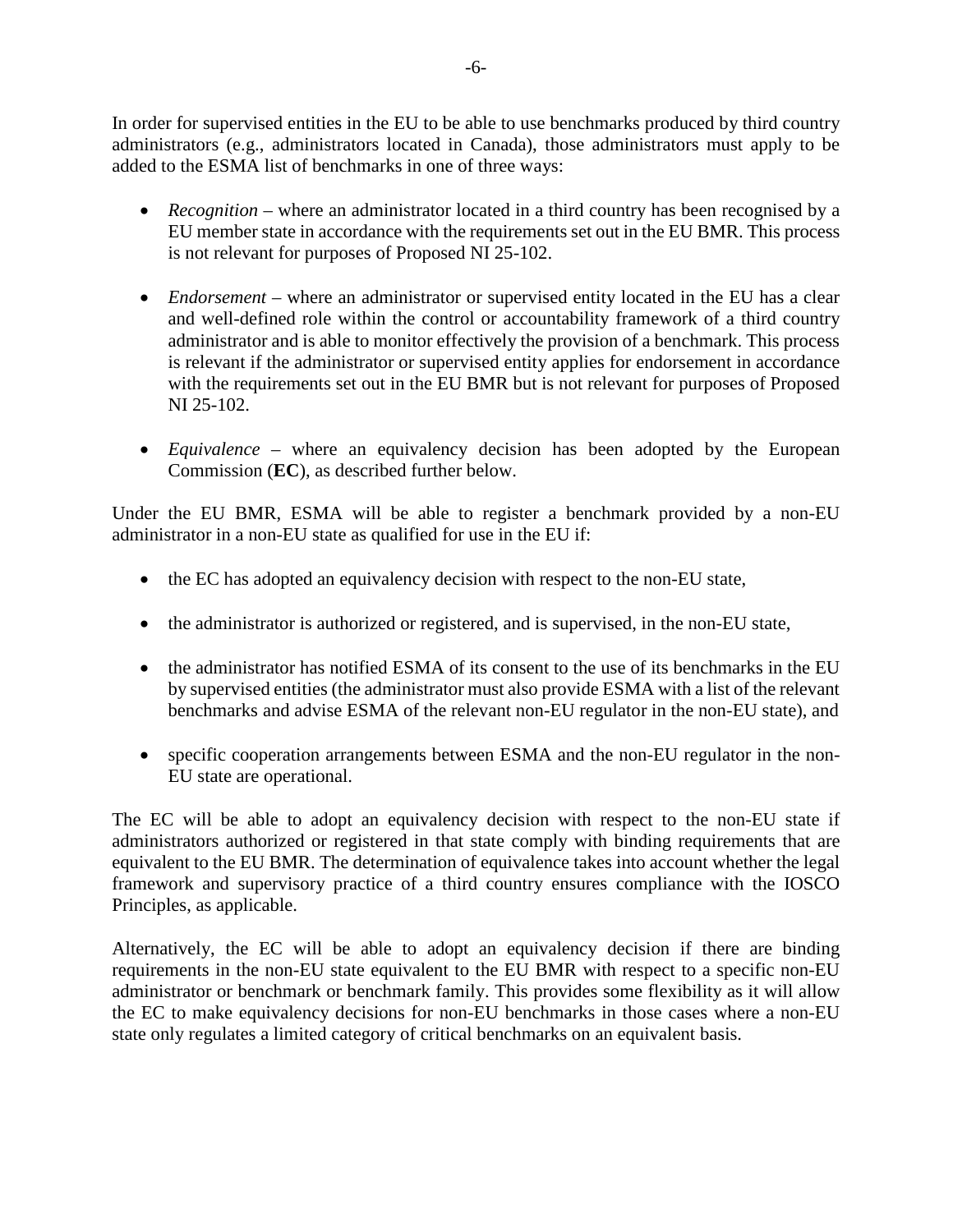In order for supervised entities in the EU to be able to use benchmarks produced by third country administrators (e.g., administrators located in Canada), those administrators must apply to be added to the ESMA list of benchmarks in one of three ways:

- *Recognition* where an administrator located in a third country has been recognised by a EU member state in accordance with the requirements set out in the EU BMR. This process is not relevant for purposes of Proposed NI 25-102.
- *Endorsement* where an administrator or supervised entity located in the EU has a clear and well-defined role within the control or accountability framework of a third country administrator and is able to monitor effectively the provision of a benchmark. This process is relevant if the administrator or supervised entity applies for endorsement in accordance with the requirements set out in the EU BMR but is not relevant for purposes of Proposed NI 25-102.
- *Equivalence* where an equivalency decision has been adopted by the European Commission (**EC**), as described further below.

Under the EU BMR, ESMA will be able to register a benchmark provided by a non-EU administrator in a non-EU state as qualified for use in the EU if:

- the EC has adopted an equivalency decision with respect to the non-EU state,
- the administrator is authorized or registered, and is supervised, in the non-EU state,
- the administrator has notified ESMA of its consent to the use of its benchmarks in the EU by supervised entities (the administrator must also provide ESMA with a list of the relevant benchmarks and advise ESMA of the relevant non-EU regulator in the non-EU state), and
- specific cooperation arrangements between ESMA and the non-EU regulator in the non-EU state are operational.

The EC will be able to adopt an equivalency decision with respect to the non-EU state if administrators authorized or registered in that state comply with binding requirements that are equivalent to the EU BMR. The determination of equivalence takes into account whether the legal framework and supervisory practice of a third country ensures compliance with the IOSCO Principles, as applicable.

Alternatively, the EC will be able to adopt an equivalency decision if there are binding requirements in the non-EU state equivalent to the EU BMR with respect to a specific non-EU administrator or benchmark or benchmark family. This provides some flexibility as it will allow the EC to make equivalency decisions for non-EU benchmarks in those cases where a non-EU state only regulates a limited category of critical benchmarks on an equivalent basis.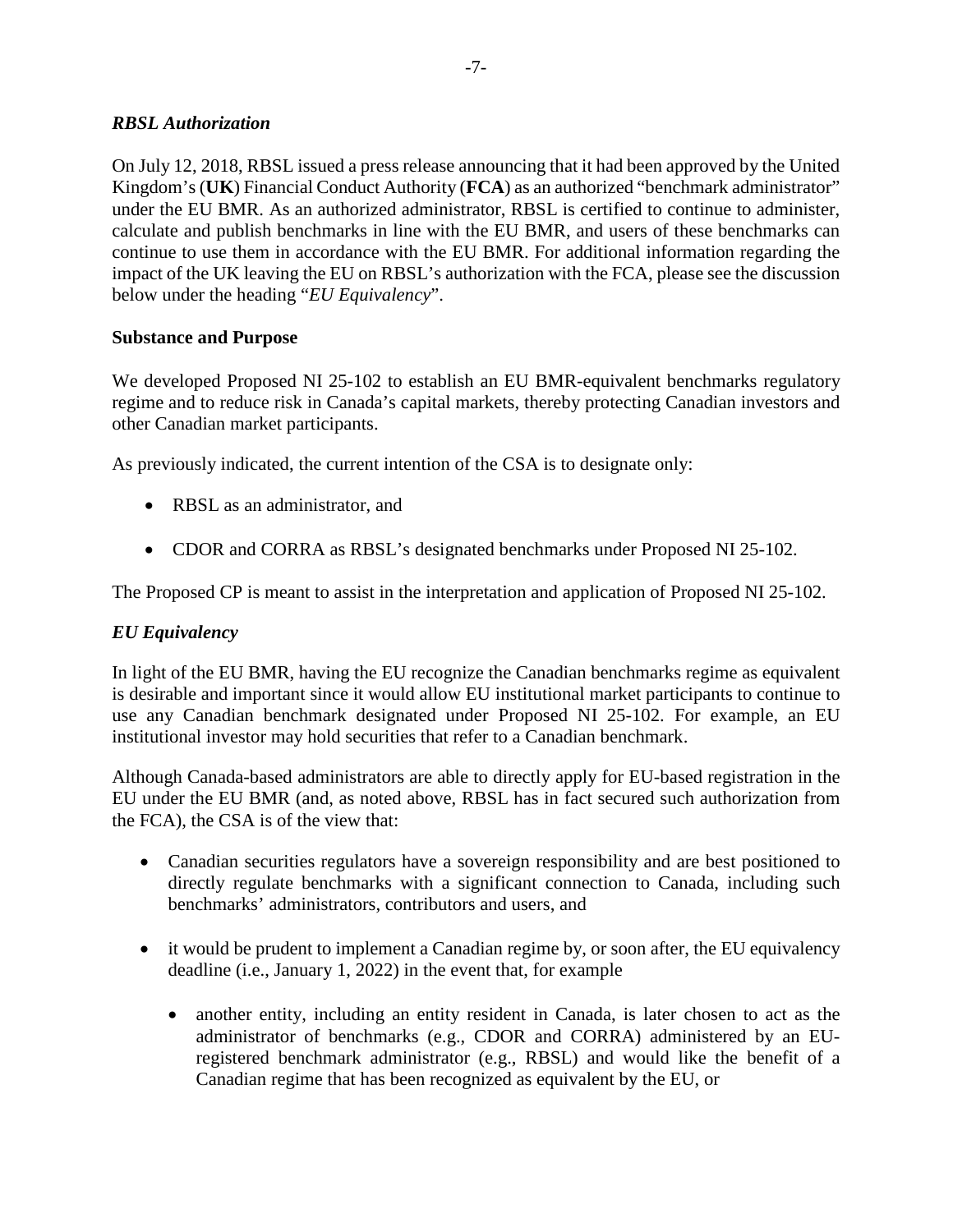### *RBSL Authorization*

On July 12, 2018, RBSL issued a press release announcing that it had been approved by the United Kingdom's (**UK**) Financial Conduct Authority (**FCA**) as an authorized "benchmark administrator" under the EU BMR. As an authorized administrator, RBSL is certified to continue to administer, calculate and publish benchmarks in line with the EU BMR, and users of these benchmarks can continue to use them in accordance with the EU BMR. For additional information regarding the impact of the UK leaving the EU on RBSL's authorization with the FCA, please see the discussion below under the heading "*EU Equivalency*".

### **Substance and Purpose**

We developed Proposed NI 25-102 to establish an EU BMR-equivalent benchmarks regulatory regime and to reduce risk in Canada's capital markets, thereby protecting Canadian investors and other Canadian market participants.

As previously indicated, the current intention of the CSA is to designate only:

- RBSL as an administrator, and
- CDOR and CORRA as RBSL's designated benchmarks under Proposed NI 25-102.

The Proposed CP is meant to assist in the interpretation and application of Proposed NI 25-102.

## *EU Equivalency*

In light of the EU BMR, having the EU recognize the Canadian benchmarks regime as equivalent is desirable and important since it would allow EU institutional market participants to continue to use any Canadian benchmark designated under Proposed NI 25-102. For example, an EU institutional investor may hold securities that refer to a Canadian benchmark.

Although Canada-based administrators are able to directly apply for EU-based registration in the EU under the EU BMR (and, as noted above, RBSL has in fact secured such authorization from the FCA), the CSA is of the view that:

- Canadian securities regulators have a sovereign responsibility and are best positioned to directly regulate benchmarks with a significant connection to Canada, including such benchmarks' administrators, contributors and users, and
- it would be prudent to implement a Canadian regime by, or soon after, the EU equivalency deadline (i.e., January 1, 2022) in the event that, for example
	- another entity, including an entity resident in Canada, is later chosen to act as the administrator of benchmarks (e.g., CDOR and CORRA) administered by an EUregistered benchmark administrator (e.g., RBSL) and would like the benefit of a Canadian regime that has been recognized as equivalent by the EU, or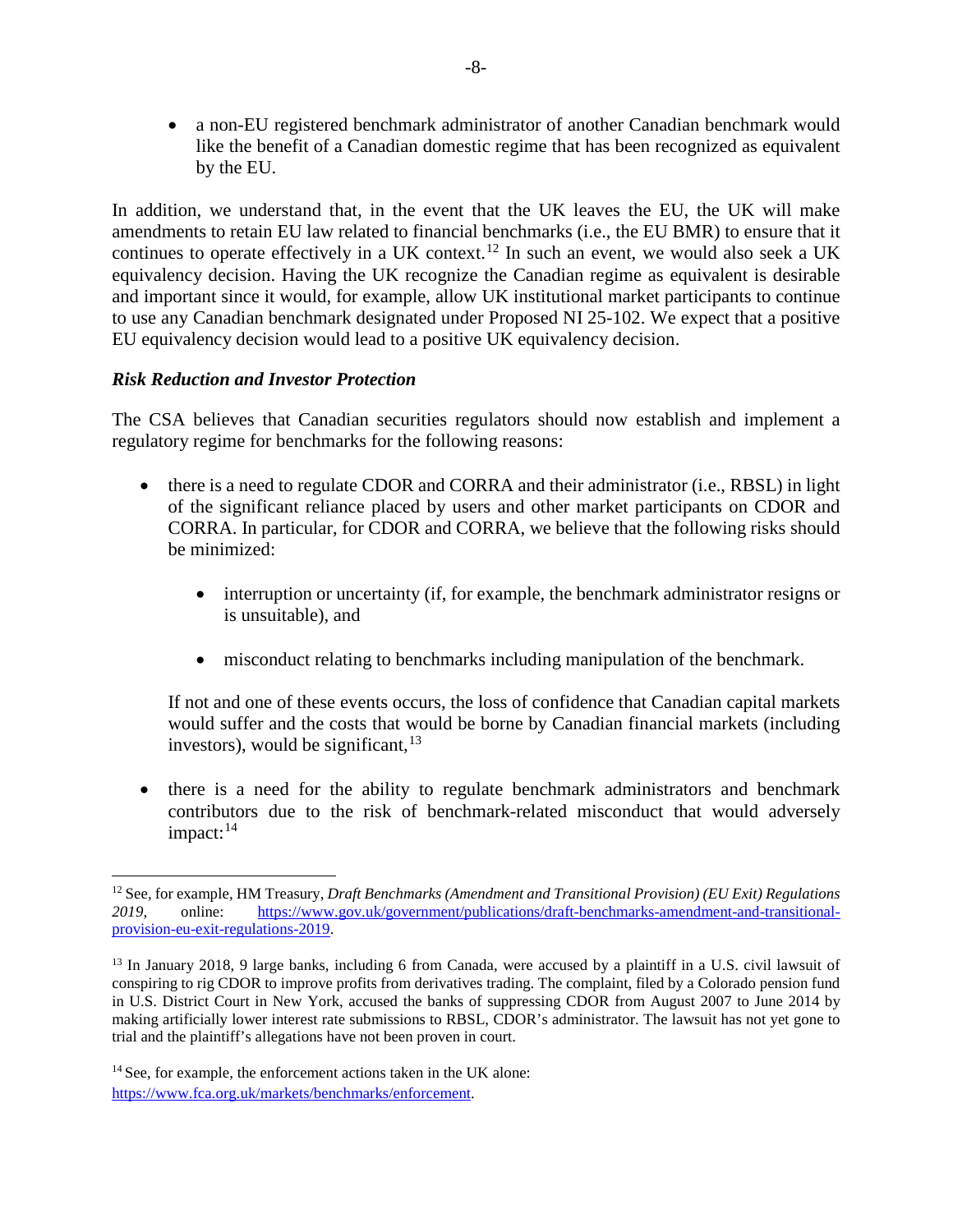• a non-EU registered benchmark administrator of another Canadian benchmark would like the benefit of a Canadian domestic regime that has been recognized as equivalent by the EU.

In addition, we understand that, in the event that the UK leaves the EU, the UK will make amendments to retain EU law related to financial benchmarks (i.e., the EU BMR) to ensure that it continues to operate effectively in a UK context.<sup>[12](#page-7-0)</sup> In such an event, we would also seek a UK equivalency decision. Having the UK recognize the Canadian regime as equivalent is desirable and important since it would, for example, allow UK institutional market participants to continue to use any Canadian benchmark designated under Proposed NI 25-102. We expect that a positive EU equivalency decision would lead to a positive UK equivalency decision.

### *Risk Reduction and Investor Protection*

The CSA believes that Canadian securities regulators should now establish and implement a regulatory regime for benchmarks for the following reasons:

- there is a need to regulate CDOR and CORRA and their administrator (i.e., RBSL) in light of the significant reliance placed by users and other market participants on CDOR and CORRA. In particular, for CDOR and CORRA, we believe that the following risks should be minimized:
	- interruption or uncertainty (if, for example, the benchmark administrator resigns or is unsuitable), and
	- misconduct relating to benchmarks including manipulation of the benchmark.

If not and one of these events occurs, the loss of confidence that Canadian capital markets would suffer and the costs that would be borne by Canadian financial markets (including investors), would be significant,<sup>[13](#page-7-1)</sup>

• there is a need for the ability to regulate benchmark administrators and benchmark contributors due to the risk of benchmark-related misconduct that would adversely  $impact:$ <sup>[14](#page-7-2)</sup>

<span id="page-7-0"></span> <sup>12</sup> See, for example, HM Treasury, *Draft Benchmarks (Amendment and Transitional Provision) (EU Exit) Regulations 2019*, online: [https://www.gov.uk/government/publications/draft-benchmarks-amendment-and-transitional](https://www.gov.uk/government/publications/draft-benchmarks-amendment-and-transitional-provision-eu-exit-regulations-2019)[provision-eu-exit-regulations-2019.](https://www.gov.uk/government/publications/draft-benchmarks-amendment-and-transitional-provision-eu-exit-regulations-2019)

<span id="page-7-1"></span><sup>&</sup>lt;sup>13</sup> In January 2018, 9 large banks, including 6 from Canada, were accused by a plaintiff in a U.S. civil lawsuit of conspiring to rig CDOR to improve profits from derivatives trading. The complaint, filed by a Colorado pension fund in U.S. District Court in New York, accused the banks of suppressing CDOR from August 2007 to June 2014 by making artificially lower interest rate submissions to RBSL, CDOR's administrator. The lawsuit has not yet gone to trial and the plaintiff's allegations have not been proven in court.

<span id="page-7-2"></span> $14$  See, for example, the enforcement actions taken in the UK alone: [https://www.fca.org.uk/markets/benchmarks/enforcement.](https://www.fca.org.uk/markets/benchmarks/enforcement)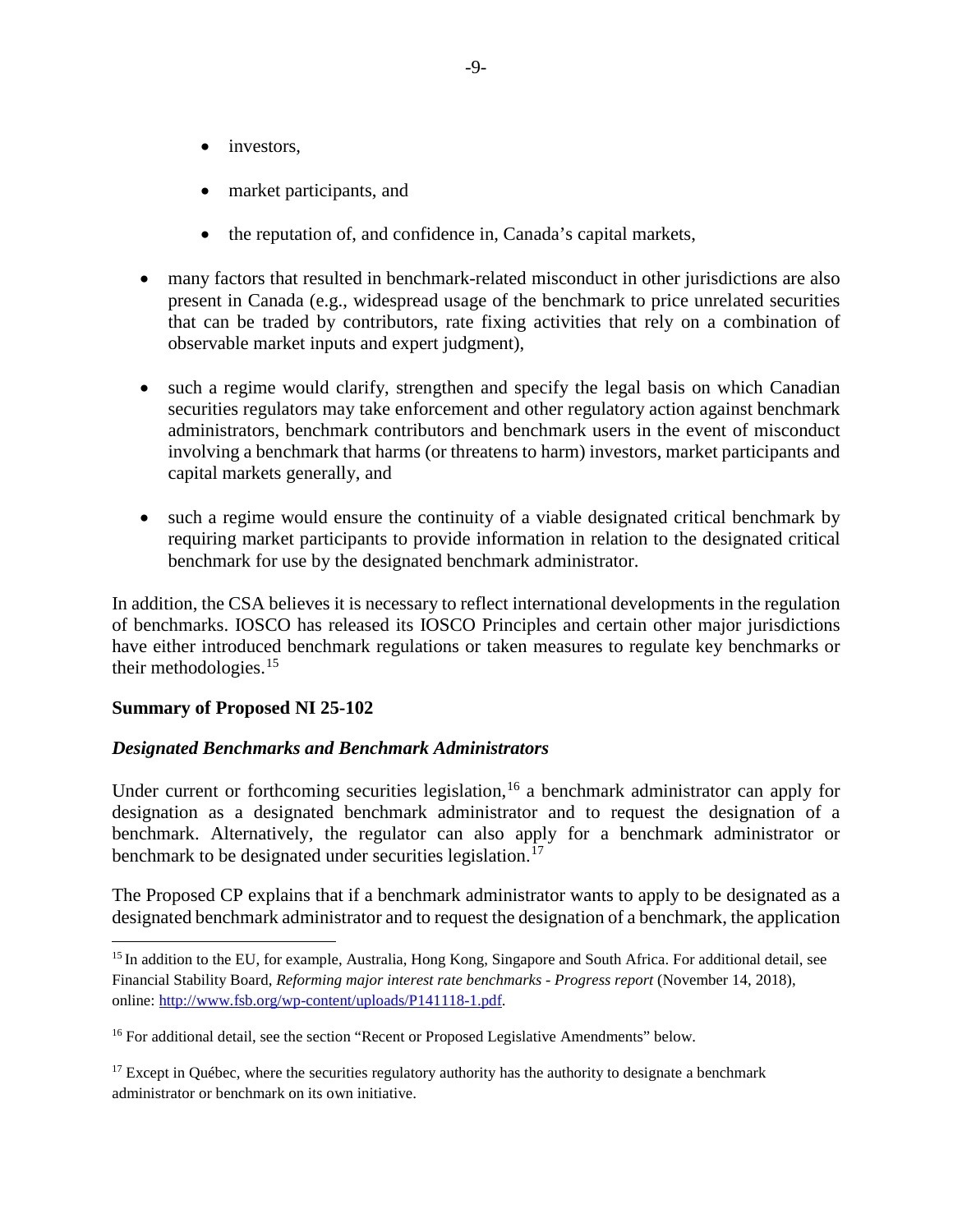- investors,
- market participants, and
- the reputation of, and confidence in, Canada's capital markets,
- many factors that resulted in benchmark-related misconduct in other jurisdictions are also present in Canada (e.g., widespread usage of the benchmark to price unrelated securities that can be traded by contributors, rate fixing activities that rely on a combination of observable market inputs and expert judgment),
- such a regime would clarify, strengthen and specify the legal basis on which Canadian securities regulators may take enforcement and other regulatory action against benchmark administrators, benchmark contributors and benchmark users in the event of misconduct involving a benchmark that harms (or threatens to harm) investors, market participants and capital markets generally, and
- such a regime would ensure the continuity of a viable designated critical benchmark by requiring market participants to provide information in relation to the designated critical benchmark for use by the designated benchmark administrator.

In addition, the CSA believes it is necessary to reflect international developments in the regulation of benchmarks. IOSCO has released its IOSCO Principles and certain other major jurisdictions have either introduced benchmark regulations or taken measures to regulate key benchmarks or their methodologies. $15$ 

### **Summary of Proposed NI 25-102**

### *Designated Benchmarks and Benchmark Administrators*

Under current or forthcoming securities legislation,<sup>[16](#page-8-1)</sup> a benchmark administrator can apply for designation as a designated benchmark administrator and to request the designation of a benchmark. Alternatively, the regulator can also apply for a benchmark administrator or benchmark to be designated under securities legislation.<sup>[17](#page-8-2)</sup>

The Proposed CP explains that if a benchmark administrator wants to apply to be designated as a designated benchmark administrator and to request the designation of a benchmark, the application

<span id="page-8-0"></span><sup>&</sup>lt;sup>15</sup> In addition to the EU, for example, Australia, Hong Kong, Singapore and South Africa. For additional detail, see Financial Stability Board, *Reforming major interest rate benchmarks - Progress report* (November 14, 2018), online: [http://www.fsb.org/wp-content/uploads/P141118-1.pdf.](http://www.fsb.org/wp-content/uploads/P141118-1.pdf)

<span id="page-8-1"></span><sup>&</sup>lt;sup>16</sup> For additional detail, see the section "Recent or Proposed Legislative Amendments" below.

<span id="page-8-2"></span> $17$  Except in Québec, where the securities regulatory authority has the authority to designate a benchmark administrator or benchmark on its own initiative.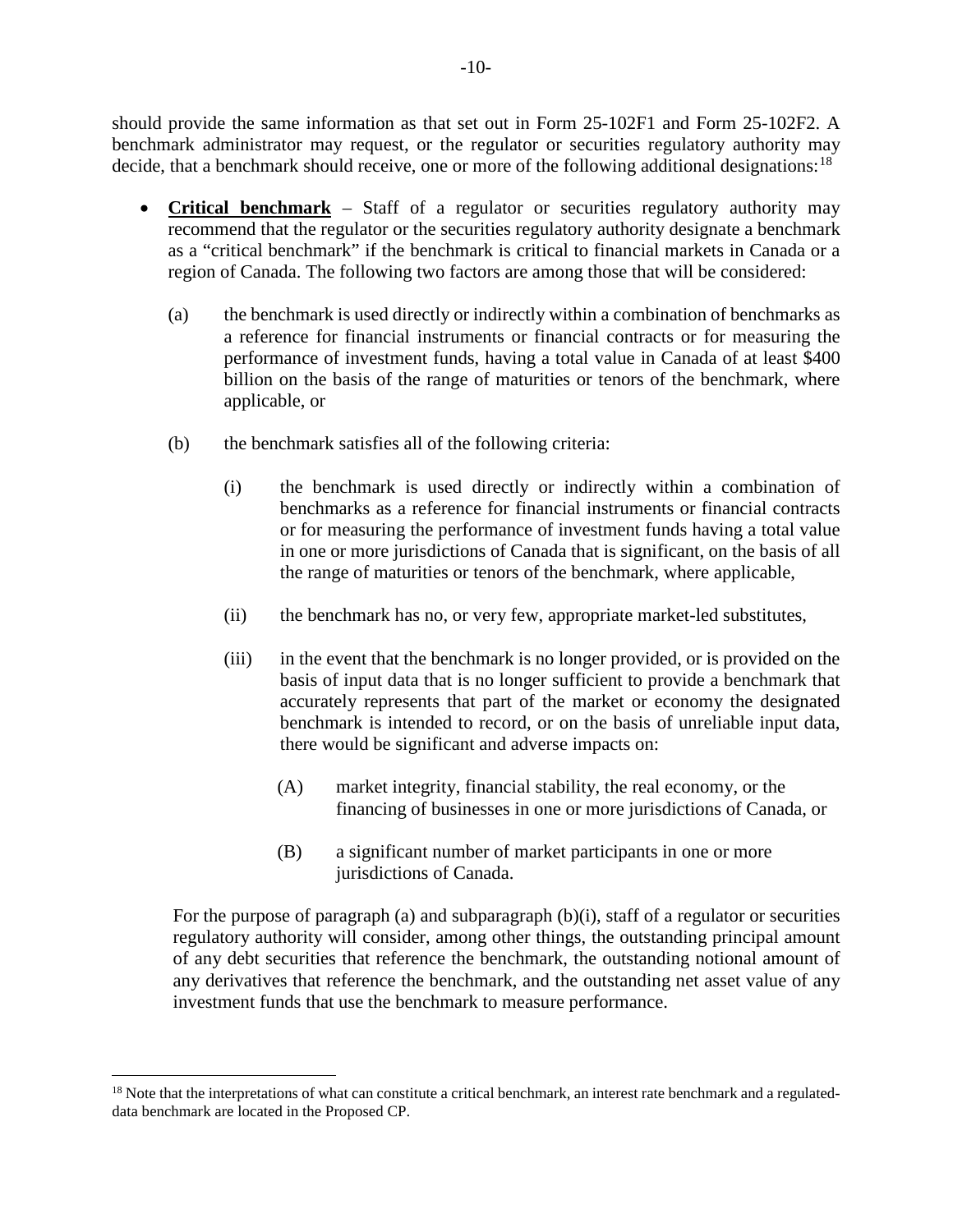should provide the same information as that set out in Form 25-102F1 and Form 25-102F2. A benchmark administrator may request, or the regulator or securities regulatory authority may decide, that a benchmark should receive, one or more of the following additional designations:<sup>[18](#page-9-0)</sup>

- **Critical benchmark** Staff of a regulator or securities regulatory authority may recommend that the regulator or the securities regulatory authority designate a benchmark as a "critical benchmark" if the benchmark is critical to financial markets in Canada or a region of Canada. The following two factors are among those that will be considered:
	- (a) the benchmark is used directly or indirectly within a combination of benchmarks as a reference for financial instruments or financial contracts or for measuring the performance of investment funds, having a total value in Canada of at least \$400 billion on the basis of the range of maturities or tenors of the benchmark, where applicable, or
	- (b) the benchmark satisfies all of the following criteria:
		- (i) the benchmark is used directly or indirectly within a combination of benchmarks as a reference for financial instruments or financial contracts or for measuring the performance of investment funds having a total value in one or more jurisdictions of Canada that is significant, on the basis of all the range of maturities or tenors of the benchmark, where applicable,
		- (ii) the benchmark has no, or very few, appropriate market-led substitutes,
		- (iii) in the event that the benchmark is no longer provided, or is provided on the basis of input data that is no longer sufficient to provide a benchmark that accurately represents that part of the market or economy the designated benchmark is intended to record, or on the basis of unreliable input data, there would be significant and adverse impacts on:
			- (A) market integrity, financial stability, the real economy, or the financing of businesses in one or more jurisdictions of Canada, or
			- (B) a significant number of market participants in one or more jurisdictions of Canada.

For the purpose of paragraph (a) and subparagraph (b)(i), staff of a regulator or securities regulatory authority will consider, among other things, the outstanding principal amount of any debt securities that reference the benchmark, the outstanding notional amount of any derivatives that reference the benchmark, and the outstanding net asset value of any investment funds that use the benchmark to measure performance.

<span id="page-9-0"></span><sup>&</sup>lt;sup>18</sup> Note that the interpretations of what can constitute a critical benchmark, an interest rate benchmark and a regulateddata benchmark are located in the Proposed CP.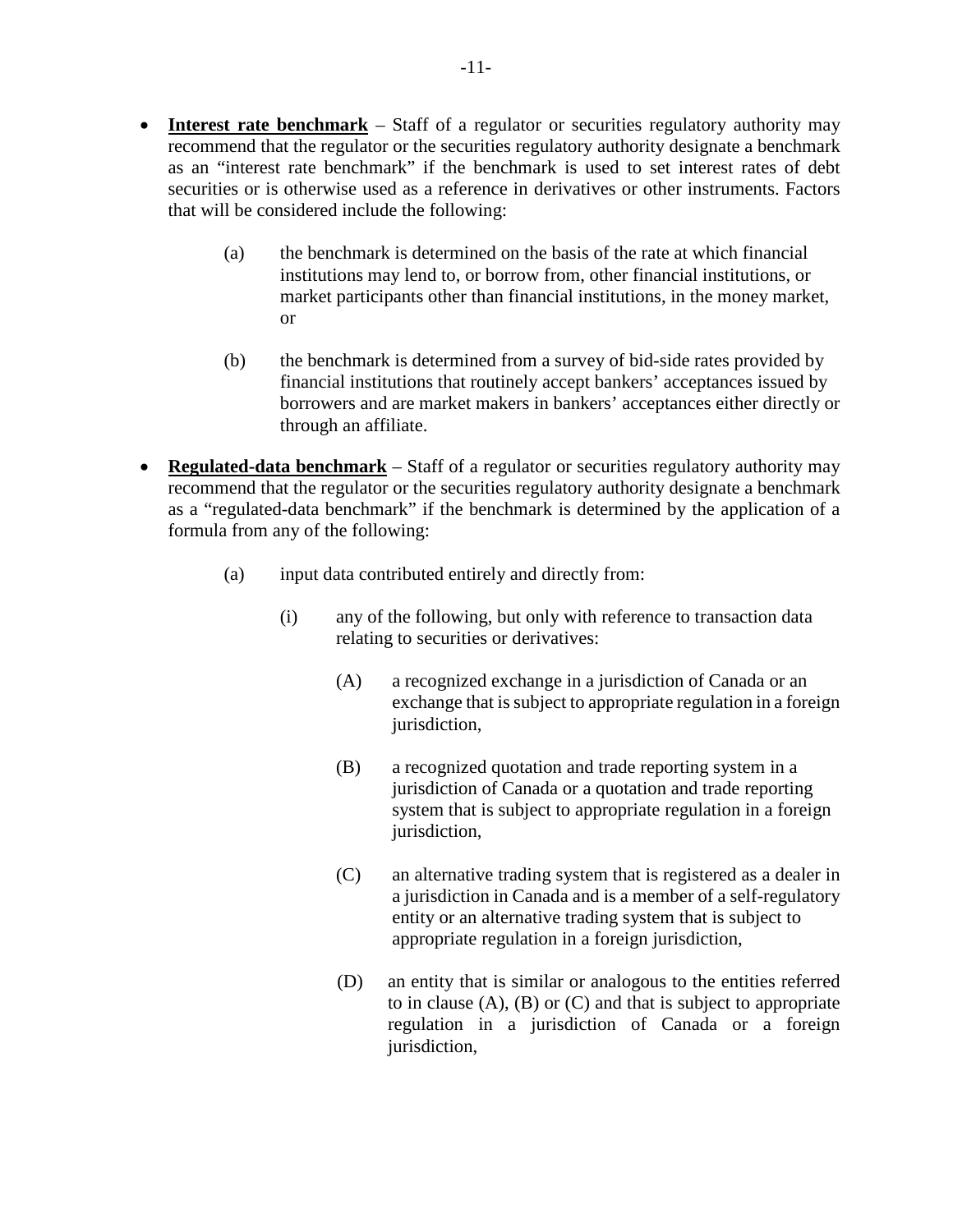- **Interest rate benchmark** Staff of a regulator or securities regulatory authority may recommend that the regulator or the securities regulatory authority designate a benchmark as an "interest rate benchmark" if the benchmark is used to set interest rates of debt securities or is otherwise used as a reference in derivatives or other instruments. Factors that will be considered include the following:
	- (a) the benchmark is determined on the basis of the rate at which financial institutions may lend to, or borrow from, other financial institutions, or market participants other than financial institutions, in the money market, or
	- (b) the benchmark is determined from a survey of bid-side rates provided by financial institutions that routinely accept bankers' acceptances issued by borrowers and are market makers in bankers' acceptances either directly or through an affiliate.
- **Regulated-data benchmark** Staff of a regulator or securities regulatory authority may recommend that the regulator or the securities regulatory authority designate a benchmark as a "regulated-data benchmark" if the benchmark is determined by the application of a formula from any of the following:
	- (a) input data contributed entirely and directly from:
		- (i) any of the following, but only with reference to transaction data relating to securities or derivatives:
			- (A) a recognized exchange in a jurisdiction of Canada or an exchange that is subject to appropriate regulation in a foreign jurisdiction,
			- (B) a recognized quotation and trade reporting system in a jurisdiction of Canada or a quotation and trade reporting system that is subject to appropriate regulation in a foreign jurisdiction,
			- (C) an alternative trading system that is registered as a dealer in a jurisdiction in Canada and is a member of a self-regulatory entity or an alternative trading system that is subject to appropriate regulation in a foreign jurisdiction,
			- (D) an entity that is similar or analogous to the entities referred to in clause  $(A)$ ,  $(B)$  or  $(C)$  and that is subject to appropriate regulation in a jurisdiction of Canada or a foreign jurisdiction,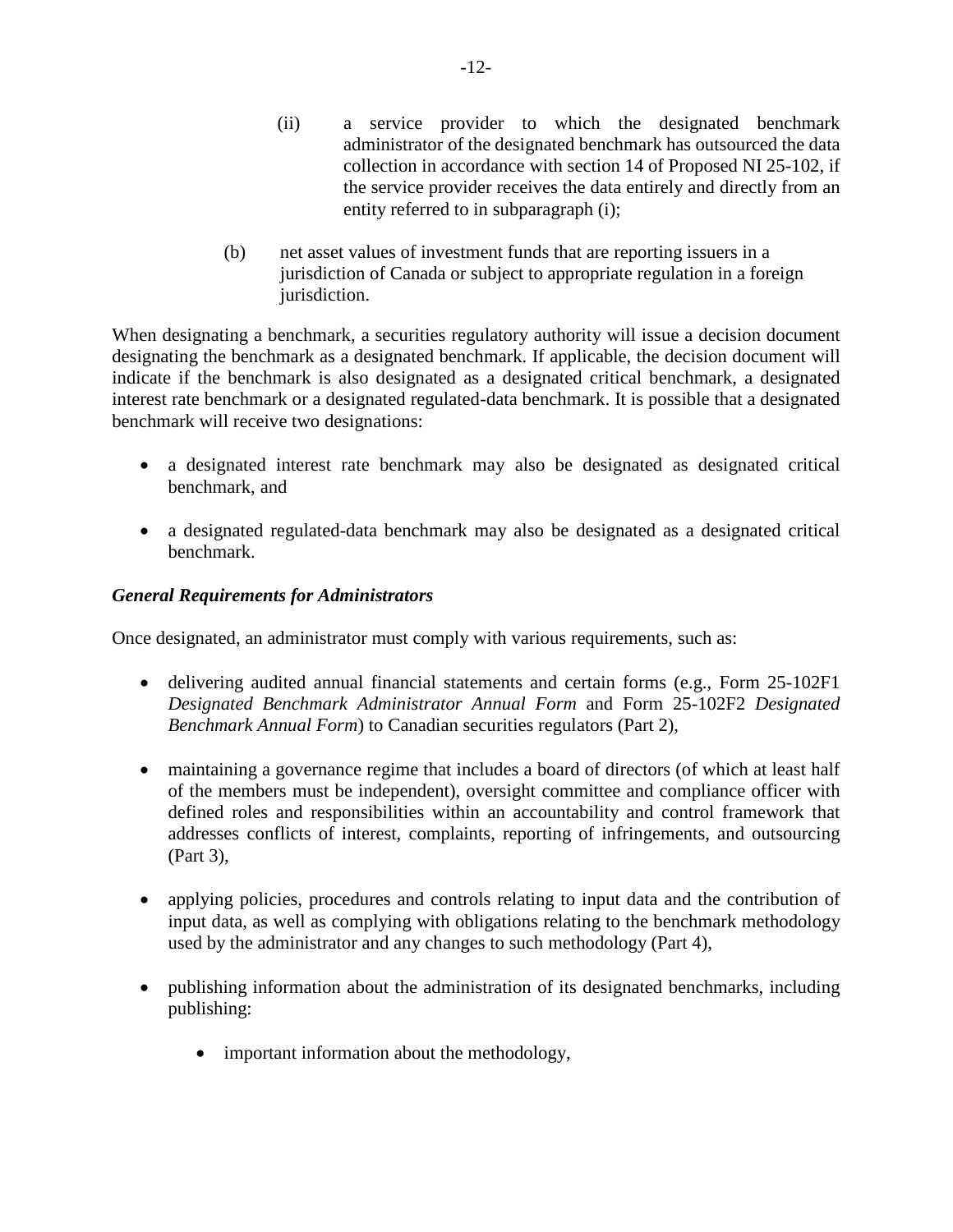- (ii) a service provider to which the designated benchmark administrator of the designated benchmark has outsourced the data collection in accordance with section 14 of Proposed NI 25-102, if the service provider receives the data entirely and directly from an entity referred to in subparagraph (i);
- (b) net asset values of investment funds that are reporting issuers in a jurisdiction of Canada or subject to appropriate regulation in a foreign jurisdiction.

When designating a benchmark, a securities regulatory authority will issue a decision document designating the benchmark as a designated benchmark. If applicable, the decision document will indicate if the benchmark is also designated as a designated critical benchmark, a designated interest rate benchmark or a designated regulated-data benchmark. It is possible that a designated benchmark will receive two designations:

- a designated interest rate benchmark may also be designated as designated critical benchmark, and
- a designated regulated-data benchmark may also be designated as a designated critical benchmark.

## *General Requirements for Administrators*

Once designated, an administrator must comply with various requirements, such as:

- delivering audited annual financial statements and certain forms (e.g., Form 25-102F1) *Designated Benchmark Administrator Annual Form* and Form 25-102F2 *Designated Benchmark Annual Form*) to Canadian securities regulators (Part 2),
- maintaining a governance regime that includes a board of directors (of which at least half of the members must be independent), oversight committee and compliance officer with defined roles and responsibilities within an accountability and control framework that addresses conflicts of interest, complaints, reporting of infringements, and outsourcing (Part 3),
- applying policies, procedures and controls relating to input data and the contribution of input data, as well as complying with obligations relating to the benchmark methodology used by the administrator and any changes to such methodology (Part 4),
- publishing information about the administration of its designated benchmarks, including publishing:
	- important information about the methodology,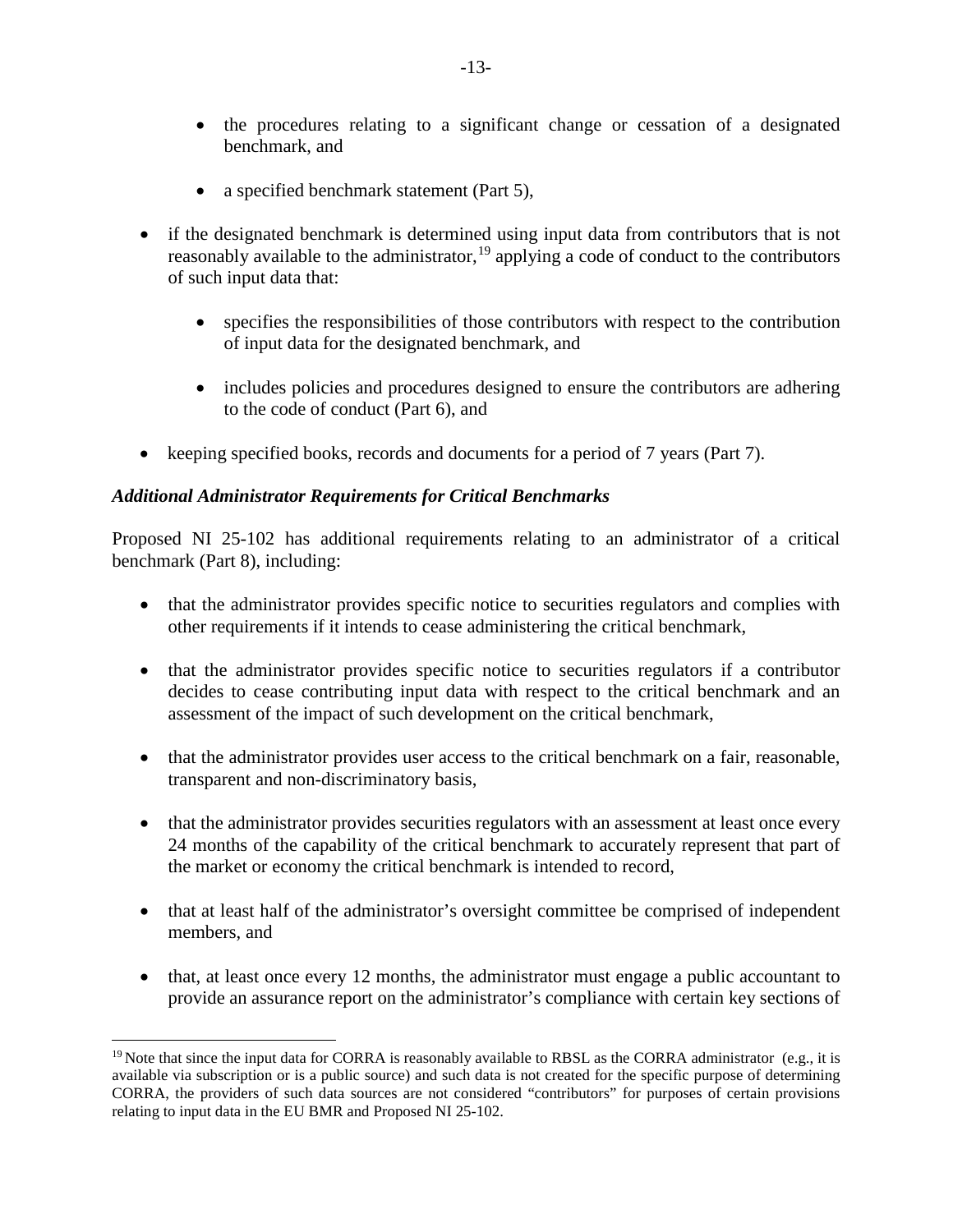- the procedures relating to a significant change or cessation of a designated benchmark, and
- a specified benchmark statement (Part 5),
- if the designated benchmark is determined using input data from contributors that is not reasonably available to the administrator, <sup>[19](#page-12-0)</sup> applying a code of conduct to the contributors of such input data that:
	- specifies the responsibilities of those contributors with respect to the contribution of input data for the designated benchmark, and
	- includes policies and procedures designed to ensure the contributors are adhering to the code of conduct (Part 6), and
- keeping specified books, records and documents for a period of 7 years (Part 7).

## *Additional Administrator Requirements for Critical Benchmarks*

Proposed NI 25-102 has additional requirements relating to an administrator of a critical benchmark (Part 8), including:

- that the administrator provides specific notice to securities regulators and complies with other requirements if it intends to cease administering the critical benchmark,
- that the administrator provides specific notice to securities regulators if a contributor decides to cease contributing input data with respect to the critical benchmark and an assessment of the impact of such development on the critical benchmark,
- that the administrator provides user access to the critical benchmark on a fair, reasonable, transparent and non-discriminatory basis,
- that the administrator provides securities regulators with an assessment at least once every 24 months of the capability of the critical benchmark to accurately represent that part of the market or economy the critical benchmark is intended to record,
- that at least half of the administrator's oversight committee be comprised of independent members, and
- that, at least once every 12 months, the administrator must engage a public accountant to provide an assurance report on the administrator's compliance with certain key sections of

<span id="page-12-0"></span><sup>&</sup>lt;sup>19</sup> Note that since the input data for CORRA is reasonably available to RBSL as the CORRA administrator (e.g., it is available via subscription or is a public source) and such data is not created for the specific purpose of determining CORRA, the providers of such data sources are not considered "contributors" for purposes of certain provisions relating to input data in the EU BMR and Proposed NI 25-102.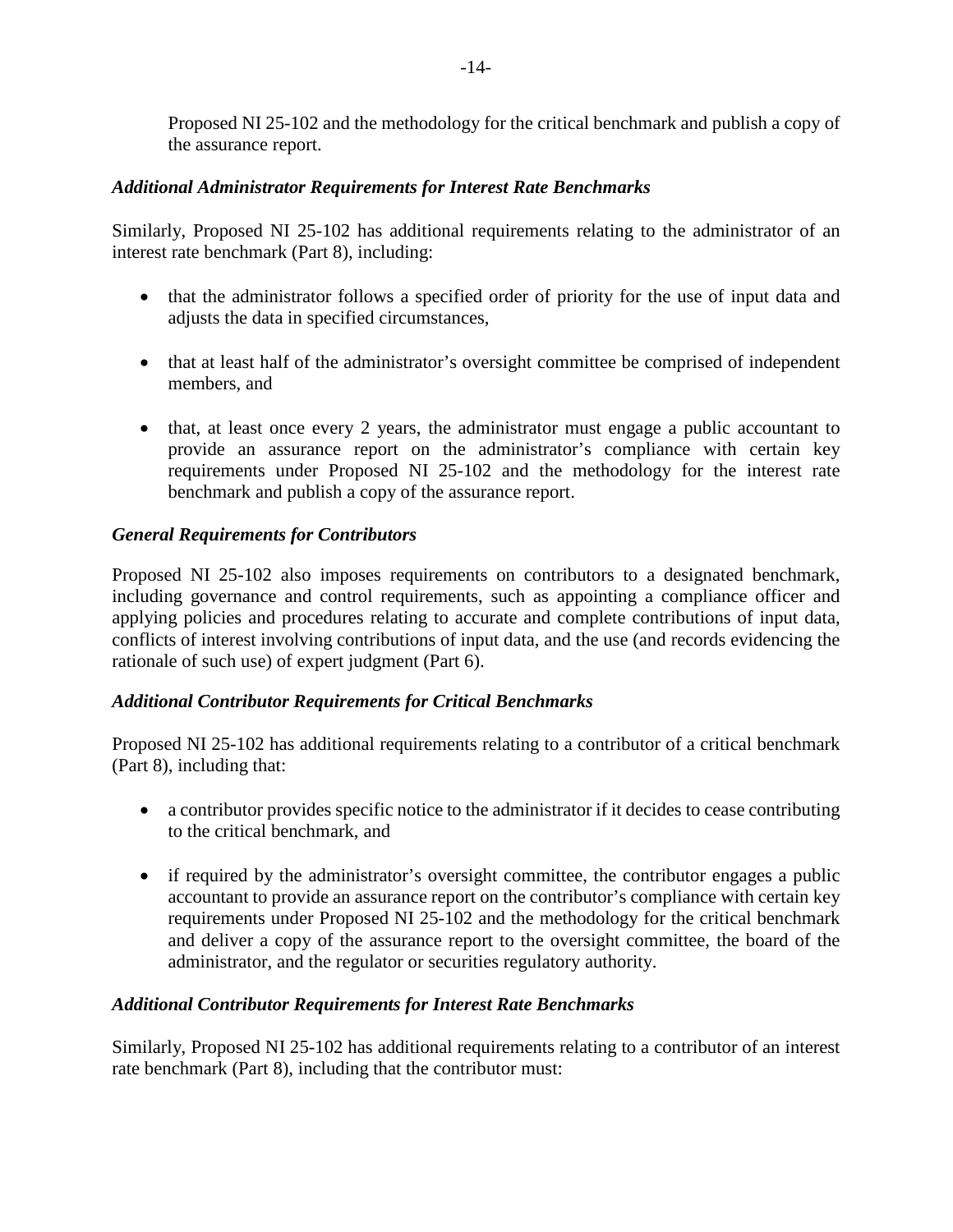Proposed NI 25-102 and the methodology for the critical benchmark and publish a copy of the assurance report.

# *Additional Administrator Requirements for Interest Rate Benchmarks*

Similarly, Proposed NI 25-102 has additional requirements relating to the administrator of an interest rate benchmark (Part 8), including:

- that the administrator follows a specified order of priority for the use of input data and adjusts the data in specified circumstances,
- that at least half of the administrator's oversight committee be comprised of independent members, and
- that, at least once every 2 years, the administrator must engage a public accountant to provide an assurance report on the administrator's compliance with certain key requirements under Proposed NI 25-102 and the methodology for the interest rate benchmark and publish a copy of the assurance report.

# *General Requirements for Contributors*

Proposed NI 25-102 also imposes requirements on contributors to a designated benchmark, including governance and control requirements, such as appointing a compliance officer and applying policies and procedures relating to accurate and complete contributions of input data, conflicts of interest involving contributions of input data, and the use (and records evidencing the rationale of such use) of expert judgment (Part 6).

# *Additional Contributor Requirements for Critical Benchmarks*

Proposed NI 25-102 has additional requirements relating to a contributor of a critical benchmark (Part 8), including that:

- a contributor provides specific notice to the administrator if it decides to cease contributing to the critical benchmark, and
- if required by the administrator's oversight committee, the contributor engages a public accountant to provide an assurance report on the contributor's compliance with certain key requirements under Proposed NI 25-102 and the methodology for the critical benchmark and deliver a copy of the assurance report to the oversight committee, the board of the administrator, and the regulator or securities regulatory authority.

## *Additional Contributor Requirements for Interest Rate Benchmarks*

Similarly, Proposed NI 25-102 has additional requirements relating to a contributor of an interest rate benchmark (Part 8), including that the contributor must: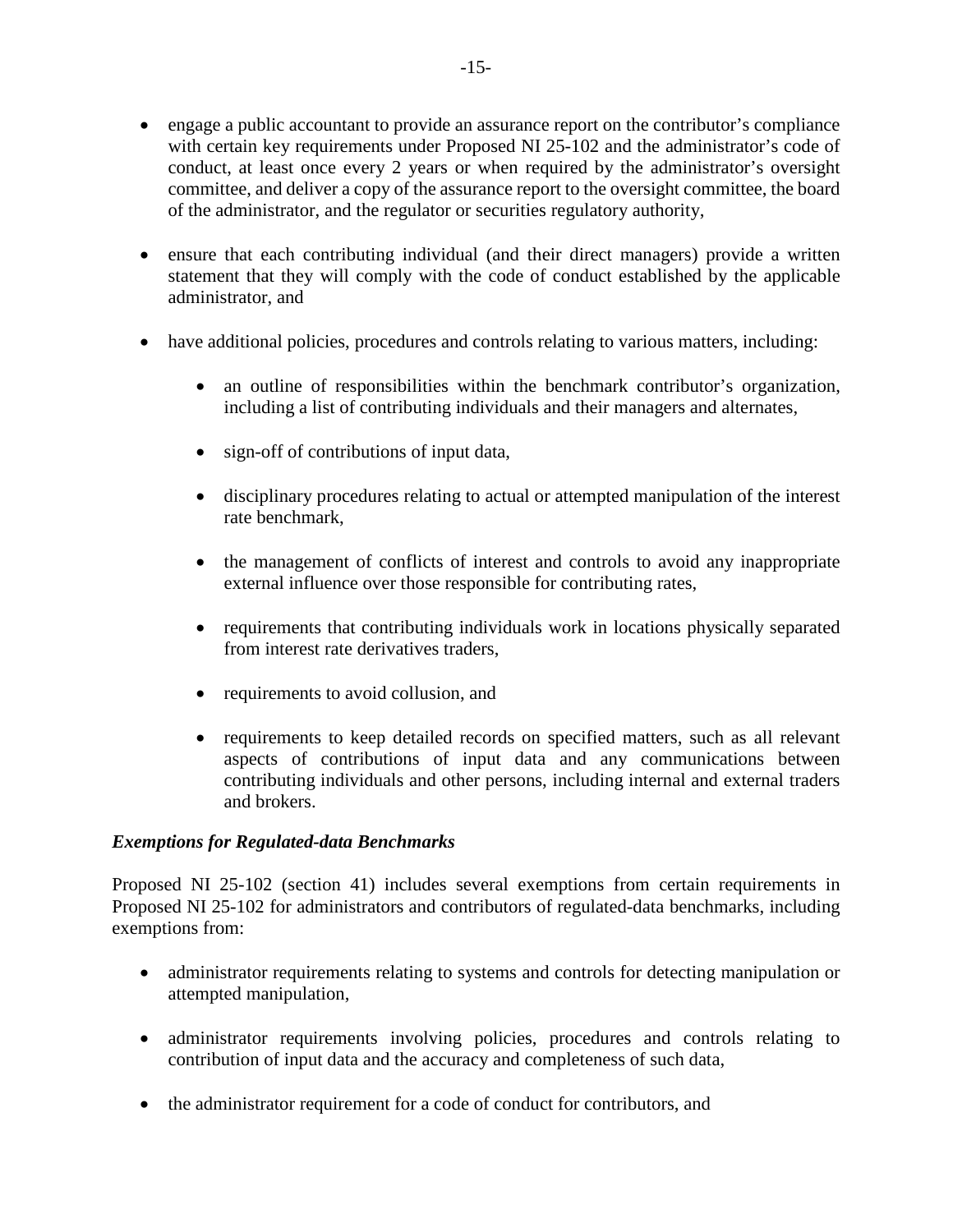- engage a public accountant to provide an assurance report on the contributor's compliance with certain key requirements under Proposed NI 25-102 and the administrator's code of conduct, at least once every 2 years or when required by the administrator's oversight committee, and deliver a copy of the assurance report to the oversight committee, the board of the administrator, and the regulator or securities regulatory authority,
- ensure that each contributing individual (and their direct managers) provide a written statement that they will comply with the code of conduct established by the applicable administrator, and
- have additional policies, procedures and controls relating to various matters, including:
	- an outline of responsibilities within the benchmark contributor's organization, including a list of contributing individuals and their managers and alternates,
	- sign-off of contributions of input data,
	- disciplinary procedures relating to actual or attempted manipulation of the interest rate benchmark,
	- the management of conflicts of interest and controls to avoid any inappropriate external influence over those responsible for contributing rates,
	- requirements that contributing individuals work in locations physically separated from interest rate derivatives traders,
	- requirements to avoid collusion, and
	- requirements to keep detailed records on specified matters, such as all relevant aspects of contributions of input data and any communications between contributing individuals and other persons, including internal and external traders and brokers.

### *Exemptions for Regulated-data Benchmarks*

Proposed NI 25-102 (section 41) includes several exemptions from certain requirements in Proposed NI 25-102 for administrators and contributors of regulated-data benchmarks, including exemptions from:

- administrator requirements relating to systems and controls for detecting manipulation or attempted manipulation,
- administrator requirements involving policies, procedures and controls relating to contribution of input data and the accuracy and completeness of such data,
- the administrator requirement for a code of conduct for contributors, and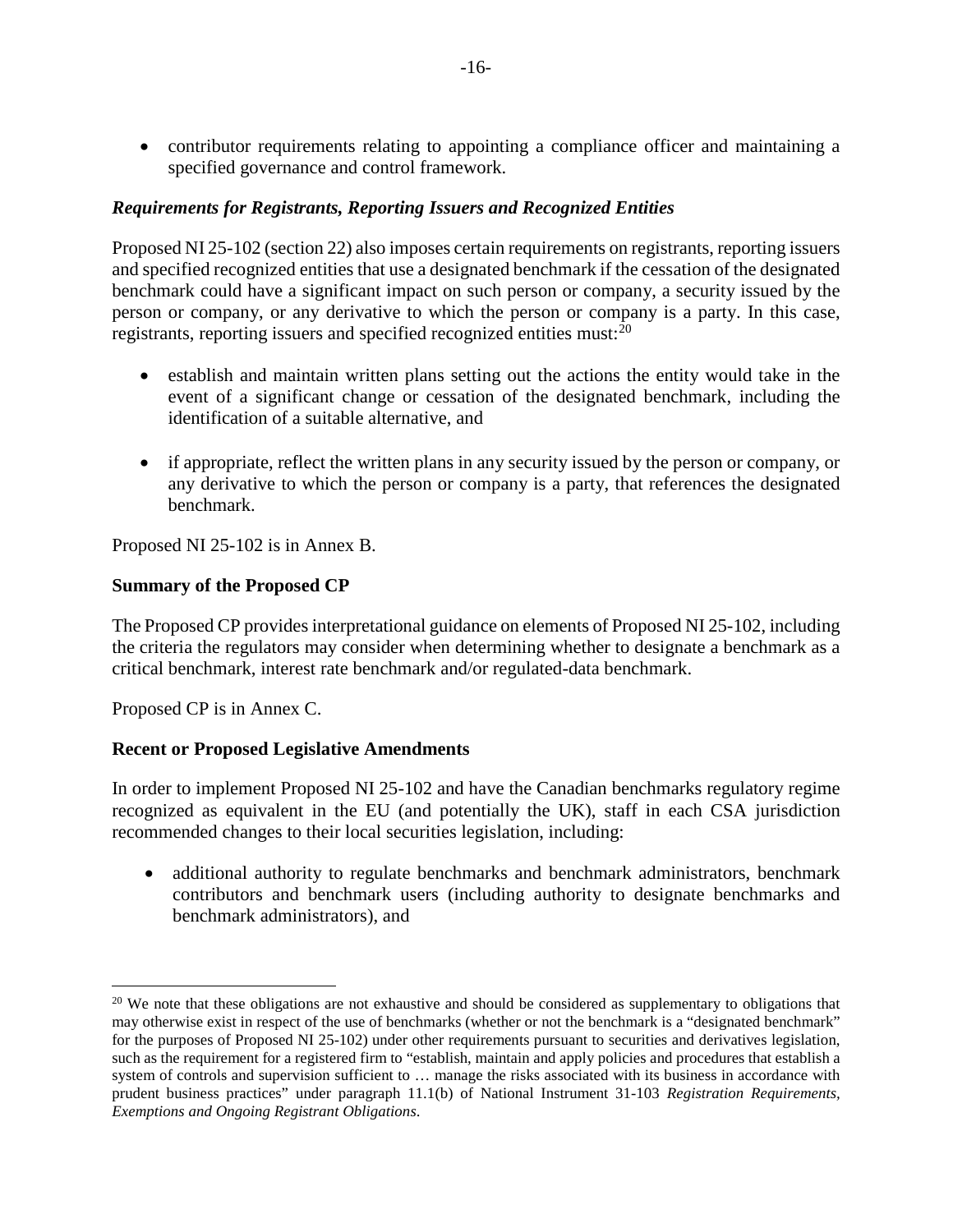• contributor requirements relating to appointing a compliance officer and maintaining a specified governance and control framework.

### *Requirements for Registrants, Reporting Issuers and Recognized Entities*

Proposed NI 25-102 (section 22) also imposes certain requirements on registrants, reporting issuers and specified recognized entities that use a designated benchmark if the cessation of the designated benchmark could have a significant impact on such person or company, a security issued by the person or company, or any derivative to which the person or company is a party. In this case, registrants, reporting issuers and specified recognized entities must:<sup>[20](#page-15-0)</sup>

- establish and maintain written plans setting out the actions the entity would take in the event of a significant change or cessation of the designated benchmark, including the identification of a suitable alternative, and
- if appropriate, reflect the written plans in any security issued by the person or company, or any derivative to which the person or company is a party, that references the designated benchmark.

Proposed NI 25-102 is in Annex B.

### **Summary of the Proposed CP**

The Proposed CP provides interpretational guidance on elements of Proposed NI 25-102, including the criteria the regulators may consider when determining whether to designate a benchmark as a critical benchmark, interest rate benchmark and/or regulated-data benchmark.

Proposed CP is in Annex C.

### **Recent or Proposed Legislative Amendments**

In order to implement Proposed NI 25-102 and have the Canadian benchmarks regulatory regime recognized as equivalent in the EU (and potentially the UK), staff in each CSA jurisdiction recommended changes to their local securities legislation, including:

• additional authority to regulate benchmarks and benchmark administrators, benchmark contributors and benchmark users (including authority to designate benchmarks and benchmark administrators), and

<span id="page-15-0"></span><sup>&</sup>lt;sup>20</sup> We note that these obligations are not exhaustive and should be considered as supplementary to obligations that may otherwise exist in respect of the use of benchmarks (whether or not the benchmark is a "designated benchmark" for the purposes of Proposed NI 25-102) under other requirements pursuant to securities and derivatives legislation, such as the requirement for a registered firm to "establish, maintain and apply policies and procedures that establish a system of controls and supervision sufficient to ... manage the risks associated with its business in accordance with prudent business practices" under paragraph 11.1(b) of National Instrument 31-103 *Registration Requirements, Exemptions and Ongoing Registrant Obligations*.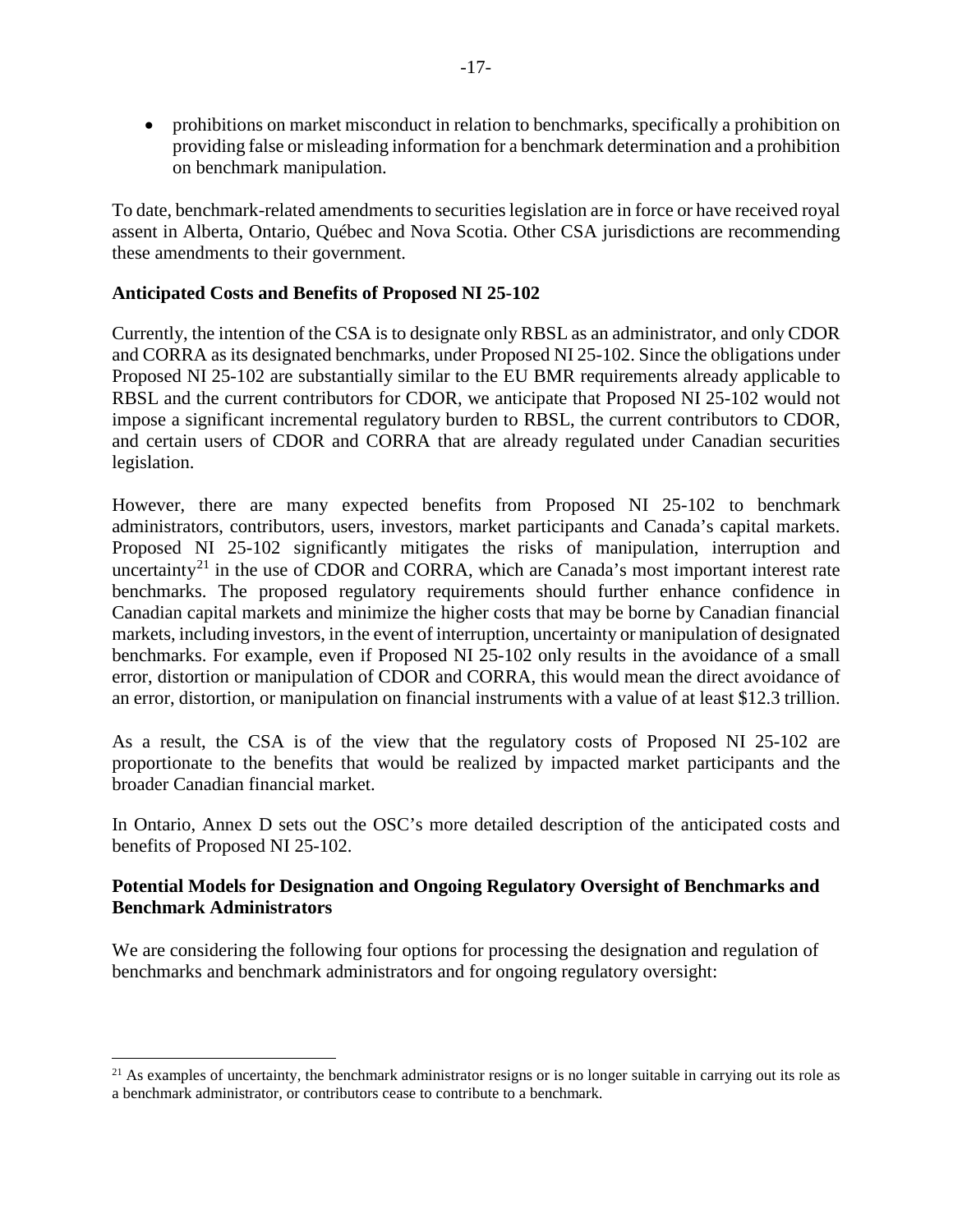• prohibitions on market misconduct in relation to benchmarks, specifically a prohibition on providing false or misleading information for a benchmark determination and a prohibition on benchmark manipulation.

To date, benchmark-related amendments to securities legislation are in force or have received royal assent in Alberta, Ontario, Québec and Nova Scotia. Other CSA jurisdictions are recommending these amendments to their government.

### **Anticipated Costs and Benefits of Proposed NI 25-102**

Currently, the intention of the CSA is to designate only RBSL as an administrator, and only CDOR and CORRA as its designated benchmarks, under Proposed NI 25-102. Since the obligations under Proposed NI 25-102 are substantially similar to the EU BMR requirements already applicable to RBSL and the current contributors for CDOR, we anticipate that Proposed NI 25-102 would not impose a significant incremental regulatory burden to RBSL, the current contributors to CDOR, and certain users of CDOR and CORRA that are already regulated under Canadian securities legislation.

However, there are many expected benefits from Proposed NI 25-102 to benchmark administrators, contributors, users, investors, market participants and Canada's capital markets. Proposed NI 25-102 significantly mitigates the risks of manipulation, interruption and uncertainty<sup>[21](#page-16-0)</sup> in the use of CDOR and CORRA, which are Canada's most important interest rate benchmarks. The proposed regulatory requirements should further enhance confidence in Canadian capital markets and minimize the higher costs that may be borne by Canadian financial markets, including investors, in the event of interruption, uncertainty or manipulation of designated benchmarks. For example, even if Proposed NI 25-102 only results in the avoidance of a small error, distortion or manipulation of CDOR and CORRA, this would mean the direct avoidance of an error, distortion, or manipulation on financial instruments with a value of at least \$12.3 trillion.

As a result, the CSA is of the view that the regulatory costs of Proposed NI 25-102 are proportionate to the benefits that would be realized by impacted market participants and the broader Canadian financial market.

In Ontario, Annex D sets out the OSC's more detailed description of the anticipated costs and benefits of Proposed NI 25-102.

## **Potential Models for Designation and Ongoing Regulatory Oversight of Benchmarks and Benchmark Administrators**

We are considering the following four options for processing the designation and regulation of benchmarks and benchmark administrators and for ongoing regulatory oversight:

<span id="page-16-0"></span><sup>&</sup>lt;sup>21</sup> As examples of uncertainty, the benchmark administrator resigns or is no longer suitable in carrying out its role as a benchmark administrator, or contributors cease to contribute to a benchmark.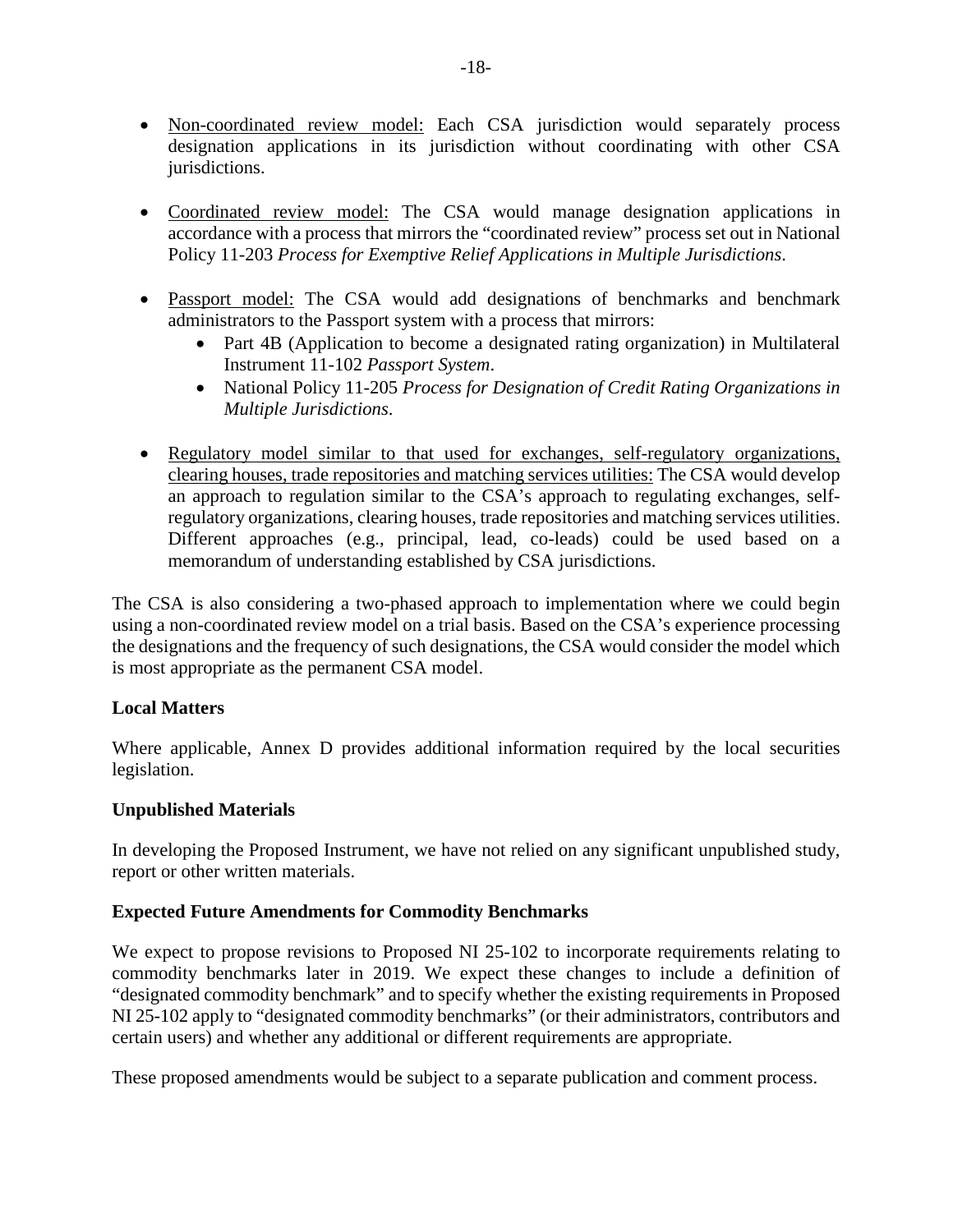- Non-coordinated review model: Each CSA jurisdiction would separately process designation applications in its jurisdiction without coordinating with other CSA jurisdictions.
- Coordinated review model: The CSA would manage designation applications in accordance with a process that mirrors the "coordinated review" process set out in National Policy 11-203 *Process for Exemptive Relief Applications in Multiple Jurisdictions*.
- Passport model: The CSA would add designations of benchmarks and benchmark administrators to the Passport system with a process that mirrors:
	- Part 4B (Application to become a designated rating organization) in Multilateral Instrument 11-102 *Passport System*.
	- National Policy 11-205 *Process for Designation of Credit Rating Organizations in Multiple Jurisdictions*.
- Regulatory model similar to that used for exchanges, self-regulatory organizations, clearing houses, trade repositories and matching services utilities: The CSA would develop an approach to regulation similar to the CSA's approach to regulating exchanges, selfregulatory organizations, clearing houses, trade repositories and matching services utilities. Different approaches (e.g., principal, lead, co-leads) could be used based on a memorandum of understanding established by CSA jurisdictions.

The CSA is also considering a two-phased approach to implementation where we could begin using a non-coordinated review model on a trial basis. Based on the CSA's experience processing the designations and the frequency of such designations, the CSA would consider the model which is most appropriate as the permanent CSA model.

## **Local Matters**

Where applicable, Annex D provides additional information required by the local securities legislation.

## **Unpublished Materials**

In developing the Proposed Instrument, we have not relied on any significant unpublished study, report or other written materials.

## **Expected Future Amendments for Commodity Benchmarks**

We expect to propose revisions to Proposed NI 25-102 to incorporate requirements relating to commodity benchmarks later in 2019. We expect these changes to include a definition of "designated commodity benchmark" and to specify whether the existing requirements in Proposed NI 25-102 apply to "designated commodity benchmarks" (or their administrators, contributors and certain users) and whether any additional or different requirements are appropriate.

These proposed amendments would be subject to a separate publication and comment process.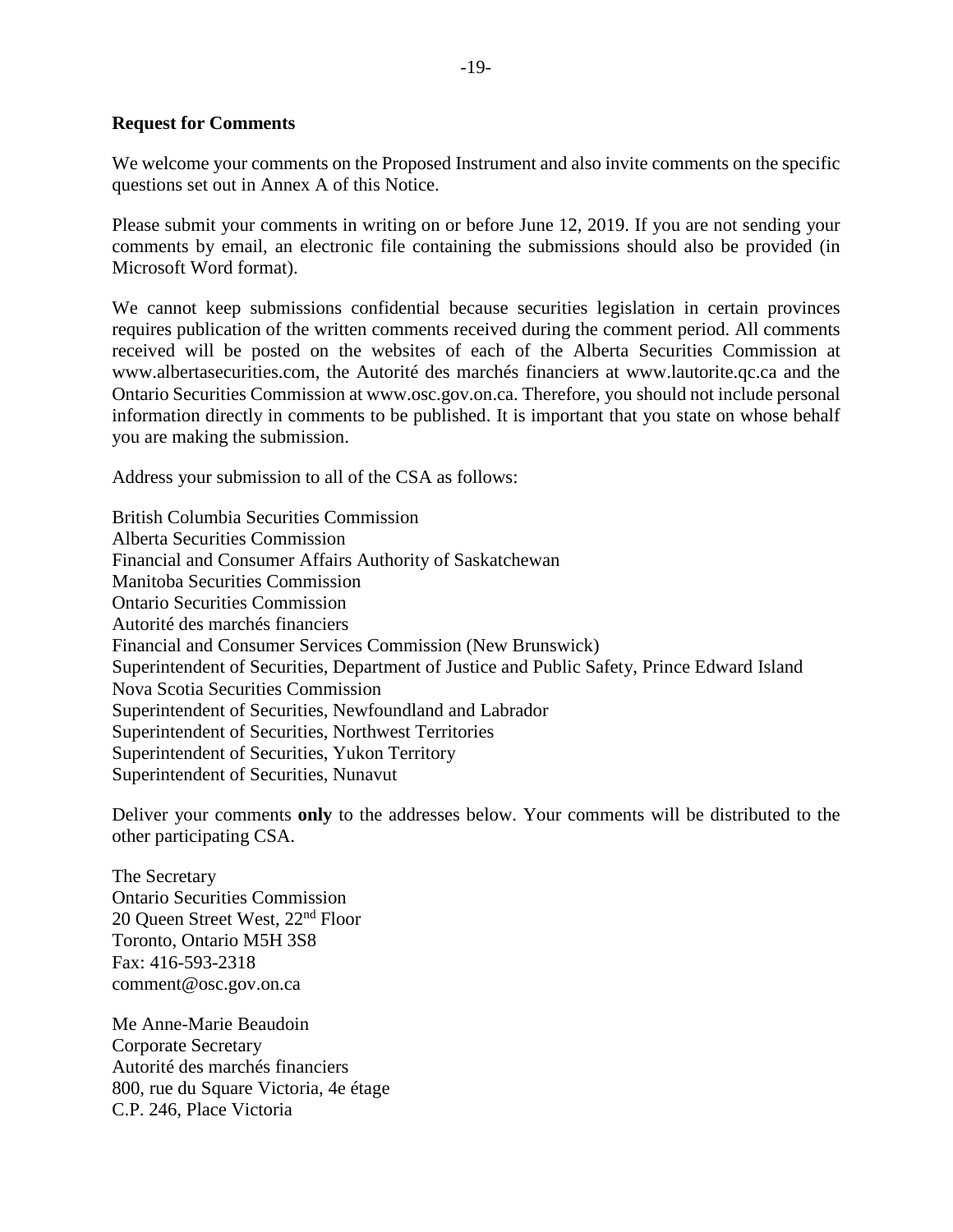#### **Request for Comments**

We welcome your comments on the Proposed Instrument and also invite comments on the specific questions set out in Annex A of this Notice.

Please submit your comments in writing on or before June 12, 2019. If you are not sending your comments by email, an electronic file containing the submissions should also be provided (in Microsoft Word format).

We cannot keep submissions confidential because securities legislation in certain provinces requires publication of the written comments received during the comment period. All comments received will be posted on the websites of each of the Alberta Securities Commission at www.albertasecurities.com, the Autorité des marchés financiers at www.lautorite.qc.ca and the Ontario Securities Commission at www.osc.gov.on.ca. Therefore, you should not include personal information directly in comments to be published. It is important that you state on whose behalf you are making the submission.

Address your submission to all of the CSA as follows:

British Columbia Securities Commission Alberta Securities Commission Financial and Consumer Affairs Authority of Saskatchewan Manitoba Securities Commission Ontario Securities Commission Autorité des marchés financiers Financial and Consumer Services Commission (New Brunswick) Superintendent of Securities, Department of Justice and Public Safety, Prince Edward Island Nova Scotia Securities Commission Superintendent of Securities, Newfoundland and Labrador Superintendent of Securities, Northwest Territories Superintendent of Securities, Yukon Territory Superintendent of Securities, Nunavut

Deliver your comments **only** to the addresses below. Your comments will be distributed to the other participating CSA.

The Secretary Ontario Securities Commission 20 Queen Street West, 22<sup>nd</sup> Floor Toronto, Ontario M5H 3S8 Fax: 416-593-2318 comment@osc.gov.on.ca

Me Anne-Marie Beaudoin Corporate Secretary Autorité des marchés financiers 800, rue du Square Victoria, 4e étage C.P. 246, Place Victoria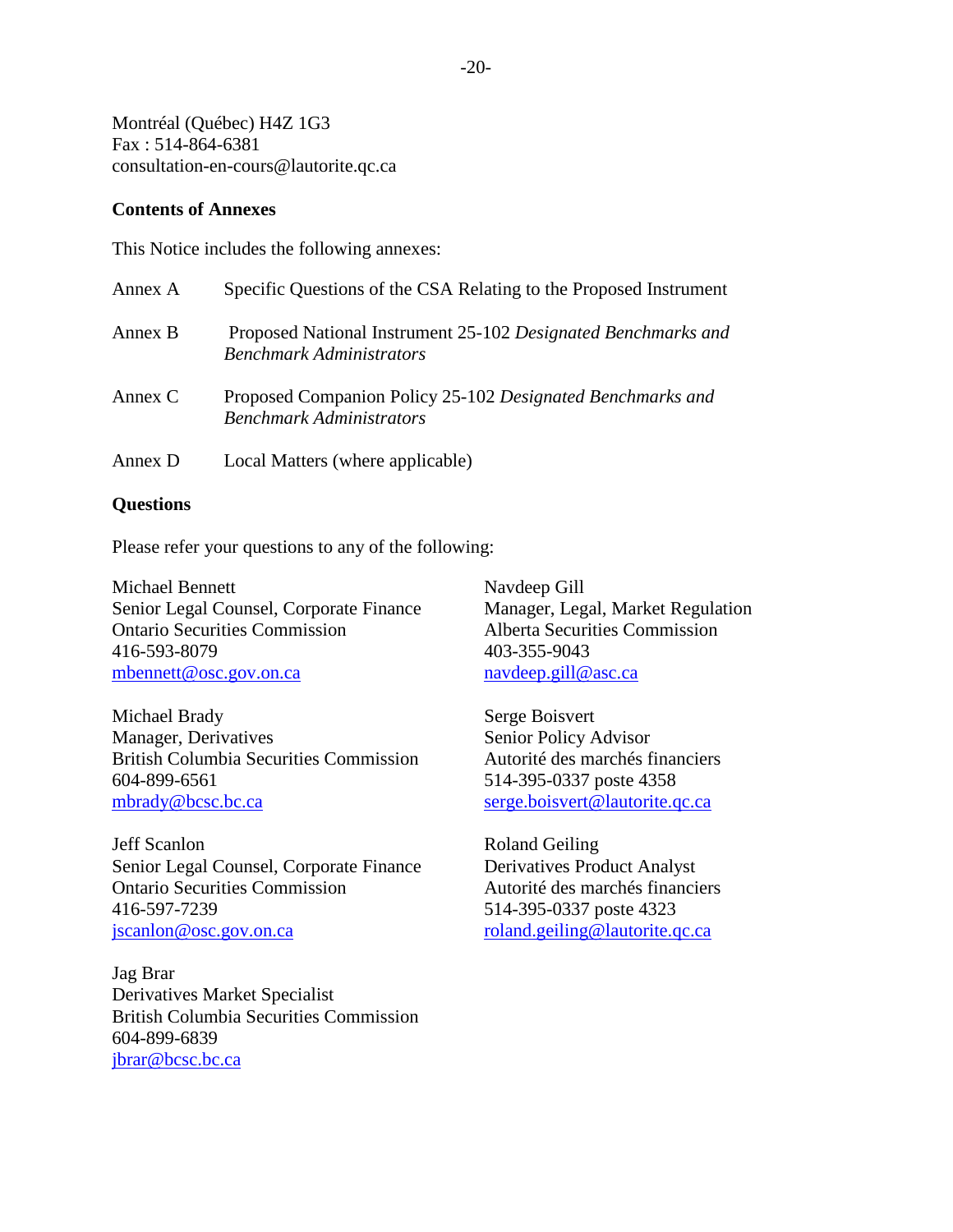Montréal (Québec) H4Z 1G3 Fax : 514-864-6381 consultation-en-cours@lautorite.qc.ca

#### **Contents of Annexes**

This Notice includes the following annexes:

| Annex A | Specific Questions of the CSA Relating to the Proposed Instrument                                |
|---------|--------------------------------------------------------------------------------------------------|
| Annex B | Proposed National Instrument 25-102 Designated Benchmarks and<br><b>Benchmark Administrators</b> |
| Annex C | Proposed Companion Policy 25-102 Designated Benchmarks and<br><b>Benchmark Administrators</b>    |
| Annex D | Local Matters (where applicable)                                                                 |

#### **Questions**

Please refer your questions to any of the following:

Michael Bennett Senior Legal Counsel, Corporate Finance Ontario Securities Commission 416-593-8079 [mbennett@osc.gov.on.ca](mailto:mbennett@osc.gov.on.ca)

Michael Brady Manager, Derivatives British Columbia Securities Commission 604-899-6561 [mbrady@bcsc.bc.ca](mailto:mbrady@bcsc.bc.ca)

Jeff Scanlon Senior Legal Counsel, Corporate Finance Ontario Securities Commission 416-597-7239 [jscanlon@osc.gov.on.ca](mailto:jscanlon@osc.gov.on.ca)

Jag Brar Derivatives Market Specialist British Columbia Securities Commission 604-899-6839 [jbrar@bcsc.bc.ca](mailto:jbrar@bcsc.bc.ca)

Navdeep Gill Manager, Legal, Market Regulation Alberta Securities Commission 403-355-9043 [navdeep.gill@asc.ca](mailto:navdeep.gill@asc.ca) 

Serge Boisvert Senior Policy Advisor Autorité des marchés financiers 514-395-0337 poste 4358 [serge.boisvert@lautorite.qc.ca](mailto:serge.boisvert@lautorite.qc.ca)

Roland Geiling Derivatives Product Analyst Autorité des marchés financiers 514-395-0337 poste 4323 [roland.geiling@lautorite.qc.ca](mailto:roland.geiling@lautorite.qc.ca)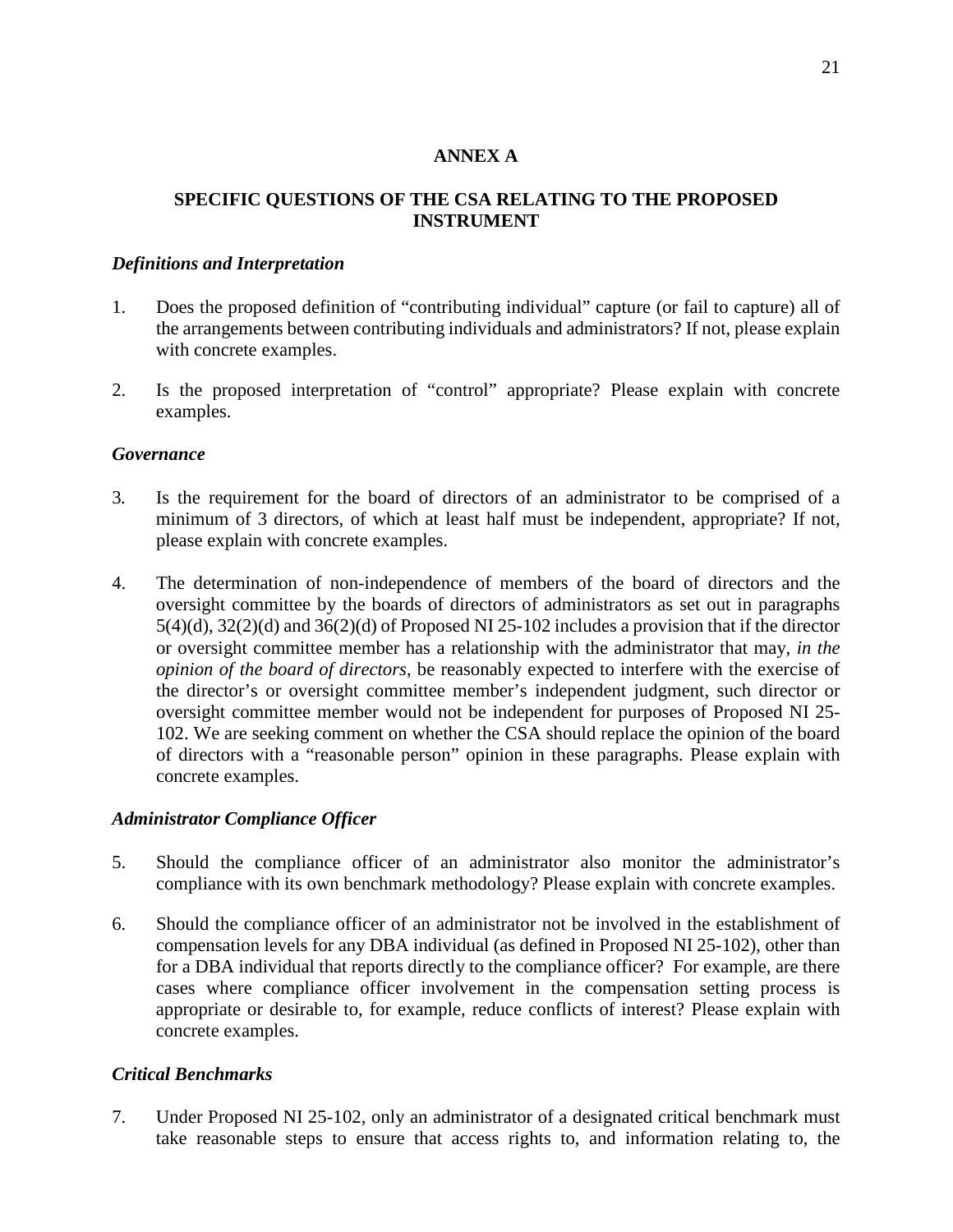#### **ANNEX A**

### **SPECIFIC QUESTIONS OF THE CSA RELATING TO THE PROPOSED INSTRUMENT**

#### *Definitions and Interpretation*

- 1. Does the proposed definition of "contributing individual" capture (or fail to capture) all of the arrangements between contributing individuals and administrators? If not, please explain with concrete examples.
- 2. Is the proposed interpretation of "control" appropriate? Please explain with concrete examples.

### *Governance*

- 3*.* Is the requirement for the board of directors of an administrator to be comprised of a minimum of 3 directors, of which at least half must be independent, appropriate? If not, please explain with concrete examples.
- 4. The determination of non-independence of members of the board of directors and the oversight committee by the boards of directors of administrators as set out in paragraphs 5(4)(d), 32(2)(d) and 36(2)(d) of Proposed NI 25-102 includes a provision that if the director or oversight committee member has a relationship with the administrator that may, *in the opinion of the board of directors*, be reasonably expected to interfere with the exercise of the director's or oversight committee member's independent judgment, such director or oversight committee member would not be independent for purposes of Proposed NI 25- 102. We are seeking comment on whether the CSA should replace the opinion of the board of directors with a "reasonable person" opinion in these paragraphs. Please explain with concrete examples.

### *Administrator Compliance Officer*

- 5. Should the compliance officer of an administrator also monitor the administrator's compliance with its own benchmark methodology? Please explain with concrete examples.
- 6. Should the compliance officer of an administrator not be involved in the establishment of compensation levels for any DBA individual (as defined in Proposed NI 25-102), other than for a DBA individual that reports directly to the compliance officer? For example, are there cases where compliance officer involvement in the compensation setting process is appropriate or desirable to, for example, reduce conflicts of interest? Please explain with concrete examples.

### *Critical Benchmarks*

7. Under Proposed NI 25-102, only an administrator of a designated critical benchmark must take reasonable steps to ensure that access rights to, and information relating to, the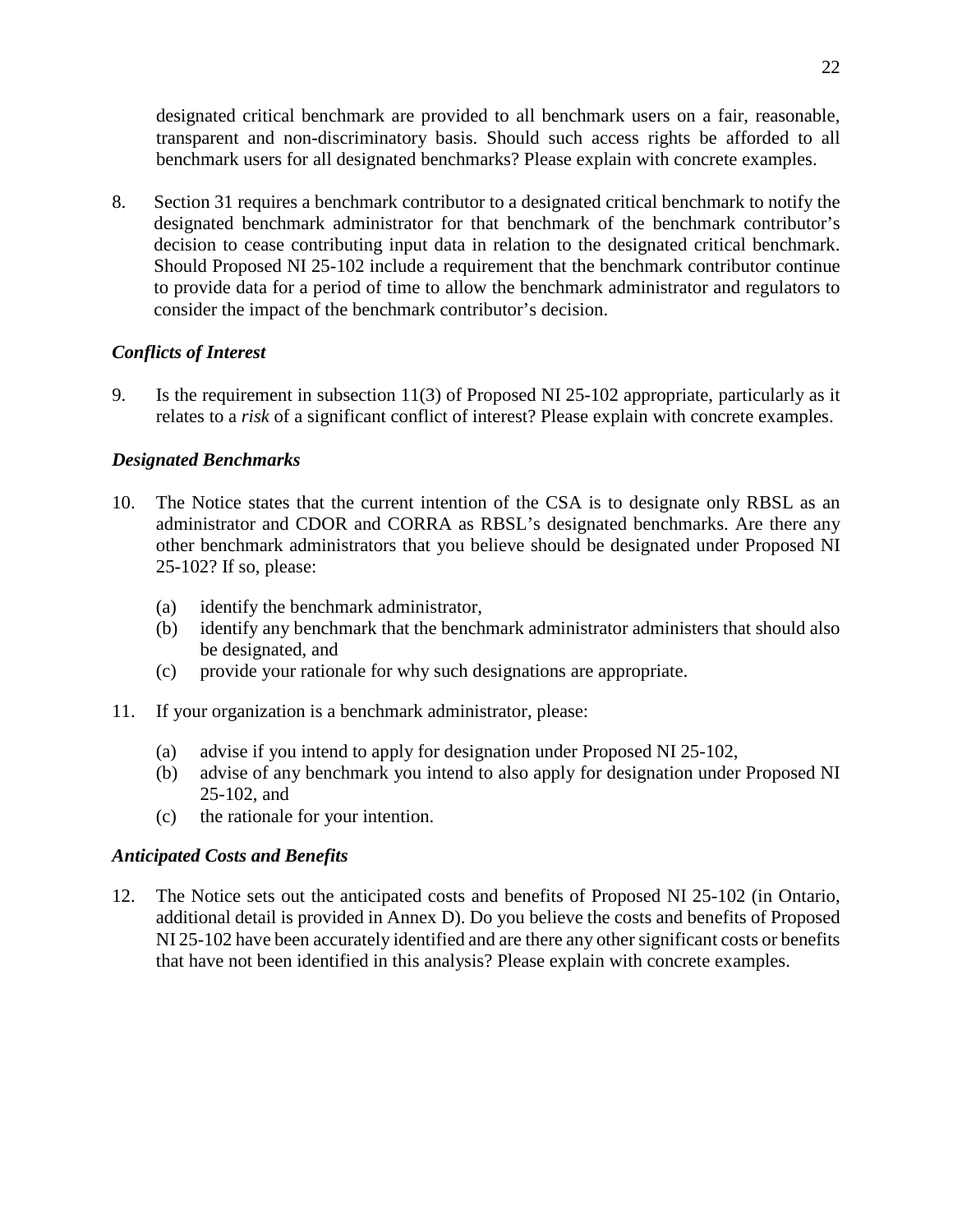designated critical benchmark are provided to all benchmark users on a fair, reasonable, transparent and non-discriminatory basis. Should such access rights be afforded to all benchmark users for all designated benchmarks? Please explain with concrete examples.

8. Section 31 requires a benchmark contributor to a designated critical benchmark to notify the designated benchmark administrator for that benchmark of the benchmark contributor's decision to cease contributing input data in relation to the designated critical benchmark. Should Proposed NI 25-102 include a requirement that the benchmark contributor continue to provide data for a period of time to allow the benchmark administrator and regulators to consider the impact of the benchmark contributor's decision.

## *Conflicts of Interest*

9. Is the requirement in subsection 11(3) of Proposed NI 25-102 appropriate, particularly as it relates to a *risk* of a significant conflict of interest? Please explain with concrete examples.

## *Designated Benchmarks*

- 10. The Notice states that the current intention of the CSA is to designate only RBSL as an administrator and CDOR and CORRA as RBSL's designated benchmarks. Are there any other benchmark administrators that you believe should be designated under Proposed NI 25-102? If so, please:
	- (a) identify the benchmark administrator,
	- (b) identify any benchmark that the benchmark administrator administers that should also be designated, and
	- (c) provide your rationale for why such designations are appropriate.
- 11. If your organization is a benchmark administrator, please:
	- (a) advise if you intend to apply for designation under Proposed NI 25-102,
	- (b) advise of any benchmark you intend to also apply for designation under Proposed NI 25-102, and
	- (c) the rationale for your intention.

## *Anticipated Costs and Benefits*

12. The Notice sets out the anticipated costs and benefits of Proposed NI 25-102 (in Ontario, additional detail is provided in Annex D). Do you believe the costs and benefits of Proposed NI 25-102 have been accurately identified and are there any other significant costs or benefits that have not been identified in this analysis? Please explain with concrete examples.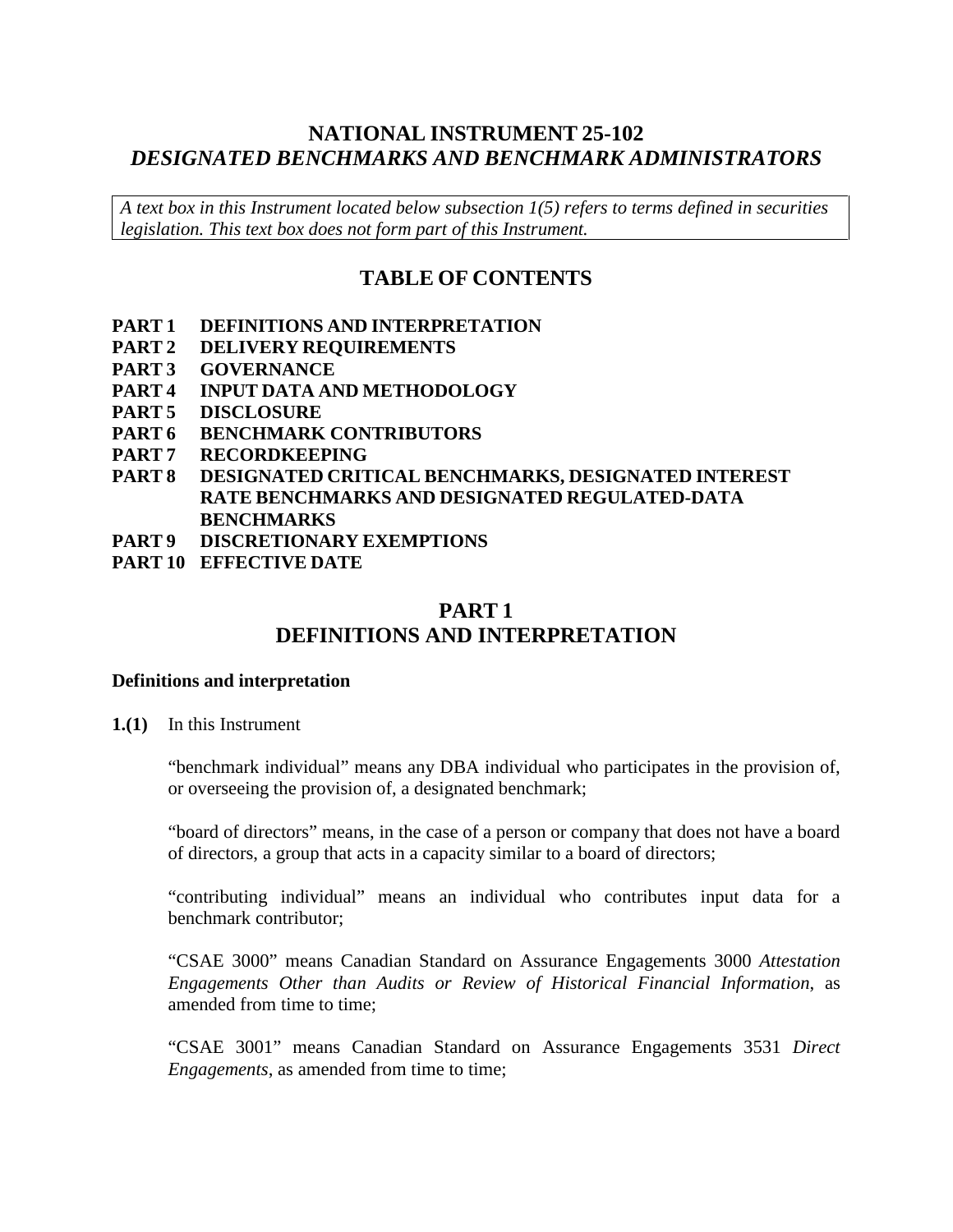# **NATIONAL INSTRUMENT 25-102** *DESIGNATED BENCHMARKS AND BENCHMARK ADMINISTRATORS*

*A text box in this Instrument located below subsection 1(5) refers to terms defined in securities legislation. This text box does not form part of this Instrument.*

# **TABLE OF CONTENTS**

- **PART 1 DEFINITIONS AND INTERPRETATION**
- **PART 2 DELIVERY REQUIREMENTS**
- **PART 3 GOVERNANCE**
- **PART 4 INPUT DATA AND METHODOLOGY**
- **PART 5 DISCLOSURE**
- **PART 6 BENCHMARK CONTRIBUTORS**
- **PART 7 RECORDKEEPING**
- **PART 8 DESIGNATED CRITICAL BENCHMARKS, DESIGNATED INTEREST RATE BENCHMARKS AND DESIGNATED REGULATED-DATA BENCHMARKS**
- **PART 9 DISCRETIONARY EXEMPTIONS**
- **PART 10 EFFECTIVE DATE**

# **PART 1 DEFINITIONS AND INTERPRETATION**

#### **Definitions and interpretation**

**1.(1)** In this Instrument

"benchmark individual" means any DBA individual who participates in the provision of, or overseeing the provision of, a designated benchmark;

"board of directors" means, in the case of a person or company that does not have a board of directors, a group that acts in a capacity similar to a board of directors;

"contributing individual" means an individual who contributes input data for a benchmark contributor;

"CSAE 3000" means Canadian Standard on Assurance Engagements 3000 *Attestation Engagements Other than Audits or Review of Historical Financial Information*, as amended from time to time;

"CSAE 3001" means Canadian Standard on Assurance Engagements 3531 *Direct Engagements*, as amended from time to time;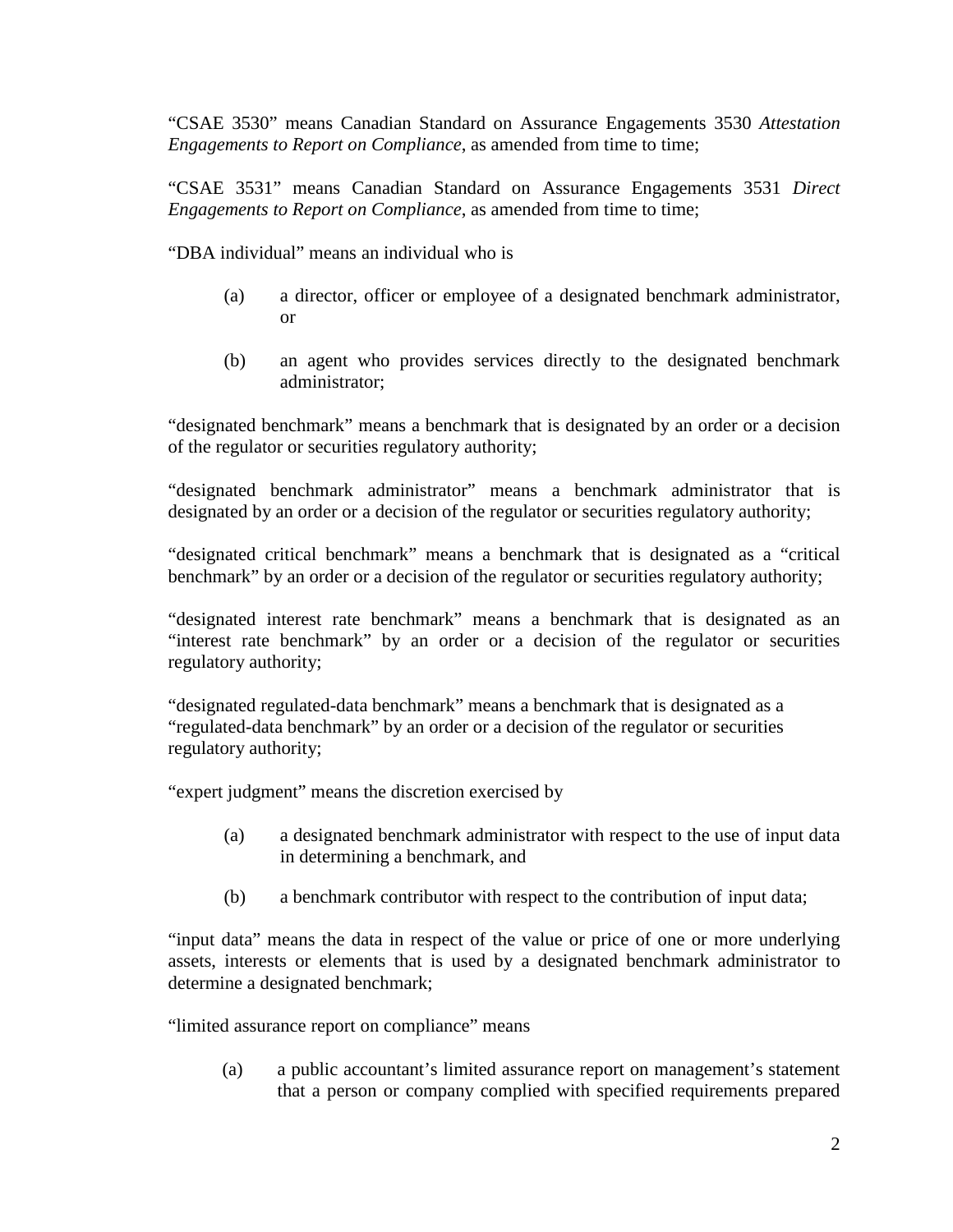"CSAE 3530" means Canadian Standard on Assurance Engagements 3530 *Attestation Engagements to Report on Compliance*, as amended from time to time;

"CSAE 3531" means Canadian Standard on Assurance Engagements 3531 *Direct Engagements to Report on Compliance*, as amended from time to time;

"DBA individual" means an individual who is

- (a) a director, officer or employee of a designated benchmark administrator, or
- (b) an agent who provides services directly to the designated benchmark administrator;

"designated benchmark" means a benchmark that is designated by an order or a decision of the regulator or securities regulatory authority;

"designated benchmark administrator" means a benchmark administrator that is designated by an order or a decision of the regulator or securities regulatory authority;

"designated critical benchmark" means a benchmark that is designated as a "critical benchmark" by an order or a decision of the regulator or securities regulatory authority;

"designated interest rate benchmark" means a benchmark that is designated as an "interest rate benchmark" by an order or a decision of the regulator or securities regulatory authority;

"designated regulated-data benchmark" means a benchmark that is designated as a "regulated-data benchmark" by an order or a decision of the regulator or securities regulatory authority;

"expert judgment" means the discretion exercised by

- (a) a designated benchmark administrator with respect to the use of input data in determining a benchmark, and
- (b) a benchmark contributor with respect to the contribution of input data;

"input data" means the data in respect of the value or price of one or more underlying assets, interests or elements that is used by a designated benchmark administrator to determine a designated benchmark;

"limited assurance report on compliance" means

(a) a public accountant's limited assurance report on management's statement that a person or company complied with specified requirements prepared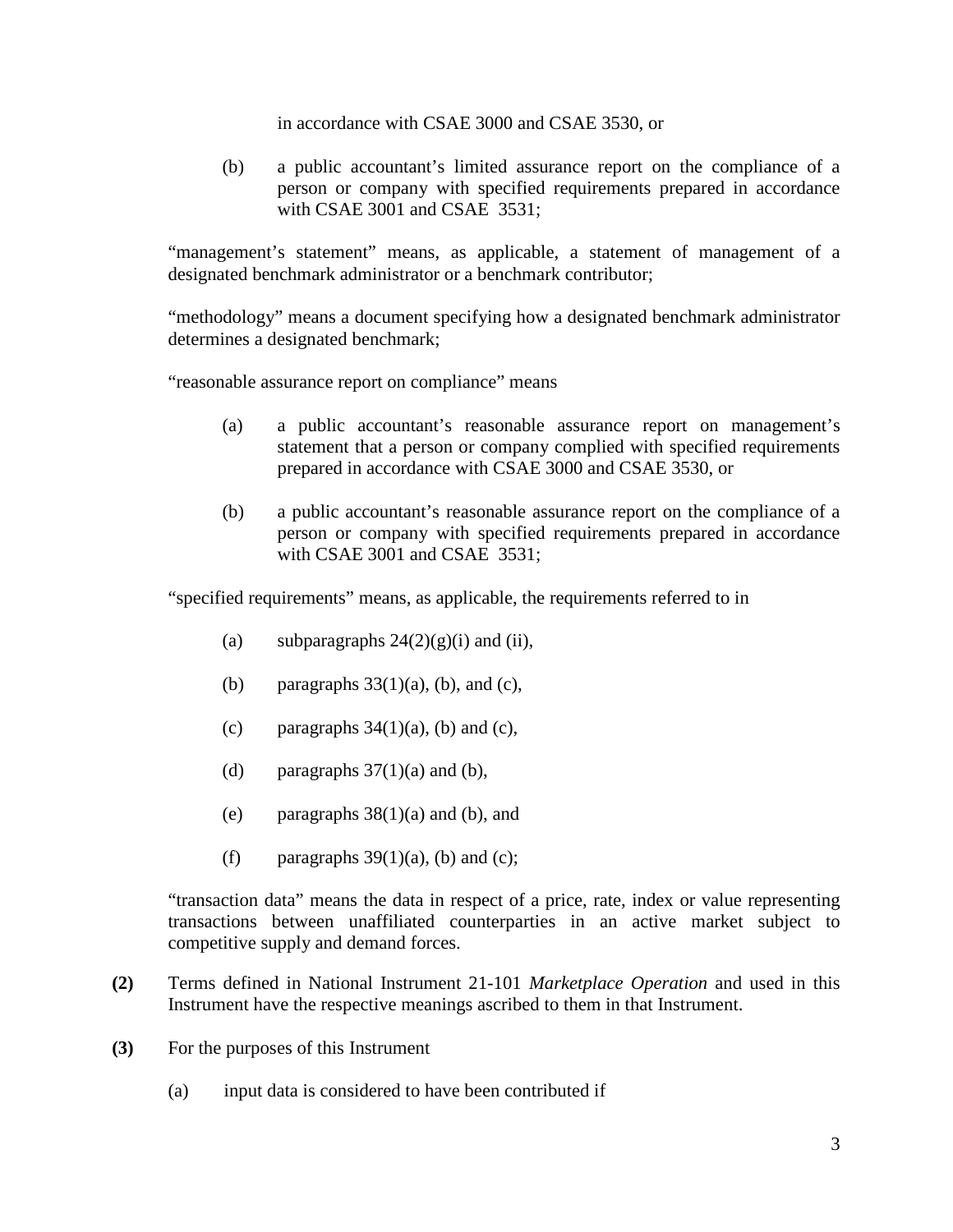in accordance with CSAE 3000 and CSAE 3530, or

(b) a public accountant's limited assurance report on the compliance of a person or company with specified requirements prepared in accordance with CSAE 3001 and CSAE 3531:

"management's statement" means, as applicable, a statement of management of a designated benchmark administrator or a benchmark contributor;

"methodology" means a document specifying how a designated benchmark administrator determines a designated benchmark;

"reasonable assurance report on compliance" means

- (a) a public accountant's reasonable assurance report on management's statement that a person or company complied with specified requirements prepared in accordance with CSAE 3000 and CSAE 3530, or
- (b) a public accountant's reasonable assurance report on the compliance of a person or company with specified requirements prepared in accordance with CSAE 3001 and CSAE 3531;

"specified requirements" means, as applicable, the requirements referred to in

- (a) subparagraphs  $24(2)(g)(i)$  and (ii),
- (b) paragraphs  $33(1)(a)$ , (b), and (c),
- (c) paragraphs  $34(1)(a)$ , (b) and (c),
- (d) paragraphs  $37(1)(a)$  and (b),
- (e) paragraphs  $38(1)(a)$  and (b), and
- (f) paragraphs  $39(1)(a)$ , (b) and (c);

"transaction data" means the data in respect of a price, rate, index or value representing transactions between unaffiliated counterparties in an active market subject to competitive supply and demand forces.

- **(2)** Terms defined in National Instrument 21-101 *Marketplace Operation* and used in this Instrument have the respective meanings ascribed to them in that Instrument.
- **(3)** For the purposes of this Instrument
	- (a) input data is considered to have been contributed if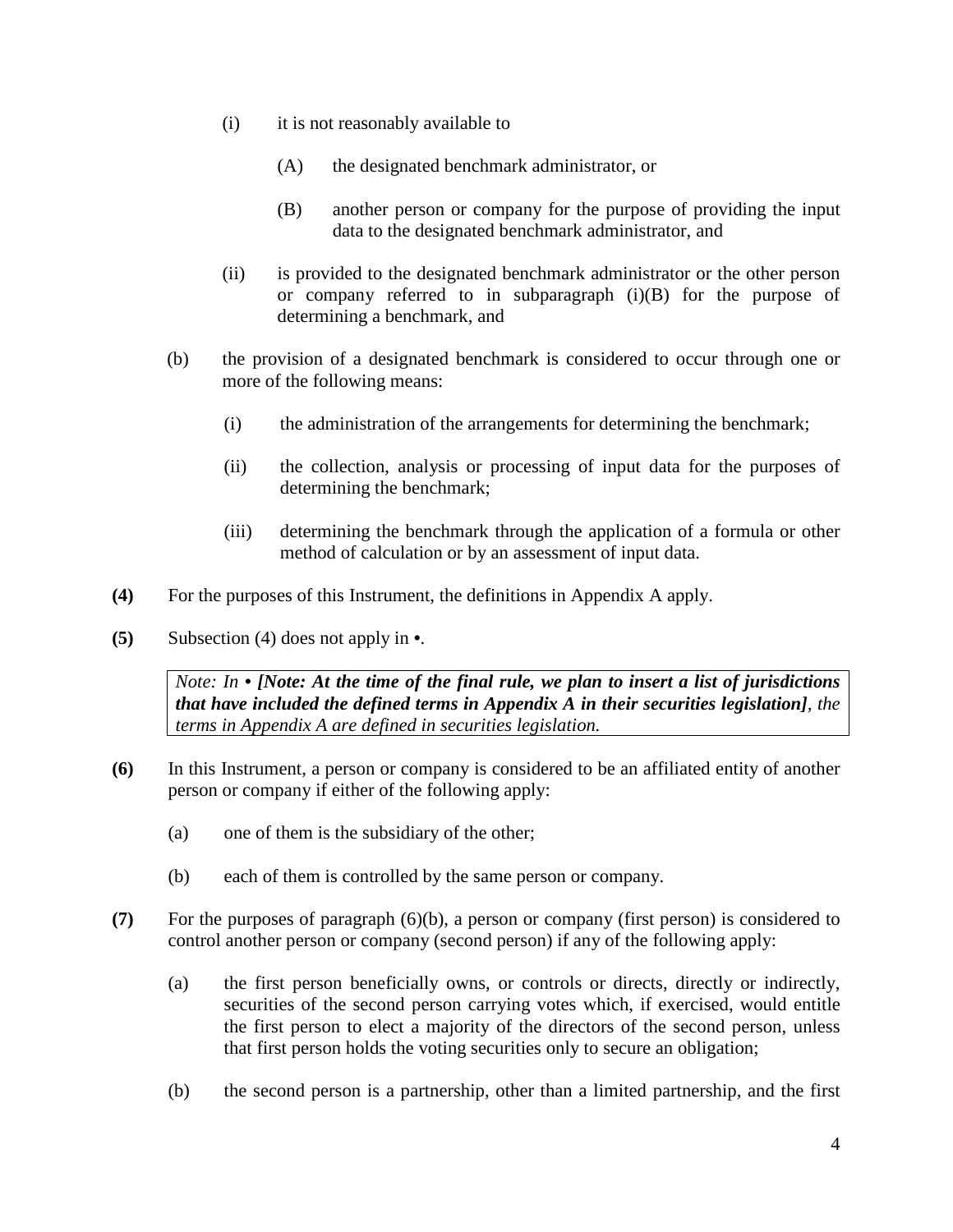- (i) it is not reasonably available to
	- (A) the designated benchmark administrator, or
	- (B) another person or company for the purpose of providing the input data to the designated benchmark administrator, and
- (ii) is provided to the designated benchmark administrator or the other person or company referred to in subparagraph (i)(B) for the purpose of determining a benchmark, and
- (b) the provision of a designated benchmark is considered to occur through one or more of the following means:
	- (i) the administration of the arrangements for determining the benchmark;
	- (ii) the collection, analysis or processing of input data for the purposes of determining the benchmark;
	- (iii) determining the benchmark through the application of a formula or other method of calculation or by an assessment of input data.
- **(4)** For the purposes of this Instrument, the definitions in Appendix A apply.
- **(5)** Subsection (4) does not apply in **•**.

*Note: In • [Note: At the time of the final rule, we plan to insert a list of jurisdictions that have included the defined terms in Appendix A in their securities legislation], the terms in Appendix A are defined in securities legislation.*

- **(6)** In this Instrument, a person or company is considered to be an affiliated entity of another person or company if either of the following apply:
	- (a) one of them is the subsidiary of the other;
	- (b) each of them is controlled by the same person or company.
- **(7)** For the purposes of paragraph (6)(b), a person or company (first person) is considered to control another person or company (second person) if any of the following apply:
	- (a) the first person beneficially owns, or controls or directs, directly or indirectly, securities of the second person carrying votes which, if exercised, would entitle the first person to elect a majority of the directors of the second person, unless that first person holds the voting securities only to secure an obligation;
	- (b) the second person is a partnership, other than a limited partnership, and the first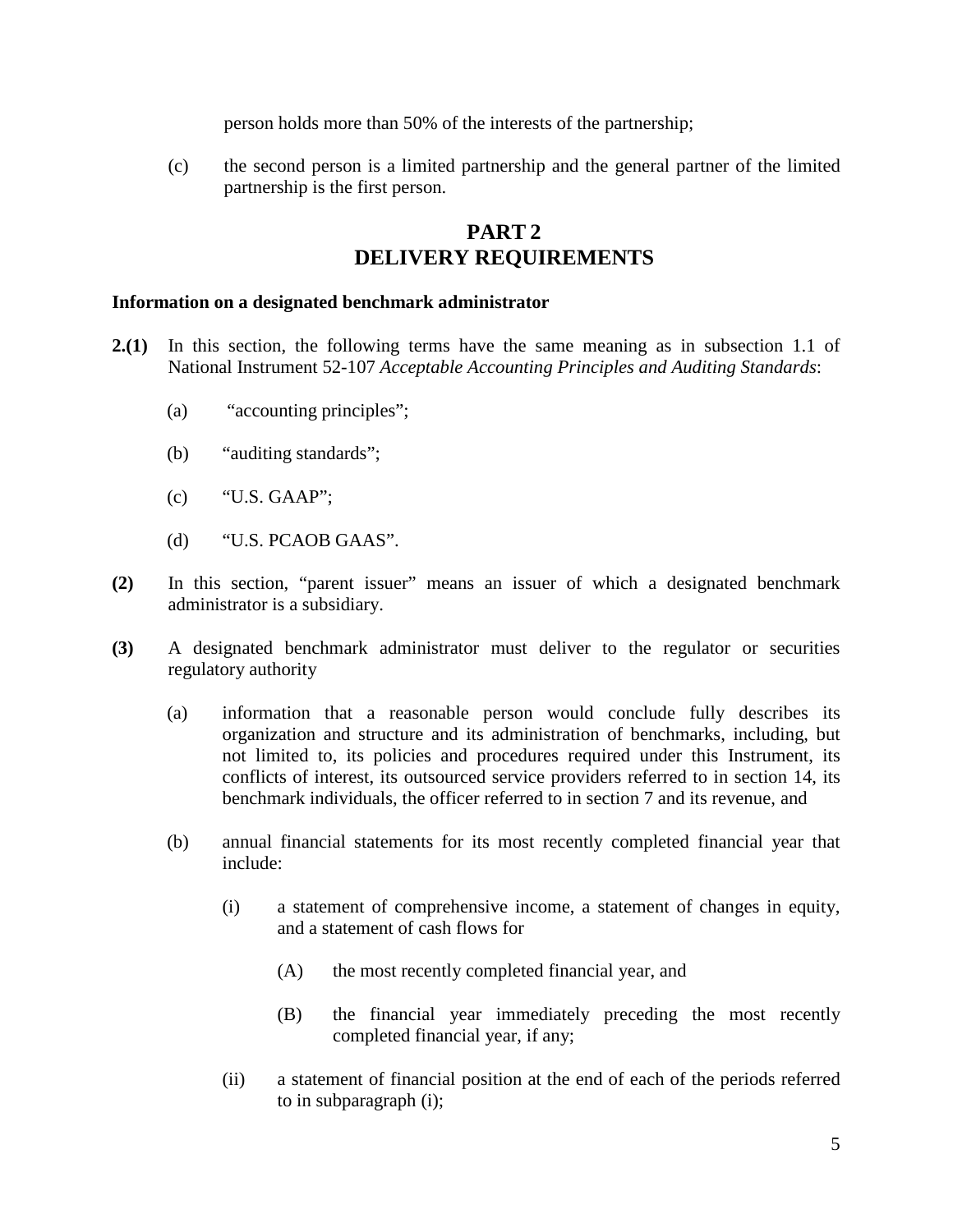person holds more than 50% of the interests of the partnership;

(c) the second person is a limited partnership and the general partner of the limited partnership is the first person.

# **PART 2 DELIVERY REQUIREMENTS**

#### **Information on a designated benchmark administrator**

- **2.(1)** In this section, the following terms have the same meaning as in subsection 1.1 of National Instrument 52-107 *Acceptable Accounting Principles and Auditing Standards*:
	- (a) "accounting principles";
	- (b) "auditing standards";
	- (c) "U.S. GAAP";
	- (d) "U.S. PCAOB GAAS".
- **(2)** In this section, "parent issuer" means an issuer of which a designated benchmark administrator is a subsidiary.
- **(3)** A designated benchmark administrator must deliver to the regulator or securities regulatory authority
	- (a) information that a reasonable person would conclude fully describes its organization and structure and its administration of benchmarks, including, but not limited to, its policies and procedures required under this Instrument, its conflicts of interest, its outsourced service providers referred to in section 14, its benchmark individuals, the officer referred to in section 7 and its revenue, and
	- (b) annual financial statements for its most recently completed financial year that include:
		- (i) a statement of comprehensive income, a statement of changes in equity, and a statement of cash flows for
			- (A) the most recently completed financial year, and
			- (B) the financial year immediately preceding the most recently completed financial year, if any;
		- (ii) a statement of financial position at the end of each of the periods referred to in subparagraph (i);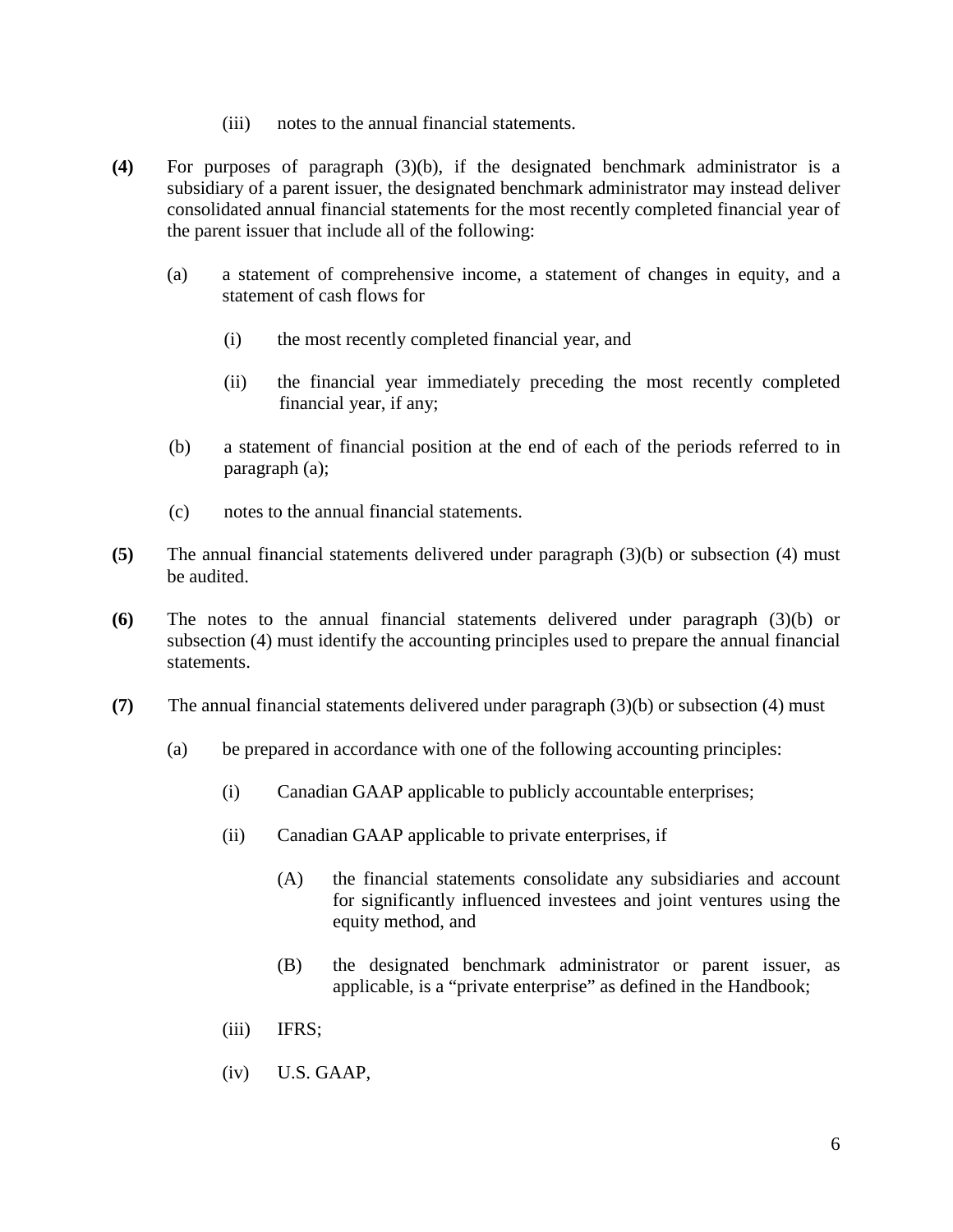- (iii) notes to the annual financial statements.
- **(4)** For purposes of paragraph (3)(b), if the designated benchmark administrator is a subsidiary of a parent issuer, the designated benchmark administrator may instead deliver consolidated annual financial statements for the most recently completed financial year of the parent issuer that include all of the following:
	- (a) a statement of comprehensive income, a statement of changes in equity, and a statement of cash flows for
		- (i) the most recently completed financial year, and
		- (ii) the financial year immediately preceding the most recently completed financial year, if any;
	- (b) a statement of financial position at the end of each of the periods referred to in paragraph (a);
	- (c) notes to the annual financial statements.
- **(5)** The annual financial statements delivered under paragraph (3)(b) or subsection (4) must be audited.
- **(6)** The notes to the annual financial statements delivered under paragraph (3)(b) or subsection (4) must identify the accounting principles used to prepare the annual financial statements.
- **(7)** The annual financial statements delivered under paragraph (3)(b) or subsection (4) must
	- (a) be prepared in accordance with one of the following accounting principles:
		- (i) Canadian GAAP applicable to publicly accountable enterprises;
		- (ii) Canadian GAAP applicable to private enterprises, if
			- (A) the financial statements consolidate any subsidiaries and account for significantly influenced investees and joint ventures using the equity method, and
			- (B) the designated benchmark administrator or parent issuer, as applicable, is a "private enterprise" as defined in the Handbook;
		- (iii) IFRS;
		- (iv) U.S. GAAP,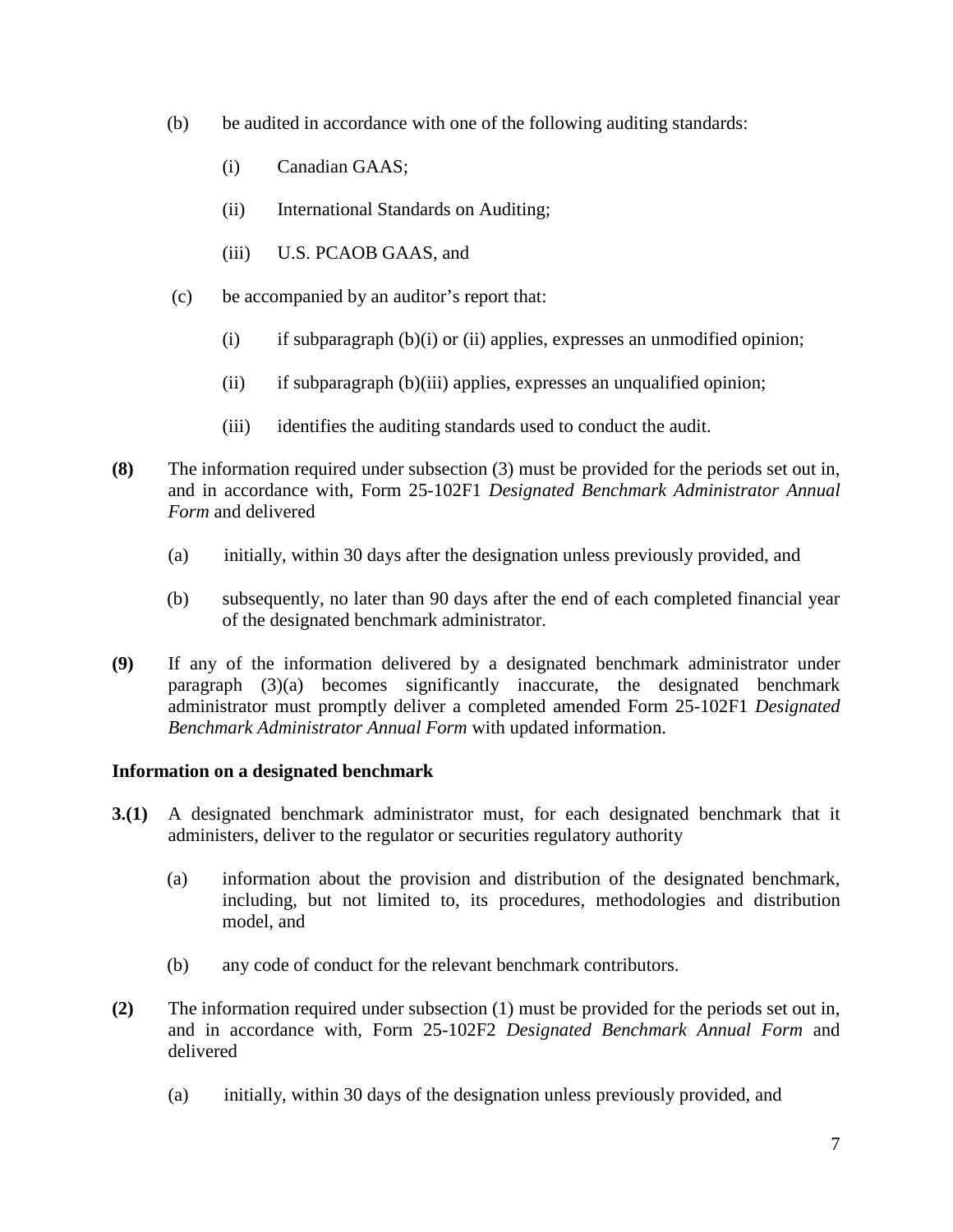- (b) be audited in accordance with one of the following auditing standards:
	- (i) Canadian GAAS;
	- (ii) International Standards on Auditing;
	- (iii) U.S. PCAOB GAAS, and
- (c) be accompanied by an auditor's report that:
	- (i) if subparagraph  $(b)(i)$  or (ii) applies, expresses an unmodified opinion;
	- (ii) if subparagraph (b)(iii) applies, expresses an unqualified opinion;
	- (iii) identifies the auditing standards used to conduct the audit.
- **(8)** The information required under subsection (3) must be provided for the periods set out in, and in accordance with, Form 25-102F1 *Designated Benchmark Administrator Annual Form* and delivered
	- (a) initially, within 30 days after the designation unless previously provided, and
	- (b) subsequently, no later than 90 days after the end of each completed financial year of the designated benchmark administrator.
- **(9)** If any of the information delivered by a designated benchmark administrator under paragraph (3)(a) becomes significantly inaccurate, the designated benchmark administrator must promptly deliver a completed amended Form 25-102F1 *Designated Benchmark Administrator Annual Form* with updated information.

## **Information on a designated benchmark**

- **3.(1)** A designated benchmark administrator must, for each designated benchmark that it administers, deliver to the regulator or securities regulatory authority
	- (a) information about the provision and distribution of the designated benchmark, including, but not limited to, its procedures, methodologies and distribution model, and
	- (b) any code of conduct for the relevant benchmark contributors.
- **(2)** The information required under subsection (1) must be provided for the periods set out in, and in accordance with, Form 25-102F2 *Designated Benchmark Annual Form* and delivered
	- (a) initially, within 30 days of the designation unless previously provided, and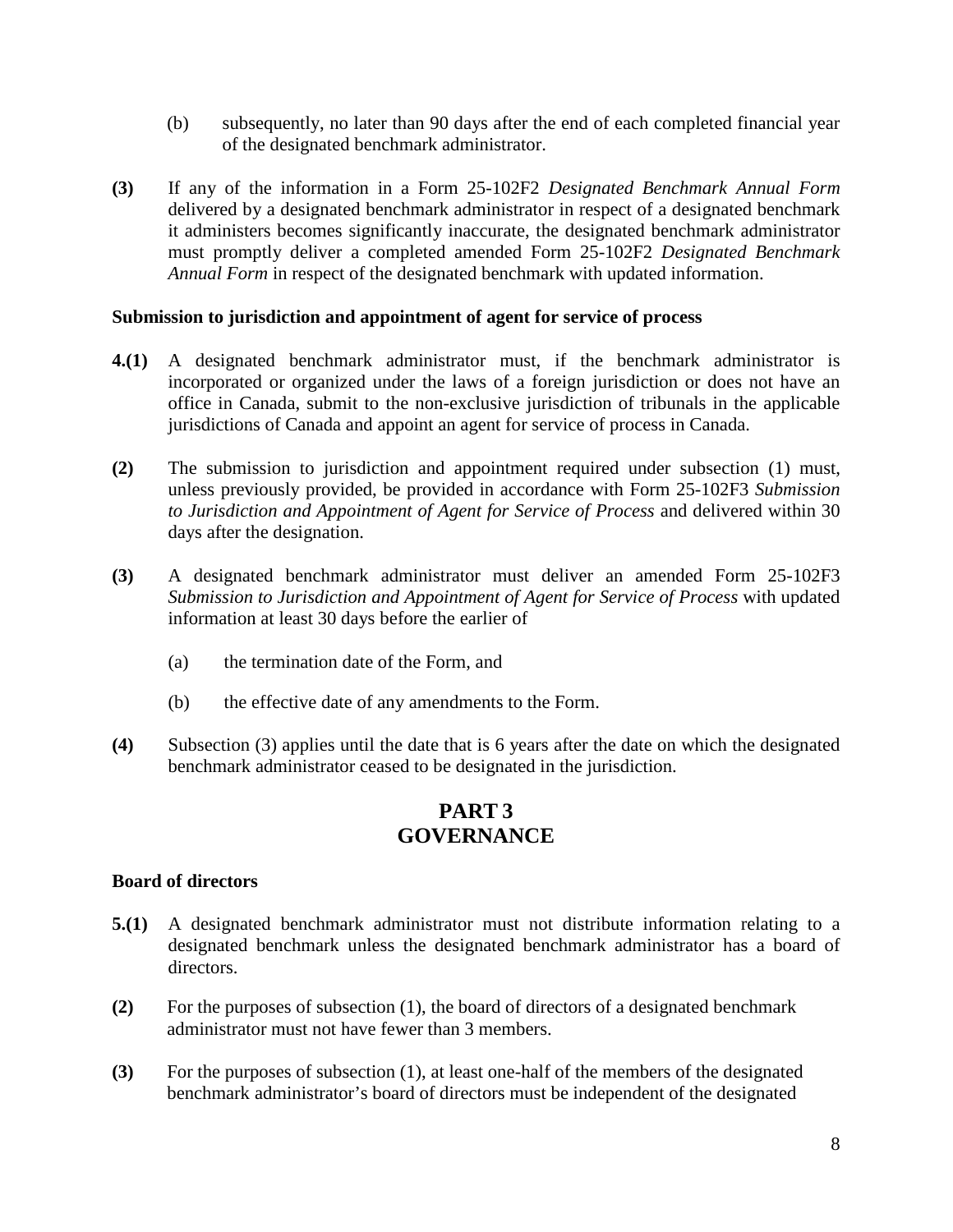- (b) subsequently, no later than 90 days after the end of each completed financial year of the designated benchmark administrator.
- **(3)** If any of the information in a Form 25-102F2 *Designated Benchmark Annual Form* delivered by a designated benchmark administrator in respect of a designated benchmark it administers becomes significantly inaccurate, the designated benchmark administrator must promptly deliver a completed amended Form 25-102F2 *Designated Benchmark Annual Form* in respect of the designated benchmark with updated information.

### **Submission to jurisdiction and appointment of agent for service of process**

- **4.(1)** A designated benchmark administrator must, if the benchmark administrator is incorporated or organized under the laws of a foreign jurisdiction or does not have an office in Canada, submit to the non-exclusive jurisdiction of tribunals in the applicable jurisdictions of Canada and appoint an agent for service of process in Canada.
- **(2)** The submission to jurisdiction and appointment required under subsection (1) must, unless previously provided, be provided in accordance with Form 25-102F3 *Submission to Jurisdiction and Appointment of Agent for Service of Process* and delivered within 30 days after the designation.
- **(3)** A designated benchmark administrator must deliver an amended Form 25-102F3 *Submission to Jurisdiction and Appointment of Agent for Service of Process* with updated information at least 30 days before the earlier of
	- (a) the termination date of the Form, and
	- (b) the effective date of any amendments to the Form.
- **(4)** Subsection (3) applies until the date that is 6 years after the date on which the designated benchmark administrator ceased to be designated in the jurisdiction.

# **PART 3 GOVERNANCE**

### **Board of directors**

- **5.(1)** A designated benchmark administrator must not distribute information relating to a designated benchmark unless the designated benchmark administrator has a board of directors.
- **(2)** For the purposes of subsection (1), the board of directors of a designated benchmark administrator must not have fewer than 3 members.
- **(3)** For the purposes of subsection (1), at least one-half of the members of the designated benchmark administrator's board of directors must be independent of the designated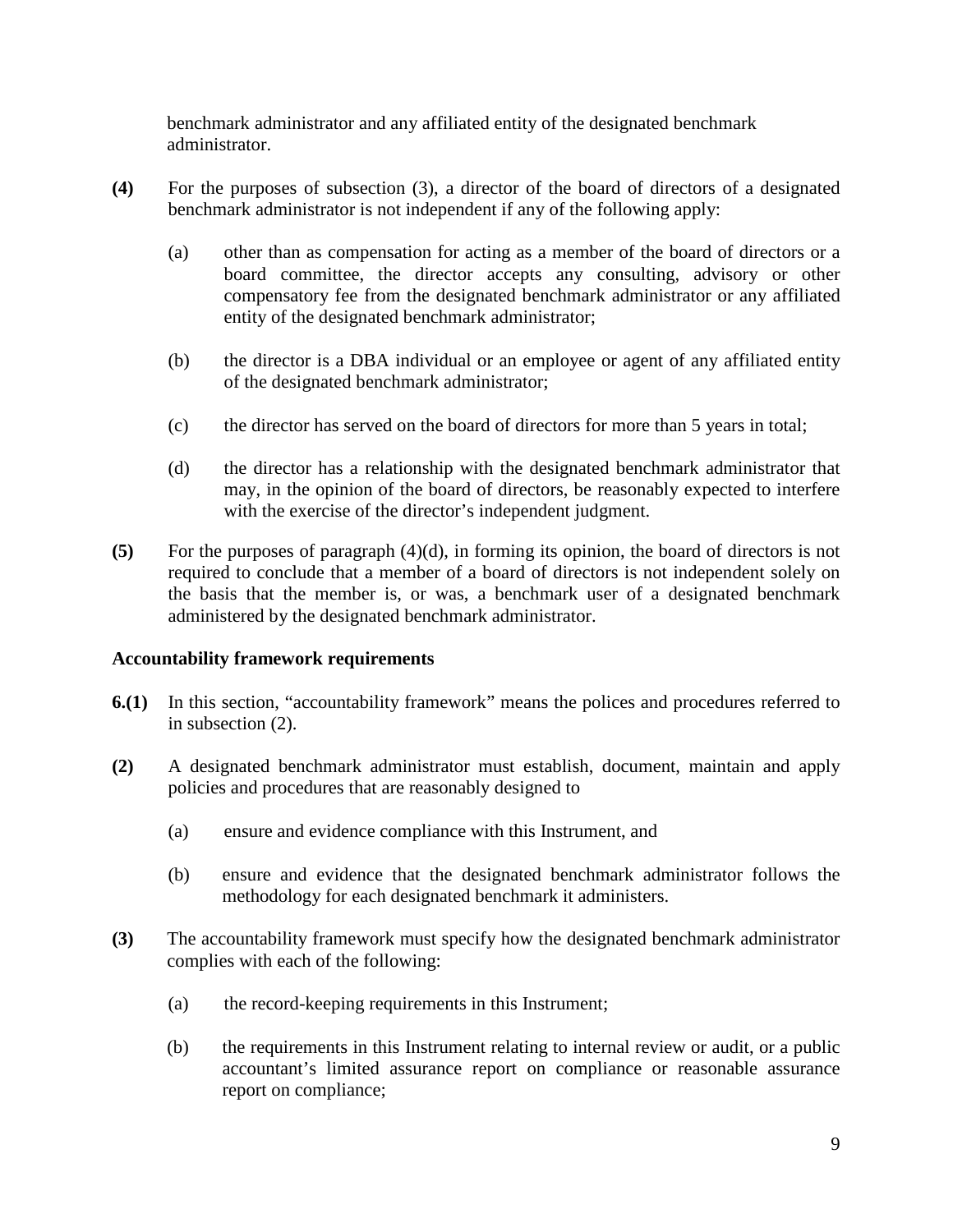benchmark administrator and any affiliated entity of the designated benchmark administrator.

- **(4)** For the purposes of subsection (3), a director of the board of directors of a designated benchmark administrator is not independent if any of the following apply:
	- (a) other than as compensation for acting as a member of the board of directors or a board committee, the director accepts any consulting, advisory or other compensatory fee from the designated benchmark administrator or any affiliated entity of the designated benchmark administrator;
	- (b) the director is a DBA individual or an employee or agent of any affiliated entity of the designated benchmark administrator;
	- (c) the director has served on the board of directors for more than 5 years in total;
	- (d) the director has a relationship with the designated benchmark administrator that may, in the opinion of the board of directors, be reasonably expected to interfere with the exercise of the director's independent judgment.
- **(5)** For the purposes of paragraph (4)(d), in forming its opinion, the board of directors is not required to conclude that a member of a board of directors is not independent solely on the basis that the member is, or was, a benchmark user of a designated benchmark administered by the designated benchmark administrator.

## **Accountability framework requirements**

- **6.(1)** In this section, "accountability framework" means the polices and procedures referred to in subsection (2).
- **(2)** A designated benchmark administrator must establish, document, maintain and apply policies and procedures that are reasonably designed to
	- (a) ensure and evidence compliance with this Instrument, and
	- (b) ensure and evidence that the designated benchmark administrator follows the methodology for each designated benchmark it administers.
- **(3)** The accountability framework must specify how the designated benchmark administrator complies with each of the following:
	- (a) the record-keeping requirements in this Instrument;
	- (b) the requirements in this Instrument relating to internal review or audit, or a public accountant's limited assurance report on compliance or reasonable assurance report on compliance;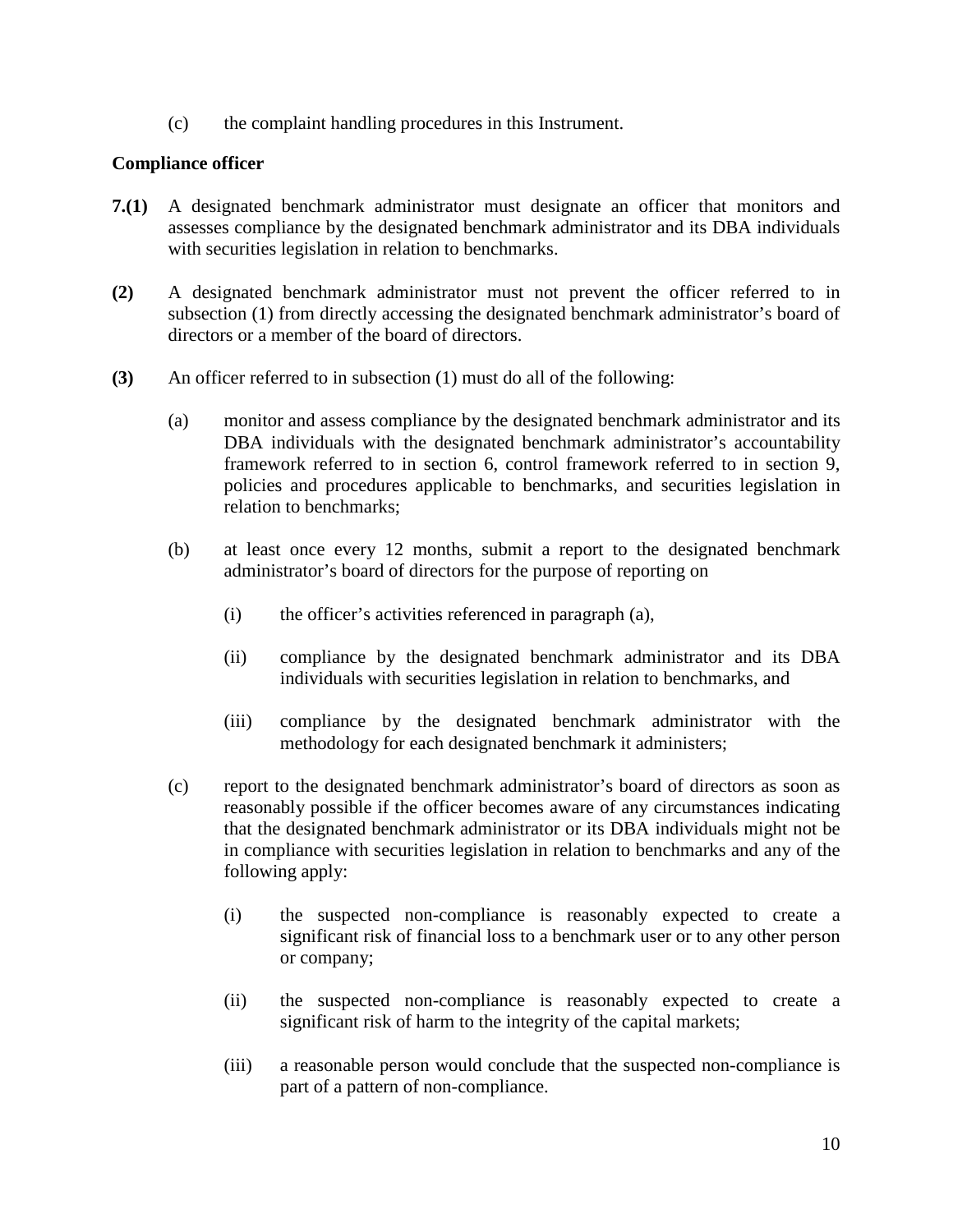(c) the complaint handling procedures in this Instrument.

### **Compliance officer**

- **7.(1)** A designated benchmark administrator must designate an officer that monitors and assesses compliance by the designated benchmark administrator and its DBA individuals with securities legislation in relation to benchmarks.
- **(2)** A designated benchmark administrator must not prevent the officer referred to in subsection (1) from directly accessing the designated benchmark administrator's board of directors or a member of the board of directors.
- **(3)** An officer referred to in subsection (1) must do all of the following:
	- (a) monitor and assess compliance by the designated benchmark administrator and its DBA individuals with the designated benchmark administrator's accountability framework referred to in section 6, control framework referred to in section 9, policies and procedures applicable to benchmarks, and securities legislation in relation to benchmarks;
	- (b) at least once every 12 months, submit a report to the designated benchmark administrator's board of directors for the purpose of reporting on
		- (i) the officer's activities referenced in paragraph (a),
		- (ii) compliance by the designated benchmark administrator and its DBA individuals with securities legislation in relation to benchmarks, and
		- (iii) compliance by the designated benchmark administrator with the methodology for each designated benchmark it administers;
	- (c) report to the designated benchmark administrator's board of directors as soon as reasonably possible if the officer becomes aware of any circumstances indicating that the designated benchmark administrator or its DBA individuals might not be in compliance with securities legislation in relation to benchmarks and any of the following apply:
		- (i) the suspected non-compliance is reasonably expected to create a significant risk of financial loss to a benchmark user or to any other person or company;
		- (ii) the suspected non-compliance is reasonably expected to create a significant risk of harm to the integrity of the capital markets;
		- (iii) a reasonable person would conclude that the suspected non-compliance is part of a pattern of non-compliance.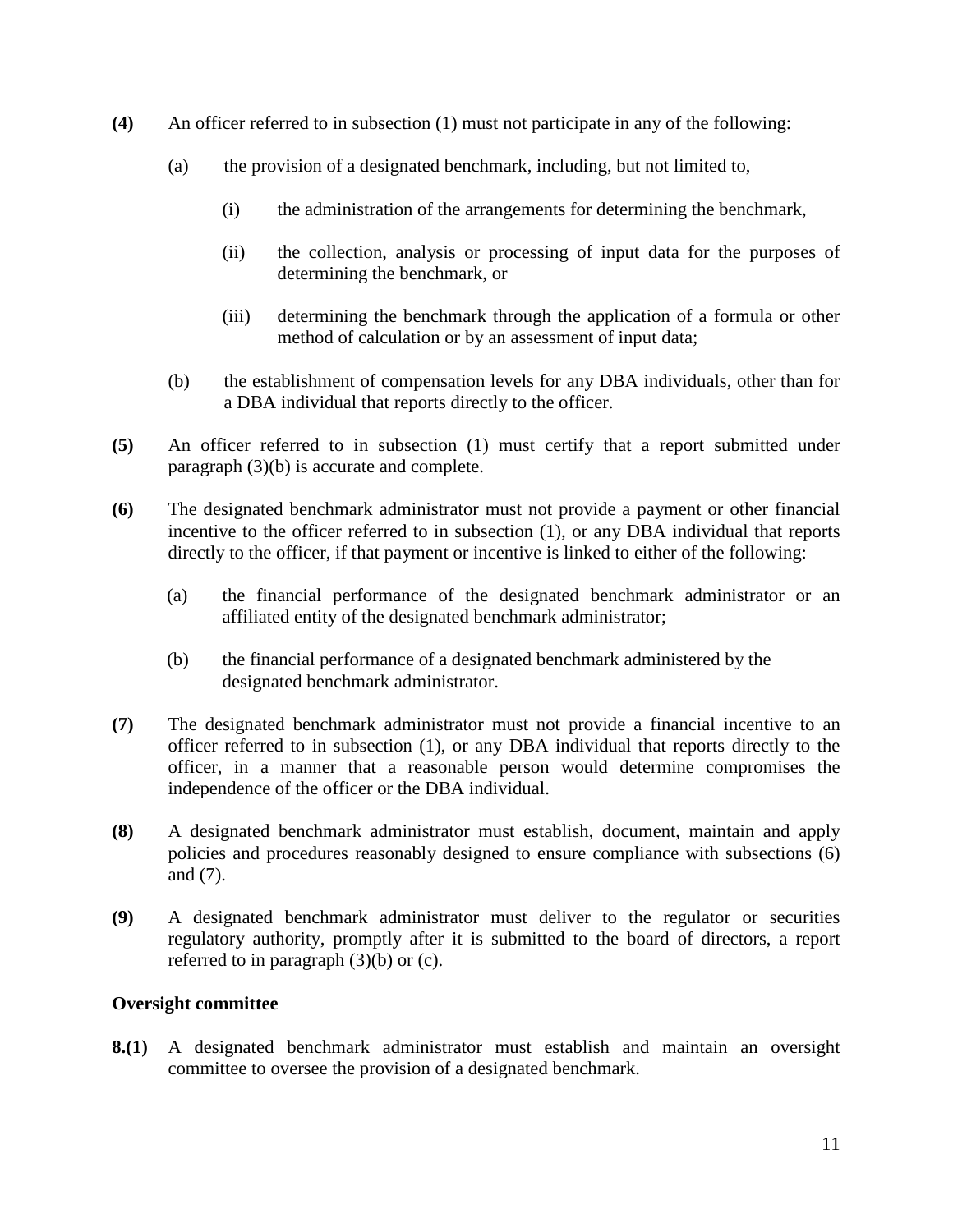- **(4)** An officer referred to in subsection (1) must not participate in any of the following:
	- (a) the provision of a designated benchmark, including, but not limited to,
		- (i) the administration of the arrangements for determining the benchmark,
		- (ii) the collection, analysis or processing of input data for the purposes of determining the benchmark, or
		- (iii) determining the benchmark through the application of a formula or other method of calculation or by an assessment of input data;
	- (b) the establishment of compensation levels for any DBA individuals, other than for a DBA individual that reports directly to the officer.
- **(5)** An officer referred to in subsection (1) must certify that a report submitted under paragraph (3)(b) is accurate and complete.
- **(6)** The designated benchmark administrator must not provide a payment or other financial incentive to the officer referred to in subsection (1), or any DBA individual that reports directly to the officer, if that payment or incentive is linked to either of the following:
	- (a) the financial performance of the designated benchmark administrator or an affiliated entity of the designated benchmark administrator;
	- (b) the financial performance of a designated benchmark administered by the designated benchmark administrator.
- **(7)** The designated benchmark administrator must not provide a financial incentive to an officer referred to in subsection (1), or any DBA individual that reports directly to the officer, in a manner that a reasonable person would determine compromises the independence of the officer or the DBA individual.
- **(8)** A designated benchmark administrator must establish, document, maintain and apply policies and procedures reasonably designed to ensure compliance with subsections (6) and (7).
- **(9)** A designated benchmark administrator must deliver to the regulator or securities regulatory authority, promptly after it is submitted to the board of directors, a report referred to in paragraph (3)(b) or (c).

### **Oversight committee**

**8.(1)** A designated benchmark administrator must establish and maintain an oversight committee to oversee the provision of a designated benchmark.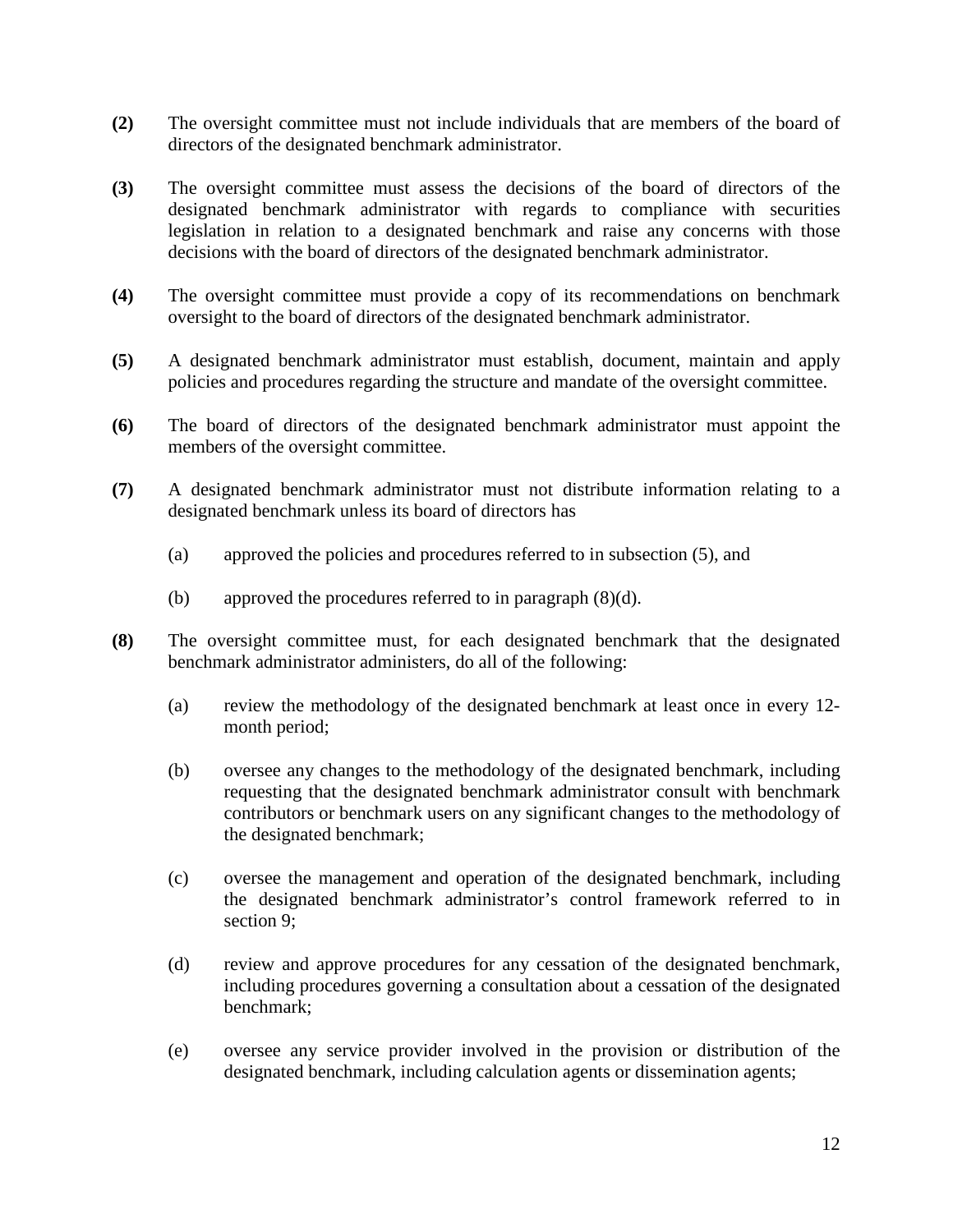- **(2)** The oversight committee must not include individuals that are members of the board of directors of the designated benchmark administrator.
- **(3)** The oversight committee must assess the decisions of the board of directors of the designated benchmark administrator with regards to compliance with securities legislation in relation to a designated benchmark and raise any concerns with those decisions with the board of directors of the designated benchmark administrator.
- **(4)** The oversight committee must provide a copy of its recommendations on benchmark oversight to the board of directors of the designated benchmark administrator.
- **(5)** A designated benchmark administrator must establish, document, maintain and apply policies and procedures regarding the structure and mandate of the oversight committee.
- **(6)** The board of directors of the designated benchmark administrator must appoint the members of the oversight committee.
- **(7)** A designated benchmark administrator must not distribute information relating to a designated benchmark unless its board of directors has
	- (a) approved the policies and procedures referred to in subsection (5), and
	- (b) approved the procedures referred to in paragraph (8)(d).
- **(8)** The oversight committee must, for each designated benchmark that the designated benchmark administrator administers, do all of the following:
	- (a) review the methodology of the designated benchmark at least once in every 12 month period;
	- (b) oversee any changes to the methodology of the designated benchmark, including requesting that the designated benchmark administrator consult with benchmark contributors or benchmark users on any significant changes to the methodology of the designated benchmark;
	- (c) oversee the management and operation of the designated benchmark, including the designated benchmark administrator's control framework referred to in section 9;
	- (d) review and approve procedures for any cessation of the designated benchmark, including procedures governing a consultation about a cessation of the designated benchmark;
	- (e) oversee any service provider involved in the provision or distribution of the designated benchmark, including calculation agents or dissemination agents;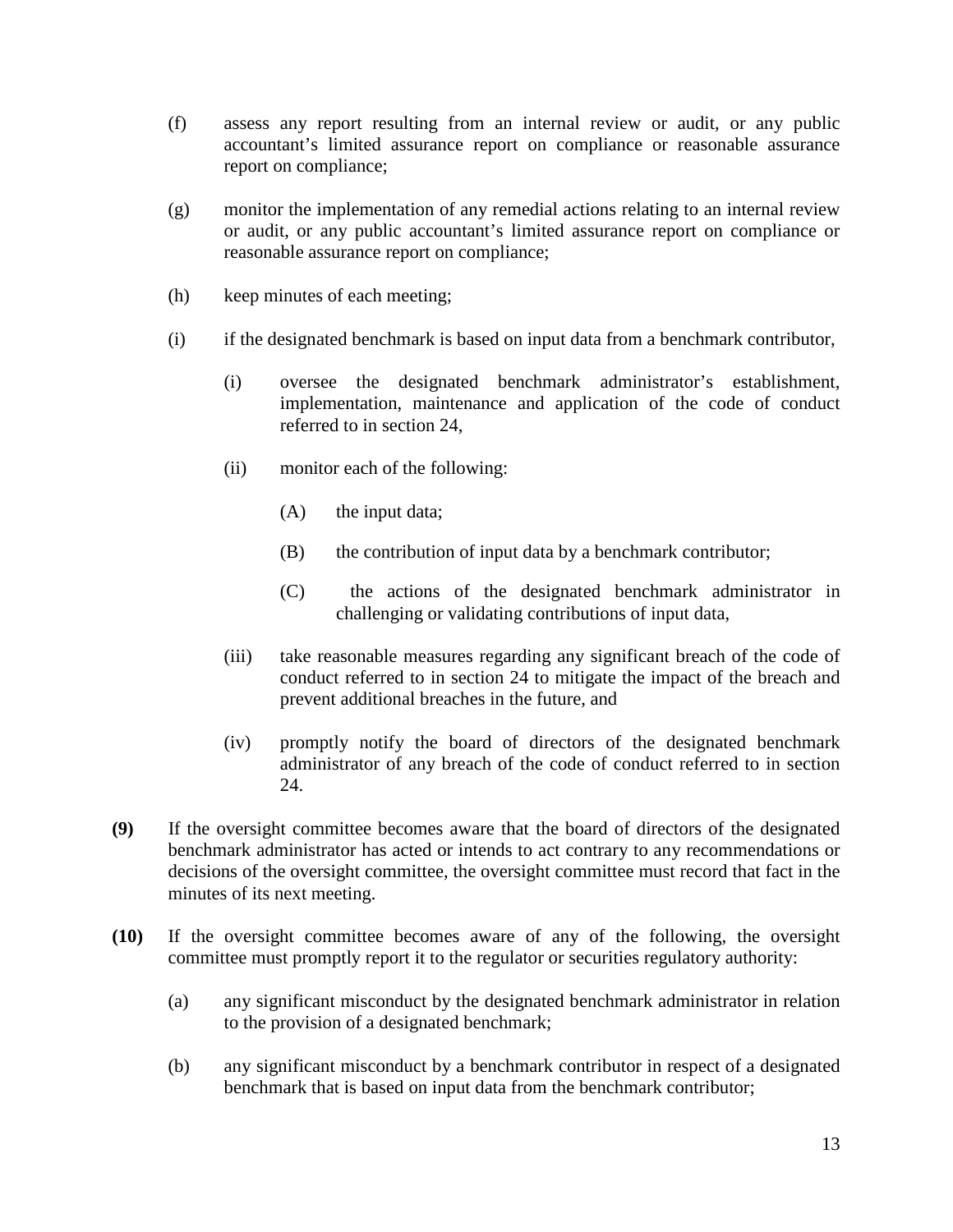- (f) assess any report resulting from an internal review or audit, or any public accountant's limited assurance report on compliance or reasonable assurance report on compliance;
- (g) monitor the implementation of any remedial actions relating to an internal review or audit, or any public accountant's limited assurance report on compliance or reasonable assurance report on compliance;
- (h) keep minutes of each meeting;
- (i) if the designated benchmark is based on input data from a benchmark contributor,
	- (i) oversee the designated benchmark administrator's establishment, implementation, maintenance and application of the code of conduct referred to in section 24,
	- (ii) monitor each of the following:
		- (A) the input data;
		- (B) the contribution of input data by a benchmark contributor;
		- (C) the actions of the designated benchmark administrator in challenging or validating contributions of input data,
	- (iii) take reasonable measures regarding any significant breach of the code of conduct referred to in section 24 to mitigate the impact of the breach and prevent additional breaches in the future, and
	- (iv) promptly notify the board of directors of the designated benchmark administrator of any breach of the code of conduct referred to in section 24.
- **(9)** If the oversight committee becomes aware that the board of directors of the designated benchmark administrator has acted or intends to act contrary to any recommendations or decisions of the oversight committee, the oversight committee must record that fact in the minutes of its next meeting.
- **(10)** If the oversight committee becomes aware of any of the following, the oversight committee must promptly report it to the regulator or securities regulatory authority:
	- (a) any significant misconduct by the designated benchmark administrator in relation to the provision of a designated benchmark;
	- (b) any significant misconduct by a benchmark contributor in respect of a designated benchmark that is based on input data from the benchmark contributor;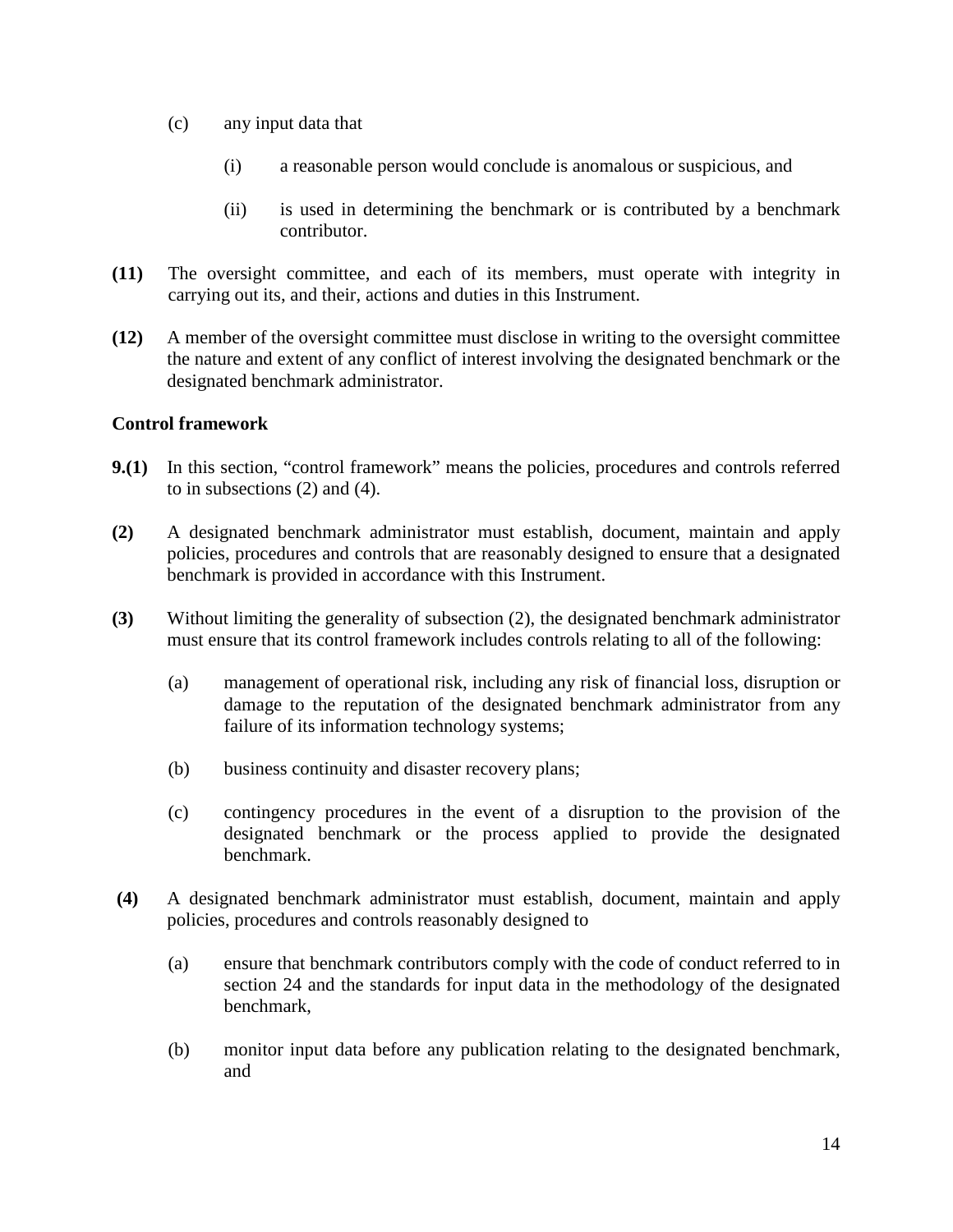- (c) any input data that
	- (i) a reasonable person would conclude is anomalous or suspicious, and
	- (ii) is used in determining the benchmark or is contributed by a benchmark contributor.
- **(11)** The oversight committee, and each of its members, must operate with integrity in carrying out its, and their, actions and duties in this Instrument.
- **(12)** A member of the oversight committee must disclose in writing to the oversight committee the nature and extent of any conflict of interest involving the designated benchmark or the designated benchmark administrator.

### **Control framework**

- **9.(1)** In this section, "control framework" means the policies, procedures and controls referred to in subsections (2) and (4).
- **(2)** A designated benchmark administrator must establish, document, maintain and apply policies, procedures and controls that are reasonably designed to ensure that a designated benchmark is provided in accordance with this Instrument.
- **(3)** Without limiting the generality of subsection (2), the designated benchmark administrator must ensure that its control framework includes controls relating to all of the following:
	- (a) management of operational risk, including any risk of financial loss, disruption or damage to the reputation of the designated benchmark administrator from any failure of its information technology systems;
	- (b) business continuity and disaster recovery plans;
	- (c) contingency procedures in the event of a disruption to the provision of the designated benchmark or the process applied to provide the designated benchmark.
- **(4)** A designated benchmark administrator must establish, document, maintain and apply policies, procedures and controls reasonably designed to
	- (a) ensure that benchmark contributors comply with the code of conduct referred to in section 24 and the standards for input data in the methodology of the designated benchmark,
	- (b) monitor input data before any publication relating to the designated benchmark, and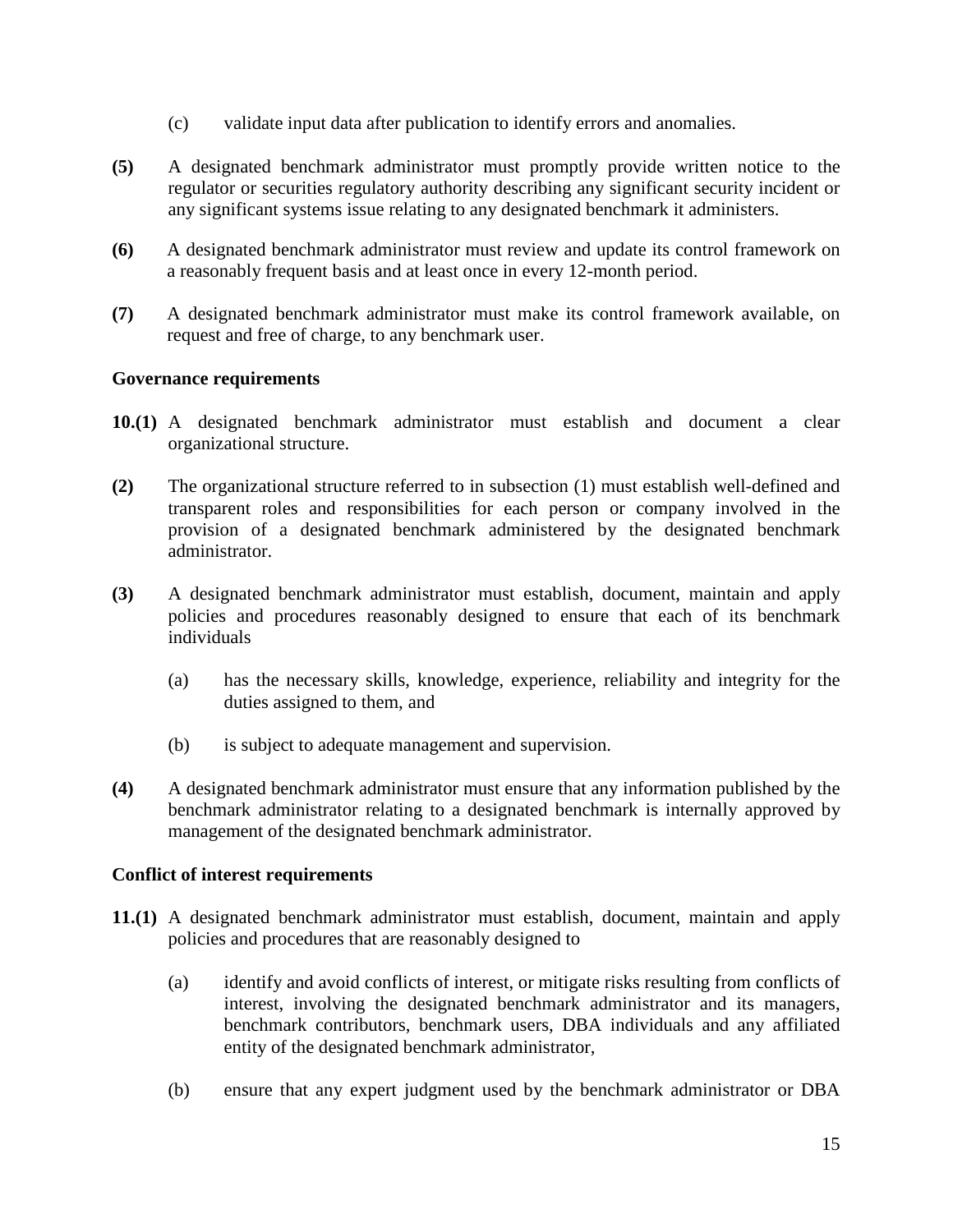- (c) validate input data after publication to identify errors and anomalies.
- **(5)** A designated benchmark administrator must promptly provide written notice to the regulator or securities regulatory authority describing any significant security incident or any significant systems issue relating to any designated benchmark it administers.
- **(6)** A designated benchmark administrator must review and update its control framework on a reasonably frequent basis and at least once in every 12-month period.
- **(7)** A designated benchmark administrator must make its control framework available, on request and free of charge, to any benchmark user.

### **Governance requirements**

- **10.(1)** A designated benchmark administrator must establish and document a clear organizational structure.
- **(2)** The organizational structure referred to in subsection (1) must establish well-defined and transparent roles and responsibilities for each person or company involved in the provision of a designated benchmark administered by the designated benchmark administrator.
- **(3)** A designated benchmark administrator must establish, document, maintain and apply policies and procedures reasonably designed to ensure that each of its benchmark individuals
	- (a) has the necessary skills, knowledge, experience, reliability and integrity for the duties assigned to them, and
	- (b) is subject to adequate management and supervision.
- **(4)** A designated benchmark administrator must ensure that any information published by the benchmark administrator relating to a designated benchmark is internally approved by management of the designated benchmark administrator.

#### **Conflict of interest requirements**

- **11.(1)** A designated benchmark administrator must establish, document, maintain and apply policies and procedures that are reasonably designed to
	- (a) identify and avoid conflicts of interest, or mitigate risks resulting from conflicts of interest, involving the designated benchmark administrator and its managers, benchmark contributors, benchmark users, DBA individuals and any affiliated entity of the designated benchmark administrator,
	- (b) ensure that any expert judgment used by the benchmark administrator or DBA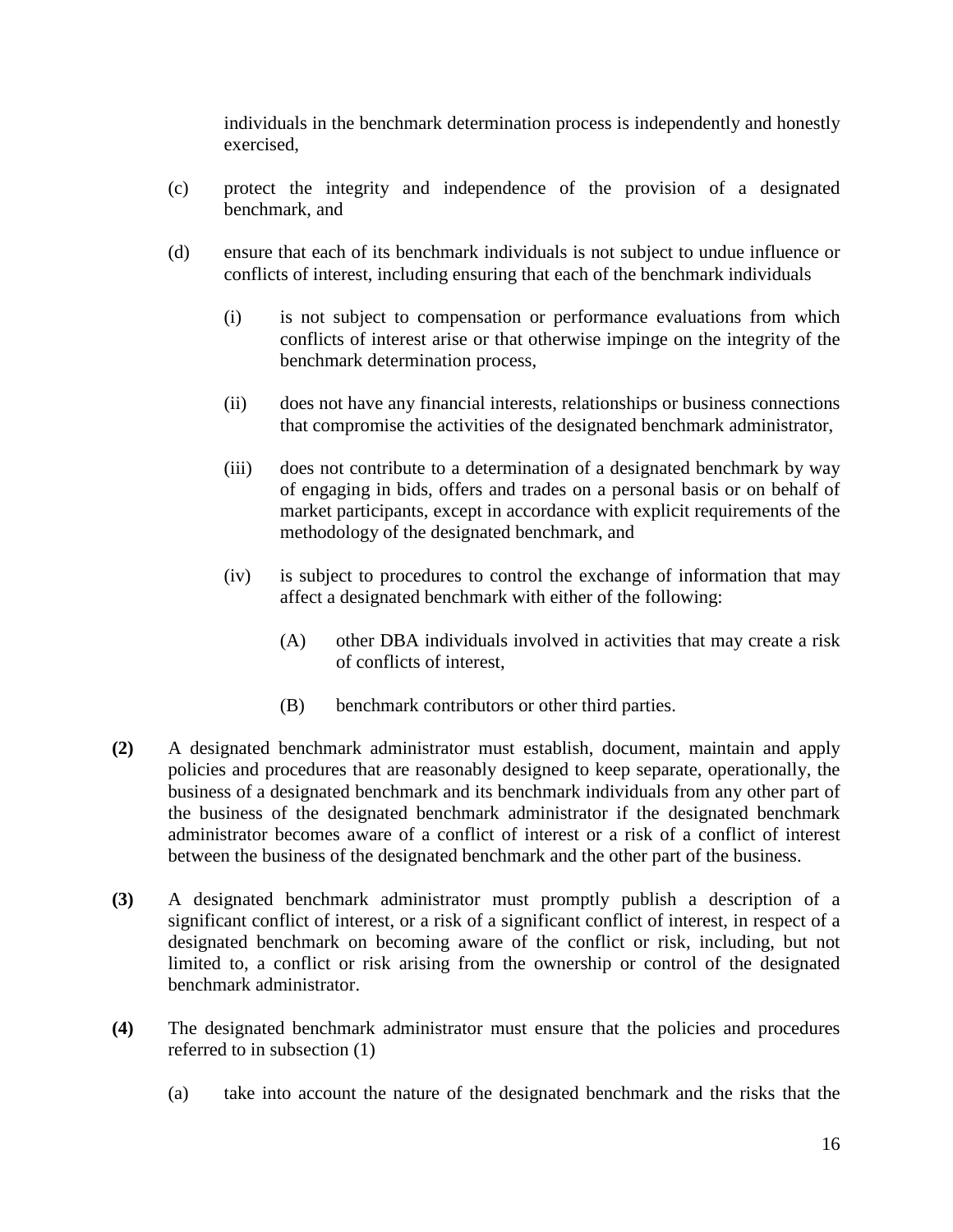individuals in the benchmark determination process is independently and honestly exercised,

- (c) protect the integrity and independence of the provision of a designated benchmark, and
- (d) ensure that each of its benchmark individuals is not subject to undue influence or conflicts of interest, including ensuring that each of the benchmark individuals
	- (i) is not subject to compensation or performance evaluations from which conflicts of interest arise or that otherwise impinge on the integrity of the benchmark determination process,
	- (ii) does not have any financial interests, relationships or business connections that compromise the activities of the designated benchmark administrator,
	- (iii) does not contribute to a determination of a designated benchmark by way of engaging in bids, offers and trades on a personal basis or on behalf of market participants, except in accordance with explicit requirements of the methodology of the designated benchmark, and
	- (iv) is subject to procedures to control the exchange of information that may affect a designated benchmark with either of the following:
		- (A) other DBA individuals involved in activities that may create a risk of conflicts of interest,
		- (B) benchmark contributors or other third parties.
- **(2)** A designated benchmark administrator must establish, document, maintain and apply policies and procedures that are reasonably designed to keep separate, operationally, the business of a designated benchmark and its benchmark individuals from any other part of the business of the designated benchmark administrator if the designated benchmark administrator becomes aware of a conflict of interest or a risk of a conflict of interest between the business of the designated benchmark and the other part of the business.
- **(3)** A designated benchmark administrator must promptly publish a description of a significant conflict of interest, or a risk of a significant conflict of interest, in respect of a designated benchmark on becoming aware of the conflict or risk, including, but not limited to, a conflict or risk arising from the ownership or control of the designated benchmark administrator.
- **(4)** The designated benchmark administrator must ensure that the policies and procedures referred to in subsection (1)
	- (a) take into account the nature of the designated benchmark and the risks that the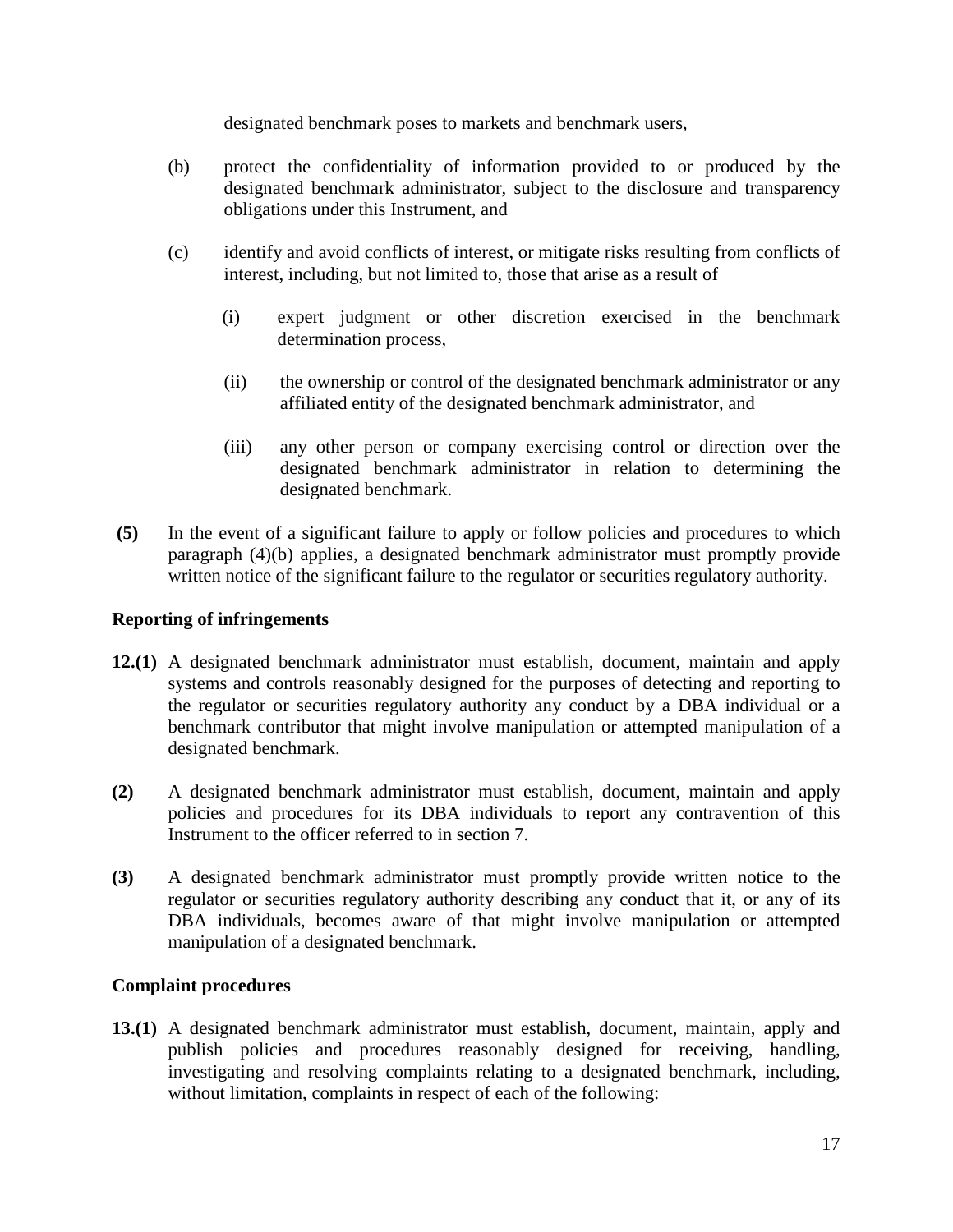designated benchmark poses to markets and benchmark users,

- (b) protect the confidentiality of information provided to or produced by the designated benchmark administrator, subject to the disclosure and transparency obligations under this Instrument, and
- (c) identify and avoid conflicts of interest, or mitigate risks resulting from conflicts of interest, including, but not limited to, those that arise as a result of
	- (i) expert judgment or other discretion exercised in the benchmark determination process,
	- (ii) the ownership or control of the designated benchmark administrator or any affiliated entity of the designated benchmark administrator, and
	- (iii) any other person or company exercising control or direction over the designated benchmark administrator in relation to determining the designated benchmark.
- **(5)** In the event of a significant failure to apply or follow policies and procedures to which paragraph (4)(b) applies, a designated benchmark administrator must promptly provide written notice of the significant failure to the regulator or securities regulatory authority.

#### **Reporting of infringements**

- **12.(1)** A designated benchmark administrator must establish, document, maintain and apply systems and controls reasonably designed for the purposes of detecting and reporting to the regulator or securities regulatory authority any conduct by a DBA individual or a benchmark contributor that might involve manipulation or attempted manipulation of a designated benchmark.
- **(2)** A designated benchmark administrator must establish, document, maintain and apply policies and procedures for its DBA individuals to report any contravention of this Instrument to the officer referred to in section 7.
- **(3)** A designated benchmark administrator must promptly provide written notice to the regulator or securities regulatory authority describing any conduct that it, or any of its DBA individuals, becomes aware of that might involve manipulation or attempted manipulation of a designated benchmark.

#### **Complaint procedures**

**13.(1)** A designated benchmark administrator must establish, document, maintain, apply and publish policies and procedures reasonably designed for receiving, handling, investigating and resolving complaints relating to a designated benchmark, including, without limitation, complaints in respect of each of the following: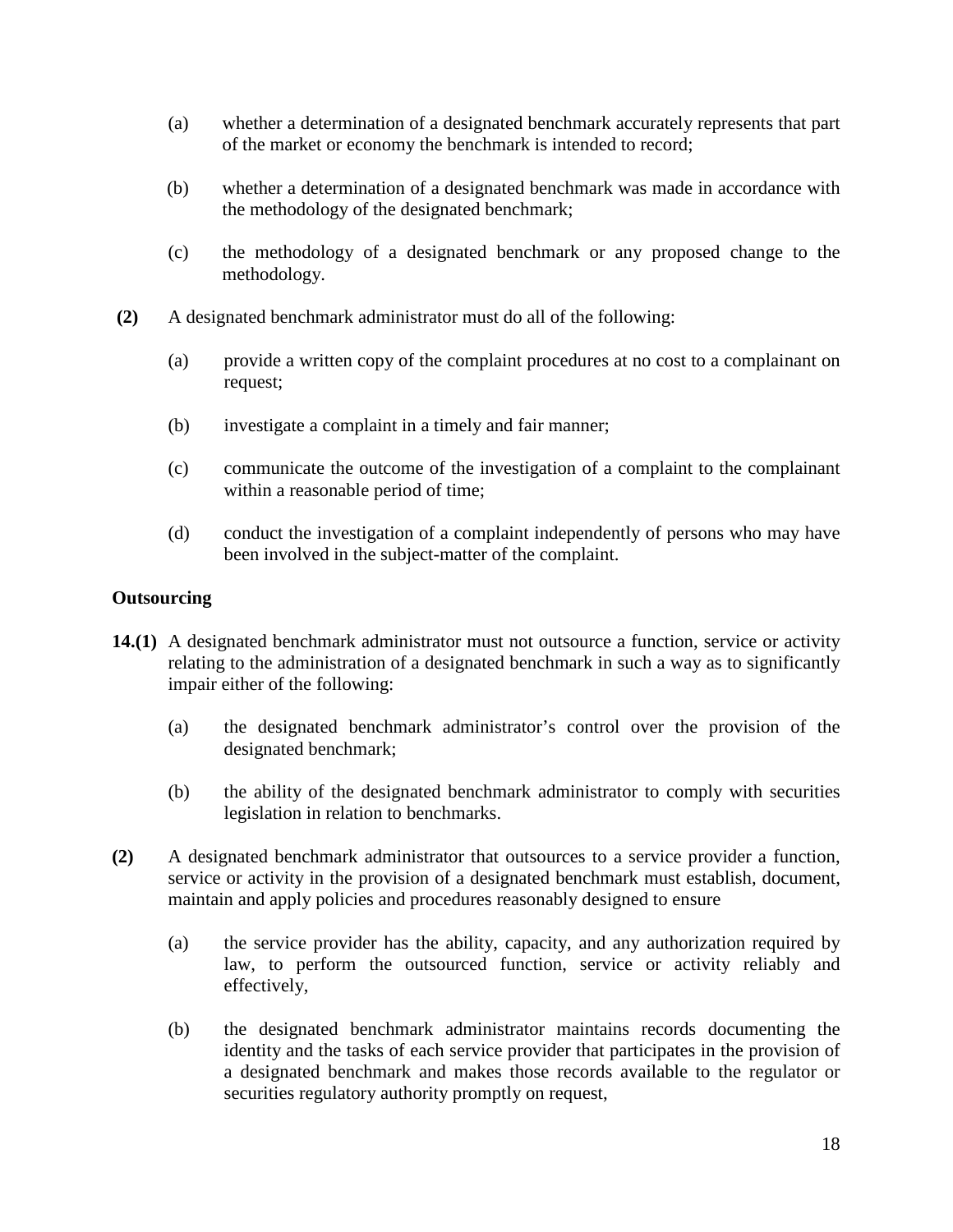- (a) whether a determination of a designated benchmark accurately represents that part of the market or economy the benchmark is intended to record;
- (b) whether a determination of a designated benchmark was made in accordance with the methodology of the designated benchmark;
- (c) the methodology of a designated benchmark or any proposed change to the methodology.
- **(2)** A designated benchmark administrator must do all of the following:
	- (a) provide a written copy of the complaint procedures at no cost to a complainant on request;
	- (b) investigate a complaint in a timely and fair manner;
	- (c) communicate the outcome of the investigation of a complaint to the complainant within a reasonable period of time;
	- (d) conduct the investigation of a complaint independently of persons who may have been involved in the subject-matter of the complaint.

### **Outsourcing**

- **14.(1)** A designated benchmark administrator must not outsource a function, service or activity relating to the administration of a designated benchmark in such a way as to significantly impair either of the following:
	- (a) the designated benchmark administrator's control over the provision of the designated benchmark;
	- (b) the ability of the designated benchmark administrator to comply with securities legislation in relation to benchmarks.
- **(2)** A designated benchmark administrator that outsources to a service provider a function, service or activity in the provision of a designated benchmark must establish, document, maintain and apply policies and procedures reasonably designed to ensure
	- (a) the service provider has the ability, capacity, and any authorization required by law, to perform the outsourced function, service or activity reliably and effectively,
	- (b) the designated benchmark administrator maintains records documenting the identity and the tasks of each service provider that participates in the provision of a designated benchmark and makes those records available to the regulator or securities regulatory authority promptly on request,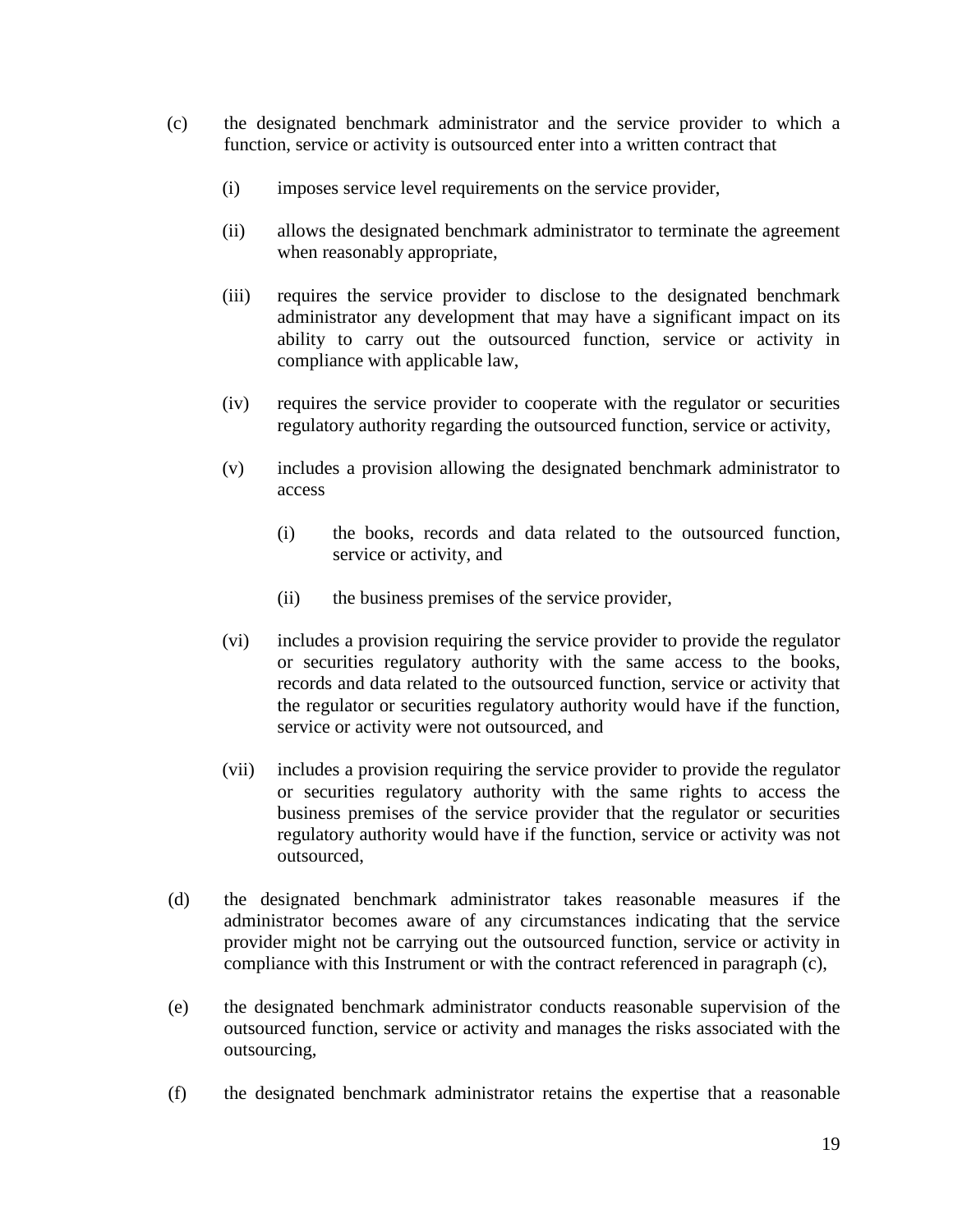- (c) the designated benchmark administrator and the service provider to which a function, service or activity is outsourced enter into a written contract that
	- (i) imposes service level requirements on the service provider,
	- (ii) allows the designated benchmark administrator to terminate the agreement when reasonably appropriate,
	- (iii) requires the service provider to disclose to the designated benchmark administrator any development that may have a significant impact on its ability to carry out the outsourced function, service or activity in compliance with applicable law,
	- (iv) requires the service provider to cooperate with the regulator or securities regulatory authority regarding the outsourced function, service or activity,
	- (v) includes a provision allowing the designated benchmark administrator to access
		- (i) the books, records and data related to the outsourced function, service or activity, and
		- (ii) the business premises of the service provider,
	- (vi) includes a provision requiring the service provider to provide the regulator or securities regulatory authority with the same access to the books, records and data related to the outsourced function, service or activity that the regulator or securities regulatory authority would have if the function, service or activity were not outsourced, and
	- (vii) includes a provision requiring the service provider to provide the regulator or securities regulatory authority with the same rights to access the business premises of the service provider that the regulator or securities regulatory authority would have if the function, service or activity was not outsourced,
- (d) the designated benchmark administrator takes reasonable measures if the administrator becomes aware of any circumstances indicating that the service provider might not be carrying out the outsourced function, service or activity in compliance with this Instrument or with the contract referenced in paragraph (c),
- (e) the designated benchmark administrator conducts reasonable supervision of the outsourced function, service or activity and manages the risks associated with the outsourcing,
- (f) the designated benchmark administrator retains the expertise that a reasonable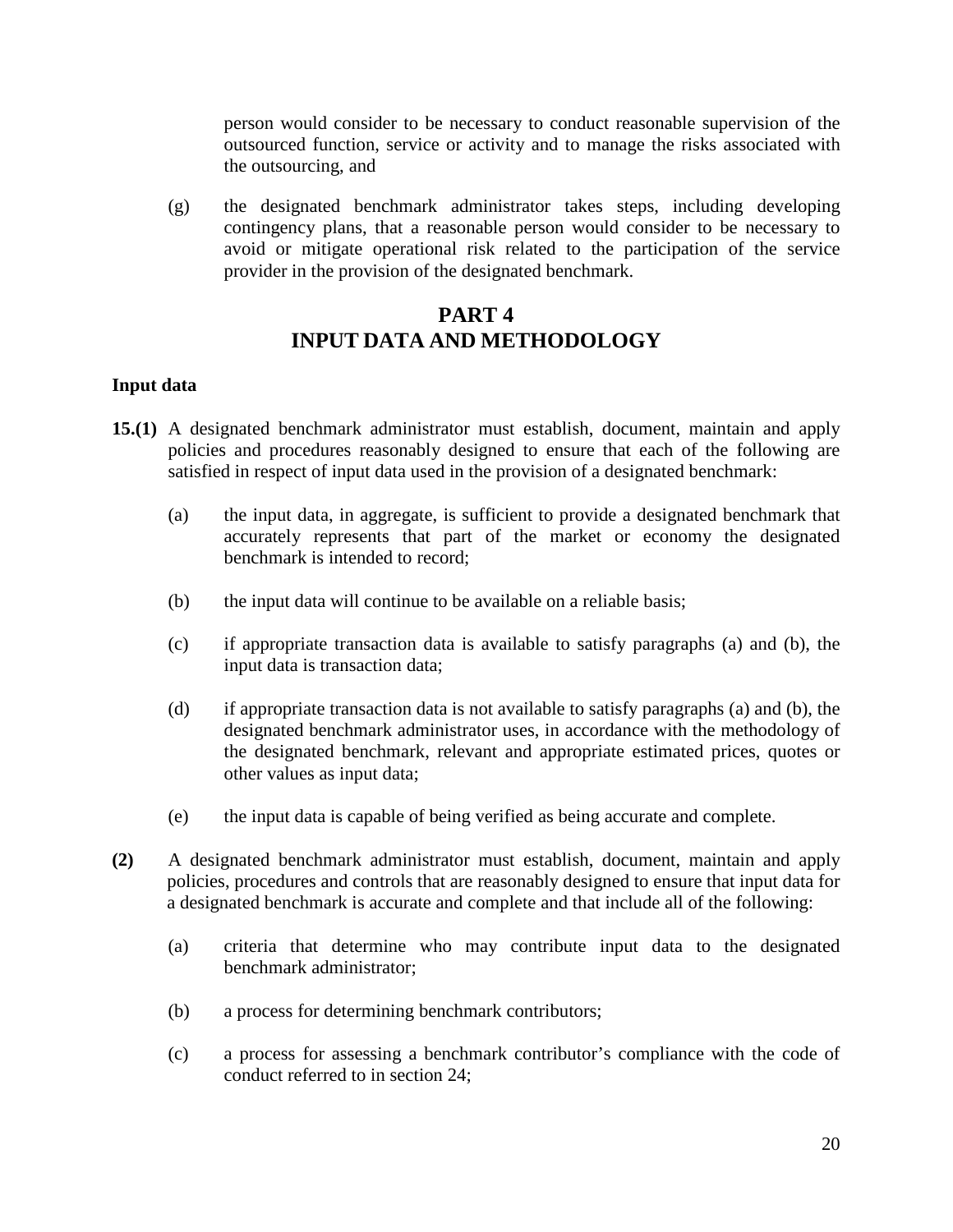person would consider to be necessary to conduct reasonable supervision of the outsourced function, service or activity and to manage the risks associated with the outsourcing, and

(g) the designated benchmark administrator takes steps, including developing contingency plans, that a reasonable person would consider to be necessary to avoid or mitigate operational risk related to the participation of the service provider in the provision of the designated benchmark.

# **PART 4 INPUT DATA AND METHODOLOGY**

### **Input data**

- **15.(1)** A designated benchmark administrator must establish, document, maintain and apply policies and procedures reasonably designed to ensure that each of the following are satisfied in respect of input data used in the provision of a designated benchmark:
	- (a) the input data, in aggregate, is sufficient to provide a designated benchmark that accurately represents that part of the market or economy the designated benchmark is intended to record;
	- (b) the input data will continue to be available on a reliable basis;
	- (c) if appropriate transaction data is available to satisfy paragraphs (a) and (b), the input data is transaction data;
	- (d) if appropriate transaction data is not available to satisfy paragraphs (a) and (b), the designated benchmark administrator uses, in accordance with the methodology of the designated benchmark, relevant and appropriate estimated prices, quotes or other values as input data;
	- (e) the input data is capable of being verified as being accurate and complete.
- **(2)** A designated benchmark administrator must establish, document, maintain and apply policies, procedures and controls that are reasonably designed to ensure that input data for a designated benchmark is accurate and complete and that include all of the following:
	- (a) criteria that determine who may contribute input data to the designated benchmark administrator;
	- (b) a process for determining benchmark contributors;
	- (c) a process for assessing a benchmark contributor's compliance with the code of conduct referred to in section 24;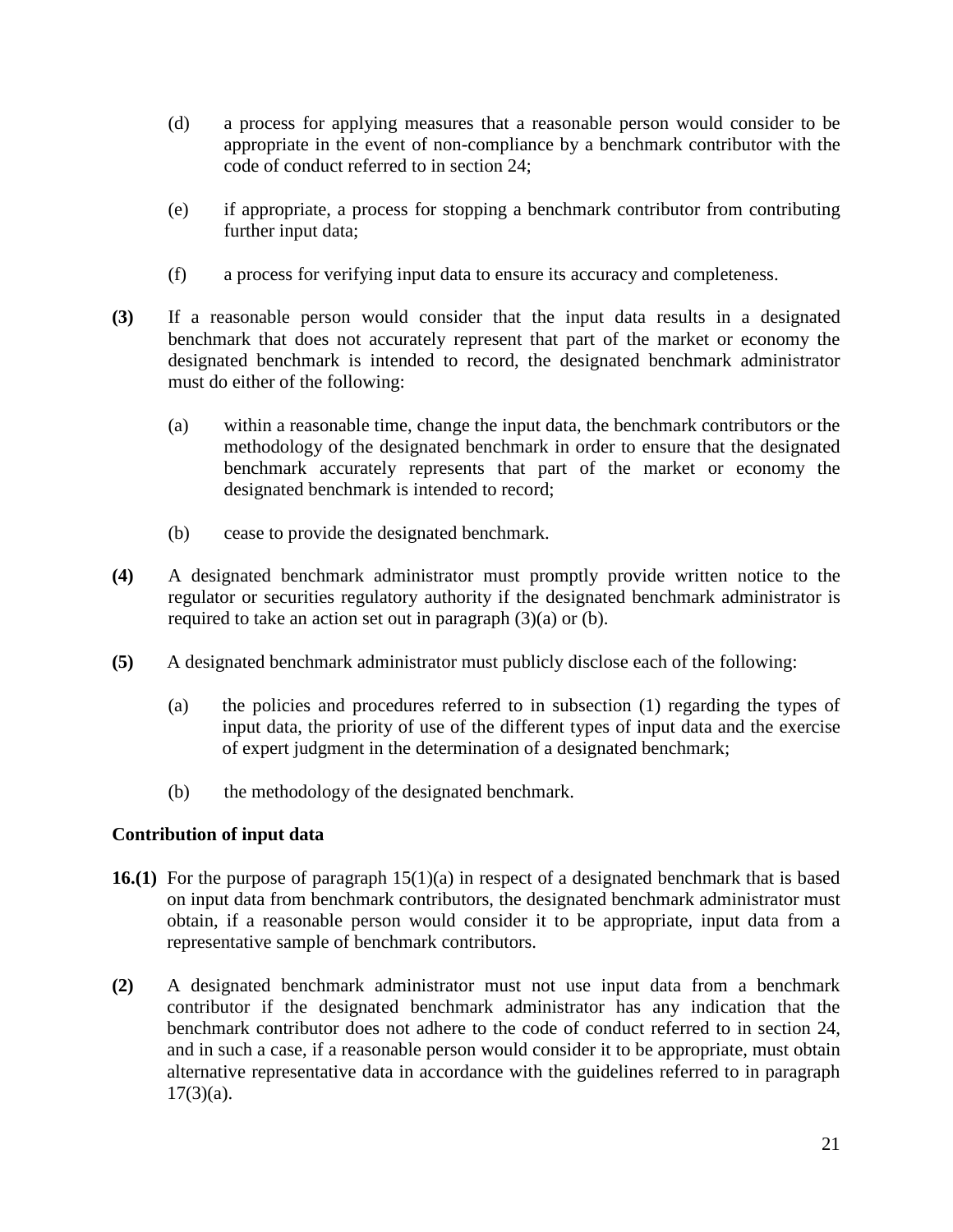- (d) a process for applying measures that a reasonable person would consider to be appropriate in the event of non-compliance by a benchmark contributor with the code of conduct referred to in section 24;
- (e) if appropriate, a process for stopping a benchmark contributor from contributing further input data;
- (f) a process for verifying input data to ensure its accuracy and completeness.
- **(3)** If a reasonable person would consider that the input data results in a designated benchmark that does not accurately represent that part of the market or economy the designated benchmark is intended to record, the designated benchmark administrator must do either of the following:
	- (a) within a reasonable time, change the input data, the benchmark contributors or the methodology of the designated benchmark in order to ensure that the designated benchmark accurately represents that part of the market or economy the designated benchmark is intended to record;
	- (b) cease to provide the designated benchmark.
- **(4)** A designated benchmark administrator must promptly provide written notice to the regulator or securities regulatory authority if the designated benchmark administrator is required to take an action set out in paragraph  $(3)(a)$  or  $(b)$ .
- **(5)** A designated benchmark administrator must publicly disclose each of the following:
	- (a) the policies and procedures referred to in subsection (1) regarding the types of input data, the priority of use of the different types of input data and the exercise of expert judgment in the determination of a designated benchmark;
	- (b) the methodology of the designated benchmark.

# **Contribution of input data**

- **16.(1)** For the purpose of paragraph 15(1)(a) in respect of a designated benchmark that is based on input data from benchmark contributors, the designated benchmark administrator must obtain, if a reasonable person would consider it to be appropriate, input data from a representative sample of benchmark contributors.
- **(2)** A designated benchmark administrator must not use input data from a benchmark contributor if the designated benchmark administrator has any indication that the benchmark contributor does not adhere to the code of conduct referred to in section 24, and in such a case, if a reasonable person would consider it to be appropriate, must obtain alternative representative data in accordance with the guidelines referred to in paragraph  $17(3)(a)$ .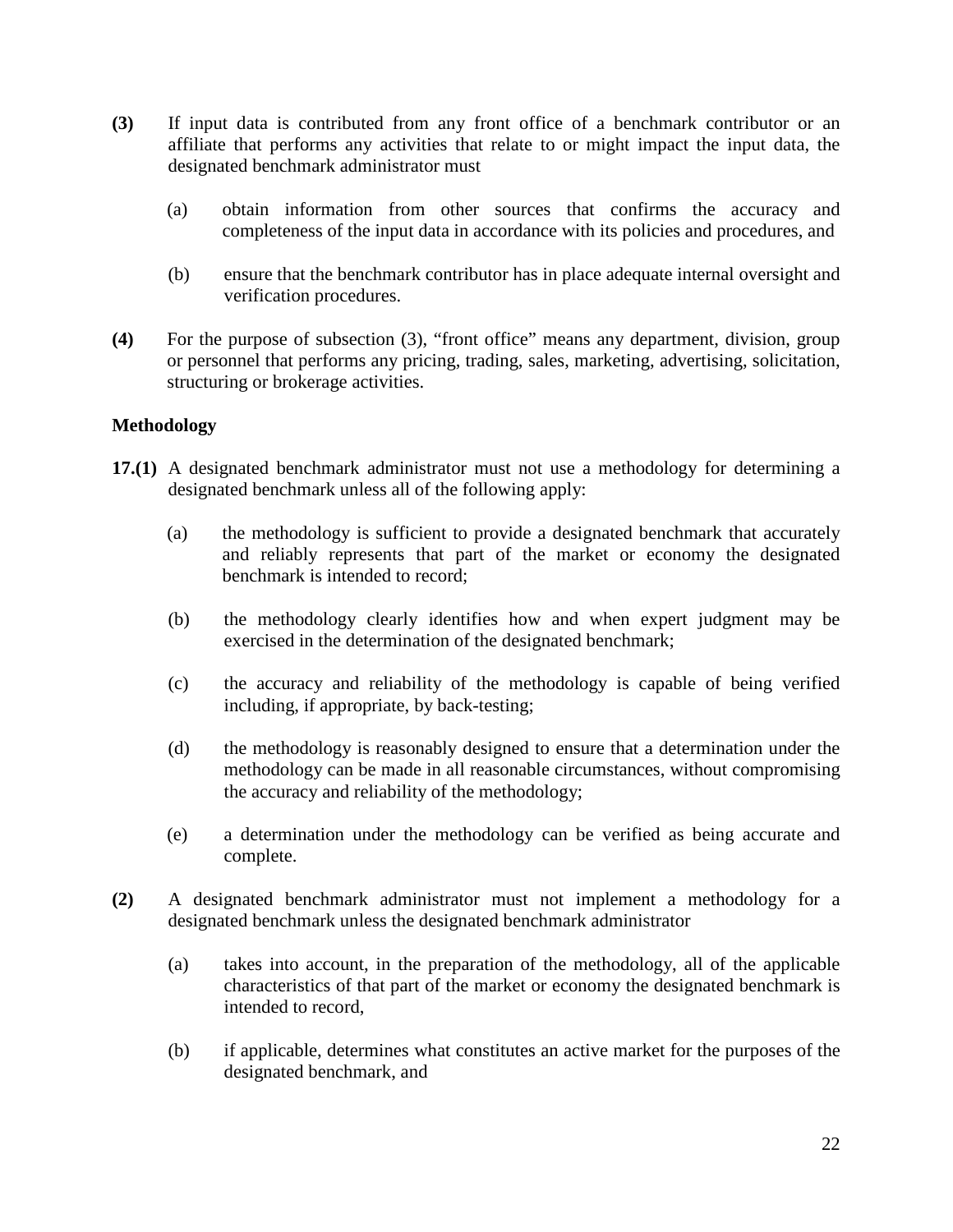- **(3)** If input data is contributed from any front office of a benchmark contributor or an affiliate that performs any activities that relate to or might impact the input data, the designated benchmark administrator must
	- (a) obtain information from other sources that confirms the accuracy and completeness of the input data in accordance with its policies and procedures, and
	- (b) ensure that the benchmark contributor has in place adequate internal oversight and verification procedures.
- **(4)** For the purpose of subsection (3), "front office" means any department, division, group or personnel that performs any pricing, trading, sales, marketing, advertising, solicitation, structuring or brokerage activities.

### **Methodology**

- **17.(1)** A designated benchmark administrator must not use a methodology for determining a designated benchmark unless all of the following apply:
	- (a) the methodology is sufficient to provide a designated benchmark that accurately and reliably represents that part of the market or economy the designated benchmark is intended to record;
	- (b) the methodology clearly identifies how and when expert judgment may be exercised in the determination of the designated benchmark;
	- (c) the accuracy and reliability of the methodology is capable of being verified including, if appropriate, by back-testing;
	- (d) the methodology is reasonably designed to ensure that a determination under the methodology can be made in all reasonable circumstances, without compromising the accuracy and reliability of the methodology;
	- (e) a determination under the methodology can be verified as being accurate and complete.
- **(2)** A designated benchmark administrator must not implement a methodology for a designated benchmark unless the designated benchmark administrator
	- (a) takes into account, in the preparation of the methodology, all of the applicable characteristics of that part of the market or economy the designated benchmark is intended to record,
	- (b) if applicable, determines what constitutes an active market for the purposes of the designated benchmark, and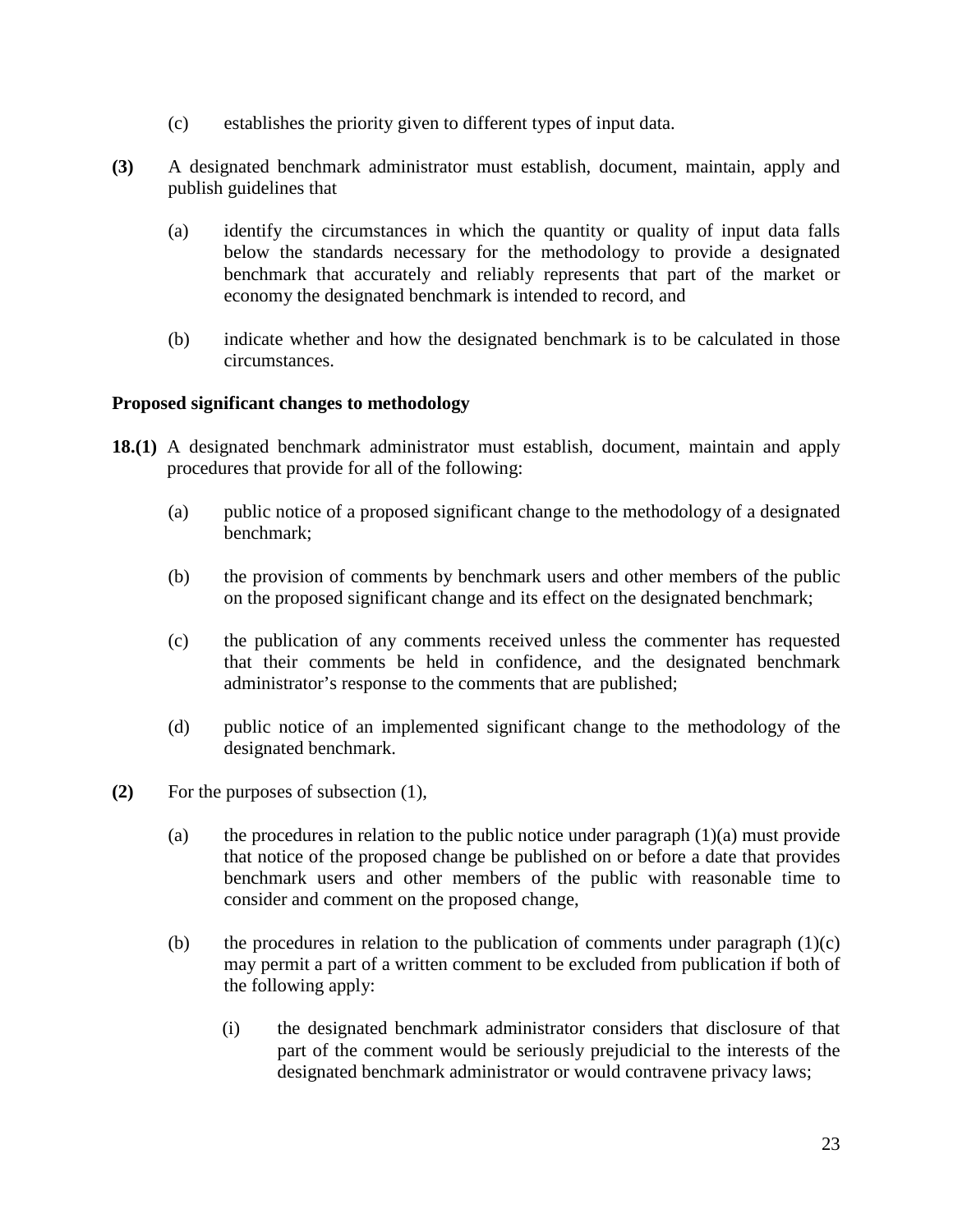- (c) establishes the priority given to different types of input data.
- **(3)** A designated benchmark administrator must establish, document, maintain, apply and publish guidelines that
	- (a) identify the circumstances in which the quantity or quality of input data falls below the standards necessary for the methodology to provide a designated benchmark that accurately and reliably represents that part of the market or economy the designated benchmark is intended to record, and
	- (b) indicate whether and how the designated benchmark is to be calculated in those circumstances.

### **Proposed significant changes to methodology**

- **18.(1)** A designated benchmark administrator must establish, document, maintain and apply procedures that provide for all of the following:
	- (a) public notice of a proposed significant change to the methodology of a designated benchmark;
	- (b) the provision of comments by benchmark users and other members of the public on the proposed significant change and its effect on the designated benchmark;
	- (c) the publication of any comments received unless the commenter has requested that their comments be held in confidence, and the designated benchmark administrator's response to the comments that are published;
	- (d) public notice of an implemented significant change to the methodology of the designated benchmark.
- **(2)** For the purposes of subsection (1),
	- (a) the procedures in relation to the public notice under paragraph  $(1)(a)$  must provide that notice of the proposed change be published on or before a date that provides benchmark users and other members of the public with reasonable time to consider and comment on the proposed change,
	- (b) the procedures in relation to the publication of comments under paragraph  $(1)(c)$ may permit a part of a written comment to be excluded from publication if both of the following apply:
		- (i) the designated benchmark administrator considers that disclosure of that part of the comment would be seriously prejudicial to the interests of the designated benchmark administrator or would contravene privacy laws;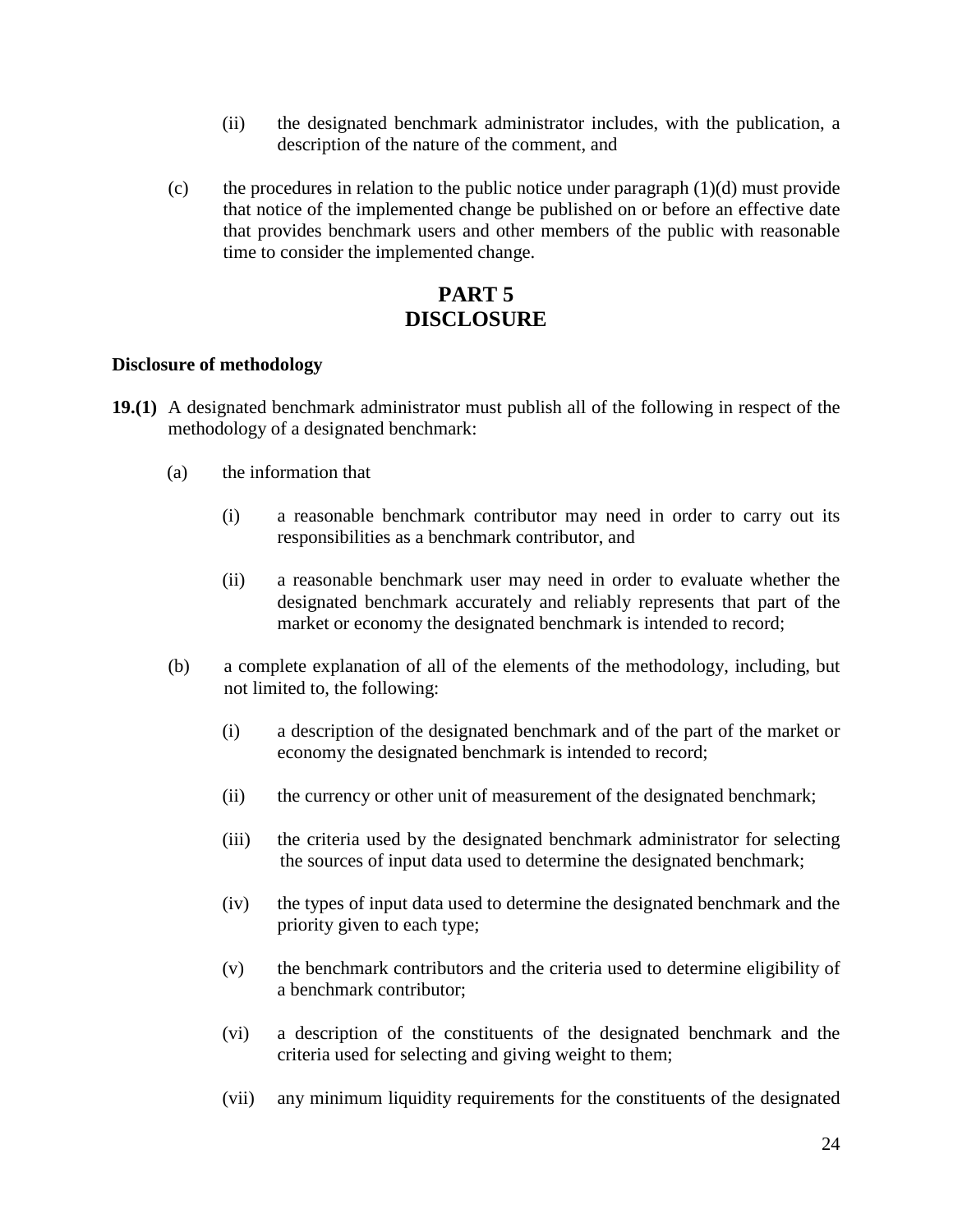- (ii) the designated benchmark administrator includes, with the publication, a description of the nature of the comment, and
- (c) the procedures in relation to the public notice under paragraph  $(1)(d)$  must provide that notice of the implemented change be published on or before an effective date that provides benchmark users and other members of the public with reasonable time to consider the implemented change.

# **PART 5 DISCLOSURE**

#### **Disclosure of methodology**

- **19.(1)** A designated benchmark administrator must publish all of the following in respect of the methodology of a designated benchmark:
	- (a) the information that
		- (i) a reasonable benchmark contributor may need in order to carry out its responsibilities as a benchmark contributor, and
		- (ii) a reasonable benchmark user may need in order to evaluate whether the designated benchmark accurately and reliably represents that part of the market or economy the designated benchmark is intended to record;
	- (b) a complete explanation of all of the elements of the methodology, including, but not limited to, the following:
		- (i) a description of the designated benchmark and of the part of the market or economy the designated benchmark is intended to record;
		- (ii) the currency or other unit of measurement of the designated benchmark;
		- (iii) the criteria used by the designated benchmark administrator for selecting the sources of input data used to determine the designated benchmark;
		- (iv) the types of input data used to determine the designated benchmark and the priority given to each type;
		- (v) the benchmark contributors and the criteria used to determine eligibility of a benchmark contributor;
		- (vi) a description of the constituents of the designated benchmark and the criteria used for selecting and giving weight to them;
		- (vii) any minimum liquidity requirements for the constituents of the designated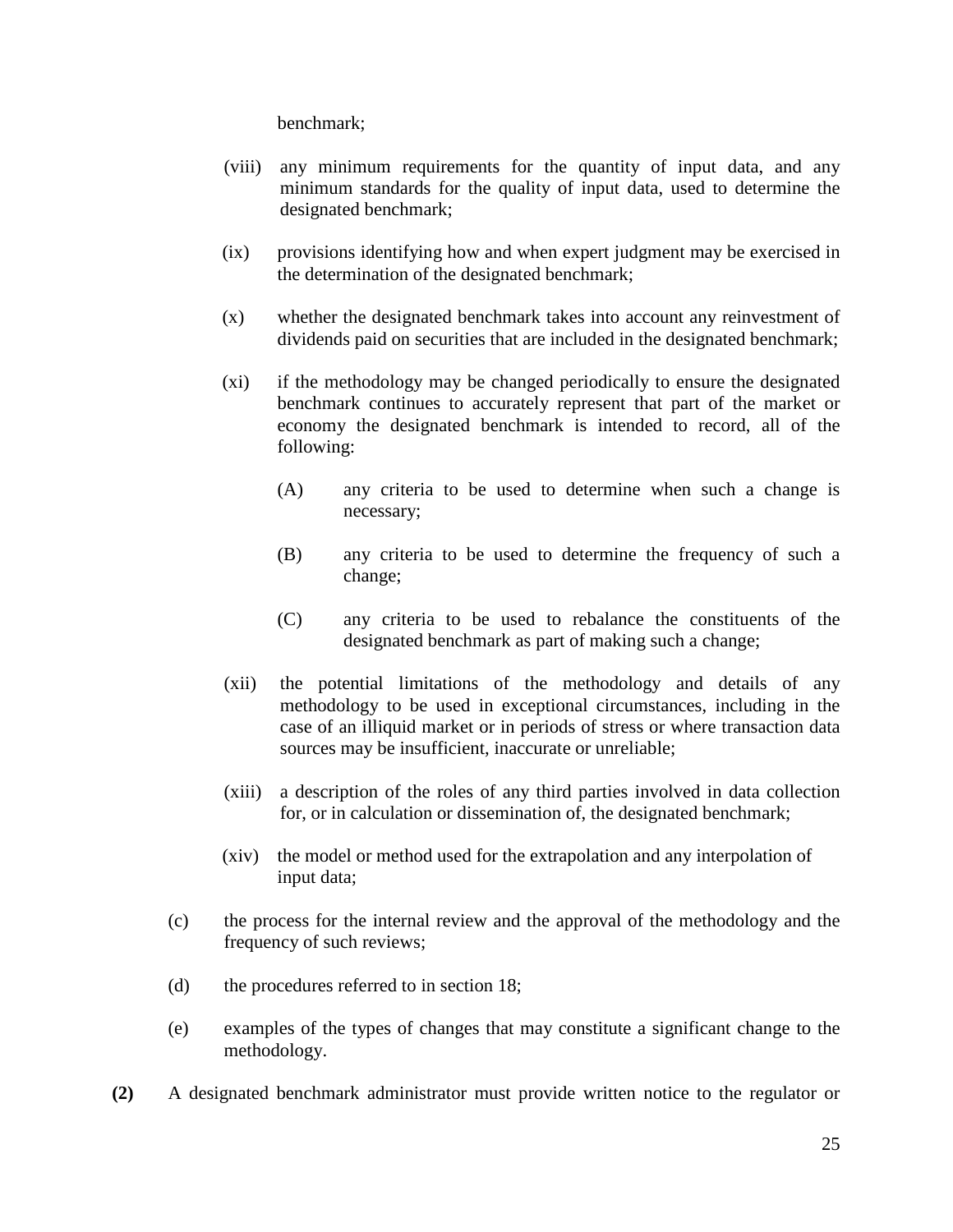benchmark;

- (viii) any minimum requirements for the quantity of input data, and any minimum standards for the quality of input data, used to determine the designated benchmark;
- (ix) provisions identifying how and when expert judgment may be exercised in the determination of the designated benchmark;
- (x) whether the designated benchmark takes into account any reinvestment of dividends paid on securities that are included in the designated benchmark;
- (xi) if the methodology may be changed periodically to ensure the designated benchmark continues to accurately represent that part of the market or economy the designated benchmark is intended to record, all of the following:
	- (A) any criteria to be used to determine when such a change is necessary;
	- (B) any criteria to be used to determine the frequency of such a change;
	- (C) any criteria to be used to rebalance the constituents of the designated benchmark as part of making such a change;
- (xii) the potential limitations of the methodology and details of any methodology to be used in exceptional circumstances, including in the case of an illiquid market or in periods of stress or where transaction data sources may be insufficient, inaccurate or unreliable;
- (xiii) a description of the roles of any third parties involved in data collection for, or in calculation or dissemination of, the designated benchmark;
- (xiv) the model or method used for the extrapolation and any interpolation of input data;
- (c) the process for the internal review and the approval of the methodology and the frequency of such reviews;
- (d) the procedures referred to in section 18;
- (e) examples of the types of changes that may constitute a significant change to the methodology.
- **(2)** A designated benchmark administrator must provide written notice to the regulator or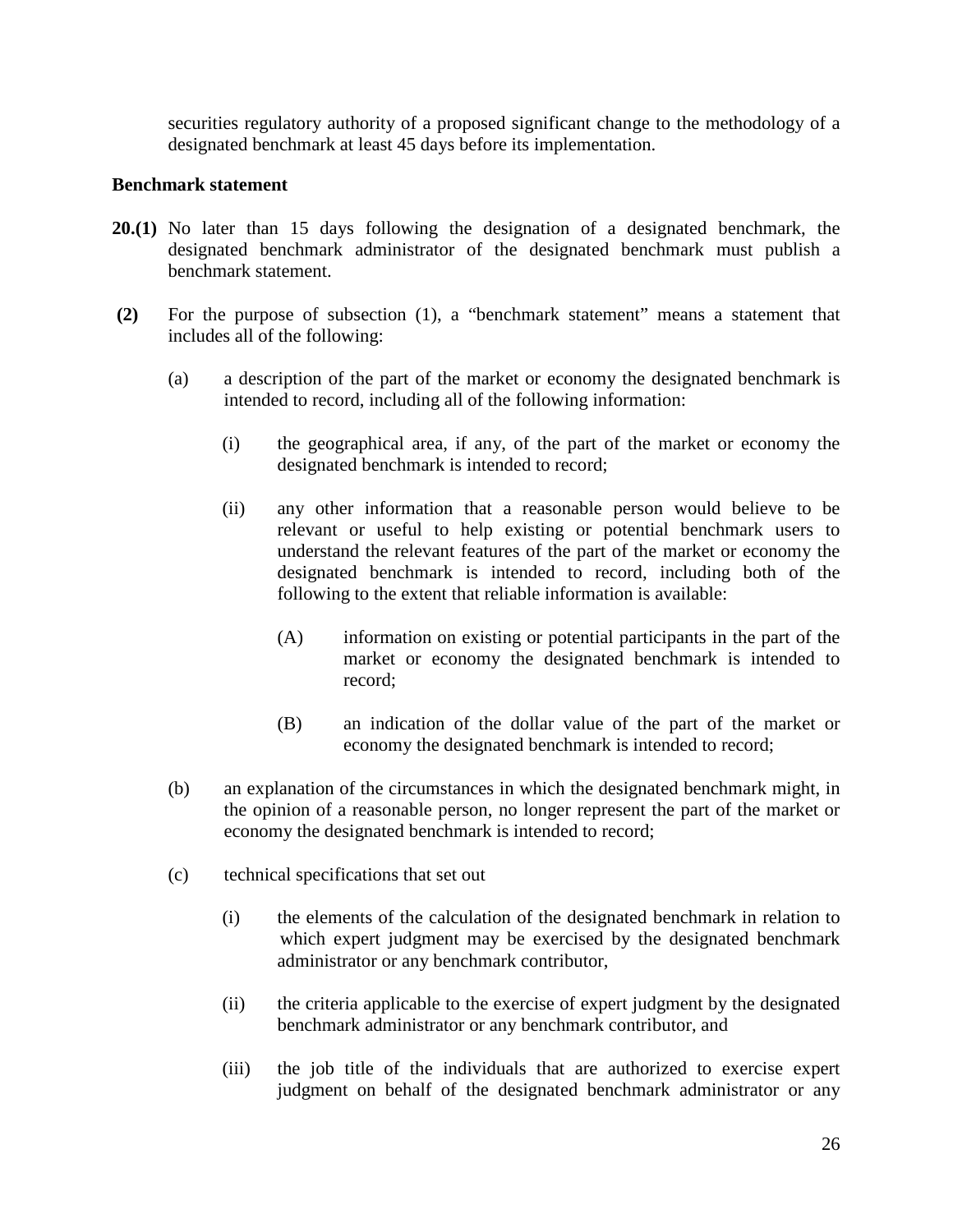securities regulatory authority of a proposed significant change to the methodology of a designated benchmark at least 45 days before its implementation.

#### **Benchmark statement**

- **20.(1)** No later than 15 days following the designation of a designated benchmark, the designated benchmark administrator of the designated benchmark must publish a benchmark statement.
- **(2)** For the purpose of subsection (1), a "benchmark statement" means a statement that includes all of the following:
	- (a) a description of the part of the market or economy the designated benchmark is intended to record, including all of the following information:
		- (i) the geographical area, if any, of the part of the market or economy the designated benchmark is intended to record;
		- (ii) any other information that a reasonable person would believe to be relevant or useful to help existing or potential benchmark users to understand the relevant features of the part of the market or economy the designated benchmark is intended to record, including both of the following to the extent that reliable information is available:
			- (A) information on existing or potential participants in the part of the market or economy the designated benchmark is intended to record;
			- (B) an indication of the dollar value of the part of the market or economy the designated benchmark is intended to record;
	- (b) an explanation of the circumstances in which the designated benchmark might, in the opinion of a reasonable person, no longer represent the part of the market or economy the designated benchmark is intended to record;
	- (c) technical specifications that set out
		- (i) the elements of the calculation of the designated benchmark in relation to which expert judgment may be exercised by the designated benchmark administrator or any benchmark contributor,
		- (ii) the criteria applicable to the exercise of expert judgment by the designated benchmark administrator or any benchmark contributor, and
		- (iii) the job title of the individuals that are authorized to exercise expert judgment on behalf of the designated benchmark administrator or any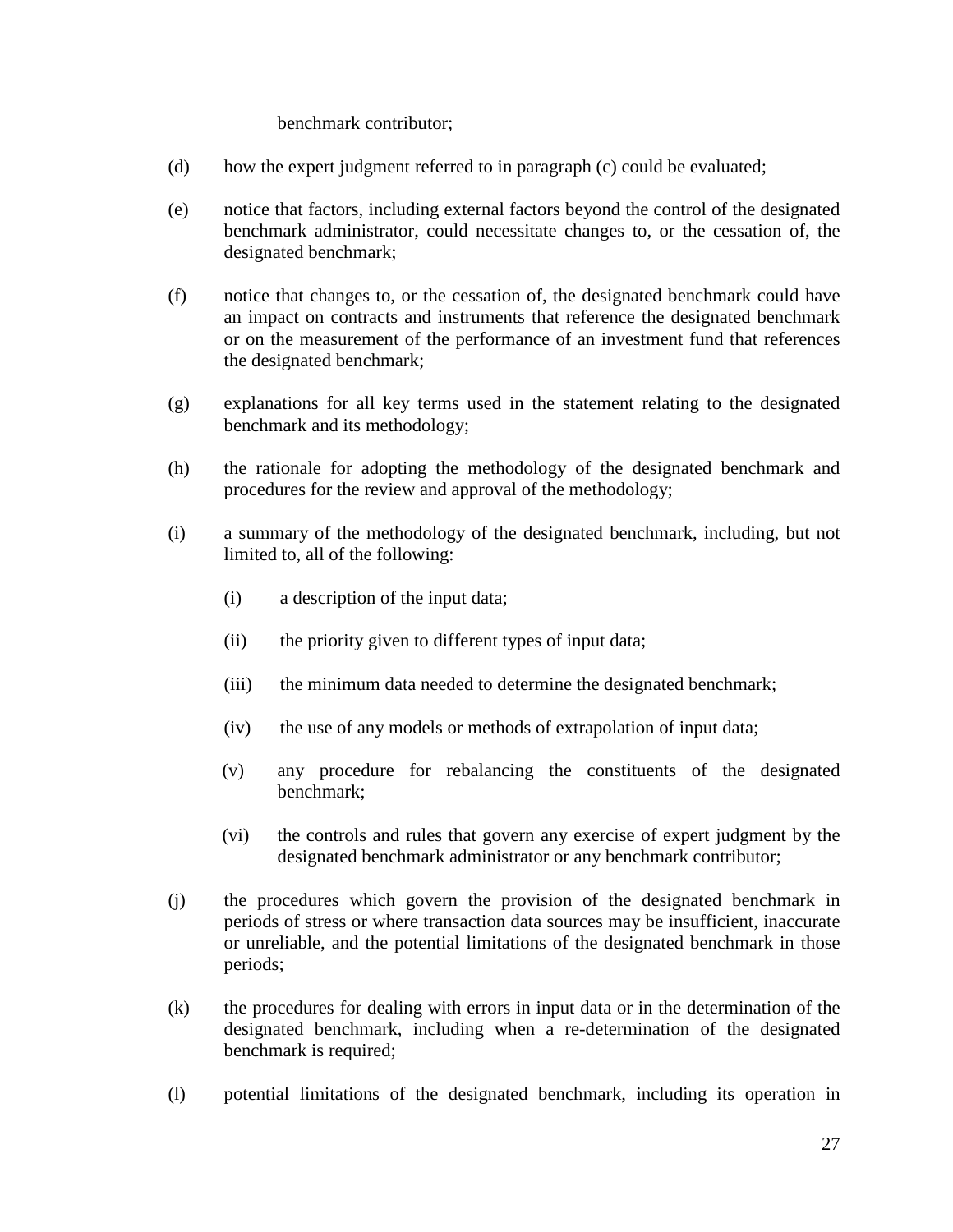#### benchmark contributor;

- (d) how the expert judgment referred to in paragraph (c) could be evaluated;
- (e) notice that factors, including external factors beyond the control of the designated benchmark administrator, could necessitate changes to, or the cessation of, the designated benchmark;
- (f) notice that changes to, or the cessation of, the designated benchmark could have an impact on contracts and instruments that reference the designated benchmark or on the measurement of the performance of an investment fund that references the designated benchmark;
- (g) explanations for all key terms used in the statement relating to the designated benchmark and its methodology;
- (h) the rationale for adopting the methodology of the designated benchmark and procedures for the review and approval of the methodology;
- (i) a summary of the methodology of the designated benchmark, including, but not limited to, all of the following:
	- (i) a description of the input data;
	- (ii) the priority given to different types of input data;
	- (iii) the minimum data needed to determine the designated benchmark;
	- (iv) the use of any models or methods of extrapolation of input data;
	- (v) any procedure for rebalancing the constituents of the designated benchmark;
	- (vi) the controls and rules that govern any exercise of expert judgment by the designated benchmark administrator or any benchmark contributor;
- (j) the procedures which govern the provision of the designated benchmark in periods of stress or where transaction data sources may be insufficient, inaccurate or unreliable, and the potential limitations of the designated benchmark in those periods;
- (k) the procedures for dealing with errors in input data or in the determination of the designated benchmark, including when a re-determination of the designated benchmark is required;
- (l) potential limitations of the designated benchmark, including its operation in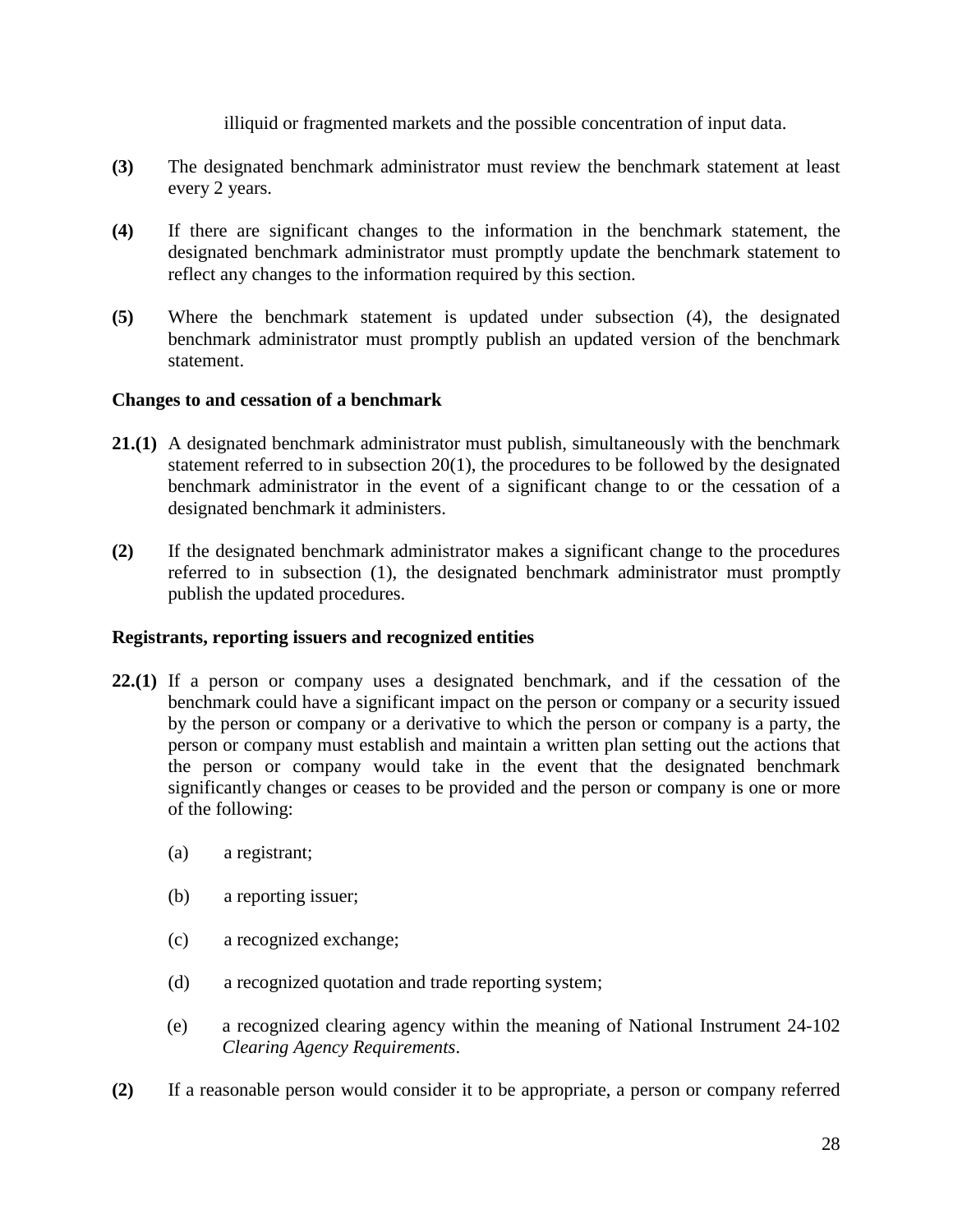illiquid or fragmented markets and the possible concentration of input data.

- **(3)** The designated benchmark administrator must review the benchmark statement at least every 2 years.
- **(4)** If there are significant changes to the information in the benchmark statement, the designated benchmark administrator must promptly update the benchmark statement to reflect any changes to the information required by this section.
- **(5)** Where the benchmark statement is updated under subsection (4), the designated benchmark administrator must promptly publish an updated version of the benchmark statement.

### **Changes to and cessation of a benchmark**

- **21.(1)** A designated benchmark administrator must publish, simultaneously with the benchmark statement referred to in subsection 20(1), the procedures to be followed by the designated benchmark administrator in the event of a significant change to or the cessation of a designated benchmark it administers.
- **(2)** If the designated benchmark administrator makes a significant change to the procedures referred to in subsection (1), the designated benchmark administrator must promptly publish the updated procedures.

# **Registrants, reporting issuers and recognized entities**

- **22.(1)** If a person or company uses a designated benchmark, and if the cessation of the benchmark could have a significant impact on the person or company or a security issued by the person or company or a derivative to which the person or company is a party, the person or company must establish and maintain a written plan setting out the actions that the person or company would take in the event that the designated benchmark significantly changes or ceases to be provided and the person or company is one or more of the following:
	- (a) a registrant;
	- (b) a reporting issuer;
	- (c) a recognized exchange;
	- (d) a recognized quotation and trade reporting system;
	- (e) a recognized clearing agency within the meaning of National Instrument 24-102 *Clearing Agency Requirements*.
- **(2)** If a reasonable person would consider it to be appropriate, a person or company referred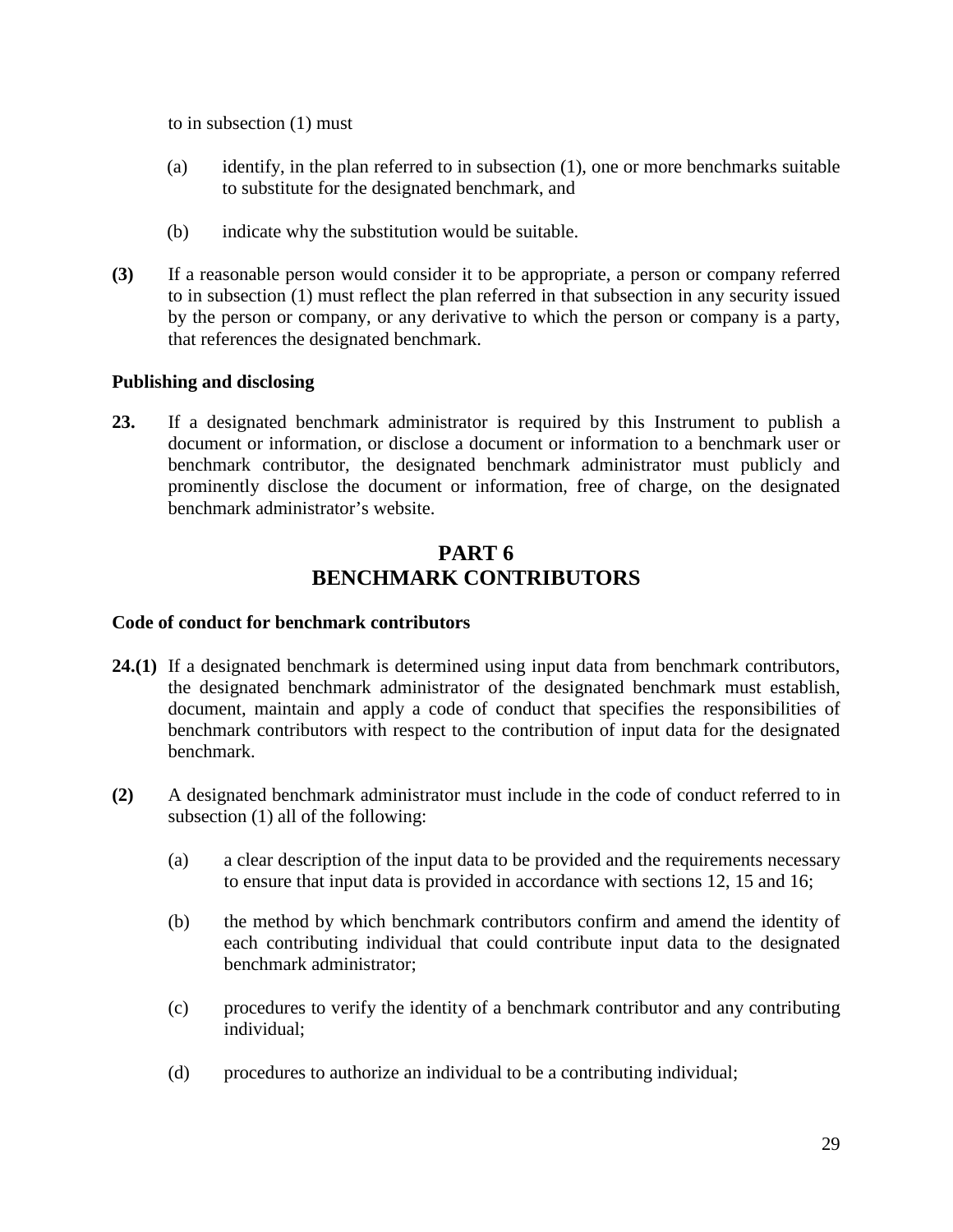to in subsection (1) must

- (a) identify, in the plan referred to in subsection (1), one or more benchmarks suitable to substitute for the designated benchmark, and
- (b) indicate why the substitution would be suitable.
- **(3)** If a reasonable person would consider it to be appropriate, a person or company referred to in subsection (1) must reflect the plan referred in that subsection in any security issued by the person or company, or any derivative to which the person or company is a party, that references the designated benchmark.

#### **Publishing and disclosing**

**23.** If a designated benchmark administrator is required by this Instrument to publish a document or information, or disclose a document or information to a benchmark user or benchmark contributor, the designated benchmark administrator must publicly and prominently disclose the document or information, free of charge, on the designated benchmark administrator's website.

# **PART 6 BENCHMARK CONTRIBUTORS**

#### **Code of conduct for benchmark contributors**

- **24.(1)** If a designated benchmark is determined using input data from benchmark contributors, the designated benchmark administrator of the designated benchmark must establish, document, maintain and apply a code of conduct that specifies the responsibilities of benchmark contributors with respect to the contribution of input data for the designated benchmark.
- **(2)** A designated benchmark administrator must include in the code of conduct referred to in subsection (1) all of the following:
	- (a) a clear description of the input data to be provided and the requirements necessary to ensure that input data is provided in accordance with sections 12, 15 and 16;
	- (b) the method by which benchmark contributors confirm and amend the identity of each contributing individual that could contribute input data to the designated benchmark administrator;
	- (c) procedures to verify the identity of a benchmark contributor and any contributing individual;
	- (d) procedures to authorize an individual to be a contributing individual;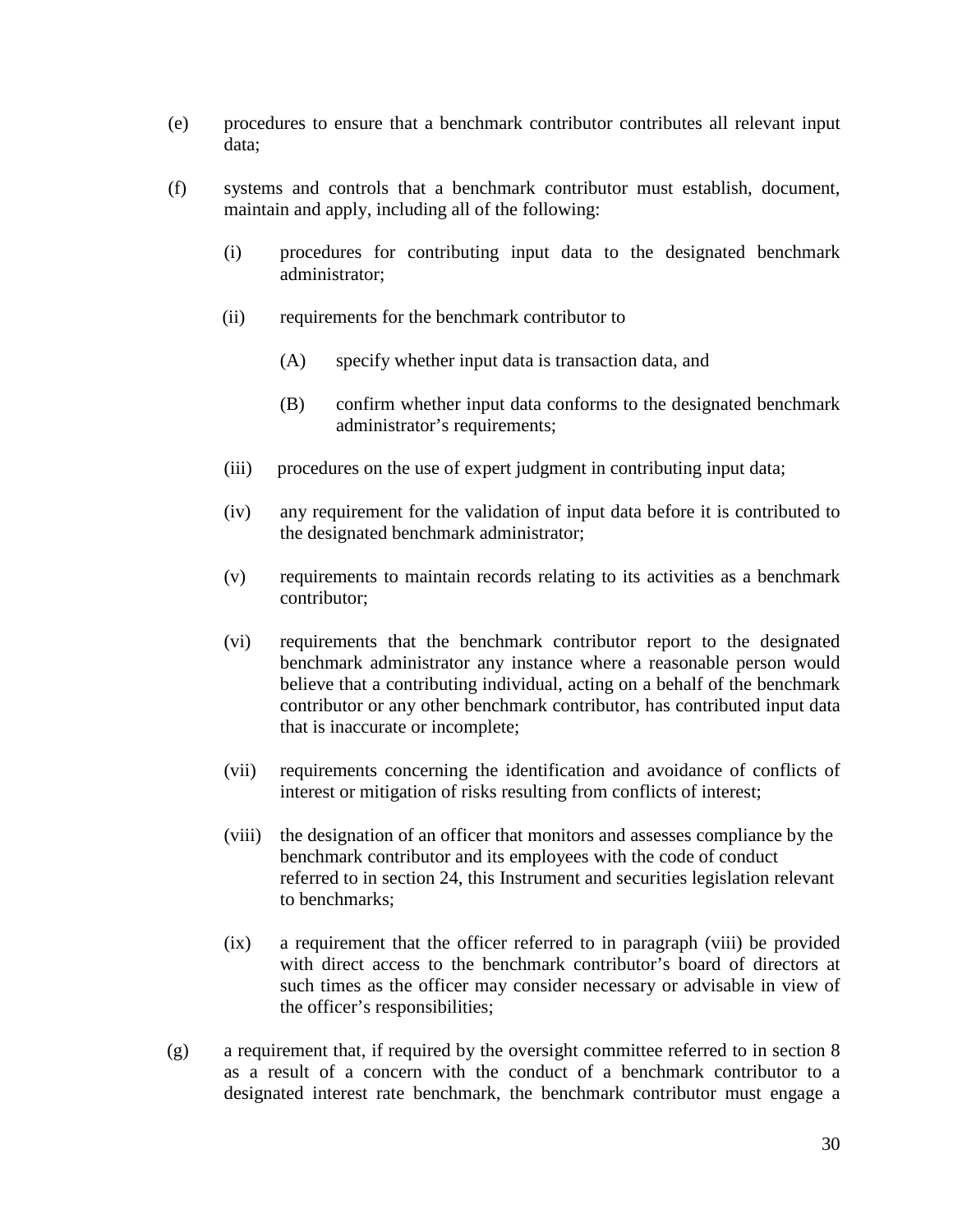- (e) procedures to ensure that a benchmark contributor contributes all relevant input data;
- (f) systems and controls that a benchmark contributor must establish, document, maintain and apply, including all of the following:
	- (i) procedures for contributing input data to the designated benchmark administrator;
	- (ii) requirements for the benchmark contributor to
		- (A) specify whether input data is transaction data, and
		- (B) confirm whether input data conforms to the designated benchmark administrator's requirements;
	- (iii) procedures on the use of expert judgment in contributing input data;
	- (iv) any requirement for the validation of input data before it is contributed to the designated benchmark administrator;
	- (v) requirements to maintain records relating to its activities as a benchmark contributor;
	- (vi) requirements that the benchmark contributor report to the designated benchmark administrator any instance where a reasonable person would believe that a contributing individual, acting on a behalf of the benchmark contributor or any other benchmark contributor, has contributed input data that is inaccurate or incomplete;
	- (vii) requirements concerning the identification and avoidance of conflicts of interest or mitigation of risks resulting from conflicts of interest;
	- (viii) the designation of an officer that monitors and assesses compliance by the benchmark contributor and its employees with the code of conduct referred to in section 24, this Instrument and securities legislation relevant to benchmarks;
	- (ix) a requirement that the officer referred to in paragraph (viii) be provided with direct access to the benchmark contributor's board of directors at such times as the officer may consider necessary or advisable in view of the officer's responsibilities;
- (g) a requirement that, if required by the oversight committee referred to in section 8 as a result of a concern with the conduct of a benchmark contributor to a designated interest rate benchmark, the benchmark contributor must engage a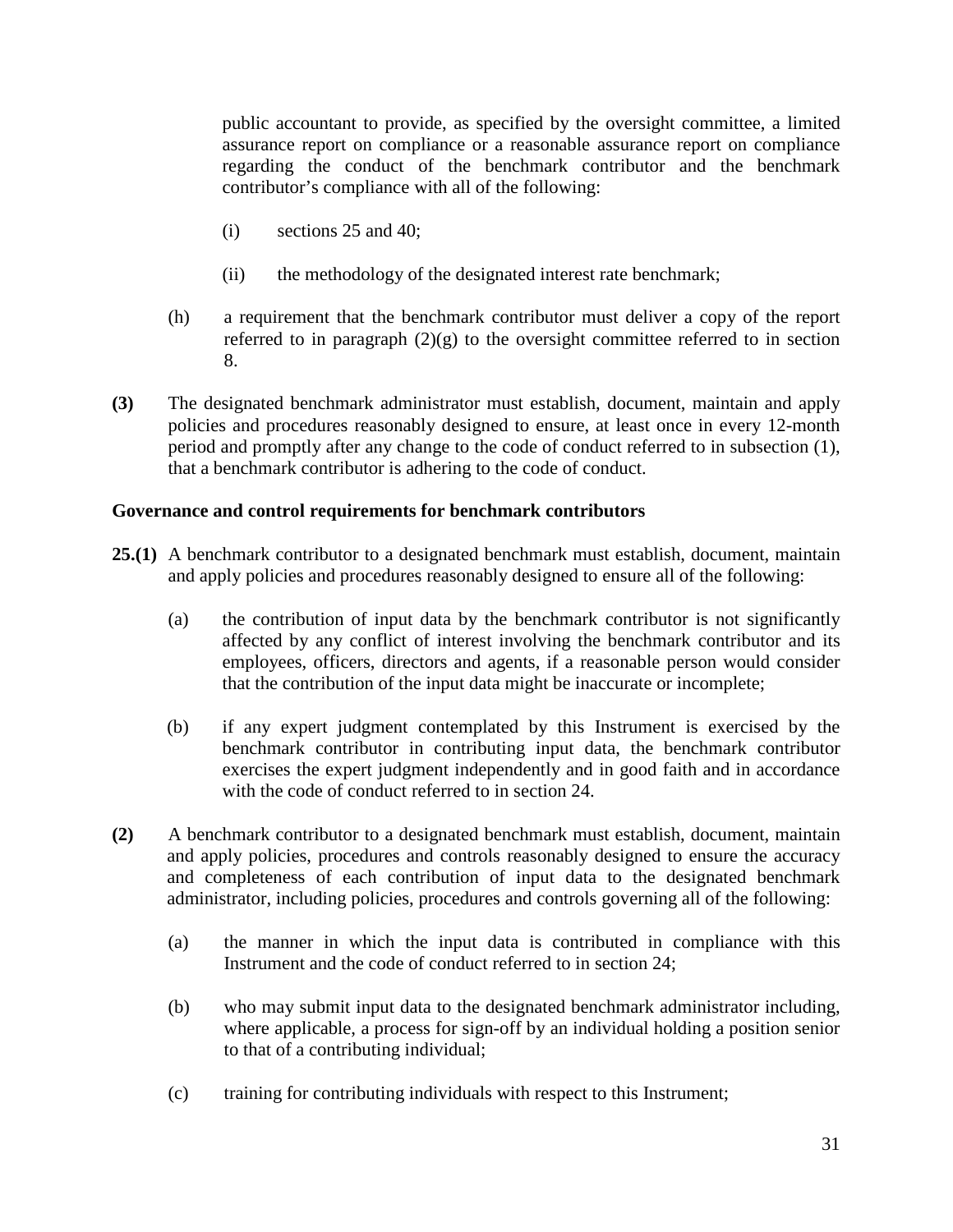public accountant to provide, as specified by the oversight committee, a limited assurance report on compliance or a reasonable assurance report on compliance regarding the conduct of the benchmark contributor and the benchmark contributor's compliance with all of the following:

- (i) sections 25 and 40;
- (ii) the methodology of the designated interest rate benchmark;
- (h) a requirement that the benchmark contributor must deliver a copy of the report referred to in paragraph  $(2)(g)$  to the oversight committee referred to in section 8.
- **(3)** The designated benchmark administrator must establish, document, maintain and apply policies and procedures reasonably designed to ensure, at least once in every 12-month period and promptly after any change to the code of conduct referred to in subsection (1), that a benchmark contributor is adhering to the code of conduct.

#### **Governance and control requirements for benchmark contributors**

- **25.(1)** A benchmark contributor to a designated benchmark must establish, document, maintain and apply policies and procedures reasonably designed to ensure all of the following:
	- (a) the contribution of input data by the benchmark contributor is not significantly affected by any conflict of interest involving the benchmark contributor and its employees, officers, directors and agents, if a reasonable person would consider that the contribution of the input data might be inaccurate or incomplete;
	- (b) if any expert judgment contemplated by this Instrument is exercised by the benchmark contributor in contributing input data, the benchmark contributor exercises the expert judgment independently and in good faith and in accordance with the code of conduct referred to in section 24.
- **(2)** A benchmark contributor to a designated benchmark must establish, document, maintain and apply policies, procedures and controls reasonably designed to ensure the accuracy and completeness of each contribution of input data to the designated benchmark administrator, including policies, procedures and controls governing all of the following:
	- (a) the manner in which the input data is contributed in compliance with this Instrument and the code of conduct referred to in section 24;
	- (b) who may submit input data to the designated benchmark administrator including, where applicable, a process for sign-off by an individual holding a position senior to that of a contributing individual;
	- (c) training for contributing individuals with respect to this Instrument;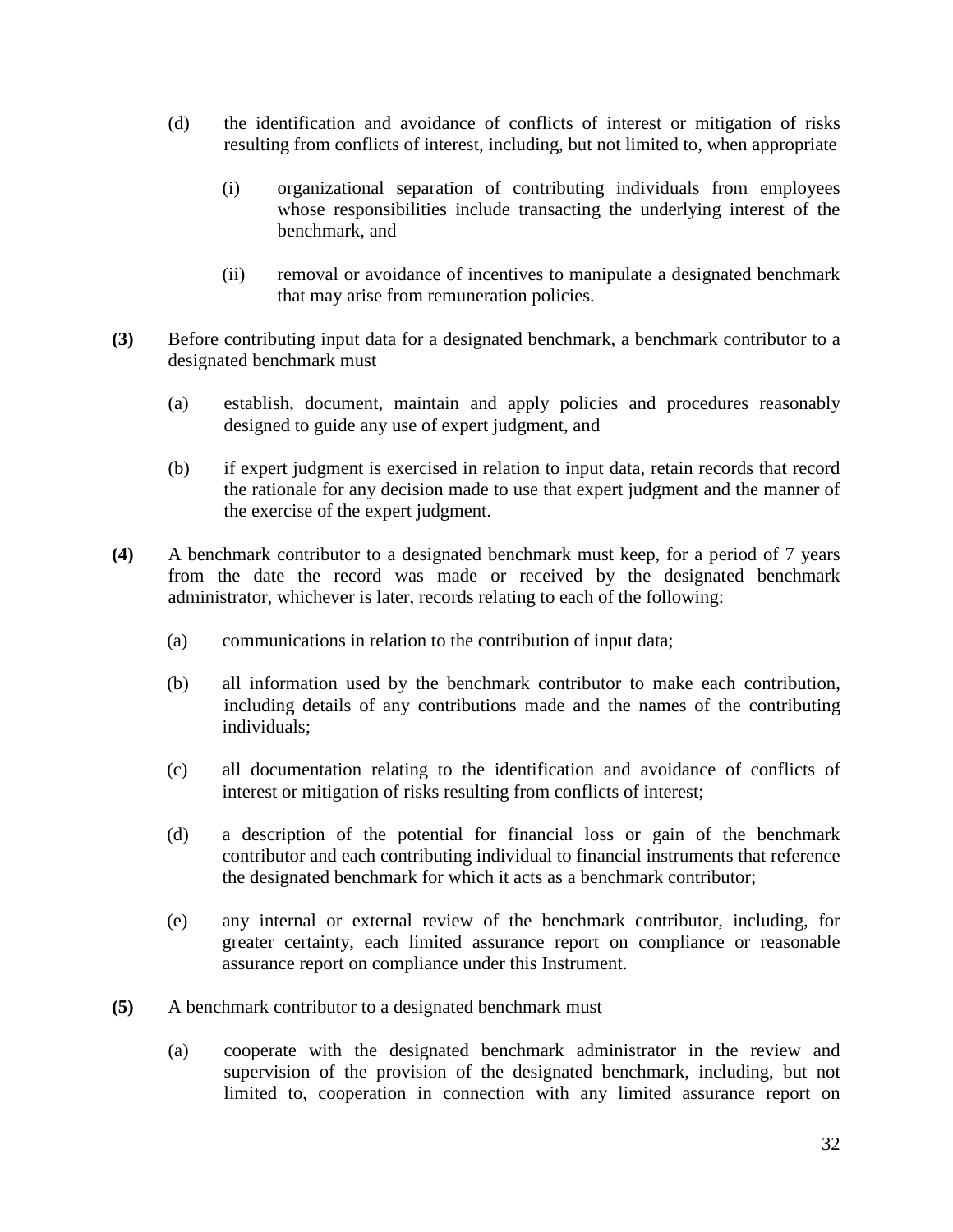- (d) the identification and avoidance of conflicts of interest or mitigation of risks resulting from conflicts of interest, including, but not limited to, when appropriate
	- (i) organizational separation of contributing individuals from employees whose responsibilities include transacting the underlying interest of the benchmark, and
	- (ii) removal or avoidance of incentives to manipulate a designated benchmark that may arise from remuneration policies.
- **(3)** Before contributing input data for a designated benchmark, a benchmark contributor to a designated benchmark must
	- (a) establish, document, maintain and apply policies and procedures reasonably designed to guide any use of expert judgment, and
	- (b) if expert judgment is exercised in relation to input data, retain records that record the rationale for any decision made to use that expert judgment and the manner of the exercise of the expert judgment.
- **(4)** A benchmark contributor to a designated benchmark must keep, for a period of 7 years from the date the record was made or received by the designated benchmark administrator, whichever is later, records relating to each of the following:
	- (a) communications in relation to the contribution of input data;
	- (b) all information used by the benchmark contributor to make each contribution, including details of any contributions made and the names of the contributing individuals;
	- (c) all documentation relating to the identification and avoidance of conflicts of interest or mitigation of risks resulting from conflicts of interest;
	- (d) a description of the potential for financial loss or gain of the benchmark contributor and each contributing individual to financial instruments that reference the designated benchmark for which it acts as a benchmark contributor;
	- (e) any internal or external review of the benchmark contributor, including, for greater certainty, each limited assurance report on compliance or reasonable assurance report on compliance under this Instrument.
- **(5)** A benchmark contributor to a designated benchmark must
	- (a) cooperate with the designated benchmark administrator in the review and supervision of the provision of the designated benchmark, including, but not limited to, cooperation in connection with any limited assurance report on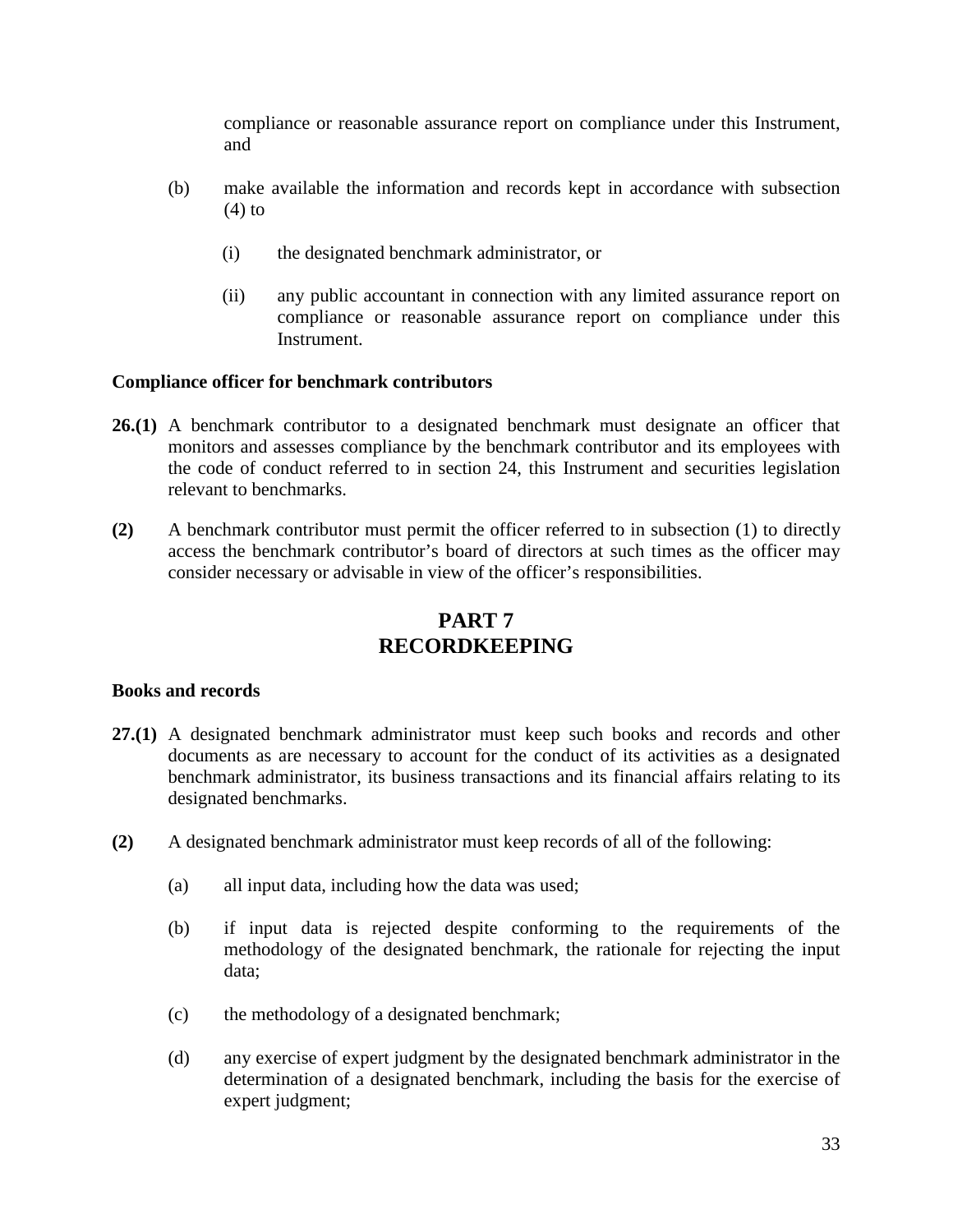compliance or reasonable assurance report on compliance under this Instrument, and

- (b) make available the information and records kept in accordance with subsection  $(4)$  to
	- (i) the designated benchmark administrator, or
	- (ii) any public accountant in connection with any limited assurance report on compliance or reasonable assurance report on compliance under this Instrument.

#### **Compliance officer for benchmark contributors**

- **26.(1)** A benchmark contributor to a designated benchmark must designate an officer that monitors and assesses compliance by the benchmark contributor and its employees with the code of conduct referred to in section 24, this Instrument and securities legislation relevant to benchmarks.
- **(2)** A benchmark contributor must permit the officer referred to in subsection (1) to directly access the benchmark contributor's board of directors at such times as the officer may consider necessary or advisable in view of the officer's responsibilities.

# **PART 7 RECORDKEEPING**

#### **Books and records**

- **27.(1)** A designated benchmark administrator must keep such books and records and other documents as are necessary to account for the conduct of its activities as a designated benchmark administrator, its business transactions and its financial affairs relating to its designated benchmarks.
- **(2)** A designated benchmark administrator must keep records of all of the following:
	- (a) all input data, including how the data was used;
	- (b) if input data is rejected despite conforming to the requirements of the methodology of the designated benchmark, the rationale for rejecting the input data;
	- (c) the methodology of a designated benchmark;
	- (d) any exercise of expert judgment by the designated benchmark administrator in the determination of a designated benchmark, including the basis for the exercise of expert judgment;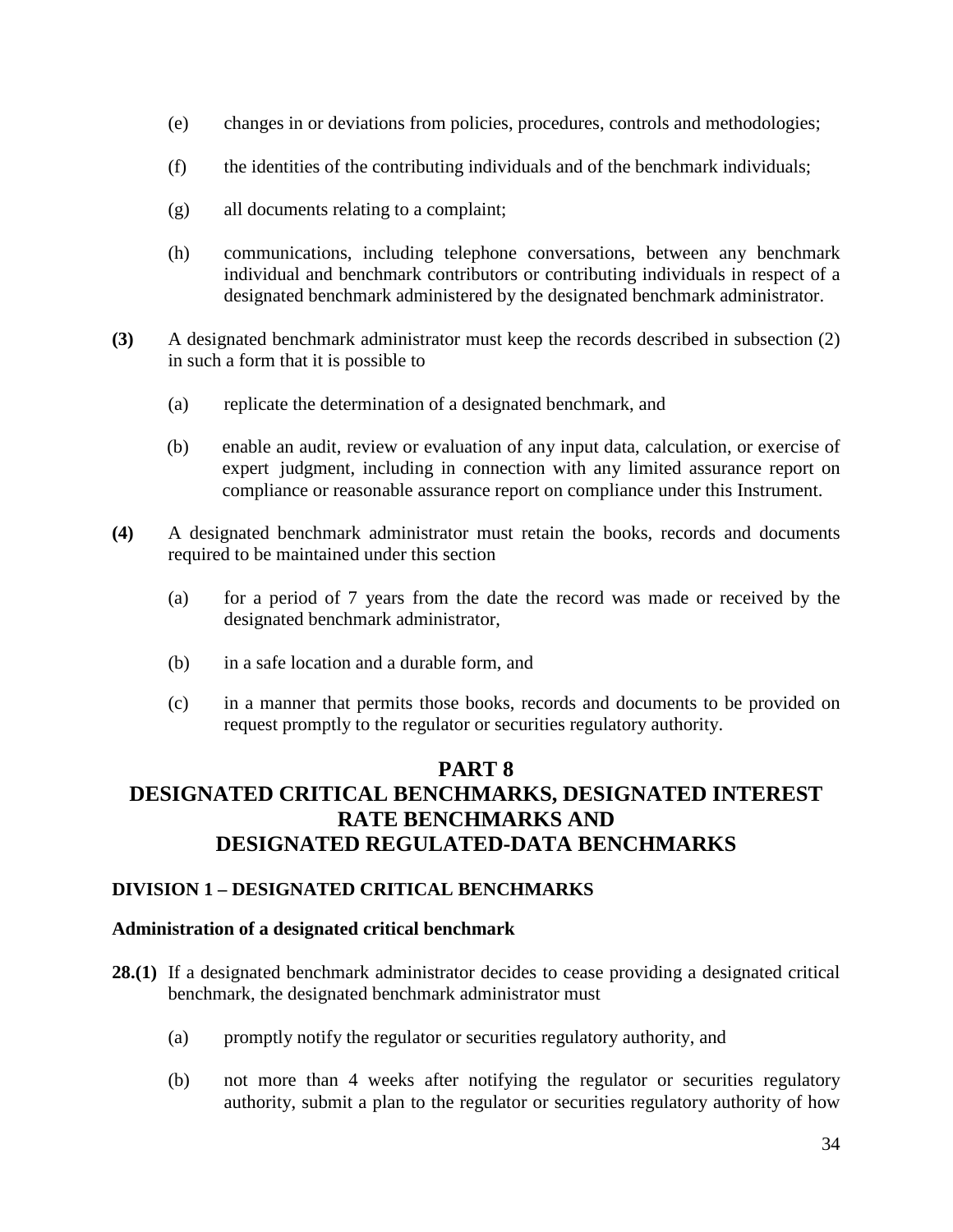- (e) changes in or deviations from policies, procedures, controls and methodologies;
- (f) the identities of the contributing individuals and of the benchmark individuals;
- (g) all documents relating to a complaint;
- (h) communications, including telephone conversations, between any benchmark individual and benchmark contributors or contributing individuals in respect of a designated benchmark administered by the designated benchmark administrator.
- **(3)** A designated benchmark administrator must keep the records described in subsection (2) in such a form that it is possible to
	- (a) replicate the determination of a designated benchmark, and
	- (b) enable an audit, review or evaluation of any input data, calculation, or exercise of expert judgment, including in connection with any limited assurance report on compliance or reasonable assurance report on compliance under this Instrument.
- **(4)** A designated benchmark administrator must retain the books, records and documents required to be maintained under this section
	- (a) for a period of 7 years from the date the record was made or received by the designated benchmark administrator,
	- (b) in a safe location and a durable form, and
	- (c) in a manner that permits those books, records and documents to be provided on request promptly to the regulator or securities regulatory authority.

# **PART 8 DESIGNATED CRITICAL BENCHMARKS, DESIGNATED INTEREST RATE BENCHMARKS AND DESIGNATED REGULATED-DATA BENCHMARKS**

#### **DIVISION 1 – DESIGNATED CRITICAL BENCHMARKS**

#### **Administration of a designated critical benchmark**

- **28.(1)** If a designated benchmark administrator decides to cease providing a designated critical benchmark, the designated benchmark administrator must
	- (a) promptly notify the regulator or securities regulatory authority, and
	- (b) not more than 4 weeks after notifying the regulator or securities regulatory authority, submit a plan to the regulator or securities regulatory authority of how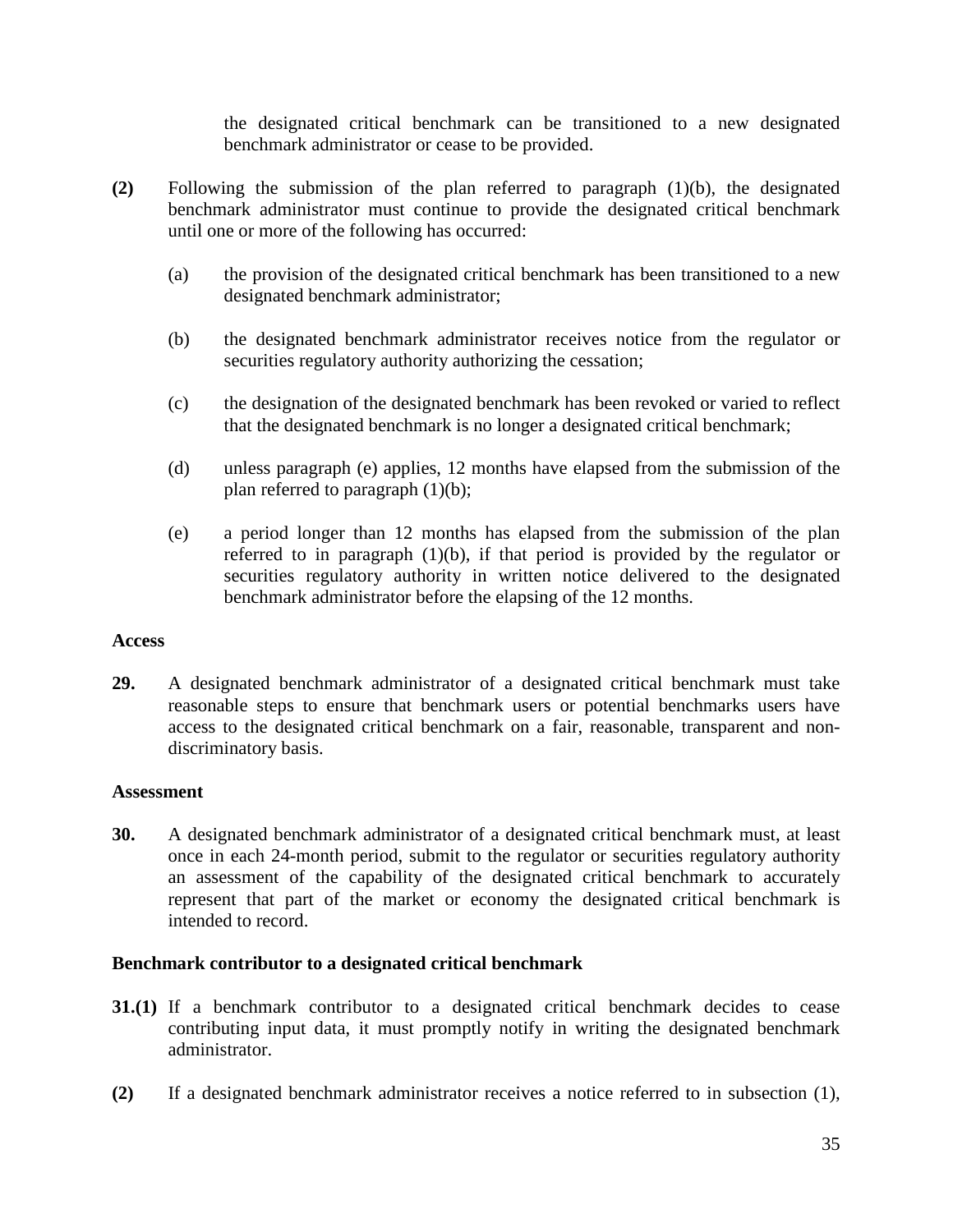the designated critical benchmark can be transitioned to a new designated benchmark administrator or cease to be provided.

- **(2)** Following the submission of the plan referred to paragraph (1)(b), the designated benchmark administrator must continue to provide the designated critical benchmark until one or more of the following has occurred:
	- (a) the provision of the designated critical benchmark has been transitioned to a new designated benchmark administrator;
	- (b) the designated benchmark administrator receives notice from the regulator or securities regulatory authority authorizing the cessation;
	- (c) the designation of the designated benchmark has been revoked or varied to reflect that the designated benchmark is no longer a designated critical benchmark;
	- (d) unless paragraph (e) applies, 12 months have elapsed from the submission of the plan referred to paragraph (1)(b);
	- (e) a period longer than 12 months has elapsed from the submission of the plan referred to in paragraph (1)(b), if that period is provided by the regulator or securities regulatory authority in written notice delivered to the designated benchmark administrator before the elapsing of the 12 months.

#### **Access**

**29.** A designated benchmark administrator of a designated critical benchmark must take reasonable steps to ensure that benchmark users or potential benchmarks users have access to the designated critical benchmark on a fair, reasonable, transparent and nondiscriminatory basis.

#### **Assessment**

**30.** A designated benchmark administrator of a designated critical benchmark must, at least once in each 24-month period, submit to the regulator or securities regulatory authority an assessment of the capability of the designated critical benchmark to accurately represent that part of the market or economy the designated critical benchmark is intended to record.

#### **Benchmark contributor to a designated critical benchmark**

- **31.(1)** If a benchmark contributor to a designated critical benchmark decides to cease contributing input data, it must promptly notify in writing the designated benchmark administrator.
- **(2)** If a designated benchmark administrator receives a notice referred to in subsection (1),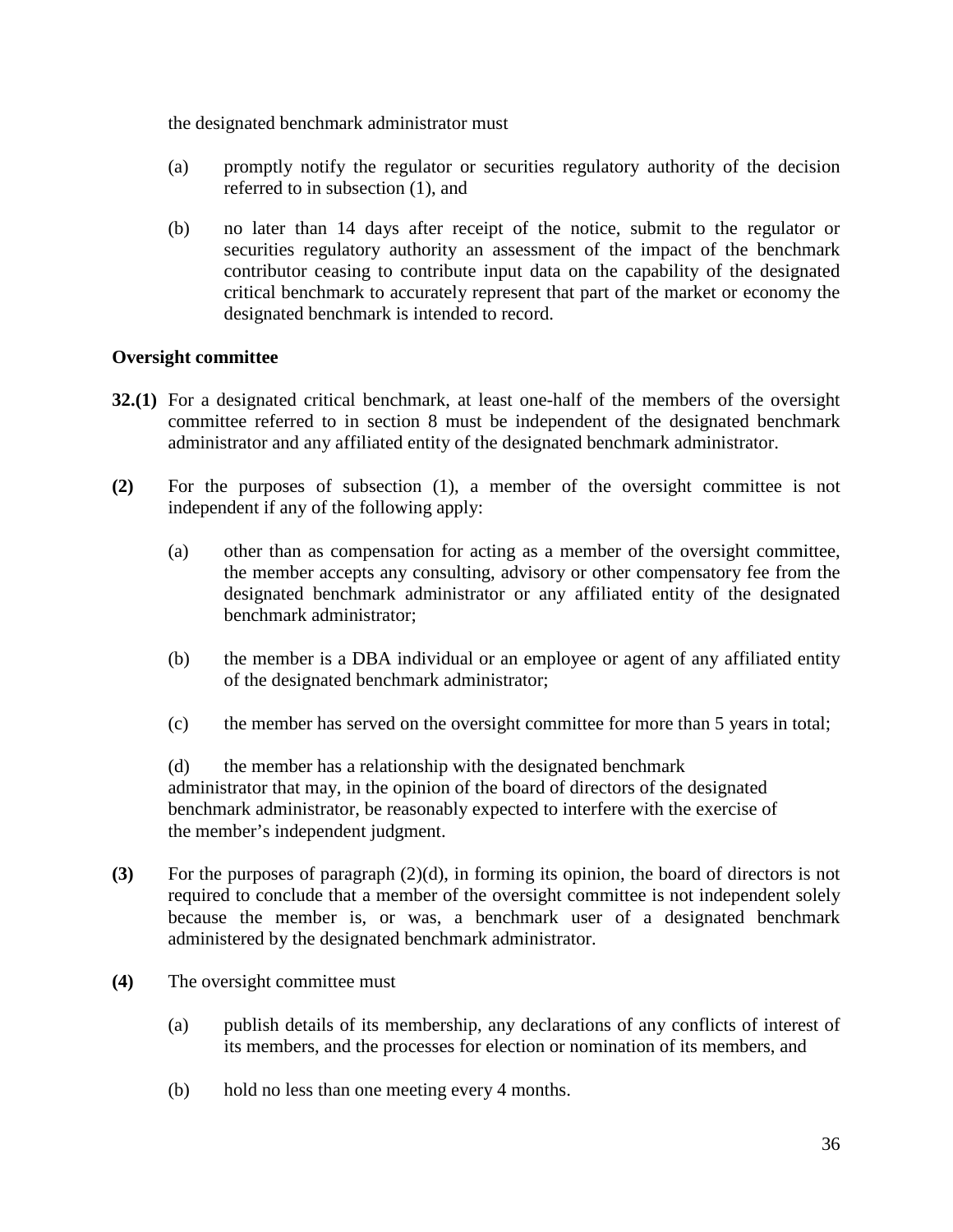the designated benchmark administrator must

- (a) promptly notify the regulator or securities regulatory authority of the decision referred to in subsection (1), and
- (b) no later than 14 days after receipt of the notice, submit to the regulator or securities regulatory authority an assessment of the impact of the benchmark contributor ceasing to contribute input data on the capability of the designated critical benchmark to accurately represent that part of the market or economy the designated benchmark is intended to record.

# **Oversight committee**

- **32.(1)** For a designated critical benchmark, at least one-half of the members of the oversight committee referred to in section 8 must be independent of the designated benchmark administrator and any affiliated entity of the designated benchmark administrator.
- **(2)** For the purposes of subsection (1), a member of the oversight committee is not independent if any of the following apply:
	- (a) other than as compensation for acting as a member of the oversight committee, the member accepts any consulting, advisory or other compensatory fee from the designated benchmark administrator or any affiliated entity of the designated benchmark administrator;
	- (b) the member is a DBA individual or an employee or agent of any affiliated entity of the designated benchmark administrator;
	- (c) the member has served on the oversight committee for more than 5 years in total;

(d) the member has a relationship with the designated benchmark administrator that may, in the opinion of the board of directors of the designated benchmark administrator, be reasonably expected to interfere with the exercise of the member's independent judgment.

- **(3)** For the purposes of paragraph (2)(d), in forming its opinion, the board of directors is not required to conclude that a member of the oversight committee is not independent solely because the member is, or was, a benchmark user of a designated benchmark administered by the designated benchmark administrator.
- **(4)** The oversight committee must
	- (a) publish details of its membership, any declarations of any conflicts of interest of its members, and the processes for election or nomination of its members, and
	- (b) hold no less than one meeting every 4 months.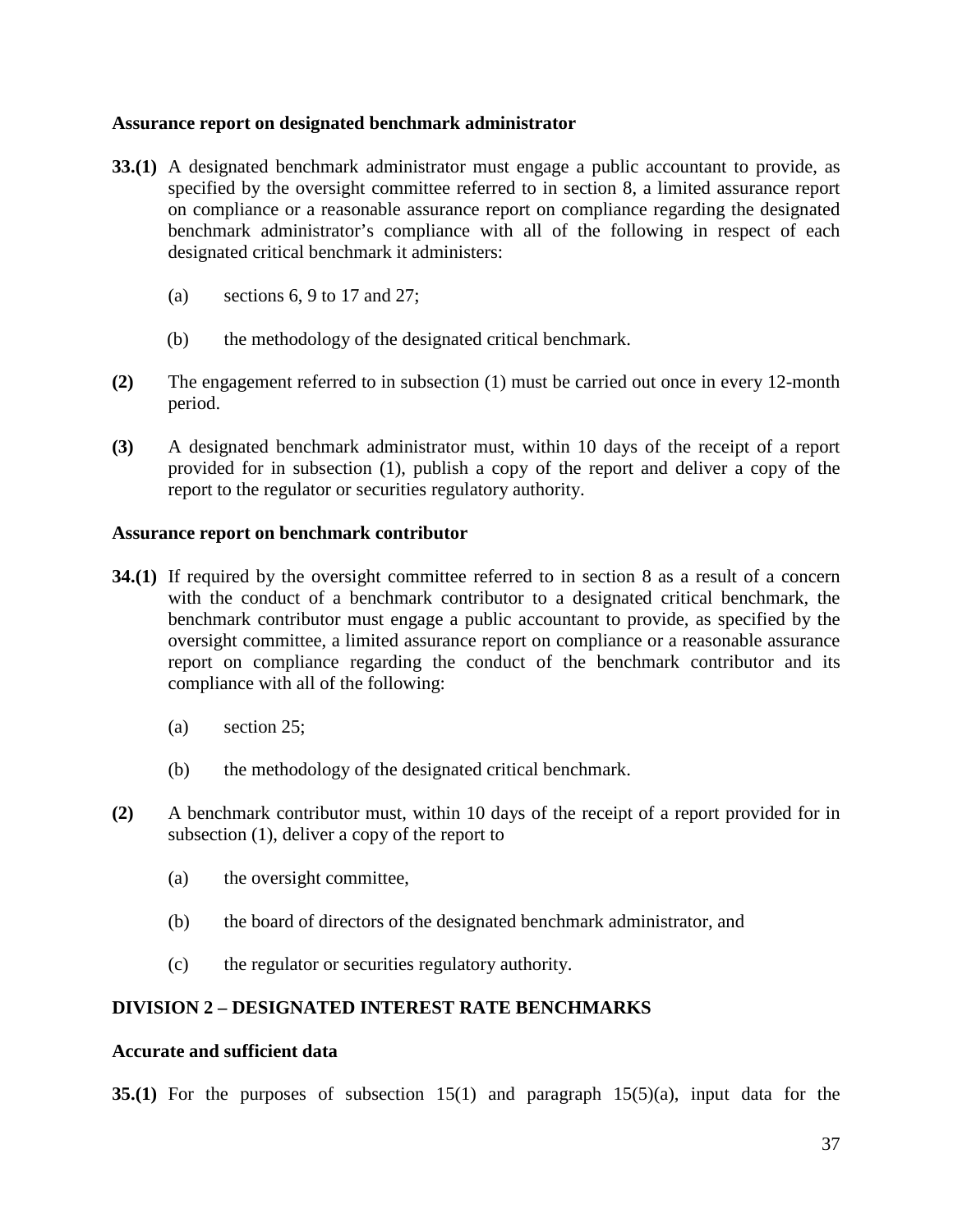#### **Assurance report on designated benchmark administrator**

- **33.(1)** A designated benchmark administrator must engage a public accountant to provide, as specified by the oversight committee referred to in section 8, a limited assurance report on compliance or a reasonable assurance report on compliance regarding the designated benchmark administrator's compliance with all of the following in respect of each designated critical benchmark it administers:
	- (a) sections  $6, 9$  to  $17$  and  $27$ ;
	- (b) the methodology of the designated critical benchmark.
- **(2)** The engagement referred to in subsection (1) must be carried out once in every 12-month period.
- **(3)** A designated benchmark administrator must, within 10 days of the receipt of a report provided for in subsection (1), publish a copy of the report and deliver a copy of the report to the regulator or securities regulatory authority.

#### **Assurance report on benchmark contributor**

- **34.(1)** If required by the oversight committee referred to in section 8 as a result of a concern with the conduct of a benchmark contributor to a designated critical benchmark, the benchmark contributor must engage a public accountant to provide, as specified by the oversight committee, a limited assurance report on compliance or a reasonable assurance report on compliance regarding the conduct of the benchmark contributor and its compliance with all of the following:
	- (a) section 25;
	- (b) the methodology of the designated critical benchmark.
- **(2)** A benchmark contributor must, within 10 days of the receipt of a report provided for in subsection (1), deliver a copy of the report to
	- (a) the oversight committee,
	- (b) the board of directors of the designated benchmark administrator, and
	- (c) the regulator or securities regulatory authority.

# **DIVISION 2 – DESIGNATED INTEREST RATE BENCHMARKS**

#### **Accurate and sufficient data**

**35.(1)** For the purposes of subsection 15(1) and paragraph 15(5)(a), input data for the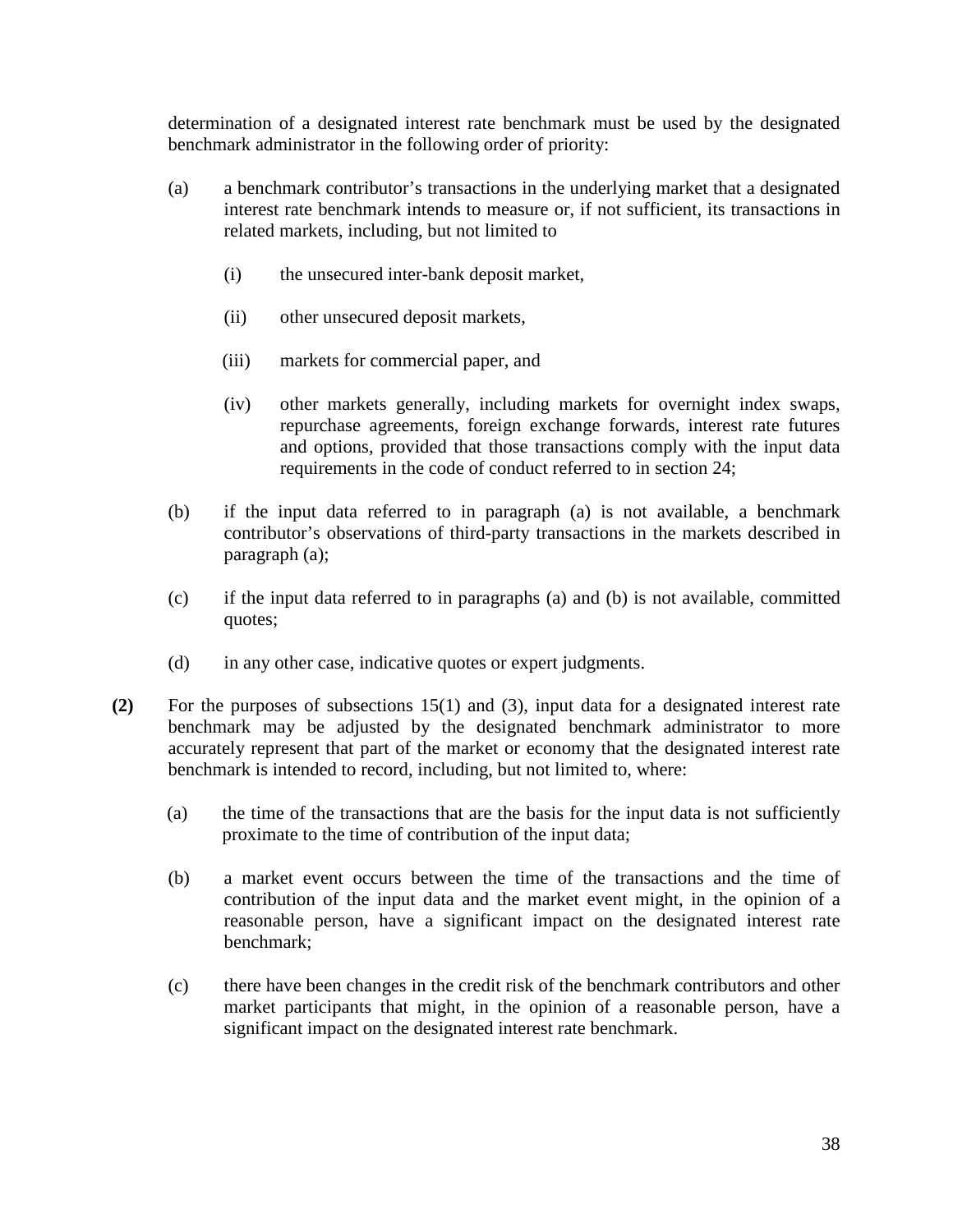determination of a designated interest rate benchmark must be used by the designated benchmark administrator in the following order of priority:

- (a) a benchmark contributor's transactions in the underlying market that a designated interest rate benchmark intends to measure or, if not sufficient, its transactions in related markets, including, but not limited to
	- (i) the unsecured inter-bank deposit market,
	- (ii) other unsecured deposit markets,
	- (iii) markets for commercial paper, and
	- (iv) other markets generally, including markets for overnight index swaps, repurchase agreements, foreign exchange forwards, interest rate futures and options, provided that those transactions comply with the input data requirements in the code of conduct referred to in section 24;
- (b) if the input data referred to in paragraph (a) is not available, a benchmark contributor's observations of third-party transactions in the markets described in paragraph (a);
- (c) if the input data referred to in paragraphs (a) and (b) is not available, committed quotes;
- (d) in any other case, indicative quotes or expert judgments.
- **(2)** For the purposes of subsections 15(1) and (3), input data for a designated interest rate benchmark may be adjusted by the designated benchmark administrator to more accurately represent that part of the market or economy that the designated interest rate benchmark is intended to record, including, but not limited to, where:
	- (a) the time of the transactions that are the basis for the input data is not sufficiently proximate to the time of contribution of the input data;
	- (b) a market event occurs between the time of the transactions and the time of contribution of the input data and the market event might, in the opinion of a reasonable person, have a significant impact on the designated interest rate benchmark;
	- (c) there have been changes in the credit risk of the benchmark contributors and other market participants that might, in the opinion of a reasonable person, have a significant impact on the designated interest rate benchmark.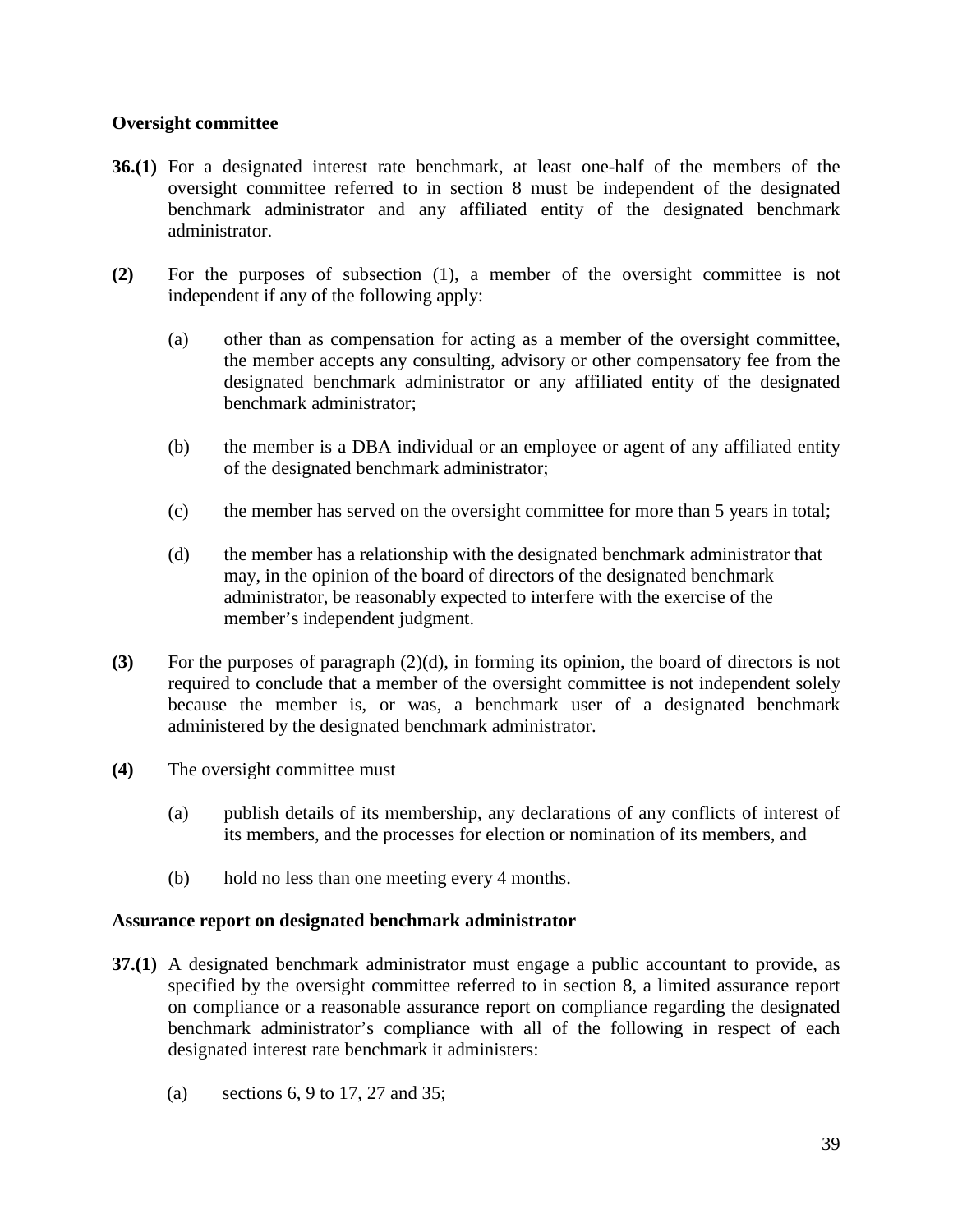### **Oversight committee**

- **36.(1)** For a designated interest rate benchmark, at least one-half of the members of the oversight committee referred to in section 8 must be independent of the designated benchmark administrator and any affiliated entity of the designated benchmark administrator.
- **(2)** For the purposes of subsection (1), a member of the oversight committee is not independent if any of the following apply:
	- (a) other than as compensation for acting as a member of the oversight committee, the member accepts any consulting, advisory or other compensatory fee from the designated benchmark administrator or any affiliated entity of the designated benchmark administrator;
	- (b) the member is a DBA individual or an employee or agent of any affiliated entity of the designated benchmark administrator;
	- (c) the member has served on the oversight committee for more than 5 years in total;
	- (d) the member has a relationship with the designated benchmark administrator that may, in the opinion of the board of directors of the designated benchmark administrator, be reasonably expected to interfere with the exercise of the member's independent judgment.
- **(3)** For the purposes of paragraph (2)(d), in forming its opinion, the board of directors is not required to conclude that a member of the oversight committee is not independent solely because the member is, or was, a benchmark user of a designated benchmark administered by the designated benchmark administrator.
- **(4)** The oversight committee must
	- (a) publish details of its membership, any declarations of any conflicts of interest of its members, and the processes for election or nomination of its members, and
	- (b) hold no less than one meeting every 4 months.

#### **Assurance report on designated benchmark administrator**

- **37.(1)** A designated benchmark administrator must engage a public accountant to provide, as specified by the oversight committee referred to in section 8, a limited assurance report on compliance or a reasonable assurance report on compliance regarding the designated benchmark administrator's compliance with all of the following in respect of each designated interest rate benchmark it administers:
	- (a) sections 6, 9 to 17, 27 and 35;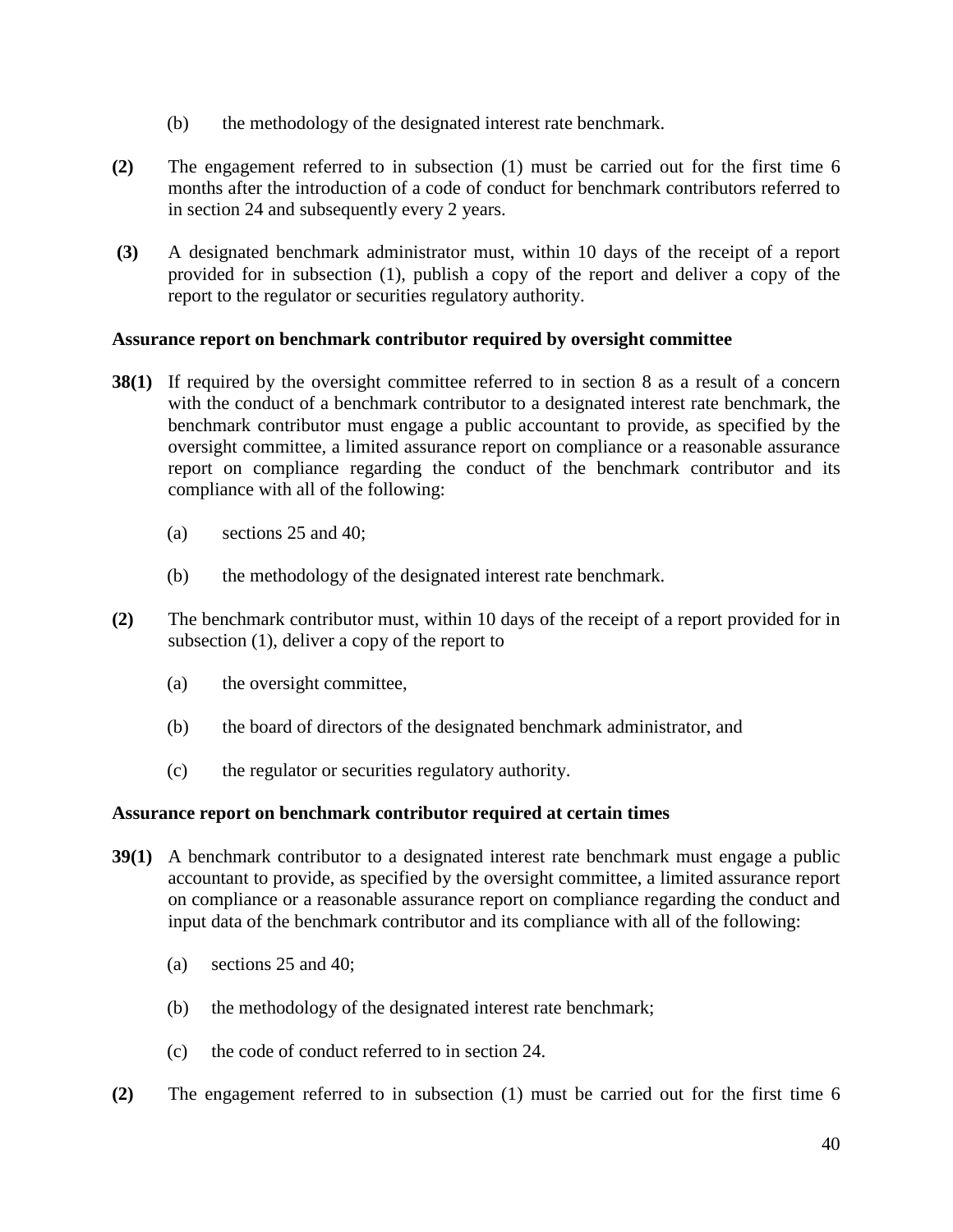- (b) the methodology of the designated interest rate benchmark.
- **(2)** The engagement referred to in subsection (1) must be carried out for the first time 6 months after the introduction of a code of conduct for benchmark contributors referred to in section 24 and subsequently every 2 years.
- **(3)** A designated benchmark administrator must, within 10 days of the receipt of a report provided for in subsection (1), publish a copy of the report and deliver a copy of the report to the regulator or securities regulatory authority.

### **Assurance report on benchmark contributor required by oversight committee**

- **38(1)** If required by the oversight committee referred to in section 8 as a result of a concern with the conduct of a benchmark contributor to a designated interest rate benchmark, the benchmark contributor must engage a public accountant to provide, as specified by the oversight committee, a limited assurance report on compliance or a reasonable assurance report on compliance regarding the conduct of the benchmark contributor and its compliance with all of the following:
	- (a) sections 25 and 40;
	- (b) the methodology of the designated interest rate benchmark.
- **(2)** The benchmark contributor must, within 10 days of the receipt of a report provided for in subsection (1), deliver a copy of the report to
	- (a) the oversight committee,
	- (b) the board of directors of the designated benchmark administrator, and
	- (c) the regulator or securities regulatory authority.

#### **Assurance report on benchmark contributor required at certain times**

- **39(1)** A benchmark contributor to a designated interest rate benchmark must engage a public accountant to provide, as specified by the oversight committee, a limited assurance report on compliance or a reasonable assurance report on compliance regarding the conduct and input data of the benchmark contributor and its compliance with all of the following:
	- (a) sections 25 and 40;
	- (b) the methodology of the designated interest rate benchmark;
	- (c) the code of conduct referred to in section 24.
- **(2)** The engagement referred to in subsection (1) must be carried out for the first time 6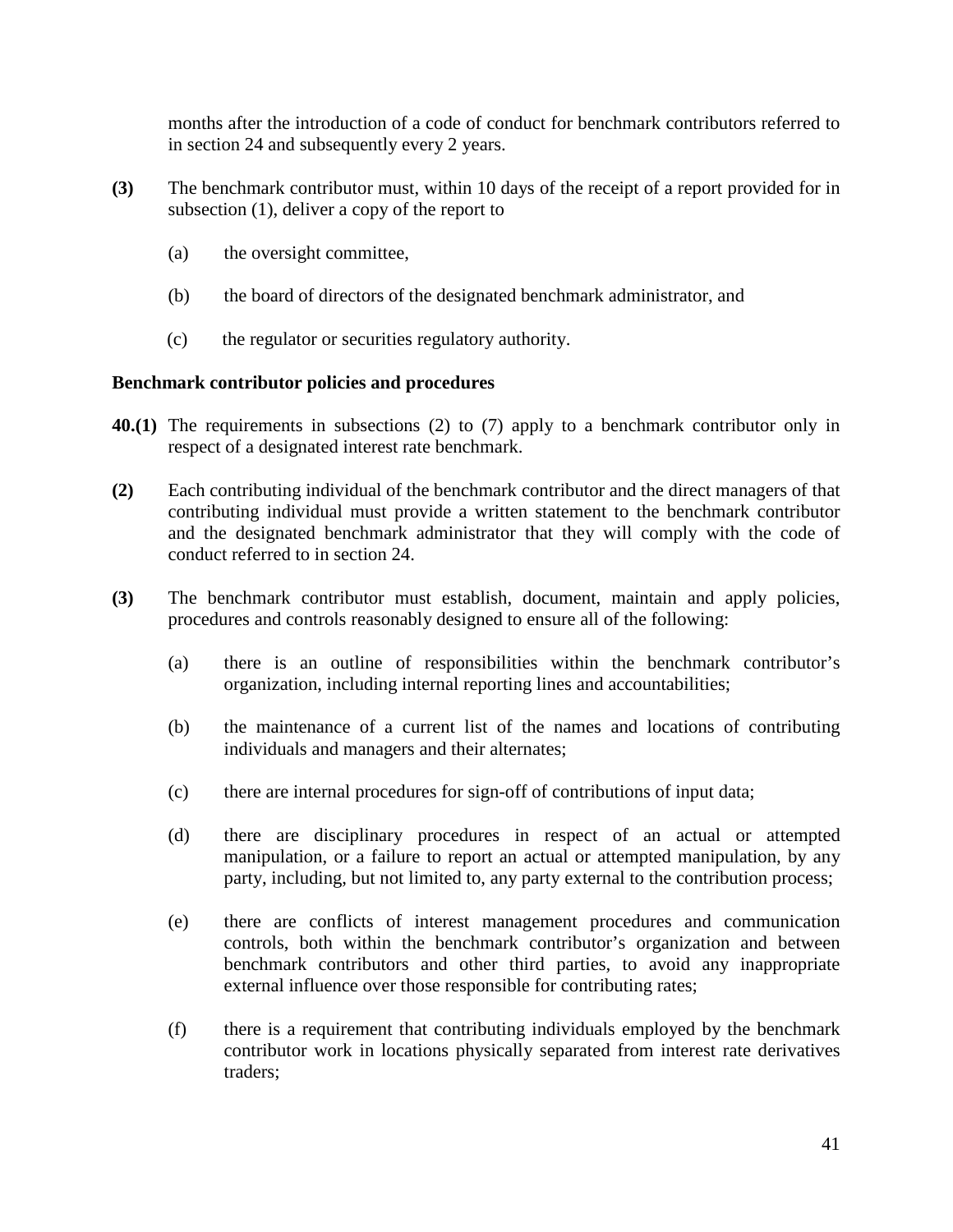months after the introduction of a code of conduct for benchmark contributors referred to in section 24 and subsequently every 2 years.

- **(3)** The benchmark contributor must, within 10 days of the receipt of a report provided for in subsection (1), deliver a copy of the report to
	- (a) the oversight committee,
	- (b) the board of directors of the designated benchmark administrator, and
	- (c) the regulator or securities regulatory authority.

#### **Benchmark contributor policies and procedures**

- **40.(1)** The requirements in subsections (2) to (7) apply to a benchmark contributor only in respect of a designated interest rate benchmark.
- **(2)** Each contributing individual of the benchmark contributor and the direct managers of that contributing individual must provide a written statement to the benchmark contributor and the designated benchmark administrator that they will comply with the code of conduct referred to in section 24.
- **(3)** The benchmark contributor must establish, document, maintain and apply policies, procedures and controls reasonably designed to ensure all of the following:
	- (a) there is an outline of responsibilities within the benchmark contributor's organization, including internal reporting lines and accountabilities;
	- (b) the maintenance of a current list of the names and locations of contributing individuals and managers and their alternates;
	- (c) there are internal procedures for sign-off of contributions of input data;
	- (d) there are disciplinary procedures in respect of an actual or attempted manipulation, or a failure to report an actual or attempted manipulation, by any party, including, but not limited to, any party external to the contribution process;
	- (e) there are conflicts of interest management procedures and communication controls, both within the benchmark contributor's organization and between benchmark contributors and other third parties, to avoid any inappropriate external influence over those responsible for contributing rates;
	- (f) there is a requirement that contributing individuals employed by the benchmark contributor work in locations physically separated from interest rate derivatives traders;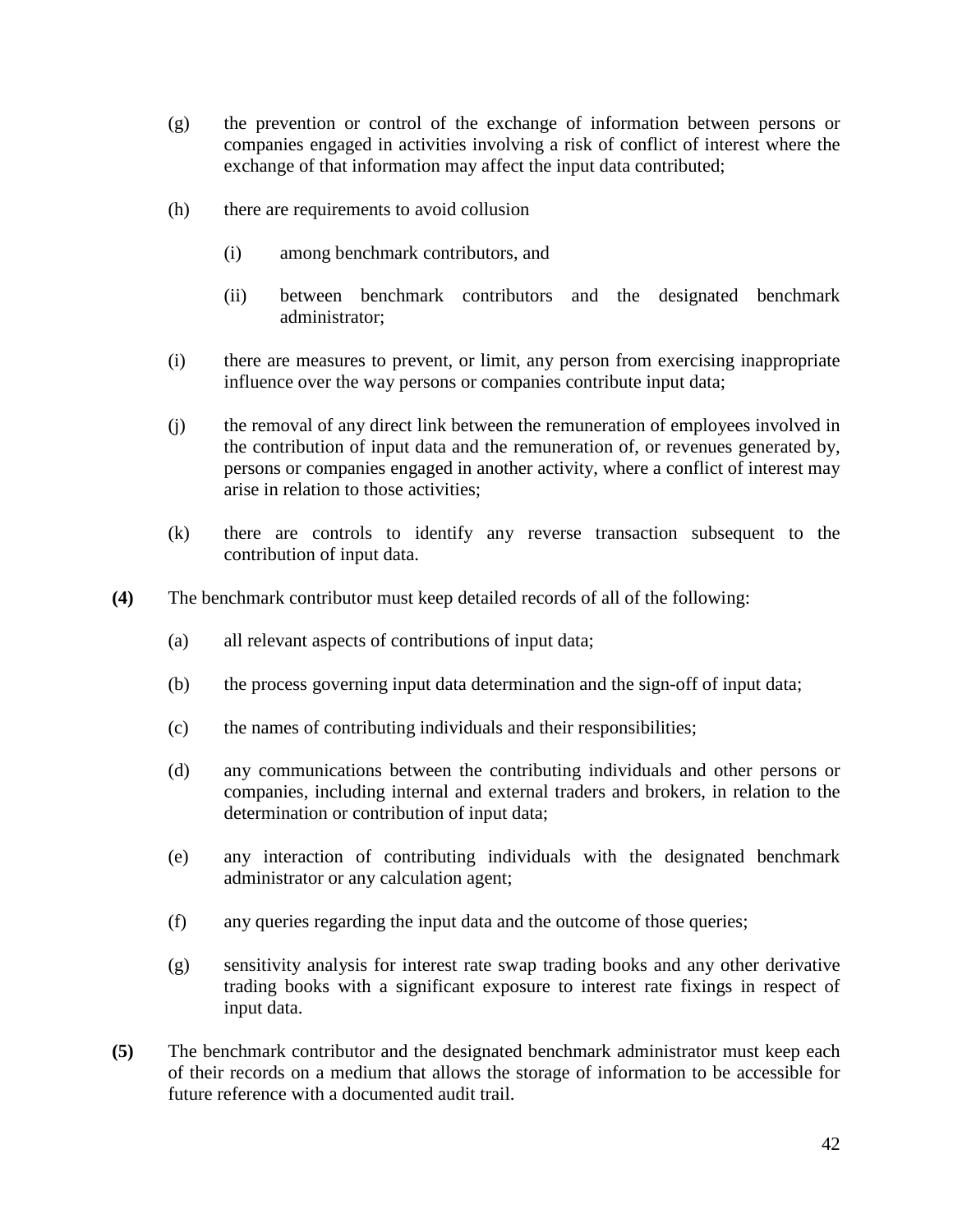- (g) the prevention or control of the exchange of information between persons or companies engaged in activities involving a risk of conflict of interest where the exchange of that information may affect the input data contributed;
- (h) there are requirements to avoid collusion
	- (i) among benchmark contributors, and
	- (ii) between benchmark contributors and the designated benchmark administrator;
- (i) there are measures to prevent, or limit, any person from exercising inappropriate influence over the way persons or companies contribute input data;
- (j) the removal of any direct link between the remuneration of employees involved in the contribution of input data and the remuneration of, or revenues generated by, persons or companies engaged in another activity, where a conflict of interest may arise in relation to those activities;
- (k) there are controls to identify any reverse transaction subsequent to the contribution of input data.
- **(4)** The benchmark contributor must keep detailed records of all of the following:
	- (a) all relevant aspects of contributions of input data;
	- (b) the process governing input data determination and the sign-off of input data;
	- (c) the names of contributing individuals and their responsibilities;
	- (d) any communications between the contributing individuals and other persons or companies, including internal and external traders and brokers, in relation to the determination or contribution of input data;
	- (e) any interaction of contributing individuals with the designated benchmark administrator or any calculation agent;
	- (f) any queries regarding the input data and the outcome of those queries;
	- (g) sensitivity analysis for interest rate swap trading books and any other derivative trading books with a significant exposure to interest rate fixings in respect of input data.
- **(5)** The benchmark contributor and the designated benchmark administrator must keep each of their records on a medium that allows the storage of information to be accessible for future reference with a documented audit trail.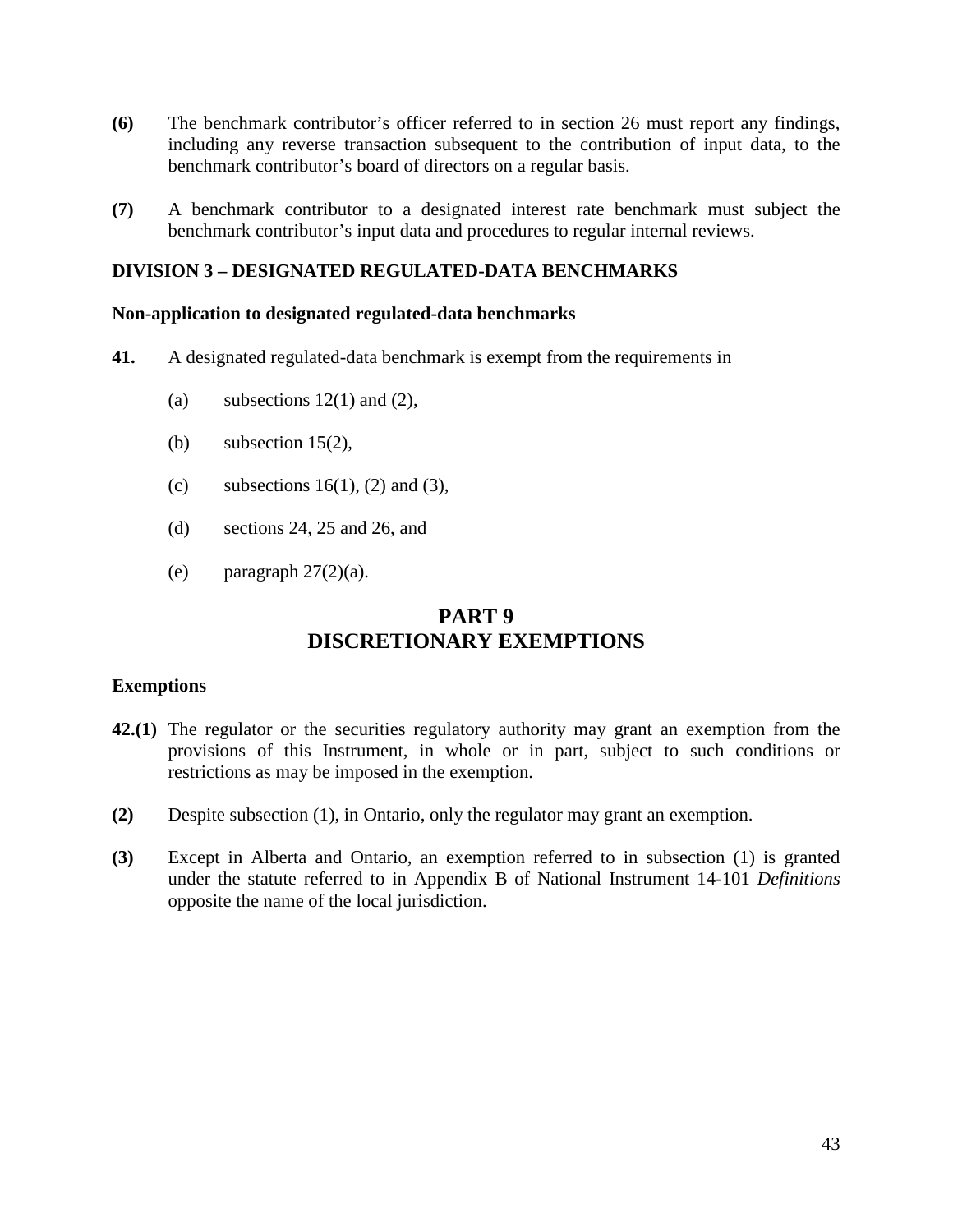- **(6)** The benchmark contributor's officer referred to in section 26 must report any findings, including any reverse transaction subsequent to the contribution of input data, to the benchmark contributor's board of directors on a regular basis.
- **(7)** A benchmark contributor to a designated interest rate benchmark must subject the benchmark contributor's input data and procedures to regular internal reviews.

## **DIVISION 3 – DESIGNATED REGULATED-DATA BENCHMARKS**

#### **Non-application to designated regulated-data benchmarks**

- **41.** A designated regulated-data benchmark is exempt from the requirements in
	- (a) subsections  $12(1)$  and  $(2)$ ,
	- (b) subsection  $15(2)$ ,
	- (c) subsections  $16(1)$ , (2) and (3),
	- (d) sections 24, 25 and 26, and
	- (e) paragraph  $27(2)(a)$ .

# **PART 9 DISCRETIONARY EXEMPTIONS**

#### **Exemptions**

- **42.(1)** The regulator or the securities regulatory authority may grant an exemption from the provisions of this Instrument, in whole or in part, subject to such conditions or restrictions as may be imposed in the exemption.
- **(2)** Despite subsection (1), in Ontario, only the regulator may grant an exemption.
- **(3)** Except in Alberta and Ontario, an exemption referred to in subsection (1) is granted under the statute referred to in Appendix B of National Instrument 14-101 *Definitions* opposite the name of the local jurisdiction.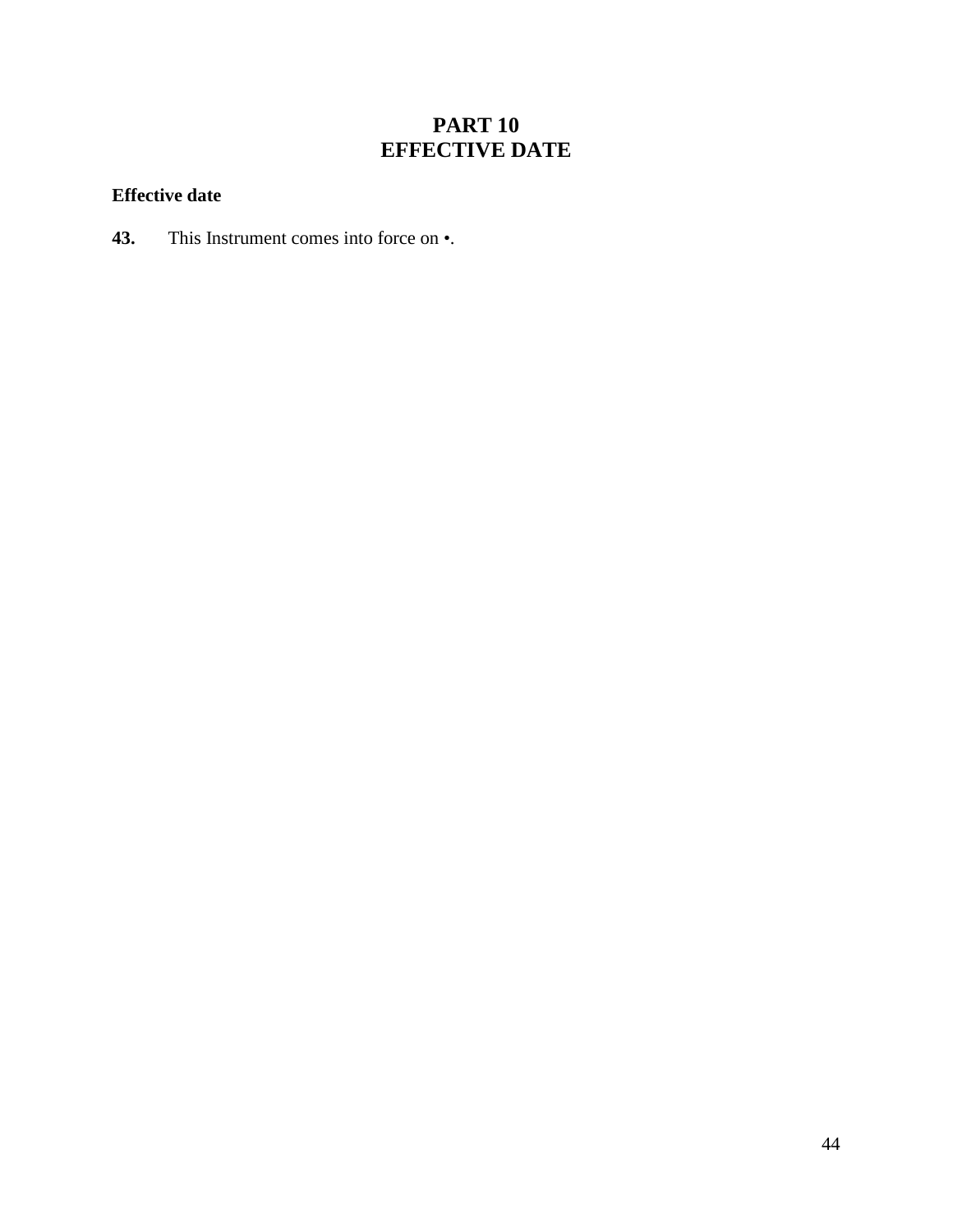# **PART 10 EFFECTIVE DATE**

# **Effective date**

**43.** This Instrument comes into force on •.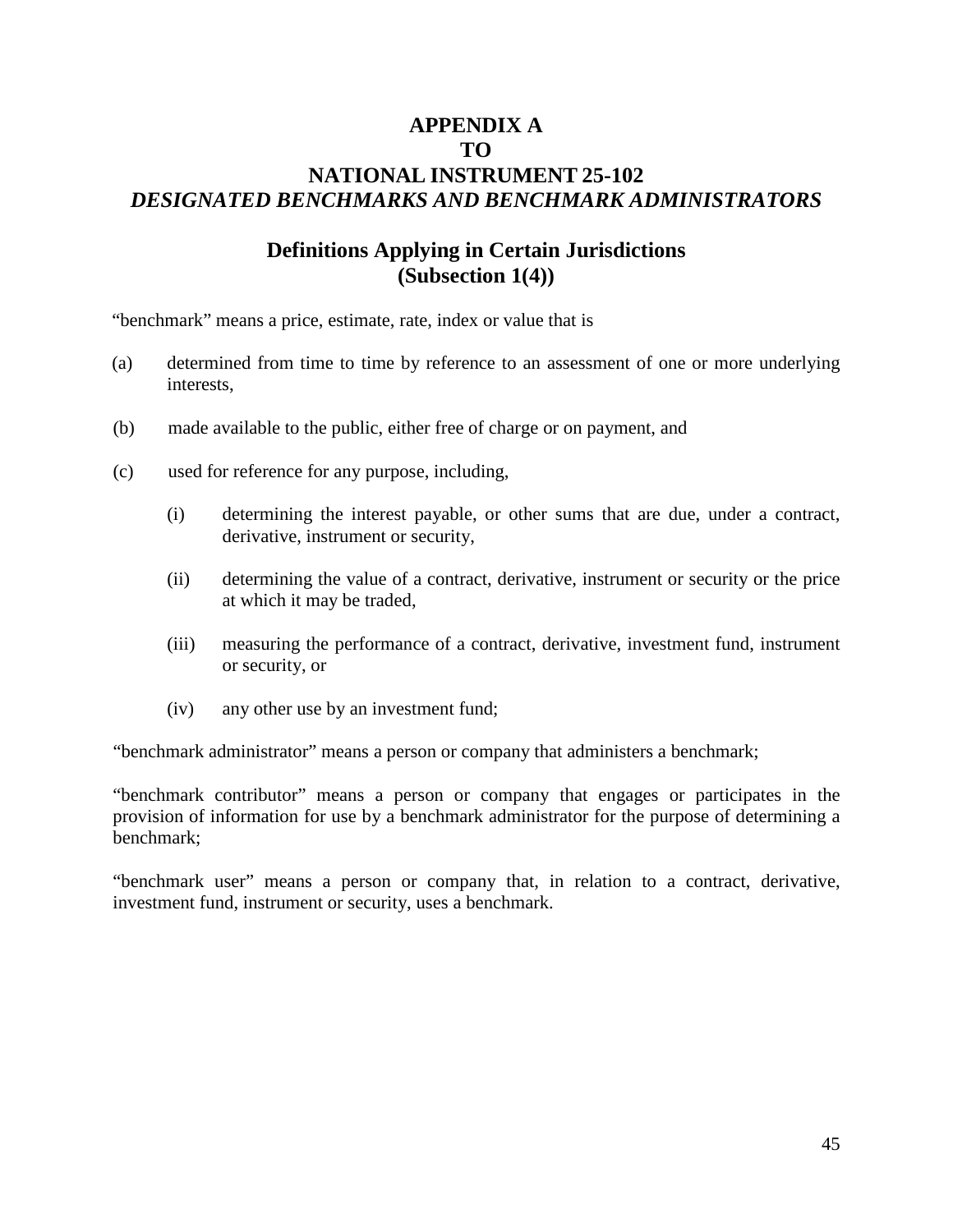# **APPENDIX A TO NATIONAL INSTRUMENT 25-102** *DESIGNATED BENCHMARKS AND BENCHMARK ADMINISTRATORS*

# **Definitions Applying in Certain Jurisdictions (Subsection 1(4))**

"benchmark" means a price, estimate, rate, index or value that is

- (a) determined from time to time by reference to an assessment of one or more underlying interests,
- (b) made available to the public, either free of charge or on payment, and
- (c) used for reference for any purpose, including,
	- (i) determining the interest payable, or other sums that are due, under a contract, derivative, instrument or security,
	- (ii) determining the value of a contract, derivative, instrument or security or the price at which it may be traded,
	- (iii) measuring the performance of a contract, derivative, investment fund, instrument or security, or
	- (iv) any other use by an investment fund;

"benchmark administrator" means a person or company that administers a benchmark;

"benchmark contributor" means a person or company that engages or participates in the provision of information for use by a benchmark administrator for the purpose of determining a benchmark;

"benchmark user" means a person or company that, in relation to a contract, derivative, investment fund, instrument or security, uses a benchmark.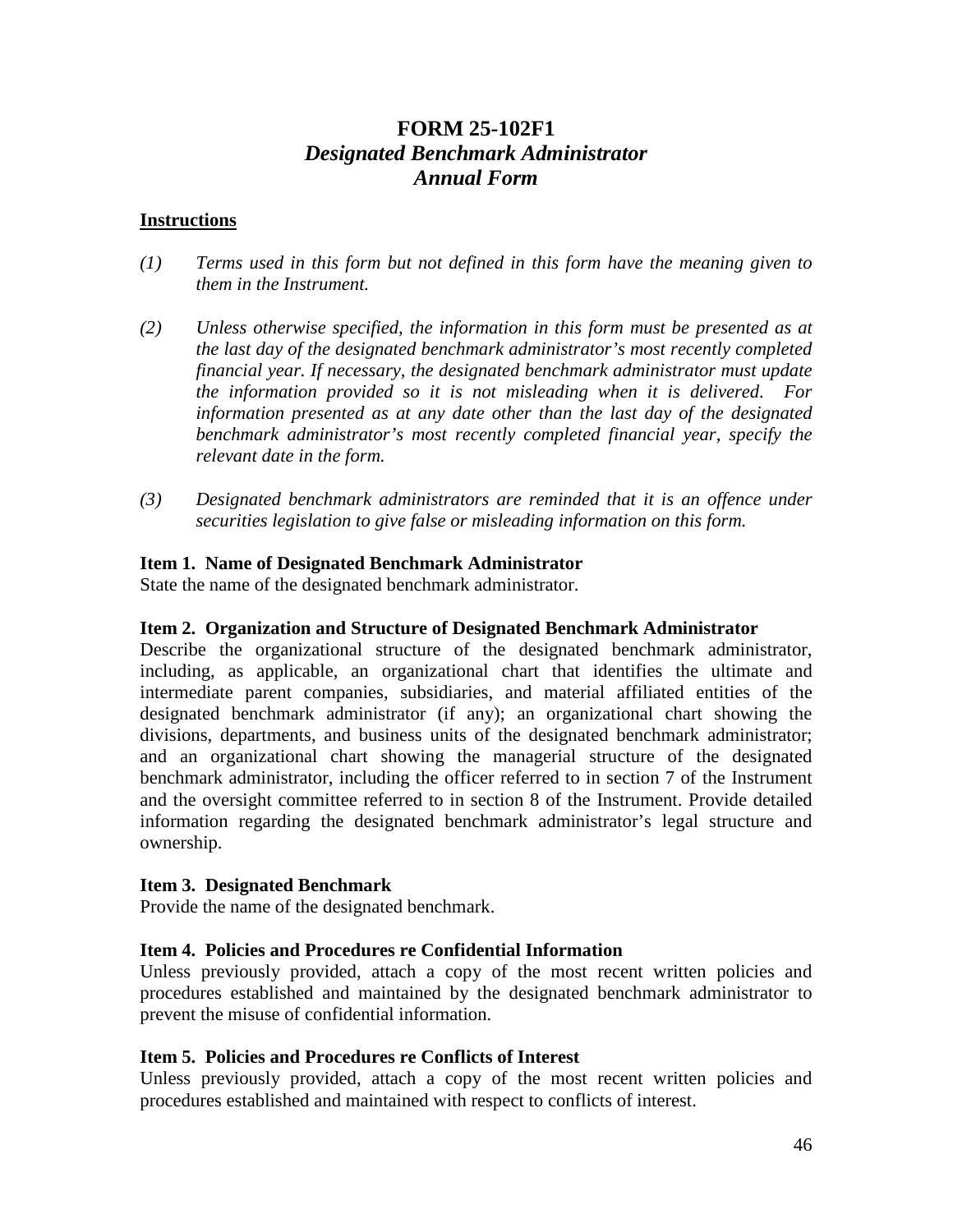# **FORM 25-102F1** *Designated Benchmark Administrator Annual Form*

#### **Instructions**

- *(1) Terms used in this form but not defined in this form have the meaning given to them in the Instrument.*
- *(2) Unless otherwise specified, the information in this form must be presented as at the last day of the designated benchmark administrator's most recently completed financial year. If necessary, the designated benchmark administrator must update the information provided so it is not misleading when it is delivered. For information presented as at any date other than the last day of the designated benchmark administrator's most recently completed financial year, specify the relevant date in the form.*
- *(3) Designated benchmark administrators are reminded that it is an offence under securities legislation to give false or misleading information on this form.*

#### **Item 1. Name of Designated Benchmark Administrator**

State the name of the designated benchmark administrator.

#### **Item 2. Organization and Structure of Designated Benchmark Administrator**

Describe the organizational structure of the designated benchmark administrator, including, as applicable, an organizational chart that identifies the ultimate and intermediate parent companies, subsidiaries, and material affiliated entities of the designated benchmark administrator (if any); an organizational chart showing the divisions, departments, and business units of the designated benchmark administrator; and an organizational chart showing the managerial structure of the designated benchmark administrator, including the officer referred to in section 7 of the Instrument and the oversight committee referred to in section 8 of the Instrument. Provide detailed information regarding the designated benchmark administrator's legal structure and ownership.

#### **Item 3. Designated Benchmark**

Provide the name of the designated benchmark.

#### **Item 4. Policies and Procedures re Confidential Information**

Unless previously provided, attach a copy of the most recent written policies and procedures established and maintained by the designated benchmark administrator to prevent the misuse of confidential information.

#### **Item 5. Policies and Procedures re Conflicts of Interest**

Unless previously provided, attach a copy of the most recent written policies and procedures established and maintained with respect to conflicts of interest.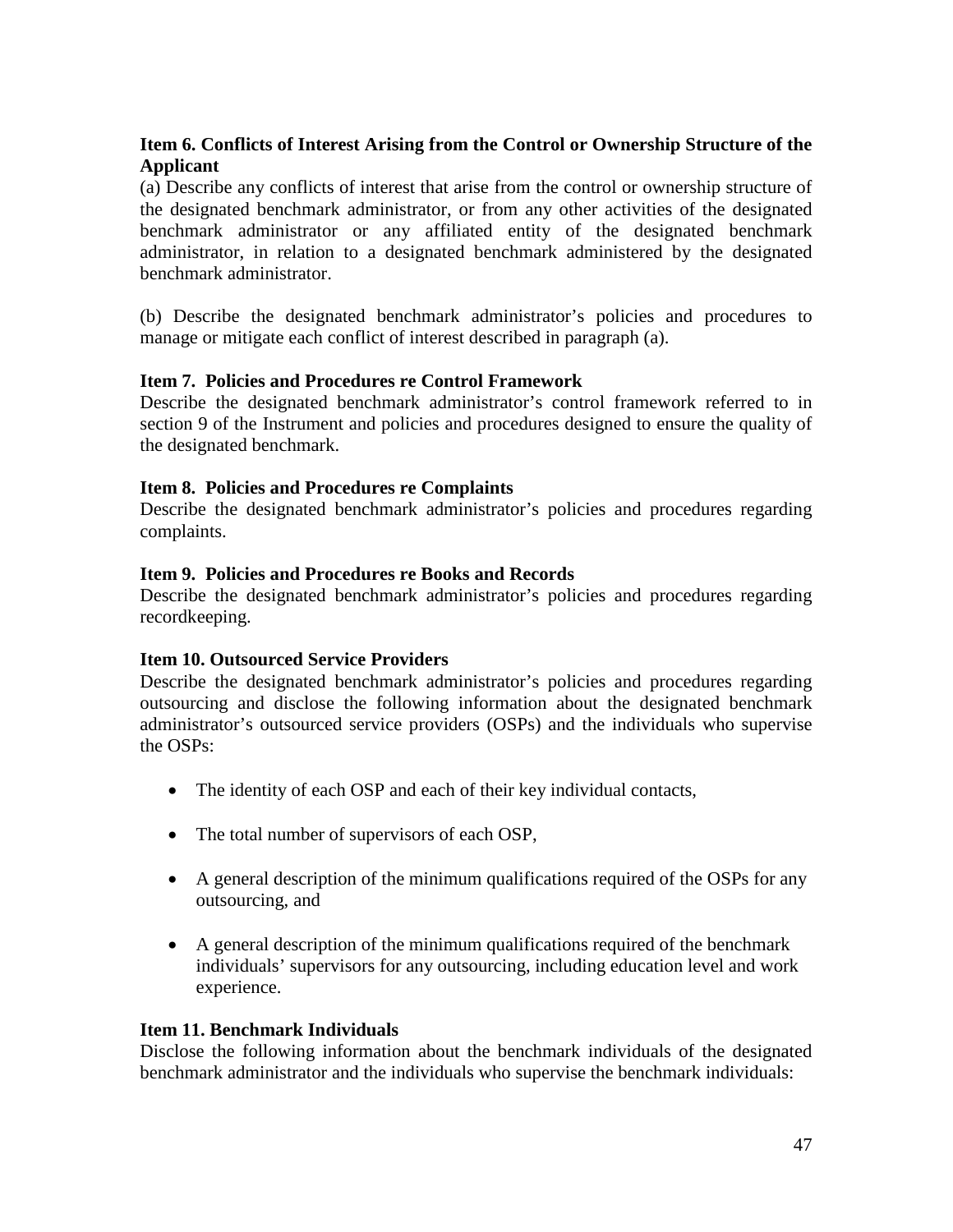# **Item 6. Conflicts of Interest Arising from the Control or Ownership Structure of the Applicant**

(a) Describe any conflicts of interest that arise from the control or ownership structure of the designated benchmark administrator, or from any other activities of the designated benchmark administrator or any affiliated entity of the designated benchmark administrator, in relation to a designated benchmark administered by the designated benchmark administrator.

(b) Describe the designated benchmark administrator's policies and procedures to manage or mitigate each conflict of interest described in paragraph (a).

# **Item 7. Policies and Procedures re Control Framework**

Describe the designated benchmark administrator's control framework referred to in section 9 of the Instrument and policies and procedures designed to ensure the quality of the designated benchmark.

#### **Item 8. Policies and Procedures re Complaints**

Describe the designated benchmark administrator's policies and procedures regarding complaints.

#### **Item 9. Policies and Procedures re Books and Records**

Describe the designated benchmark administrator's policies and procedures regarding recordkeeping.

# **Item 10. Outsourced Service Providers**

Describe the designated benchmark administrator's policies and procedures regarding outsourcing and disclose the following information about the designated benchmark administrator's outsourced service providers (OSPs) and the individuals who supervise the OSPs:

- The identity of each OSP and each of their key individual contacts,
- The total number of supervisors of each OSP,
- A general description of the minimum qualifications required of the OSPs for any outsourcing, and
- A general description of the minimum qualifications required of the benchmark individuals' supervisors for any outsourcing, including education level and work experience.

#### **Item 11. Benchmark Individuals**

Disclose the following information about the benchmark individuals of the designated benchmark administrator and the individuals who supervise the benchmark individuals: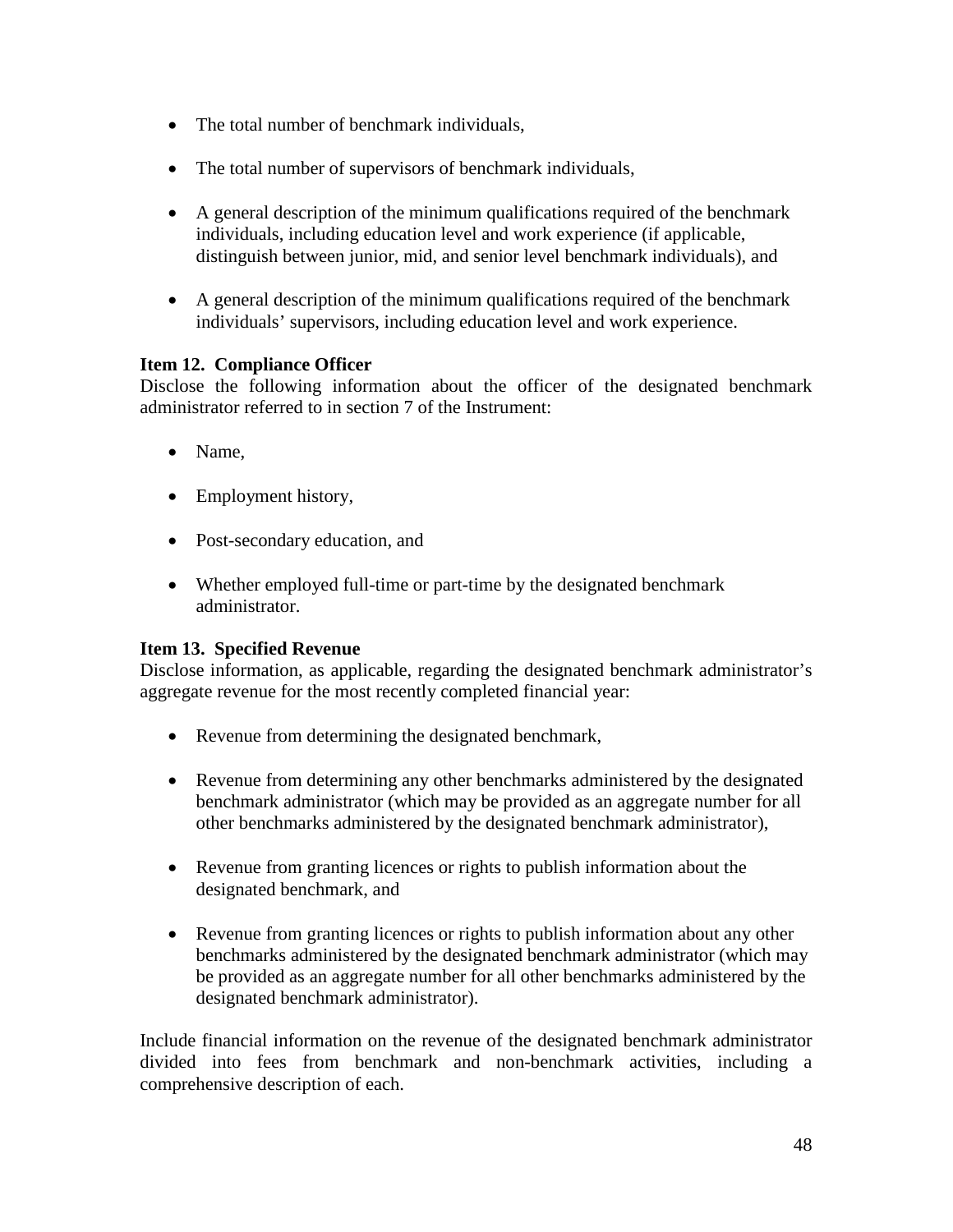- The total number of benchmark individuals,
- The total number of supervisors of benchmark individuals,
- A general description of the minimum qualifications required of the benchmark individuals, including education level and work experience (if applicable, distinguish between junior, mid, and senior level benchmark individuals), and
- A general description of the minimum qualifications required of the benchmark individuals' supervisors, including education level and work experience.

# **Item 12. Compliance Officer**

Disclose the following information about the officer of the designated benchmark administrator referred to in section 7 of the Instrument:

- Name,
- Employment history,
- Post-secondary education, and
- Whether employed full-time or part-time by the designated benchmark administrator.

# **Item 13. Specified Revenue**

Disclose information, as applicable, regarding the designated benchmark administrator's aggregate revenue for the most recently completed financial year:

- Revenue from determining the designated benchmark,
- Revenue from determining any other benchmarks administered by the designated benchmark administrator (which may be provided as an aggregate number for all other benchmarks administered by the designated benchmark administrator),
- Revenue from granting licences or rights to publish information about the designated benchmark, and
- Revenue from granting licences or rights to publish information about any other benchmarks administered by the designated benchmark administrator (which may be provided as an aggregate number for all other benchmarks administered by the designated benchmark administrator).

Include financial information on the revenue of the designated benchmark administrator divided into fees from benchmark and non-benchmark activities, including a comprehensive description of each.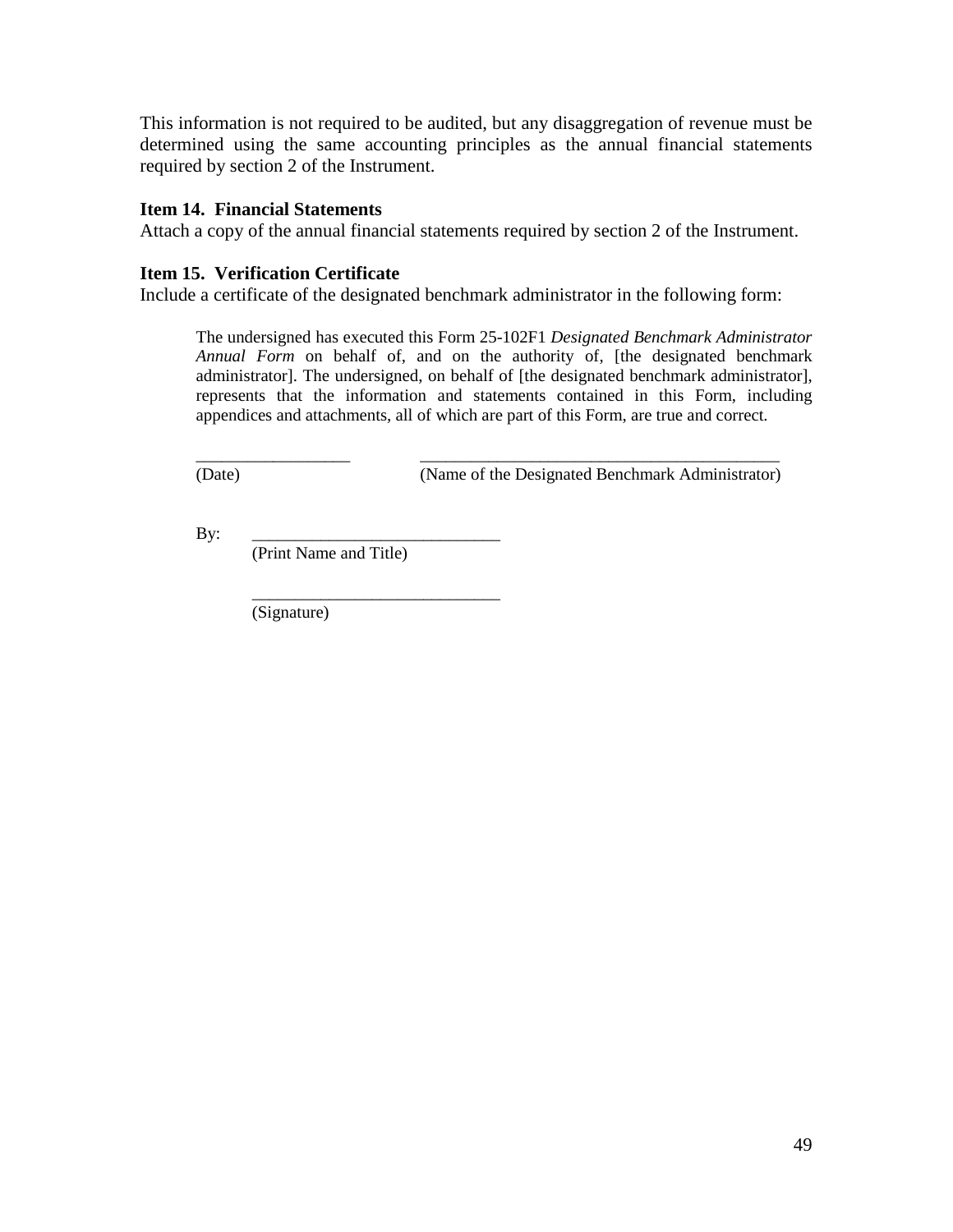This information is not required to be audited, but any disaggregation of revenue must be determined using the same accounting principles as the annual financial statements required by section 2 of the Instrument.

### **Item 14. Financial Statements**

Attach a copy of the annual financial statements required by section 2 of the Instrument.

#### **Item 15. Verification Certificate**

Include a certificate of the designated benchmark administrator in the following form:

The undersigned has executed this Form 25-102F1 *Designated Benchmark Administrator Annual Form* on behalf of, and on the authority of, [the designated benchmark administrator]. The undersigned, on behalf of [the designated benchmark administrator], represents that the information and statements contained in this Form, including appendices and attachments, all of which are part of this Form, are true and correct.

\_\_\_\_\_\_\_\_\_\_\_\_\_\_\_\_\_\_ \_\_\_\_\_\_\_\_\_\_\_\_\_\_\_\_\_\_\_\_\_\_\_\_\_\_\_\_\_\_\_\_\_\_\_\_\_\_\_\_\_\_

(Date) (Name of the Designated Benchmark Administrator)

By: \_\_\_\_\_\_\_\_\_\_\_\_\_\_\_\_\_\_\_\_\_\_\_\_\_\_\_\_\_ (Print Name and Title)

\_\_\_\_\_\_\_\_\_\_\_\_\_\_\_\_\_\_\_\_\_\_\_\_\_\_\_\_\_

(Signature)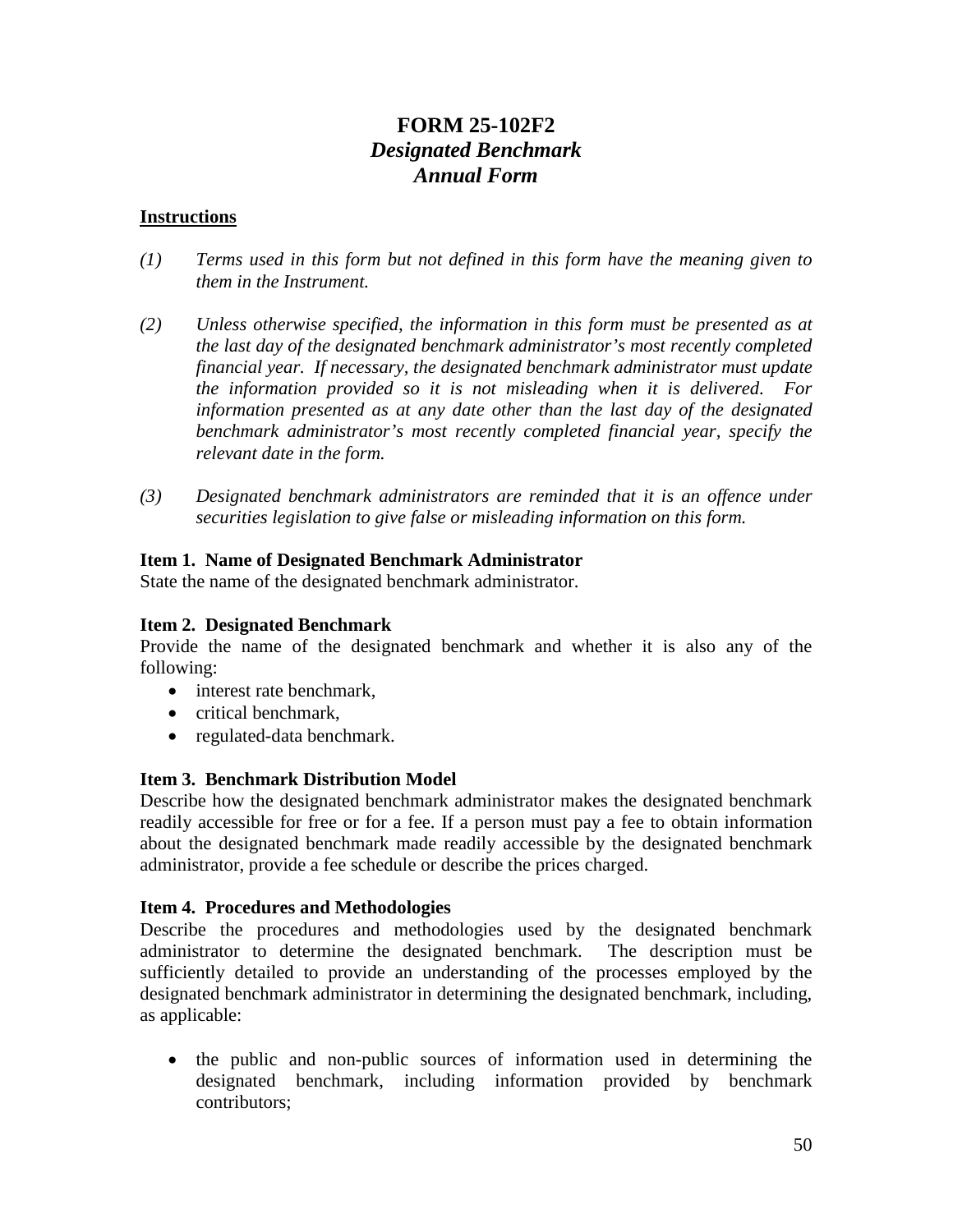# **FORM 25-102F2** *Designated Benchmark Annual Form*

## **Instructions**

- *(1) Terms used in this form but not defined in this form have the meaning given to them in the Instrument.*
- *(2) Unless otherwise specified, the information in this form must be presented as at the last day of the designated benchmark administrator's most recently completed financial year. If necessary, the designated benchmark administrator must update the information provided so it is not misleading when it is delivered. For information presented as at any date other than the last day of the designated benchmark administrator's most recently completed financial year, specify the relevant date in the form.*
- *(3) Designated benchmark administrators are reminded that it is an offence under securities legislation to give false or misleading information on this form.*

### **Item 1. Name of Designated Benchmark Administrator**

State the name of the designated benchmark administrator.

## **Item 2. Designated Benchmark**

Provide the name of the designated benchmark and whether it is also any of the following:

- interest rate benchmark,
- critical benchmark,
- regulated-data benchmark.

# **Item 3. Benchmark Distribution Model**

Describe how the designated benchmark administrator makes the designated benchmark readily accessible for free or for a fee. If a person must pay a fee to obtain information about the designated benchmark made readily accessible by the designated benchmark administrator, provide a fee schedule or describe the prices charged.

#### **Item 4. Procedures and Methodologies**

Describe the procedures and methodologies used by the designated benchmark administrator to determine the designated benchmark. The description must be sufficiently detailed to provide an understanding of the processes employed by the designated benchmark administrator in determining the designated benchmark, including, as applicable:

• the public and non-public sources of information used in determining the designated benchmark, including information provided by benchmark contributors;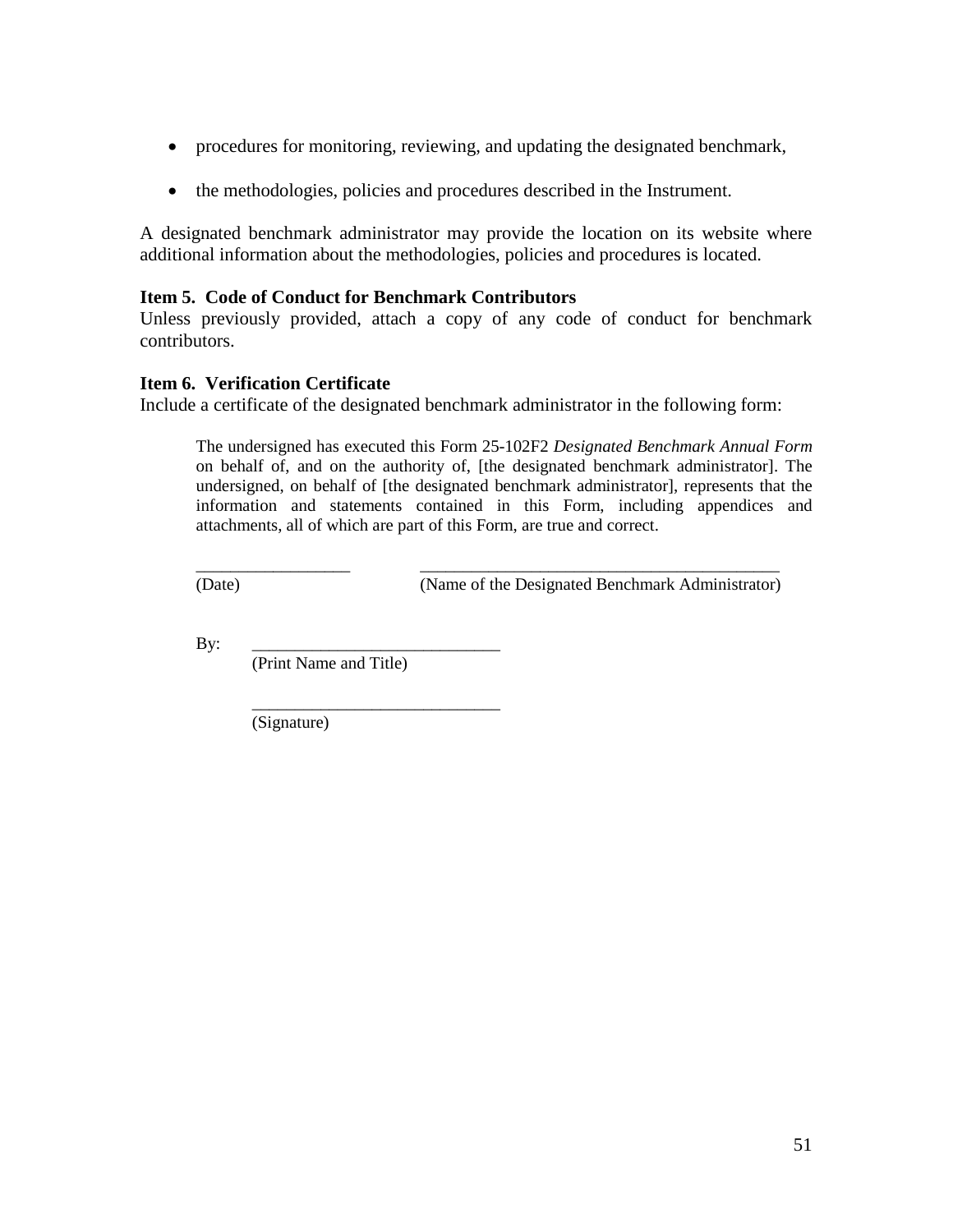- procedures for monitoring, reviewing, and updating the designated benchmark,
- the methodologies, policies and procedures described in the Instrument.

A designated benchmark administrator may provide the location on its website where additional information about the methodologies, policies and procedures is located.

### **Item 5. Code of Conduct for Benchmark Contributors**

Unless previously provided, attach a copy of any code of conduct for benchmark contributors.

#### **Item 6. Verification Certificate**

Include a certificate of the designated benchmark administrator in the following form:

The undersigned has executed this Form 25-102F2 *Designated Benchmark Annual Form* on behalf of, and on the authority of, [the designated benchmark administrator]. The undersigned, on behalf of [the designated benchmark administrator], represents that the information and statements contained in this Form, including appendices and attachments, all of which are part of this Form, are true and correct.

\_\_\_\_\_\_\_\_\_\_\_\_\_\_\_\_\_\_ \_\_\_\_\_\_\_\_\_\_\_\_\_\_\_\_\_\_\_\_\_\_\_\_\_\_\_\_\_\_\_\_\_\_\_\_\_\_\_\_\_\_

(Date) (Name of the Designated Benchmark Administrator)

By: \_\_\_\_\_\_\_\_\_\_\_\_\_\_\_\_\_\_\_\_\_\_\_\_\_\_\_\_\_

(Print Name and Title)

\_\_\_\_\_\_\_\_\_\_\_\_\_\_\_\_\_\_\_\_\_\_\_\_\_\_\_\_\_

(Signature)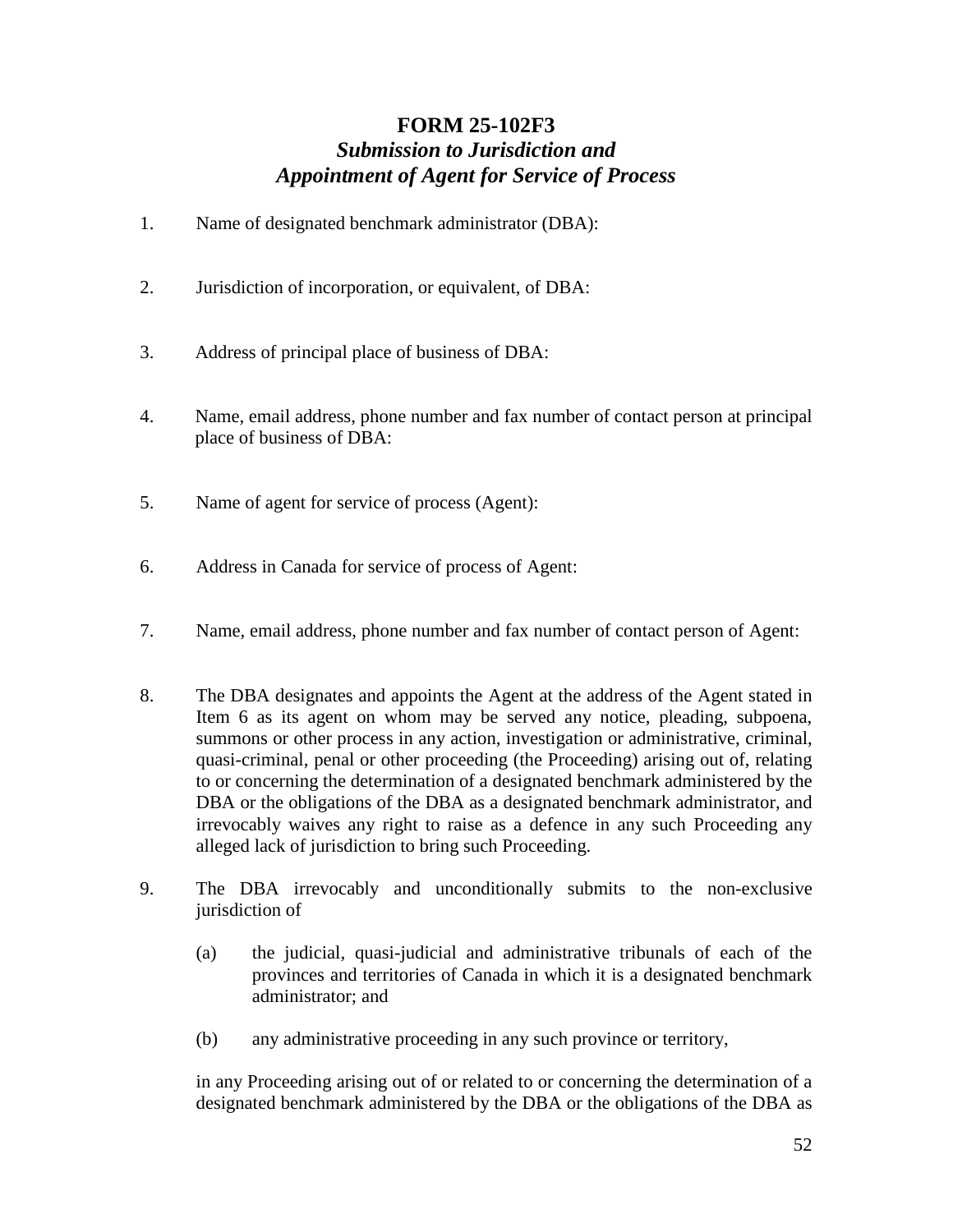# **FORM 25-102F3** *Submission to Jurisdiction and Appointment of Agent for Service of Process*

- 1. Name of designated benchmark administrator (DBA):
- 2. Jurisdiction of incorporation, or equivalent, of DBA:
- 3. Address of principal place of business of DBA:
- 4. Name, email address, phone number and fax number of contact person at principal place of business of DBA:
- 5. Name of agent for service of process (Agent):
- 6. Address in Canada for service of process of Agent:
- 7. Name, email address, phone number and fax number of contact person of Agent:
- 8. The DBA designates and appoints the Agent at the address of the Agent stated in Item 6 as its agent on whom may be served any notice, pleading, subpoena, summons or other process in any action, investigation or administrative, criminal, quasi-criminal, penal or other proceeding (the Proceeding) arising out of, relating to or concerning the determination of a designated benchmark administered by the DBA or the obligations of the DBA as a designated benchmark administrator, and irrevocably waives any right to raise as a defence in any such Proceeding any alleged lack of jurisdiction to bring such Proceeding.
- 9. The DBA irrevocably and unconditionally submits to the non-exclusive jurisdiction of
	- (a) the judicial, quasi-judicial and administrative tribunals of each of the provinces and territories of Canada in which it is a designated benchmark administrator; and
	- (b) any administrative proceeding in any such province or territory,

in any Proceeding arising out of or related to or concerning the determination of a designated benchmark administered by the DBA or the obligations of the DBA as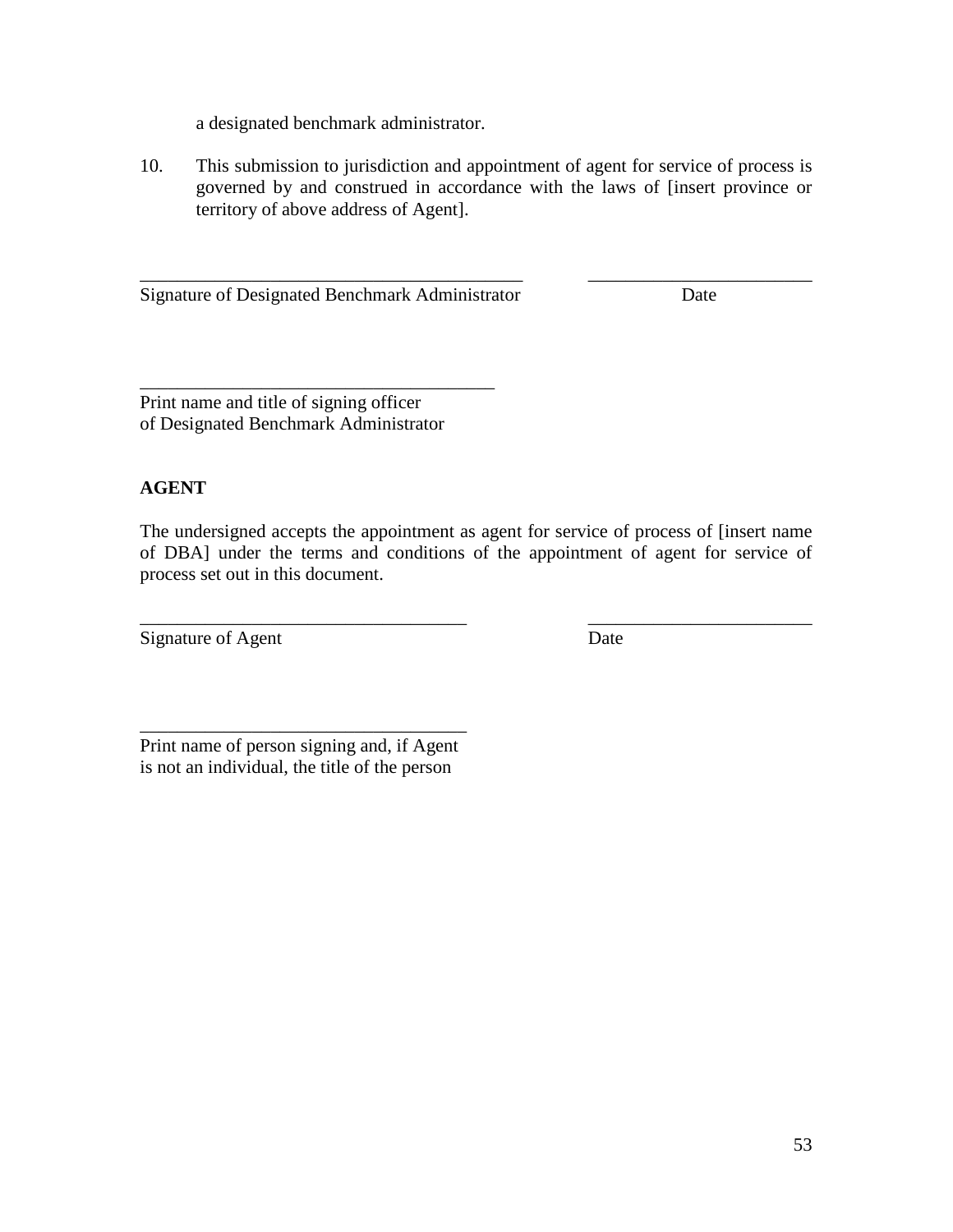a designated benchmark administrator.

10. This submission to jurisdiction and appointment of agent for service of process is governed by and construed in accordance with the laws of [insert province or territory of above address of Agent].

\_\_\_\_\_\_\_\_\_\_\_\_\_\_\_\_\_\_\_\_\_\_\_\_\_\_\_\_\_\_\_\_\_\_\_\_\_\_\_\_\_ \_\_\_\_\_\_\_\_\_\_\_\_\_\_\_\_\_\_\_\_\_\_\_\_ Signature of Designated Benchmark Administrator Date

\_\_\_\_\_\_\_\_\_\_\_\_\_\_\_\_\_\_\_\_\_\_\_\_\_\_\_\_\_\_\_\_\_\_\_\_\_\_ Print name and title of signing officer of Designated Benchmark Administrator

## **AGENT**

The undersigned accepts the appointment as agent for service of process of [insert name of DBA] under the terms and conditions of the appointment of agent for service of process set out in this document.

\_\_\_\_\_\_\_\_\_\_\_\_\_\_\_\_\_\_\_\_\_\_\_\_\_\_\_\_\_\_\_\_\_\_\_ \_\_\_\_\_\_\_\_\_\_\_\_\_\_\_\_\_\_\_\_\_\_\_\_ Signature of Agent Date

\_\_\_\_\_\_\_\_\_\_\_\_\_\_\_\_\_\_\_\_\_\_\_\_\_\_\_\_\_\_\_\_\_\_\_ Print name of person signing and, if Agent is not an individual, the title of the person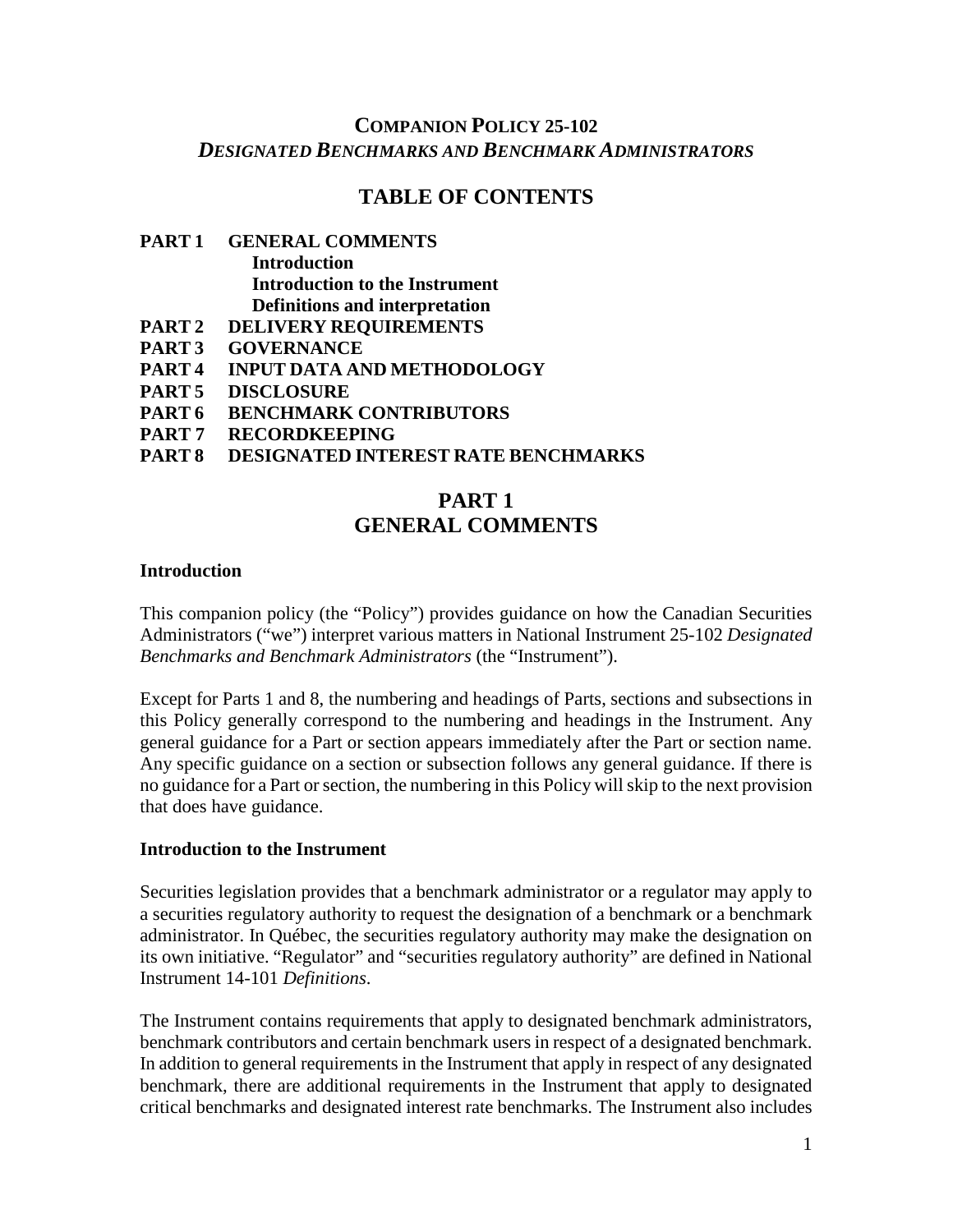# **COMPANION POLICY 25-102** *DESIGNATED BENCHMARKS AND BENCHMARK ADMINISTRATORS*

## **TABLE OF CONTENTS**

## **PART 1 GENERAL COMMENTS Introduction Introduction to the Instrument Definitions and interpretation**

- **PART 2 DELIVERY REQUIREMENTS**
- **PART 3 GOVERNANCE**
- **PART 4 INPUT DATA AND METHODOLOGY**
- **PART 5 DISCLOSURE**
- **PART 6 BENCHMARK CONTRIBUTORS**
- **PART 7 RECORDKEEPING**
- **PESIGNATED INTEREST RATE BENCHMARKS**

# **PART 1 GENERAL COMMENTS**

#### **Introduction**

This companion policy (the "Policy") provides guidance on how the Canadian Securities Administrators ("we") interpret various matters in National Instrument 25-102 *Designated Benchmarks and Benchmark Administrators* (the "Instrument").

Except for Parts 1 and 8, the numbering and headings of Parts, sections and subsections in this Policy generally correspond to the numbering and headings in the Instrument. Any general guidance for a Part or section appears immediately after the Part or section name. Any specific guidance on a section or subsection follows any general guidance. If there is no guidance for a Part or section, the numbering in this Policy will skip to the next provision that does have guidance.

#### **Introduction to the Instrument**

Securities legislation provides that a benchmark administrator or a regulator may apply to a securities regulatory authority to request the designation of a benchmark or a benchmark administrator. In Québec, the securities regulatory authority may make the designation on its own initiative. "Regulator" and "securities regulatory authority" are defined in National Instrument 14-101 *Definitions*.

The Instrument contains requirements that apply to designated benchmark administrators, benchmark contributors and certain benchmark users in respect of a designated benchmark. In addition to general requirements in the Instrument that apply in respect of any designated benchmark, there are additional requirements in the Instrument that apply to designated critical benchmarks and designated interest rate benchmarks. The Instrument also includes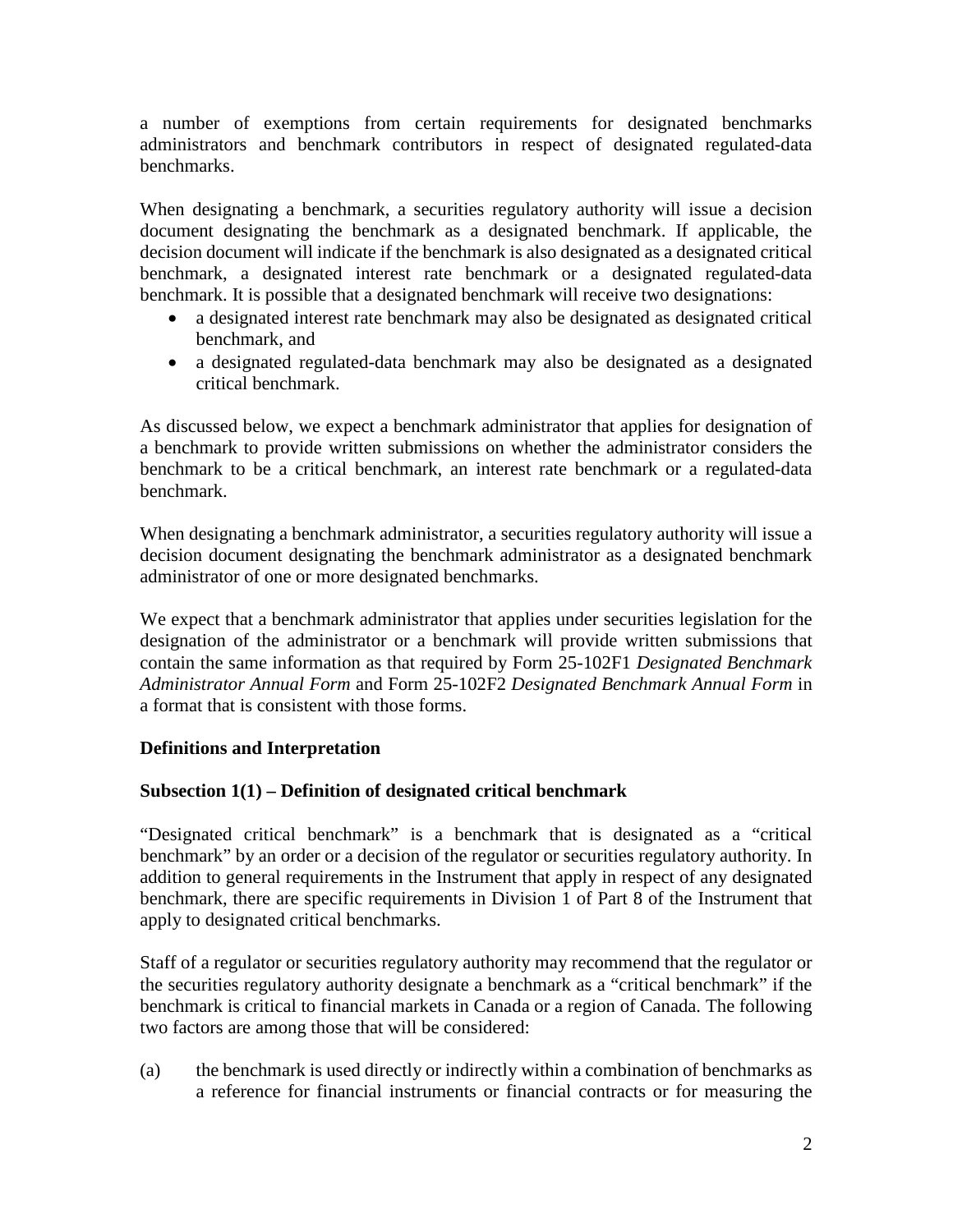a number of exemptions from certain requirements for designated benchmarks administrators and benchmark contributors in respect of designated regulated-data benchmarks.

When designating a benchmark, a securities regulatory authority will issue a decision document designating the benchmark as a designated benchmark. If applicable, the decision document will indicate if the benchmark is also designated as a designated critical benchmark, a designated interest rate benchmark or a designated regulated-data benchmark. It is possible that a designated benchmark will receive two designations:

- a designated interest rate benchmark may also be designated as designated critical benchmark, and
- a designated regulated-data benchmark may also be designated as a designated critical benchmark.

As discussed below, we expect a benchmark administrator that applies for designation of a benchmark to provide written submissions on whether the administrator considers the benchmark to be a critical benchmark, an interest rate benchmark or a regulated-data benchmark.

When designating a benchmark administrator, a securities regulatory authority will issue a decision document designating the benchmark administrator as a designated benchmark administrator of one or more designated benchmarks.

We expect that a benchmark administrator that applies under securities legislation for the designation of the administrator or a benchmark will provide written submissions that contain the same information as that required by Form 25-102F1 *Designated Benchmark Administrator Annual Form* and Form 25-102F2 *Designated Benchmark Annual Form* in a format that is consistent with those forms.

## **Definitions and Interpretation**

## **Subsection 1(1) – Definition of designated critical benchmark**

"Designated critical benchmark" is a benchmark that is designated as a "critical benchmark" by an order or a decision of the regulator or securities regulatory authority. In addition to general requirements in the Instrument that apply in respect of any designated benchmark, there are specific requirements in Division 1 of Part 8 of the Instrument that apply to designated critical benchmarks.

Staff of a regulator or securities regulatory authority may recommend that the regulator or the securities regulatory authority designate a benchmark as a "critical benchmark" if the benchmark is critical to financial markets in Canada or a region of Canada. The following two factors are among those that will be considered:

(a) the benchmark is used directly or indirectly within a combination of benchmarks as a reference for financial instruments or financial contracts or for measuring the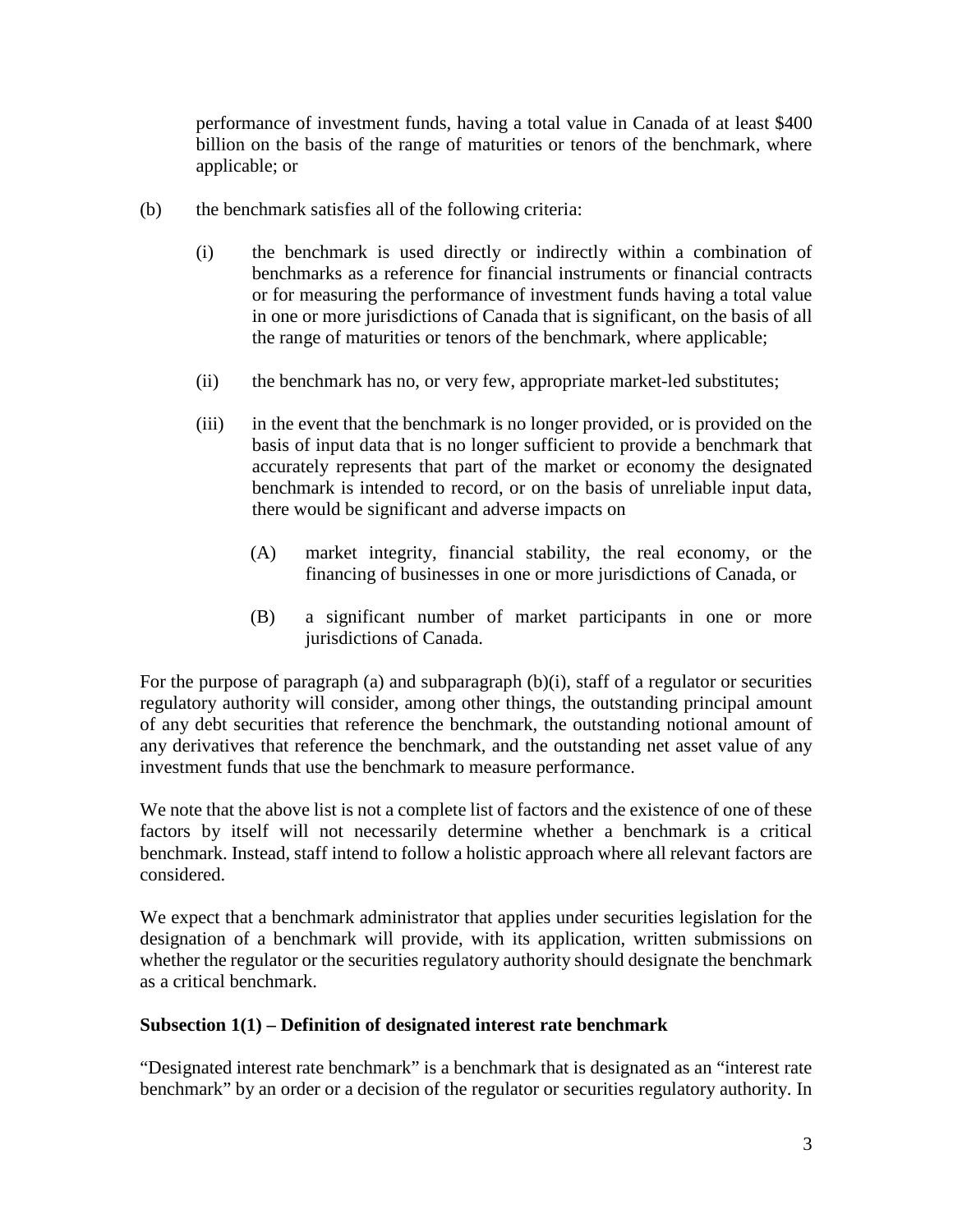performance of investment funds, having a total value in Canada of at least \$400 billion on the basis of the range of maturities or tenors of the benchmark, where applicable; or

- (b) the benchmark satisfies all of the following criteria:
	- (i) the benchmark is used directly or indirectly within a combination of benchmarks as a reference for financial instruments or financial contracts or for measuring the performance of investment funds having a total value in one or more jurisdictions of Canada that is significant, on the basis of all the range of maturities or tenors of the benchmark, where applicable;
	- (ii) the benchmark has no, or very few, appropriate market-led substitutes;
	- (iii) in the event that the benchmark is no longer provided, or is provided on the basis of input data that is no longer sufficient to provide a benchmark that accurately represents that part of the market or economy the designated benchmark is intended to record, or on the basis of unreliable input data, there would be significant and adverse impacts on
		- (A) market integrity, financial stability, the real economy, or the financing of businesses in one or more jurisdictions of Canada, or
		- (B) a significant number of market participants in one or more jurisdictions of Canada.

For the purpose of paragraph (a) and subparagraph (b)(i), staff of a regulator or securities regulatory authority will consider, among other things, the outstanding principal amount of any debt securities that reference the benchmark, the outstanding notional amount of any derivatives that reference the benchmark, and the outstanding net asset value of any investment funds that use the benchmark to measure performance.

We note that the above list is not a complete list of factors and the existence of one of these factors by itself will not necessarily determine whether a benchmark is a critical benchmark. Instead, staff intend to follow a holistic approach where all relevant factors are considered.

We expect that a benchmark administrator that applies under securities legislation for the designation of a benchmark will provide, with its application, written submissions on whether the regulator or the securities regulatory authority should designate the benchmark as a critical benchmark.

### **Subsection 1(1) – Definition of designated interest rate benchmark**

"Designated interest rate benchmark" is a benchmark that is designated as an "interest rate benchmark" by an order or a decision of the regulator or securities regulatory authority. In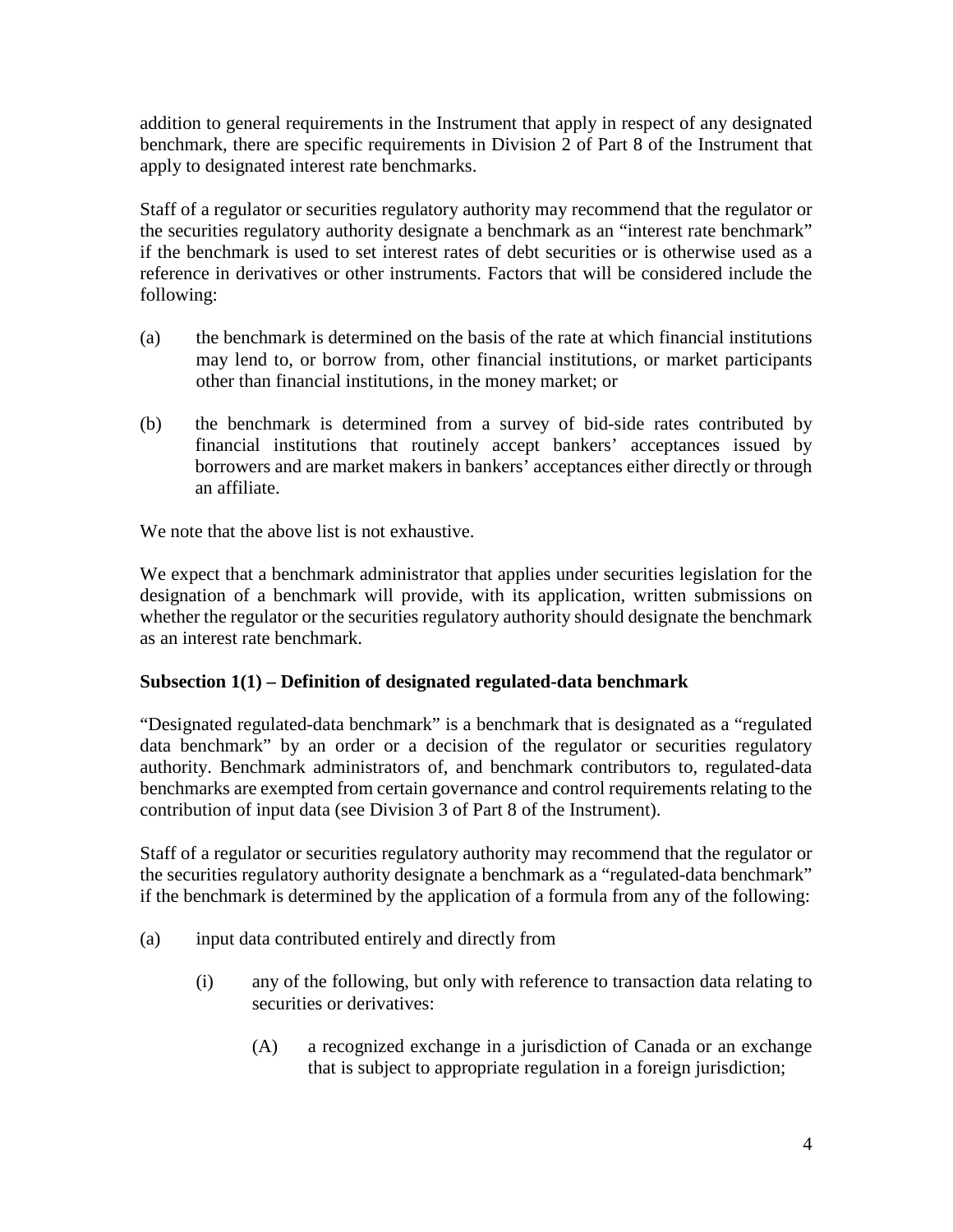addition to general requirements in the Instrument that apply in respect of any designated benchmark, there are specific requirements in Division 2 of Part 8 of the Instrument that apply to designated interest rate benchmarks.

Staff of a regulator or securities regulatory authority may recommend that the regulator or the securities regulatory authority designate a benchmark as an "interest rate benchmark" if the benchmark is used to set interest rates of debt securities or is otherwise used as a reference in derivatives or other instruments. Factors that will be considered include the following:

- (a) the benchmark is determined on the basis of the rate at which financial institutions may lend to, or borrow from, other financial institutions, or market participants other than financial institutions, in the money market; or
- (b) the benchmark is determined from a survey of bid-side rates contributed by financial institutions that routinely accept bankers' acceptances issued by borrowers and are market makers in bankers' acceptances either directly or through an affiliate.

We note that the above list is not exhaustive.

We expect that a benchmark administrator that applies under securities legislation for the designation of a benchmark will provide, with its application, written submissions on whether the regulator or the securities regulatory authority should designate the benchmark as an interest rate benchmark.

## **Subsection 1(1) – Definition of designated regulated-data benchmark**

"Designated regulated-data benchmark" is a benchmark that is designated as a "regulated data benchmark" by an order or a decision of the regulator or securities regulatory authority. Benchmark administrators of, and benchmark contributors to, regulated-data benchmarks are exempted from certain governance and control requirements relating to the contribution of input data (see Division 3 of Part 8 of the Instrument).

Staff of a regulator or securities regulatory authority may recommend that the regulator or the securities regulatory authority designate a benchmark as a "regulated-data benchmark" if the benchmark is determined by the application of a formula from any of the following:

- (a) input data contributed entirely and directly from
	- (i) any of the following, but only with reference to transaction data relating to securities or derivatives:
		- (A) a recognized exchange in a jurisdiction of Canada or an exchange that is subject to appropriate regulation in a foreign jurisdiction;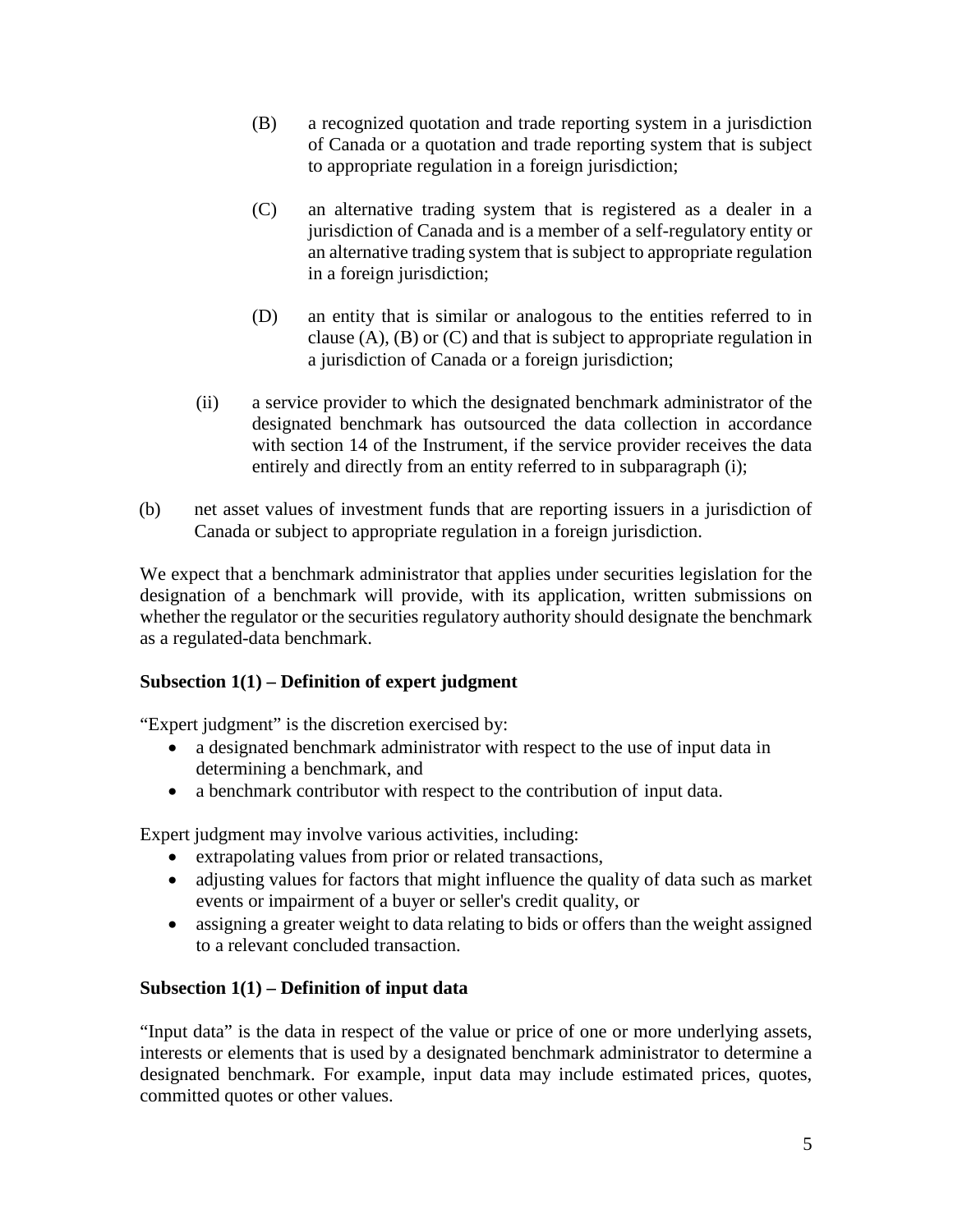- (B) a recognized quotation and trade reporting system in a jurisdiction of Canada or a quotation and trade reporting system that is subject to appropriate regulation in a foreign jurisdiction;
- (C) an alternative trading system that is registered as a dealer in a jurisdiction of Canada and is a member of a self-regulatory entity or an alternative trading system that is subject to appropriate regulation in a foreign jurisdiction;
- (D) an entity that is similar or analogous to the entities referred to in clause  $(A)$ ,  $(B)$  or  $(C)$  and that is subject to appropriate regulation in a jurisdiction of Canada or a foreign jurisdiction;
- (ii) a service provider to which the designated benchmark administrator of the designated benchmark has outsourced the data collection in accordance with section 14 of the Instrument, if the service provider receives the data entirely and directly from an entity referred to in subparagraph (i);
- (b) net asset values of investment funds that are reporting issuers in a jurisdiction of Canada or subject to appropriate regulation in a foreign jurisdiction.

We expect that a benchmark administrator that applies under securities legislation for the designation of a benchmark will provide, with its application, written submissions on whether the regulator or the securities regulatory authority should designate the benchmark as a regulated-data benchmark.

## **Subsection 1(1) – Definition of expert judgment**

"Expert judgment" is the discretion exercised by:

- a designated benchmark administrator with respect to the use of input data in determining a benchmark, and
- a benchmark contributor with respect to the contribution of input data.

Expert judgment may involve various activities, including:

- extrapolating values from prior or related transactions,
- adjusting values for factors that might influence the quality of data such as market events or impairment of a buyer or seller's credit quality, or
- assigning a greater weight to data relating to bids or offers than the weight assigned to a relevant concluded transaction.

## **Subsection 1(1) – Definition of input data**

"Input data" is the data in respect of the value or price of one or more underlying assets, interests or elements that is used by a designated benchmark administrator to determine a designated benchmark. For example, input data may include estimated prices, quotes, committed quotes or other values.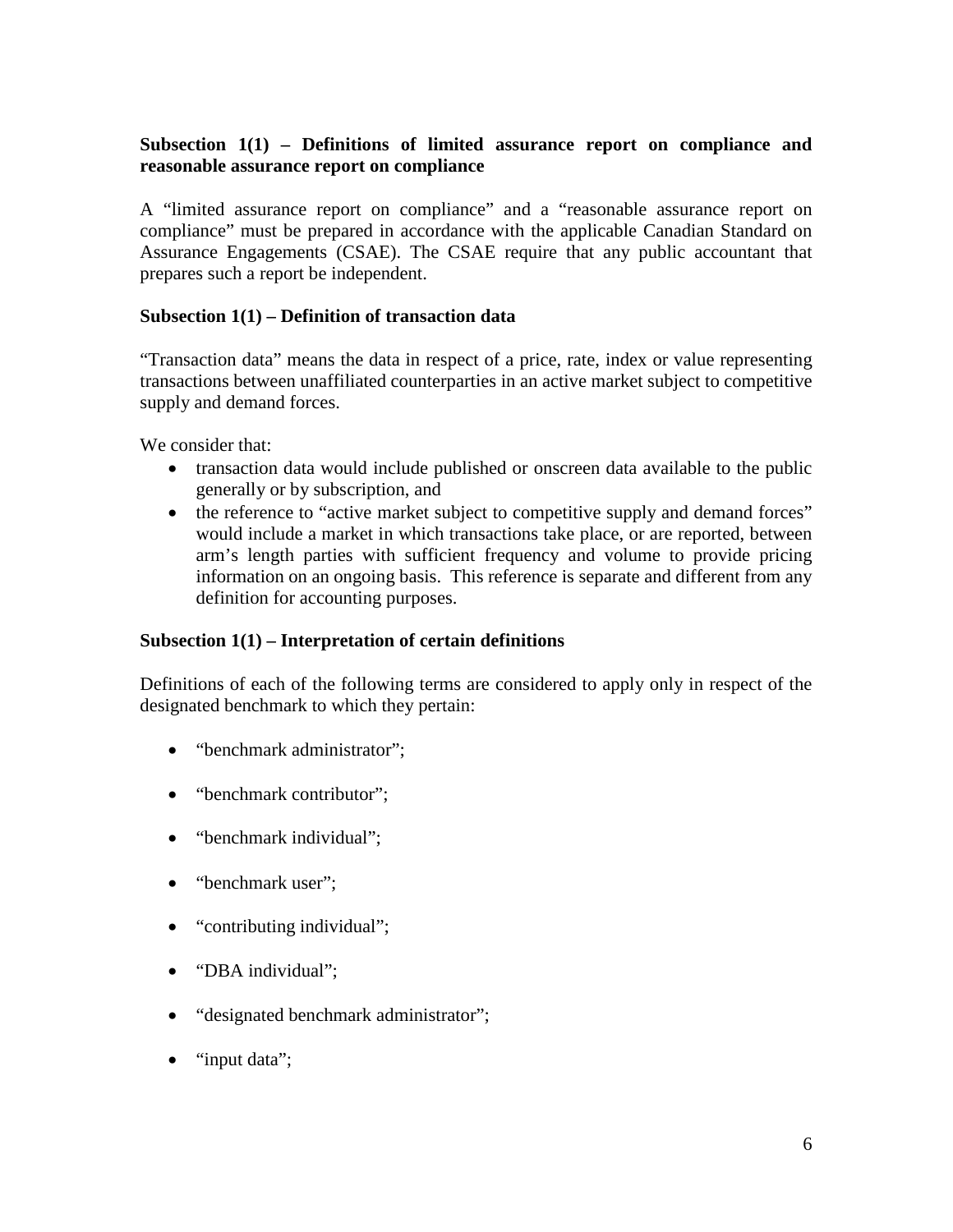## **Subsection 1(1) – Definitions of limited assurance report on compliance and reasonable assurance report on compliance**

A "limited assurance report on compliance" and a "reasonable assurance report on compliance" must be prepared in accordance with the applicable Canadian Standard on Assurance Engagements (CSAE). The CSAE require that any public accountant that prepares such a report be independent.

### **Subsection 1(1) – Definition of transaction data**

"Transaction data" means the data in respect of a price, rate, index or value representing transactions between unaffiliated counterparties in an active market subject to competitive supply and demand forces.

We consider that:

- transaction data would include published or onscreen data available to the public generally or by subscription, and
- the reference to "active market subject to competitive supply and demand forces" would include a market in which transactions take place, or are reported, between arm's length parties with sufficient frequency and volume to provide pricing information on an ongoing basis. This reference is separate and different from any definition for accounting purposes.

### **Subsection 1(1) – Interpretation of certain definitions**

Definitions of each of the following terms are considered to apply only in respect of the designated benchmark to which they pertain:

- "benchmark administrator";
- "benchmark contributor";
- "benchmark individual";
- "benchmark user":
- "contributing individual";
- "DBA individual";
- "designated benchmark administrator";
- "input data":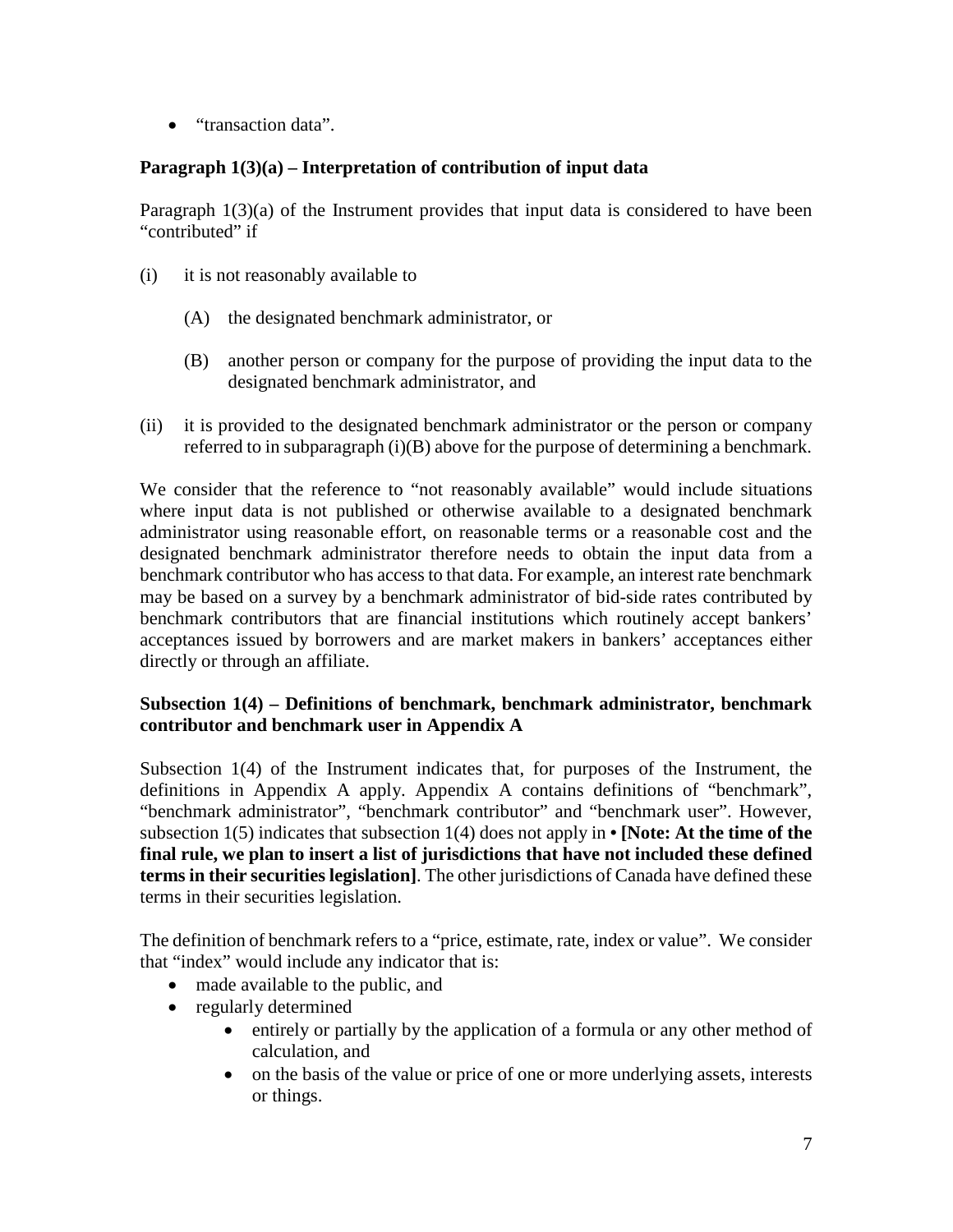• "transaction data".

## **Paragraph 1(3)(a) – Interpretation of contribution of input data**

Paragraph  $1(3)(a)$  of the Instrument provides that input data is considered to have been "contributed" if

- (i) it is not reasonably available to
	- (A) the designated benchmark administrator, or
	- (B) another person or company for the purpose of providing the input data to the designated benchmark administrator, and
- (ii) it is provided to the designated benchmark administrator or the person or company referred to in subparagraph (i)(B) above for the purpose of determining a benchmark.

We consider that the reference to "not reasonably available" would include situations where input data is not published or otherwise available to a designated benchmark administrator using reasonable effort, on reasonable terms or a reasonable cost and the designated benchmark administrator therefore needs to obtain the input data from a benchmark contributor who has access to that data. For example, an interest rate benchmark may be based on a survey by a benchmark administrator of bid-side rates contributed by benchmark contributors that are financial institutions which routinely accept bankers' acceptances issued by borrowers and are market makers in bankers' acceptances either directly or through an affiliate.

## **Subsection 1(4) – Definitions of benchmark, benchmark administrator, benchmark contributor and benchmark user in Appendix A**

Subsection 1(4) of the Instrument indicates that, for purposes of the Instrument, the definitions in Appendix A apply. Appendix A contains definitions of "benchmark", "benchmark administrator", "benchmark contributor" and "benchmark user". However, subsection 1(5) indicates that subsection 1(4) does not apply in **• [Note: At the time of the final rule, we plan to insert a list of jurisdictions that have not included these defined terms in their securities legislation]**. The other jurisdictions of Canada have defined these terms in their securities legislation.

The definition of benchmark refers to a "price, estimate, rate, index or value". We consider that "index" would include any indicator that is:

- made available to the public, and
- regularly determined
	- entirely or partially by the application of a formula or any other method of calculation, and
	- on the basis of the value or price of one or more underlying assets, interests or things.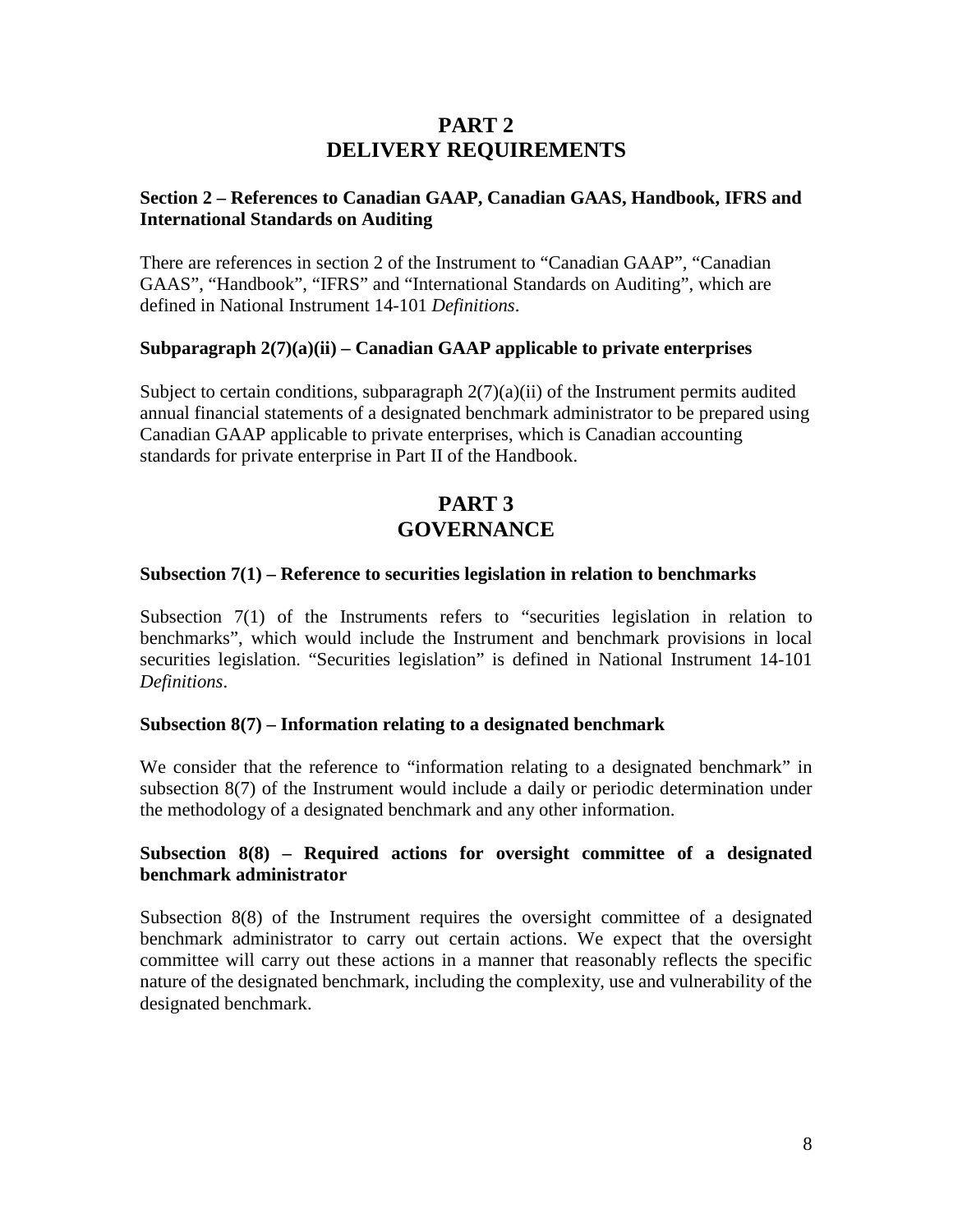## **PART 2 DELIVERY REQUIREMENTS**

## **Section 2 – References to Canadian GAAP, Canadian GAAS, Handbook, IFRS and International Standards on Auditing**

There are references in section 2 of the Instrument to "Canadian GAAP", "Canadian GAAS", "Handbook", "IFRS" and "International Standards on Auditing", which are defined in National Instrument 14-101 *Definitions*.

### **Subparagraph 2(7)(a)(ii) – Canadian GAAP applicable to private enterprises**

Subject to certain conditions, subparagraph  $2(7)(a)(ii)$  of the Instrument permits audited annual financial statements of a designated benchmark administrator to be prepared using Canadian GAAP applicable to private enterprises, which is Canadian accounting standards for private enterprise in Part II of the Handbook.

# **PART 3 GOVERNANCE**

#### **Subsection 7(1) – Reference to securities legislation in relation to benchmarks**

Subsection 7(1) of the Instruments refers to "securities legislation in relation to benchmarks", which would include the Instrument and benchmark provisions in local securities legislation. "Securities legislation" is defined in National Instrument 14-101 *Definitions*.

#### **Subsection 8(7) – Information relating to a designated benchmark**

We consider that the reference to "information relating to a designated benchmark" in subsection 8(7) of the Instrument would include a daily or periodic determination under the methodology of a designated benchmark and any other information.

### **Subsection 8(8) – Required actions for oversight committee of a designated benchmark administrator**

Subsection 8(8) of the Instrument requires the oversight committee of a designated benchmark administrator to carry out certain actions. We expect that the oversight committee will carry out these actions in a manner that reasonably reflects the specific nature of the designated benchmark, including the complexity, use and vulnerability of the designated benchmark.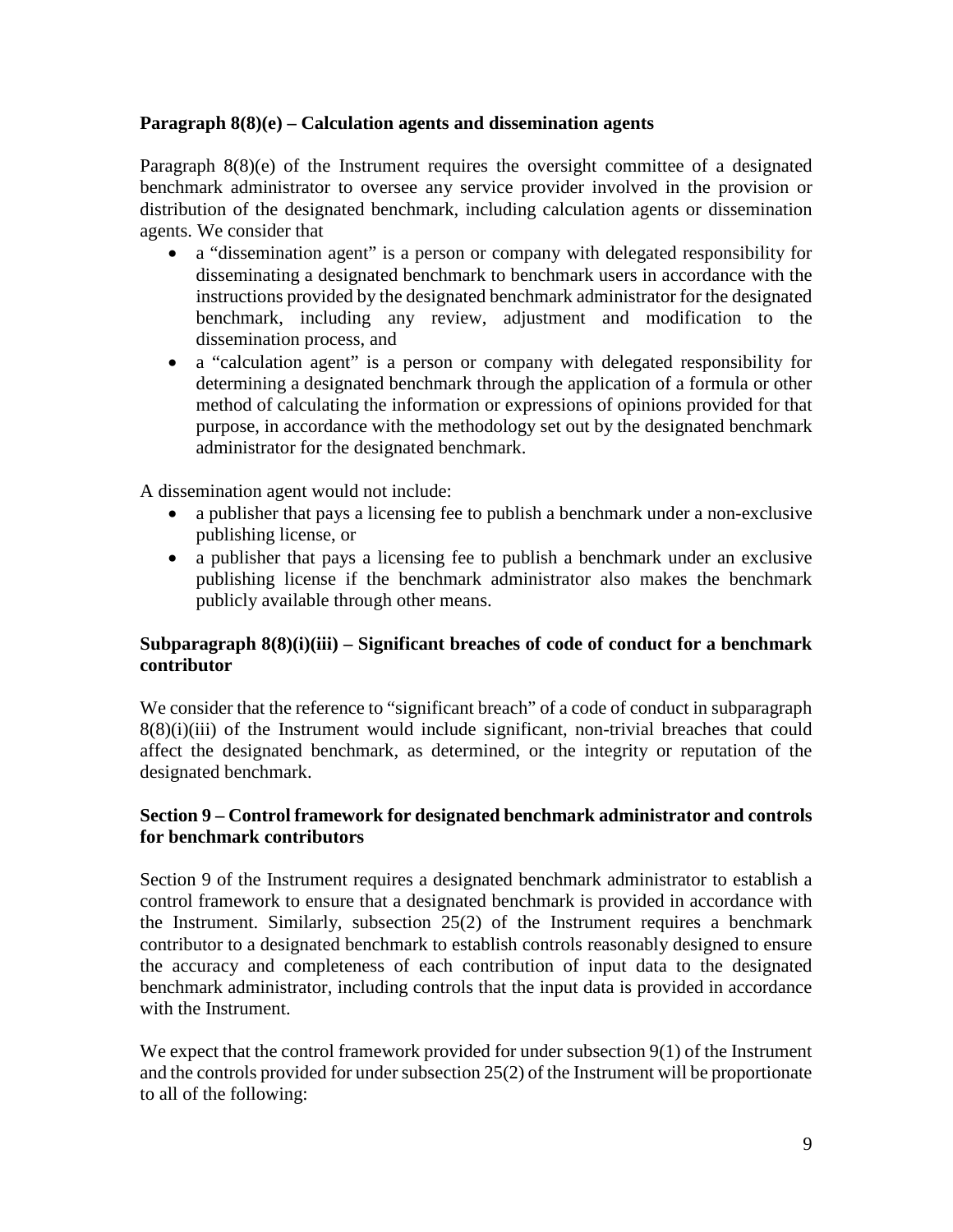## **Paragraph 8(8)(e) – Calculation agents and dissemination agents**

Paragraph 8(8)(e) of the Instrument requires the oversight committee of a designated benchmark administrator to oversee any service provider involved in the provision or distribution of the designated benchmark, including calculation agents or dissemination agents. We consider that

- a "dissemination agent" is a person or company with delegated responsibility for disseminating a designated benchmark to benchmark users in accordance with the instructions provided by the designated benchmark administrator for the designated benchmark, including any review, adjustment and modification to the dissemination process, and
- a "calculation agent" is a person or company with delegated responsibility for determining a designated benchmark through the application of a formula or other method of calculating the information or expressions of opinions provided for that purpose, in accordance with the methodology set out by the designated benchmark administrator for the designated benchmark.

A dissemination agent would not include:

- a publisher that pays a licensing fee to publish a benchmark under a non-exclusive publishing license, or
- a publisher that pays a licensing fee to publish a benchmark under an exclusive publishing license if the benchmark administrator also makes the benchmark publicly available through other means.

## **Subparagraph 8(8)(i)(iii) – Significant breaches of code of conduct for a benchmark contributor**

We consider that the reference to "significant breach" of a code of conduct in subparagraph  $8(8)(i)(iii)$  of the Instrument would include significant, non-trivial breaches that could affect the designated benchmark, as determined, or the integrity or reputation of the designated benchmark.

## **Section 9 – Control framework for designated benchmark administrator and controls for benchmark contributors**

Section 9 of the Instrument requires a designated benchmark administrator to establish a control framework to ensure that a designated benchmark is provided in accordance with the Instrument. Similarly, subsection 25(2) of the Instrument requires a benchmark contributor to a designated benchmark to establish controls reasonably designed to ensure the accuracy and completeness of each contribution of input data to the designated benchmark administrator, including controls that the input data is provided in accordance with the Instrument.

We expect that the control framework provided for under subsection 9(1) of the Instrument and the controls provided for under subsection 25(2) of the Instrument will be proportionate to all of the following: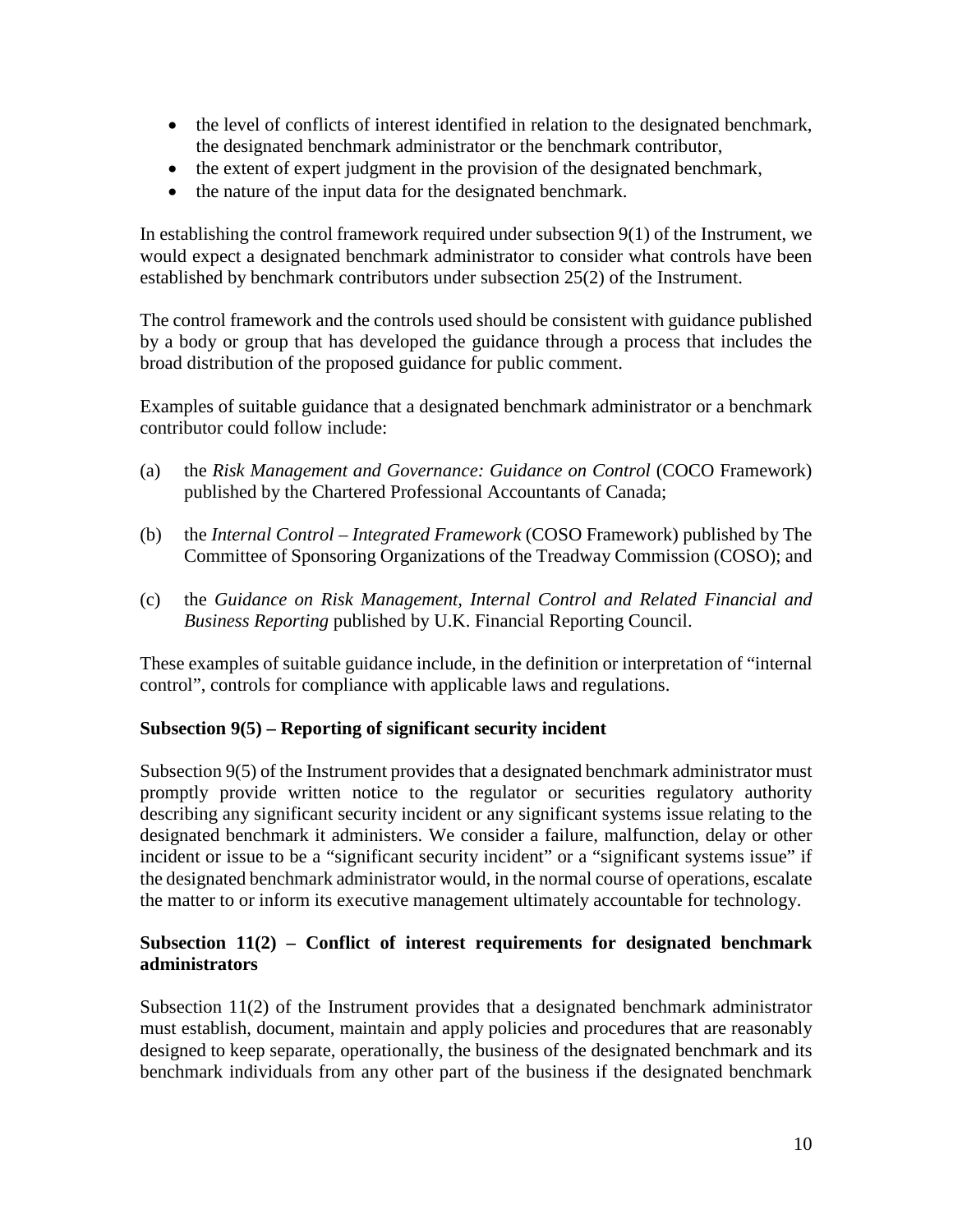- the level of conflicts of interest identified in relation to the designated benchmark, the designated benchmark administrator or the benchmark contributor,
- the extent of expert judgment in the provision of the designated benchmark,
- the nature of the input data for the designated benchmark.

In establishing the control framework required under subsection 9(1) of the Instrument, we would expect a designated benchmark administrator to consider what controls have been established by benchmark contributors under subsection 25(2) of the Instrument.

The control framework and the controls used should be consistent with guidance published by a body or group that has developed the guidance through a process that includes the broad distribution of the proposed guidance for public comment.

Examples of suitable guidance that a designated benchmark administrator or a benchmark contributor could follow include:

- (a) the *Risk Management and Governance: Guidance on Control* (COCO Framework) published by the Chartered Professional Accountants of Canada;
- (b) the *Internal Control – Integrated Framework* (COSO Framework) published by The Committee of Sponsoring Organizations of the Treadway Commission (COSO); and
- (c) the *Guidance on Risk Management, Internal Control and Related Financial and Business Reporting* published by U.K. Financial Reporting Council.

These examples of suitable guidance include, in the definition or interpretation of "internal control", controls for compliance with applicable laws and regulations.

### **Subsection 9(5) – Reporting of significant security incident**

Subsection 9(5) of the Instrument provides that a designated benchmark administrator must promptly provide written notice to the regulator or securities regulatory authority describing any significant security incident or any significant systems issue relating to the designated benchmark it administers. We consider a failure, malfunction, delay or other incident or issue to be a "significant security incident" or a "significant systems issue" if the designated benchmark administrator would, in the normal course of operations, escalate the matter to or inform its executive management ultimately accountable for technology.

## **Subsection 11(2) – Conflict of interest requirements for designated benchmark administrators**

Subsection 11(2) of the Instrument provides that a designated benchmark administrator must establish, document, maintain and apply policies and procedures that are reasonably designed to keep separate, operationally, the business of the designated benchmark and its benchmark individuals from any other part of the business if the designated benchmark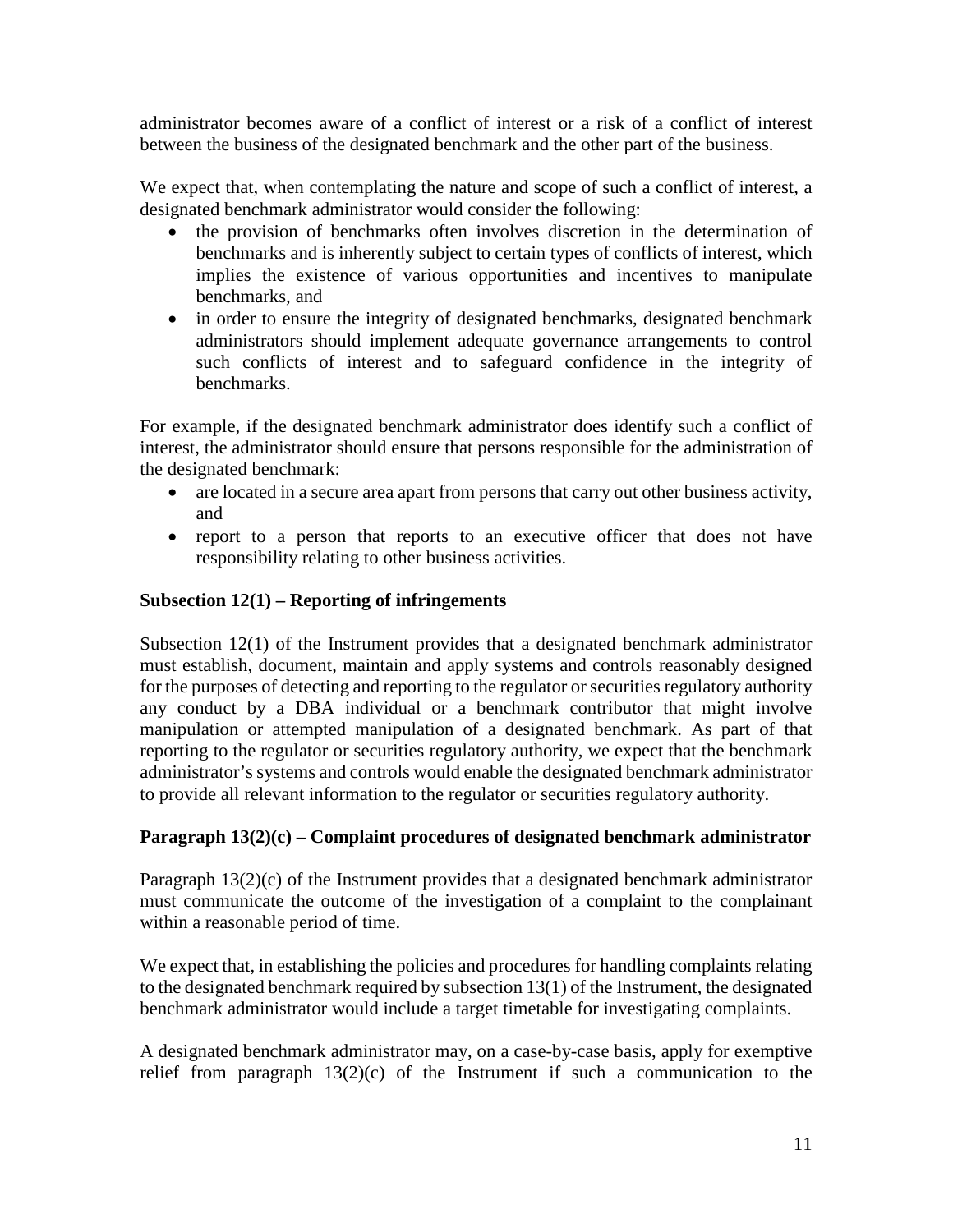administrator becomes aware of a conflict of interest or a risk of a conflict of interest between the business of the designated benchmark and the other part of the business.

We expect that, when contemplating the nature and scope of such a conflict of interest, a designated benchmark administrator would consider the following:

- the provision of benchmarks often involves discretion in the determination of benchmarks and is inherently subject to certain types of conflicts of interest, which implies the existence of various opportunities and incentives to manipulate benchmarks, and
- in order to ensure the integrity of designated benchmarks, designated benchmark administrators should implement adequate governance arrangements to control such conflicts of interest and to safeguard confidence in the integrity of benchmarks.

For example, if the designated benchmark administrator does identify such a conflict of interest, the administrator should ensure that persons responsible for the administration of the designated benchmark:

- are located in a secure area apart from persons that carry out other business activity, and
- report to a person that reports to an executive officer that does not have responsibility relating to other business activities.

### **Subsection 12(1) – Reporting of infringements**

Subsection 12(1) of the Instrument provides that a designated benchmark administrator must establish, document, maintain and apply systems and controls reasonably designed for the purposes of detecting and reporting to the regulator or securities regulatory authority any conduct by a DBA individual or a benchmark contributor that might involve manipulation or attempted manipulation of a designated benchmark. As part of that reporting to the regulator or securities regulatory authority, we expect that the benchmark administrator's systems and controls would enable the designated benchmark administrator to provide all relevant information to the regulator or securities regulatory authority.

## **Paragraph 13(2)(c) – Complaint procedures of designated benchmark administrator**

Paragraph 13(2)(c) of the Instrument provides that a designated benchmark administrator must communicate the outcome of the investigation of a complaint to the complainant within a reasonable period of time.

We expect that, in establishing the policies and procedures for handling complaints relating to the designated benchmark required by subsection 13(1) of the Instrument, the designated benchmark administrator would include a target timetable for investigating complaints.

A designated benchmark administrator may, on a case-by-case basis, apply for exemptive relief from paragraph  $13(2)(c)$  of the Instrument if such a communication to the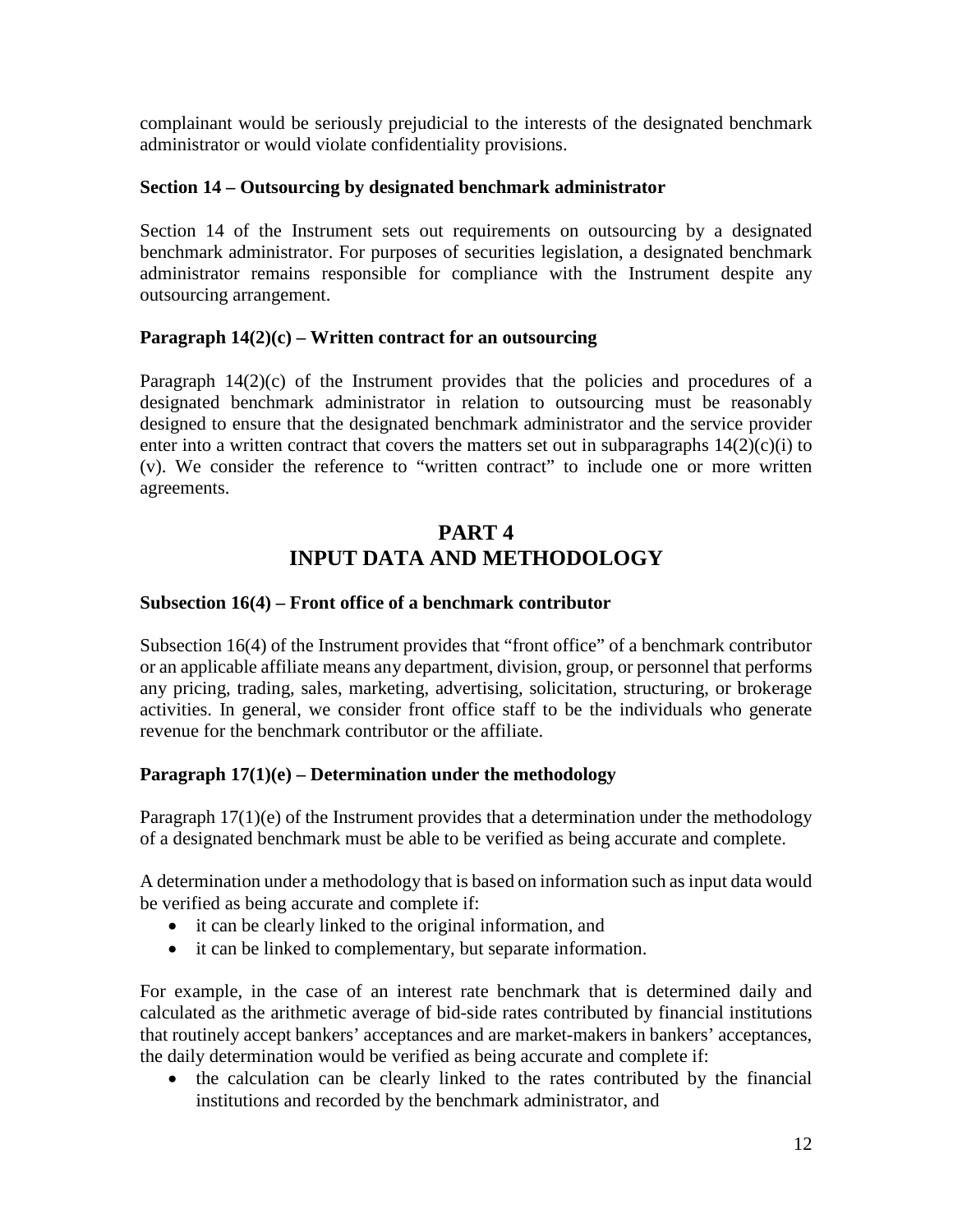complainant would be seriously prejudicial to the interests of the designated benchmark administrator or would violate confidentiality provisions.

### **Section 14 – Outsourcing by designated benchmark administrator**

Section 14 of the Instrument sets out requirements on outsourcing by a designated benchmark administrator. For purposes of securities legislation, a designated benchmark administrator remains responsible for compliance with the Instrument despite any outsourcing arrangement.

### **Paragraph 14(2)(c) – Written contract for an outsourcing**

Paragraph  $14(2)(c)$  of the Instrument provides that the policies and procedures of a designated benchmark administrator in relation to outsourcing must be reasonably designed to ensure that the designated benchmark administrator and the service provider enter into a written contract that covers the matters set out in subparagraphs  $14(2)(c)(i)$  to (v). We consider the reference to "written contract" to include one or more written agreements.

## **PART 4 INPUT DATA AND METHODOLOGY**

### **Subsection 16(4) – Front office of a benchmark contributor**

Subsection 16(4) of the Instrument provides that "front office" of a benchmark contributor or an applicable affiliate means any department, division, group, or personnel that performs any pricing, trading, sales, marketing, advertising, solicitation, structuring, or brokerage activities. In general, we consider front office staff to be the individuals who generate revenue for the benchmark contributor or the affiliate.

### **Paragraph 17(1)(e) – Determination under the methodology**

Paragraph  $17(1)(e)$  of the Instrument provides that a determination under the methodology of a designated benchmark must be able to be verified as being accurate and complete.

A determination under a methodology that is based on information such as input data would be verified as being accurate and complete if:

- it can be clearly linked to the original information, and
- it can be linked to complementary, but separate information.

For example, in the case of an interest rate benchmark that is determined daily and calculated as the arithmetic average of bid-side rates contributed by financial institutions that routinely accept bankers' acceptances and are market-makers in bankers' acceptances, the daily determination would be verified as being accurate and complete if:

• the calculation can be clearly linked to the rates contributed by the financial institutions and recorded by the benchmark administrator, and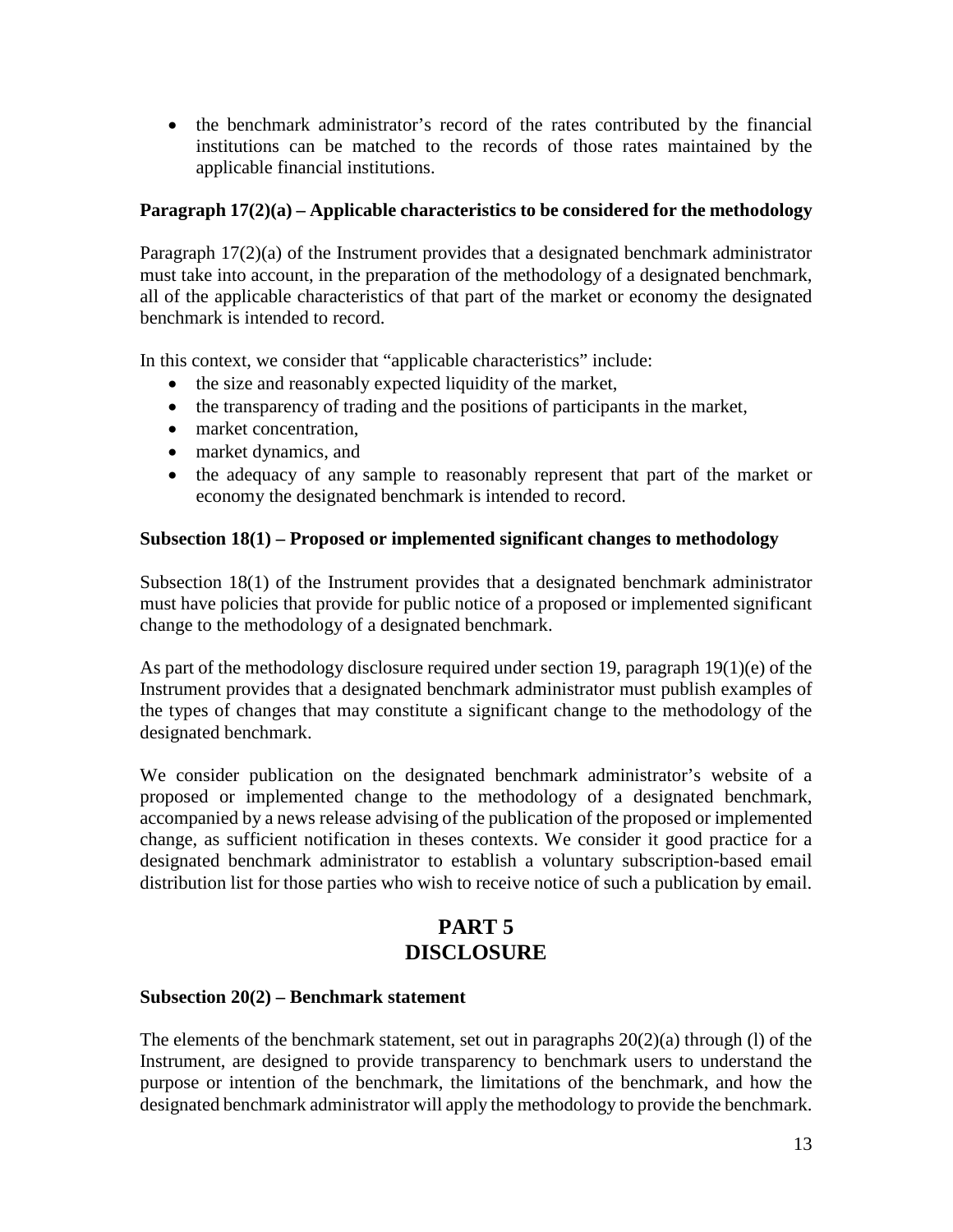• the benchmark administrator's record of the rates contributed by the financial institutions can be matched to the records of those rates maintained by the applicable financial institutions.

## **Paragraph 17(2)(a) – Applicable characteristics to be considered for the methodology**

Paragraph 17(2)(a) of the Instrument provides that a designated benchmark administrator must take into account, in the preparation of the methodology of a designated benchmark, all of the applicable characteristics of that part of the market or economy the designated benchmark is intended to record.

In this context, we consider that "applicable characteristics" include:

- the size and reasonably expected liquidity of the market,
- the transparency of trading and the positions of participants in the market,
- market concentration,
- market dynamics, and
- the adequacy of any sample to reasonably represent that part of the market or economy the designated benchmark is intended to record.

## **Subsection 18(1) – Proposed or implemented significant changes to methodology**

Subsection 18(1) of the Instrument provides that a designated benchmark administrator must have policies that provide for public notice of a proposed or implemented significant change to the methodology of a designated benchmark.

As part of the methodology disclosure required under section 19, paragraph 19(1)(e) of the Instrument provides that a designated benchmark administrator must publish examples of the types of changes that may constitute a significant change to the methodology of the designated benchmark.

We consider publication on the designated benchmark administrator's website of a proposed or implemented change to the methodology of a designated benchmark, accompanied by a news release advising of the publication of the proposed or implemented change, as sufficient notification in theses contexts. We consider it good practice for a designated benchmark administrator to establish a voluntary subscription-based email distribution list for those parties who wish to receive notice of such a publication by email.

# **PART 5 DISCLOSURE**

## **Subsection 20(2) – Benchmark statement**

The elements of the benchmark statement, set out in paragraphs  $20(2)(a)$  through (1) of the Instrument, are designed to provide transparency to benchmark users to understand the purpose or intention of the benchmark, the limitations of the benchmark, and how the designated benchmark administrator will apply the methodology to provide the benchmark.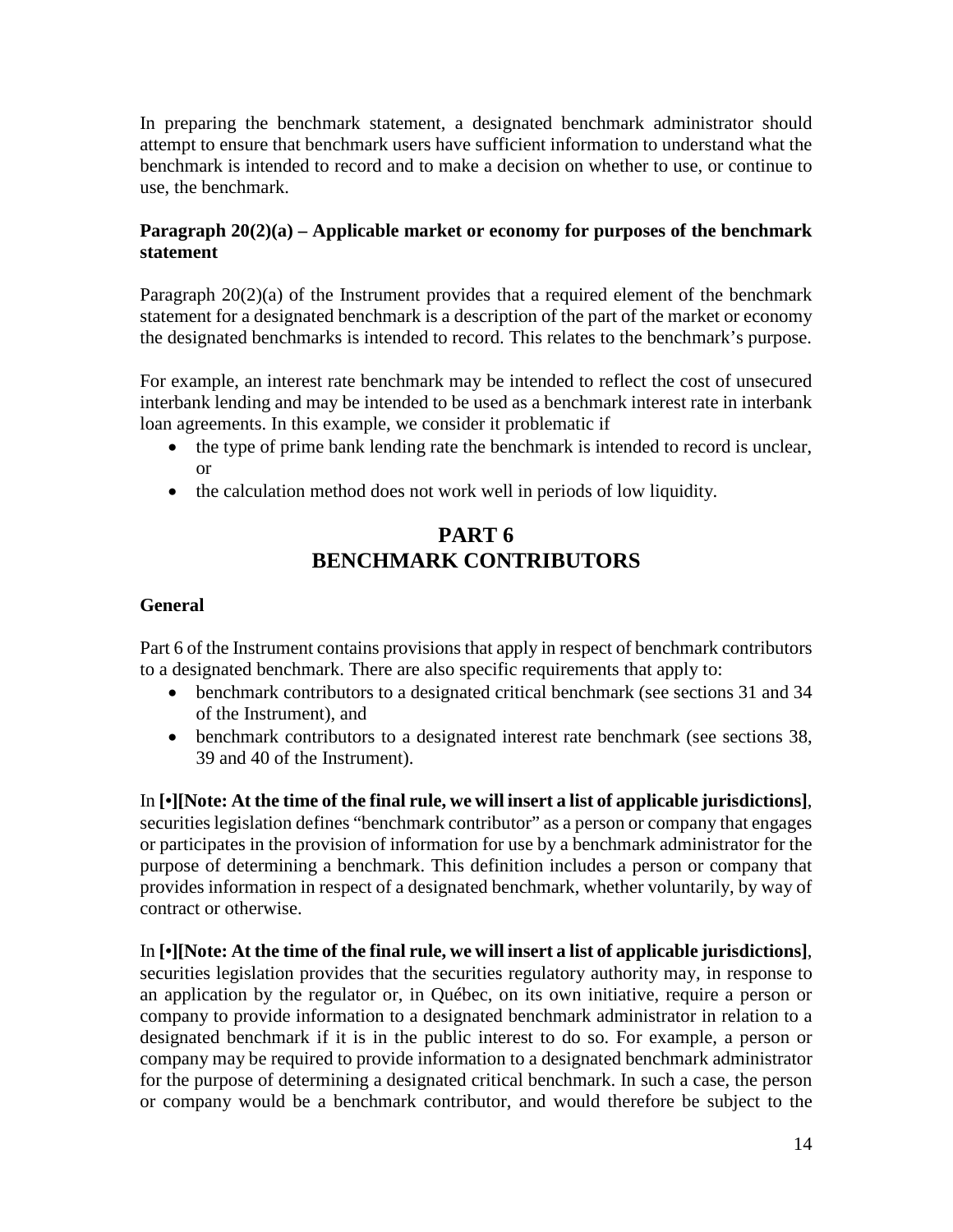In preparing the benchmark statement, a designated benchmark administrator should attempt to ensure that benchmark users have sufficient information to understand what the benchmark is intended to record and to make a decision on whether to use, or continue to use, the benchmark.

## **Paragraph 20(2)(a) – Applicable market or economy for purposes of the benchmark statement**

Paragraph 20(2)(a) of the Instrument provides that a required element of the benchmark statement for a designated benchmark is a description of the part of the market or economy the designated benchmarks is intended to record. This relates to the benchmark's purpose.

For example, an interest rate benchmark may be intended to reflect the cost of unsecured interbank lending and may be intended to be used as a benchmark interest rate in interbank loan agreements. In this example, we consider it problematic if

- the type of prime bank lending rate the benchmark is intended to record is unclear, or
- the calculation method does not work well in periods of low liquidity.

# **PART 6 BENCHMARK CONTRIBUTORS**

## **General**

Part 6 of the Instrument contains provisions that apply in respect of benchmark contributors to a designated benchmark. There are also specific requirements that apply to:

- benchmark contributors to a designated critical benchmark (see sections 31 and 34 of the Instrument), and
- benchmark contributors to a designated interest rate benchmark (see sections 38, 39 and 40 of the Instrument).

In **[•][Note: At the time of the final rule, we will insert a list of applicable jurisdictions]**, securities legislation defines "benchmark contributor" as a person or company that engages or participates in the provision of information for use by a benchmark administrator for the purpose of determining a benchmark. This definition includes a person or company that provides information in respect of a designated benchmark, whether voluntarily, by way of contract or otherwise.

In **[•][Note: At the time of the final rule, we will insert a list of applicable jurisdictions]**, securities legislation provides that the securities regulatory authority may, in response to an application by the regulator or, in Québec, on its own initiative, require a person or company to provide information to a designated benchmark administrator in relation to a designated benchmark if it is in the public interest to do so. For example, a person or company may be required to provide information to a designated benchmark administrator for the purpose of determining a designated critical benchmark. In such a case, the person or company would be a benchmark contributor, and would therefore be subject to the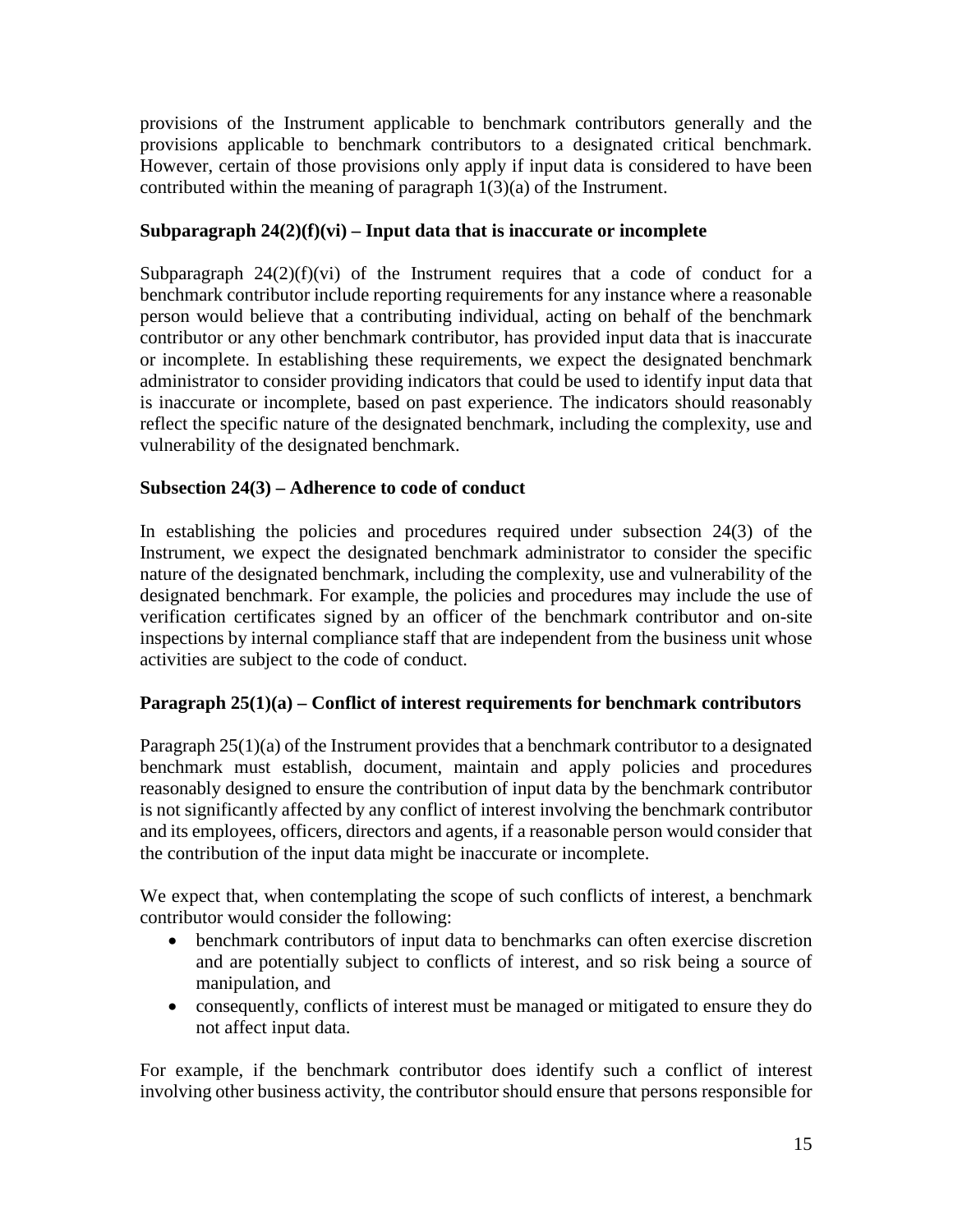provisions of the Instrument applicable to benchmark contributors generally and the provisions applicable to benchmark contributors to a designated critical benchmark. However, certain of those provisions only apply if input data is considered to have been contributed within the meaning of paragraph 1(3)(a) of the Instrument.

## **Subparagraph 24(2)(f)(vi) – Input data that is inaccurate or incomplete**

Subparagraph  $24(2)(f)(vi)$  of the Instrument requires that a code of conduct for a benchmark contributor include reporting requirements for any instance where a reasonable person would believe that a contributing individual, acting on behalf of the benchmark contributor or any other benchmark contributor, has provided input data that is inaccurate or incomplete. In establishing these requirements, we expect the designated benchmark administrator to consider providing indicators that could be used to identify input data that is inaccurate or incomplete, based on past experience. The indicators should reasonably reflect the specific nature of the designated benchmark, including the complexity, use and vulnerability of the designated benchmark.

## **Subsection 24(3) – Adherence to code of conduct**

In establishing the policies and procedures required under subsection 24(3) of the Instrument, we expect the designated benchmark administrator to consider the specific nature of the designated benchmark, including the complexity, use and vulnerability of the designated benchmark. For example, the policies and procedures may include the use of verification certificates signed by an officer of the benchmark contributor and on-site inspections by internal compliance staff that are independent from the business unit whose activities are subject to the code of conduct.

## **Paragraph 25(1)(a) – Conflict of interest requirements for benchmark contributors**

Paragraph 25(1)(a) of the Instrument provides that a benchmark contributor to a designated benchmark must establish, document, maintain and apply policies and procedures reasonably designed to ensure the contribution of input data by the benchmark contributor is not significantly affected by any conflict of interest involving the benchmark contributor and its employees, officers, directors and agents, if a reasonable person would consider that the contribution of the input data might be inaccurate or incomplete.

We expect that, when contemplating the scope of such conflicts of interest, a benchmark contributor would consider the following:

- benchmark contributors of input data to benchmarks can often exercise discretion and are potentially subject to conflicts of interest, and so risk being a source of manipulation, and
- consequently, conflicts of interest must be managed or mitigated to ensure they do not affect input data.

For example, if the benchmark contributor does identify such a conflict of interest involving other business activity, the contributor should ensure that persons responsible for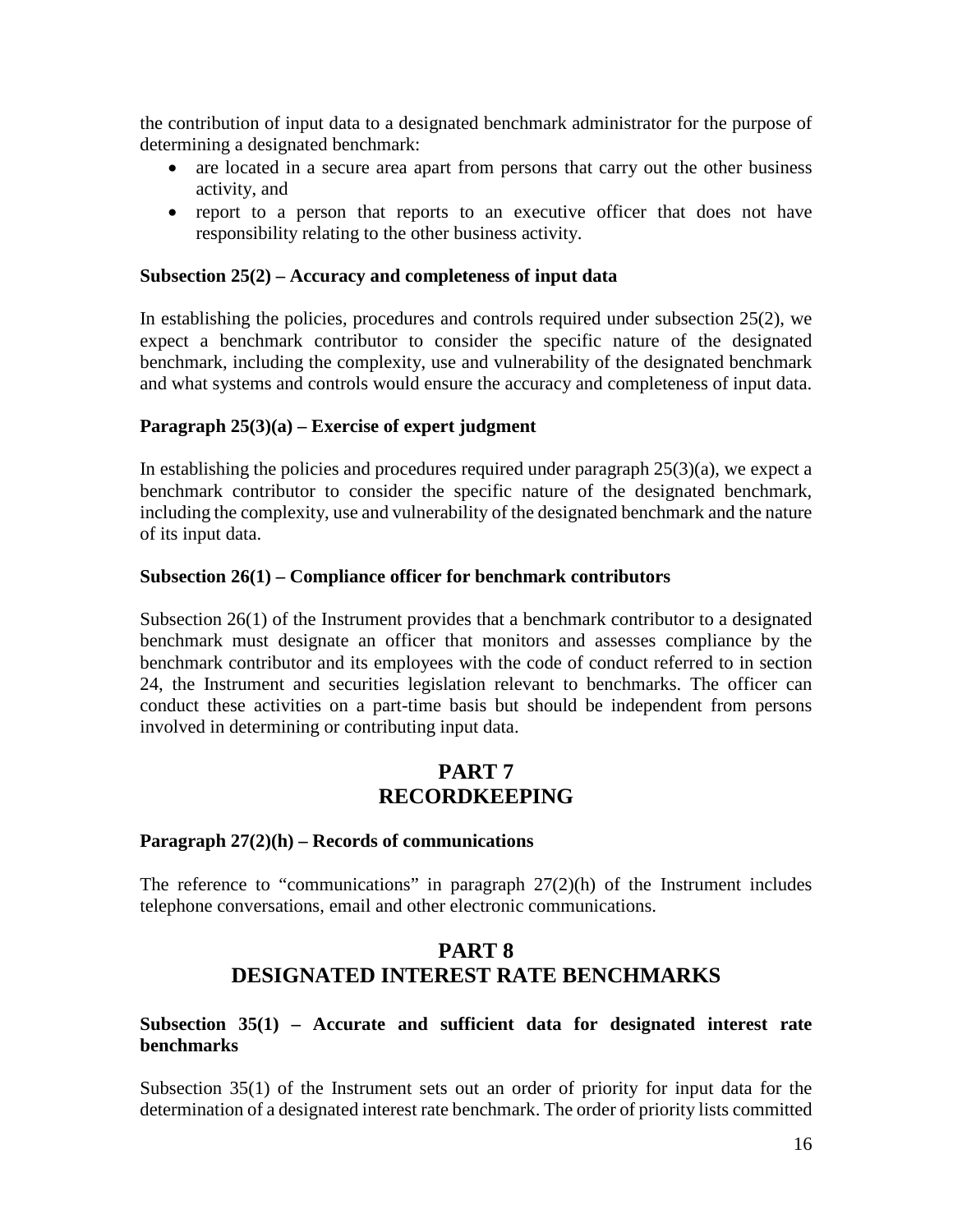the contribution of input data to a designated benchmark administrator for the purpose of determining a designated benchmark:

- are located in a secure area apart from persons that carry out the other business activity, and
- report to a person that reports to an executive officer that does not have responsibility relating to the other business activity.

#### **Subsection 25(2) – Accuracy and completeness of input data**

In establishing the policies, procedures and controls required under subsection 25(2), we expect a benchmark contributor to consider the specific nature of the designated benchmark, including the complexity, use and vulnerability of the designated benchmark and what systems and controls would ensure the accuracy and completeness of input data.

#### **Paragraph 25(3)(a) – Exercise of expert judgment**

In establishing the policies and procedures required under paragraph  $25(3)(a)$ , we expect a benchmark contributor to consider the specific nature of the designated benchmark, including the complexity, use and vulnerability of the designated benchmark and the nature of its input data.

#### **Subsection 26(1) – Compliance officer for benchmark contributors**

Subsection 26(1) of the Instrument provides that a benchmark contributor to a designated benchmark must designate an officer that monitors and assesses compliance by the benchmark contributor and its employees with the code of conduct referred to in section 24, the Instrument and securities legislation relevant to benchmarks. The officer can conduct these activities on a part-time basis but should be independent from persons involved in determining or contributing input data.

## **PART 7 RECORDKEEPING**

#### **Paragraph 27(2)(h) – Records of communications**

The reference to "communications" in paragraph  $27(2)(h)$  of the Instrument includes telephone conversations, email and other electronic communications.

## **PART 8 DESIGNATED INTEREST RATE BENCHMARKS**

### **Subsection 35(1) – Accurate and sufficient data for designated interest rate benchmarks**

Subsection 35(1) of the Instrument sets out an order of priority for input data for the determination of a designated interest rate benchmark. The order of priority lists committed